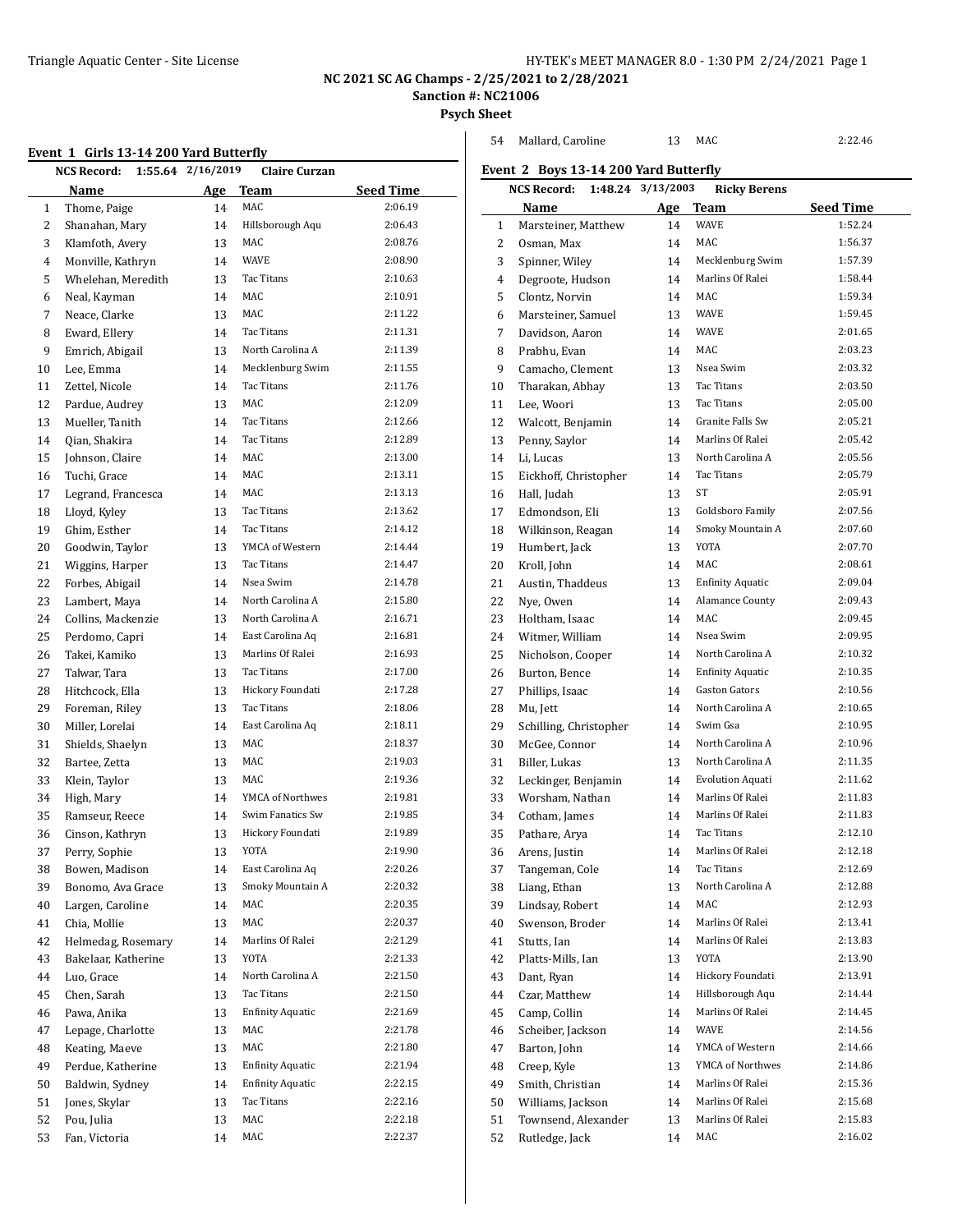Mallard, Caroline 13 MAC 2:22.46

**NC 2021 SC AG Champs - 2/25/2021 to 2/28/2021**

**Sanction #: NC21006**

**Psych Sheet**

 $\overline{\phantom{0}}$ 

|  |  | Event 1 Girls 13-14 200 Yard Butterfly |  |  |
|--|--|----------------------------------------|--|--|
|--|--|----------------------------------------|--|--|

|    | :vent_1_Giris 13-14 200 yard Butterfly | 1:55.64 2/16/2019 |                                      |                    |
|----|----------------------------------------|-------------------|--------------------------------------|--------------------|
|    | <b>NCS Record:</b>                     |                   | <b>Claire Curzan</b>                 |                    |
|    | Name                                   | Age               | Team                                 | <b>Seed Time</b>   |
| 1  | Thome, Paige                           | 14                | MAC                                  | 2:06.19<br>2:06.43 |
| 2  | Shanahan, Mary                         | 14                | Hillsborough Aqu                     |                    |
| 3  | Klamfoth, Avery                        | 13                | MAC                                  | 2:08.76            |
| 4  | Monville, Kathryn                      | 14                | <b>WAVE</b>                          | 2:08.90            |
| 5  | Whelehan, Meredith                     | 13                | Tac Titans                           | 2:10.63            |
| 6  | Neal, Kayman                           | 14                | MAC                                  | 2:10.91            |
| 7  | Neace, Clarke                          | 13                | MAC                                  | 2:11.22            |
| 8  | Eward, Ellery                          | 14                | Tac Titans                           | 2:11.31            |
| 9  | Emrich, Abigail                        | 13                | North Carolina A                     | 2:11.39            |
| 10 | Lee, Emma                              | 14                | Mecklenburg Swim                     | 2:11.55            |
| 11 | Zettel, Nicole                         | 14                | Tac Titans                           | 2:11.76            |
| 12 | Pardue, Audrey                         | 13                | MAC                                  | 2:12.09            |
| 13 | Mueller, Tanith                        | 14                | Tac Titans                           | 2:12.66            |
| 14 | Qian, Shakira                          | 14                | Tac Titans                           | 2:12.89            |
| 15 | Johnson, Claire                        | 14                | <b>MAC</b>                           | 2:13.00            |
| 16 | Tuchi, Grace                           | 14                | MAC                                  | 2:13.11            |
| 17 | Legrand, Francesca                     | 14                | MAC                                  | 2:13.13            |
| 18 | Lloyd, Kyley                           | 13                | Tac Titans                           | 2:13.62            |
| 19 | Ghim, Esther                           | 14                | Tac Titans                           | 2:14.12            |
| 20 | Goodwin, Taylor                        | 13                | YMCA of Western                      | 2:14.44            |
| 21 | Wiggins, Harper                        | 13                | Tac Titans                           | 2:14.47            |
| 22 | Forbes, Abigail                        | 14                | Nsea Swim                            | 2:14.78            |
| 23 | Lambert, Maya                          | 14                | North Carolina A                     | 2:15.80            |
| 24 | Collins, Mackenzie                     | 13                | North Carolina A                     | 2:16.71            |
| 25 | Perdomo, Capri                         | 14                | East Carolina Aq                     | 2:16.81            |
| 26 | Takei, Kamiko                          | 13                | Marlins Of Ralei                     | 2:16.93            |
| 27 | Talwar, Tara                           | 13                | Tac Titans                           | 2:17.00            |
| 28 | Hitchcock, Ella                        | 13                | Hickory Foundati                     | 2:17.28            |
| 29 | Foreman, Riley                         | 13                | Tac Titans                           | 2:18.06            |
| 30 | Miller, Lorelai                        | 14                | East Carolina Aq                     | 2:18.11            |
| 31 | Shields, Shaelyn                       | 13                | MAC                                  | 2:18.37            |
| 32 | Bartee, Zetta                          | 13                | MAC                                  | 2:19.03            |
| 33 | Klein, Taylor                          | 13                | MAC                                  | 2:19.36            |
| 34 | High, Mary                             | 14                | YMCA of Northwes                     | 2:19.81            |
| 35 | Ramseur, Reece                         | 14                | Swim Fanatics Sw<br>Hickory Foundati | 2:19.85            |
| 36 | Cinson, Kathryn                        | 13                |                                      | 2:19.89            |
| 37 | Perry, Sophie                          | 13                | YOTA                                 | 2:19.90            |
| 38 | Bowen, Madison                         | 14                | East Carolina Aq                     | 2:20.26            |
| 39 | Bonomo, Ava Grace                      | 13                | Smoky Mountain A                     | 2:20.32<br>2:20.35 |
| 40 | Largen, Caroline                       | 14                | MAC<br>MAC                           |                    |
| 41 | Chia, Mollie                           | 13                | Marlins Of Ralei                     | 2:20.37            |
| 42 | Helmedag, Rosemary                     | 14                |                                      | 2:21.29            |
| 43 | Bakelaar, Katherine                    | 13                | YOTA<br>North Carolina A             | 2:21.33            |
| 44 | Luo, Grace                             | 14                |                                      | 2:21.50            |
| 45 | Chen, Sarah                            | 13                | Tac Titans                           | 2:21.50            |
| 46 | Pawa, Anika                            | 13                | <b>Enfinity Aquatic</b>              | 2:21.69            |
| 47 | Lepage, Charlotte                      | 13                | MAC                                  | 2:21.78            |
| 48 | Keating, Maeve                         | 13                | MAC                                  | 2:21.80            |
| 49 | Perdue, Katherine                      | 13                | <b>Enfinity Aquatic</b>              | 2:21.94            |
| 50 | Baldwin, Sydney                        | 14                | <b>Enfinity Aquatic</b>              | 2:22.15            |
| 51 | Jones, Skylar                          | 13                | Tac Titans                           | 2:22.16            |
| 52 | Pou, Julia                             | 13                | MAC<br>MAC                           | 2:22.18<br>2:22.37 |
| 53 | Fan, Victoria                          | 14                |                                      |                    |

|                 | <b>NCS Record:</b>                 | 1:48.24 3/13/2003 | <b>Ricky Berens</b>     |                  |
|-----------------|------------------------------------|-------------------|-------------------------|------------------|
|                 | Name                               | <u>Age</u>        | Team                    | <b>Seed Time</b> |
| 1               | Marsteiner, Matthew                | 14                | <b>WAVE</b>             | 1:52.24          |
| 2               | Osman, Max                         | 14                | MAC                     | 1:56.37          |
| 3               | Spinner, Wiley                     | 14                | Mecklenburg Swim        | 1:57.39          |
| 4               | Degroote, Hudson                   | 14                | Marlins Of Ralei        | 1:58.44          |
| 5               | Clontz, Norvin                     | 14                | MAC                     | 1:59.34          |
| 6               | Marsteiner, Samuel                 | 13                | <b>WAVE</b>             | 1:59.45          |
| 7               | Davidson. Aaron                    | 14                | <b>WAVE</b>             | 2:01.65          |
| 8               | Prabhu, Evan                       | 14                | MAC                     | 2:03.23          |
| 9               | Camacho, Clement                   | 13                | Nsea Swim               | 2:03.32          |
| 10              | Tharakan, Abhay                    | 13                | Tac Titans              | 2:03.50          |
| 11              | Lee, Woori                         | 13                | Tac Titans              | 2:05.00          |
| 12              | Walcott, Benjamin                  | 14                | Granite Falls Sw        | 2:05.21          |
| 13              | Penny, Saylor                      | 14                | Marlins Of Ralei        | 2:05.42          |
| 14              | Li, Lucas                          | 13                | North Carolina A        | 2:05.56          |
| 15              | Eickhoff, Christopher              | 14                | Tac Titans              | 2:05.79          |
| 16              | Hall, Judah                        | 13                | ST                      | 2:05.91          |
| 17              | Edmondson, Eli                     | 13                | Goldsboro Family        | 2:07.56          |
| 18              | Wilkinson, Reagan                  | 14                | Smoky Mountain A        | 2:07.60          |
| 19              | Humbert, Jack                      | 13                | <b>YOTA</b>             | 2:07.70          |
| 20              | Kroll, John                        | 14                | MAC                     | 2:08.61          |
| 21              | Austin, Thaddeus                   | 13                | <b>Enfinity Aquatic</b> | 2:09.04          |
| 22              | Nye, Owen                          | 14                | Alamance County         | 2:09.43          |
| 23              | Holtham, Isaac                     | 14                | MAC                     | 2:09.45          |
| 24              | Witmer, William                    | 14                | Nsea Swim               | 2:09.95          |
| 25              | Nicholson, Cooper                  | 14                | North Carolina A        | 2:10.32          |
| 26              | Burton, Bence                      | 14                | <b>Enfinity Aquatic</b> | 2:10.35          |
| 27              | Phillips, Isaac                    | 14                | <b>Gaston Gators</b>    | 2:10.56          |
| 28              | Mu, Jett                           | 14                | North Carolina A        | 2:10.65          |
| 29              | Schilling, Christopher             | 14                | Swim Gsa                | 2:10.95          |
| 30              | McGee, Connor                      | 14                | North Carolina A        | 2:10.96          |
| 31              | Biller, Lukas                      | 13                | North Carolina A        | 2:11.35          |
| 32              | Leckinger, Benjamin                | 14                | <b>Evolution Aquati</b> | 2:11.62          |
| 33              | Worsham, Nathan                    | 14                | Marlins Of Ralei        | 2:11.83          |
| 34              | Cotham, James                      | 14                | Marlins Of Ralei        | 2:11.83          |
| 35              | Pathare, Arya                      | 14                | Tac Titans              | 2:12.10          |
| 36              | Arens, Justin                      | 14                | Marlins Of Ralei        | 2:12.18          |
| 37              | Tangeman, Cole                     | 14                | Tac Titans              | 2:12.69          |
| 38              | Liang, Ethan                       | 13                | North Carolina A        | 2:12.88          |
| 39              | Lindsay, Robert                    | 14                | MAC                     | 2:12.93          |
| 40              | Swenson, Broder                    | 14                | Marlins Of Ralei        | 2:13.41          |
| 41              | Stutts, Ian                        | 14                | Marlins Of Ralei        | 2:13.83          |
| 42              | Platts-Mills, Ian                  | 13                | YOTA                    | 2:13.90          |
| 43              | Dant, Ryan                         | 14                | Hickory Foundati        | 2:13.91          |
| 44              | Czar, Matthew                      | 14                | Hillsborough Aqu        | 2:14.44          |
| 45              | Camp, Collin                       | 14                | Marlins Of Ralei        | 2:14.45          |
| $\bf 46$        | Scheiber, Jackson                  | 14                | WAVE                    | 2:14.56          |
| 47              | Barton, John                       | 14                | YMCA of Western         | 2:14.66          |
| $\overline{10}$ | $C_{\text{mean}}$ $U_{\text{val}}$ | 1.2               | $VMCA$ of Northwest     | 2.1406           |

 Creep, Kyle 13 YMCA of Northwes 2:14.86 Smith, Christian 14 Marlins Of Ralei 2:15.36 Williams, Jackson 14 Marlins Of Ralei 2:15.68 Townsend, Alexander 13 Marlins Of Ralei 2:15.83 Rutledge, Jack 14 MAC 2:16.02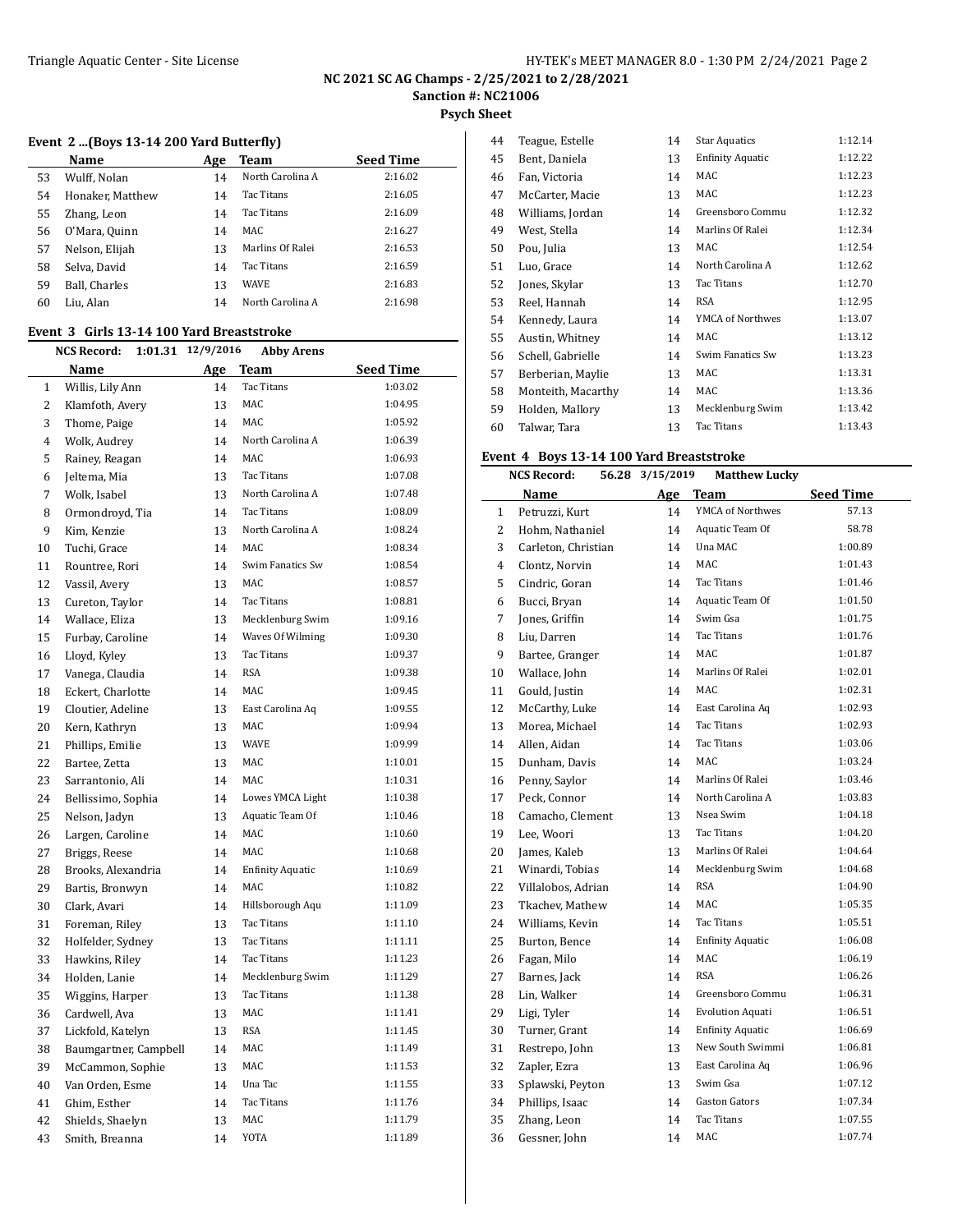**Psych Sheet**

#### **Event 2 ...(Boys 13-14 200 Yard Butterfly)**

|    | Name             | Age | Team              | <b>Seed Time</b> |
|----|------------------|-----|-------------------|------------------|
| 53 | Wulff, Nolan     | 14  | North Carolina A  | 2:16.02          |
| 54 | Honaker, Matthew | 14  | Tac Titans        | 2:16.05          |
| 55 | Zhang, Leon      | 14  | <b>Tac Titans</b> | 2:16.09          |
| 56 | O'Mara, Quinn    | 14  | MAC               | 2:16.27          |
| 57 | Nelson, Elijah   | 13  | Marlins Of Ralei  | 2:16.53          |
| 58 | Selva, David     | 14  | Tac Titans        | 2:16.59          |
| 59 | Ball, Charles    | 13  | <b>WAVE</b>       | 2:16.83          |
| 60 | Liu, Alan        | 14  | North Carolina A  | 2:16.98          |
|    |                  |     |                   |                  |

#### **Event 3 Girls 13-14 100 Yard Breaststroke**

|                | <b>NCS Record:</b>    | 1:01.31 | 12/9/2016 | Abby Arens              |                  |
|----------------|-----------------------|---------|-----------|-------------------------|------------------|
|                | Name                  |         | Age       | <b>Team</b>             | <b>Seed Time</b> |
| 1              | Willis, Lily Ann      |         | 14        | <b>Tac Titans</b>       | 1:03.02          |
| $\overline{2}$ | Klamfoth, Avery       |         | 13        | <b>MAC</b>              | 1:04.95          |
| 3              | Thome, Paige          |         | 14        | MAC                     | 1:05.92          |
| $\overline{4}$ | Wolk, Audrey          |         | 14        | North Carolina A        | 1:06.39          |
| 5              | Rainey, Reagan        |         | 14        | MAC                     | 1:06.93          |
| 6              | Jeltema, Mia          |         | 13        | Tac Titans              | 1:07.08          |
| 7              | Wolk, Isabel          |         | 13        | North Carolina A        | 1:07.48          |
| 8              | Ormondroyd, Tia       |         | 14        | <b>Tac Titans</b>       | 1:08.09          |
| 9              | Kim, Kenzie           |         | 13        | North Carolina A        | 1:08.24          |
| 10             | Tuchi, Grace          |         | 14        | MAC.                    | 1:08.34          |
| 11             | Rountree, Rori        |         | 14        | Swim Fanatics Sw        | 1:08.54          |
| 12             | Vassil, Avery         |         | 13        | MAC                     | 1:08.57          |
| 13             | Cureton, Taylor       |         | 14        | Tac Titans              | 1:08.81          |
| 14             | Wallace, Eliza        |         | 13        | Mecklenburg Swim        | 1:09.16          |
| 15             | Furbay, Caroline      |         | 14        | Waves Of Wilming        | 1:09.30          |
| 16             | Lloyd, Kyley          |         | 13        | <b>Tac Titans</b>       | 1:09.37          |
| 17             | Vanega, Claudia       |         | 14        | <b>RSA</b>              | 1:09.38          |
| 18             | Eckert, Charlotte     |         | 14        | <b>MAC</b>              | 1:09.45          |
| 19             | Cloutier, Adeline     |         | 13        | East Carolina Aq        | 1:09.55          |
| 20             | Kern, Kathryn         |         | 13        | MAC                     | 1:09.94          |
| 21             | Phillips, Emilie      |         | 13        | <b>WAVE</b>             | 1:09.99          |
| 22             | Bartee, Zetta         |         | 13        | <b>MAC</b>              | 1:10.01          |
| 23             | Sarrantonio, Ali      |         | 14        | MAC                     | 1:10.31          |
| 24             | Bellissimo, Sophia    |         | 14        | Lowes YMCA Light        | 1:10.38          |
| 25             | Nelson, Jadyn         |         | 13        | Aquatic Team Of         | 1:10.46          |
| 26             | Largen, Caroline      |         | 14        | <b>MAC</b>              | 1:10.60          |
| 27             | Briggs, Reese         |         | 14        | <b>MAC</b>              | 1:10.68          |
| 28             | Brooks, Alexandria    |         | 14        | <b>Enfinity Aquatic</b> | 1:10.69          |
| 29             | Bartis, Bronwyn       |         | 14        | MAC                     | 1:10.82          |
| 30             | Clark, Avari          |         | 14        | Hillsborough Aqu        | 1:11.09          |
| 31             | Foreman, Riley        |         | 13        | Tac Titans              | 1:11.10          |
| 32             | Holfelder, Sydney     |         | 13        | Tac Titans              | 1:11.11          |
| 33             | Hawkins, Riley        |         | 14        | Tac Titans              | 1:11.23          |
| 34             | Holden, Lanie         |         | 14        | Mecklenburg Swim        | 1:11.29          |
| 35             | Wiggins, Harper       |         | 13        | Tac Titans              | 1:11.38          |
| 36             | Cardwell, Ava         |         | 13        | <b>MAC</b>              | 1:11.41          |
| 37             | Lickfold, Katelyn     |         | 13        | <b>RSA</b>              | 1:11.45          |
| 38             | Baumgartner, Campbell |         | 14        | MAC                     | 1:11.49          |
| 39             | McCammon, Sophie      |         | 13        | MAC                     | 1:11.53          |
| 40             | Van Orden, Esme       |         | 14        | Una Tac                 | 1:11.55          |
| 41             | Ghim, Esther          |         | 14        | Tac Titans              | 1:11.76          |
| 42             | Shields, Shaelyn      |         | 13        | <b>MAC</b>              | 1:11.79          |
| 43             | Smith, Breanna        |         | 14        | YOTA                    | 1:11.89          |

| 44 | Teague, Estelle    | 14 | <b>Star Aquatics</b> | 1:12.14 |
|----|--------------------|----|----------------------|---------|
| 45 | Bent, Daniela      | 13 | Enfinity Aquatic     | 1:12.22 |
| 46 | Fan, Victoria      | 14 | MAC                  | 1:12.23 |
| 47 | McCarter, Macie    | 13 | MAC                  | 1:12.23 |
| 48 | Williams, Jordan   | 14 | Greensboro Commu     | 1:12.32 |
| 49 | West, Stella       | 14 | Marlins Of Ralei     | 1:12.34 |
| 50 | Pou, Julia         | 13 | MAC                  | 1:12.54 |
| 51 | Luo, Grace         | 14 | North Carolina A     | 1:12.62 |
| 52 | Jones, Skylar      | 13 | Tac Titans           | 1:12.70 |
| 53 | Reel, Hannah       | 14 | RSA                  | 1:12.95 |
| 54 | Kennedy, Laura     | 14 | YMCA of Northwes     | 1:13.07 |
| 55 | Austin, Whitney    | 14 | MAC                  | 1:13.12 |
| 56 | Schell, Gabrielle  | 14 | Swim Fanatics Sw     | 1:13.23 |
| 57 | Berberian, Maylie  | 13 | MAC                  | 1:13.31 |
| 58 | Monteith, Macarthy | 14 | MAC                  | 1:13.36 |
| 59 | Holden, Mallory    | 13 | Mecklenburg Swim     | 1:13.42 |
| 60 | Talwar, Tara       | 13 | Tac Titans           | 1:13.43 |

#### **Event 4 Boys 13-14 100 Yard Breaststroke**

|              | <b>NCS Record:</b>  | 56.28 3/15/2019 | <b>Matthew Lucky</b>    |                  |
|--------------|---------------------|-----------------|-------------------------|------------------|
|              | Name                | Age             | <b>Team</b>             | <b>Seed Time</b> |
| $\mathbf{1}$ | Petruzzi, Kurt      | 14              | YMCA of Northwes        | 57.13            |
| 2            | Hohm, Nathaniel     | 14              | Aquatic Team Of         | 58.78            |
| 3            | Carleton, Christian | 14              | Una MAC                 | 1:00.89          |
| 4            | Clontz, Norvin      | 14              | MAC.                    | 1:01.43          |
| 5            | Cindric, Goran      | 14              | Tac Titans              | 1:01.46          |
| 6            | Bucci, Bryan        | 14              | Aquatic Team Of         | 1:01.50          |
| 7            | Jones, Griffin      | 14              | Swim Gsa                | 1:01.75          |
| 8            | Liu, Darren         | 14              | Tac Titans              | 1:01.76          |
| 9            | Bartee, Granger     | 14              | <b>MAC</b>              | 1:01.87          |
| 10           | Wallace, John       | 14              | Marlins Of Ralei        | 1:02.01          |
| 11           | Gould, Justin       | 14              | MAC                     | 1:02.31          |
| 12           | McCarthy, Luke      | 14              | East Carolina Aq        | 1:02.93          |
| 13           | Morea, Michael      | 14              | Tac Titans              | 1:02.93          |
| 14           | Allen, Aidan        | 14              | Tac Titans              | 1:03.06          |
| 15           | Dunham, Davis       | 14              | MAC                     | 1:03.24          |
| 16           | Penny, Saylor       | 14              | Marlins Of Ralei        | 1:03.46          |
| 17           | Peck, Connor        | 14              | North Carolina A        | 1:03.83          |
| 18           | Camacho, Clement    | 13              | Nsea Swim               | 1:04.18          |
| 19           | Lee, Woori          | 13              | Tac Titans              | 1:04.20          |
| 20           | James, Kaleb        | 13              | Marlins Of Ralei        | 1:04.64          |
| 21           | Winardi, Tobias     | 14              | Mecklenburg Swim        | 1:04.68          |
| 22           | Villalobos, Adrian  | 14              | <b>RSA</b>              | 1:04.90          |
| 23           | Tkachev, Mathew     | 14              | <b>MAC</b>              | 1:05.35          |
| 24           | Williams, Kevin     | 14              | Tac Titans              | 1:05.51          |
| 25           | Burton, Bence       | 14              | <b>Enfinity Aquatic</b> | 1:06.08          |
| 26           | Fagan, Milo         | 14              | <b>MAC</b>              | 1:06.19          |
| 27           | Barnes, Jack        | 14              | <b>RSA</b>              | 1:06.26          |
| 28           | Lin, Walker         | 14              | Greensboro Commu        | 1:06.31          |
| 29           | Ligi, Tyler         | 14              | <b>Evolution Aquati</b> | 1:06.51          |
| 30           | Turner, Grant       | 14              | <b>Enfinity Aquatic</b> | 1:06.69          |
| 31           | Restrepo, John      | 13              | New South Swimmi        | 1:06.81          |
| 32           | Zapler, Ezra        | 13              | East Carolina Aq        | 1:06.96          |
| 33           | Splawski, Peyton    | 13              | Swim Gsa                | 1:07.12          |
| 34           | Phillips, Isaac     | 14              | <b>Gaston Gators</b>    | 1:07.34          |
| 35           | Zhang, Leon         | 14              | <b>Tac Titans</b>       | 1:07.55          |
| 36           | Gessner, John       | 14              | <b>MAC</b>              | 1:07.74          |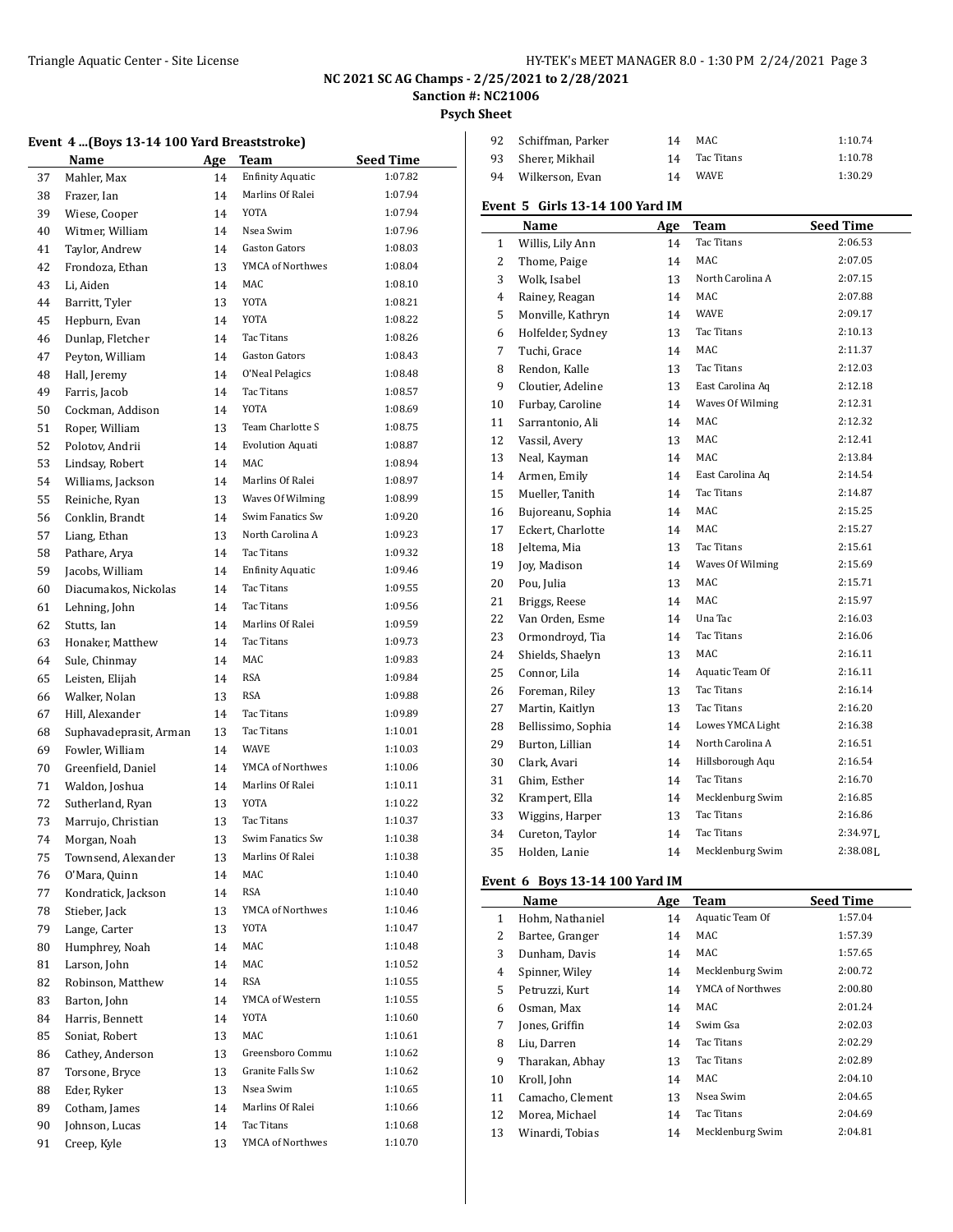÷,

### Triangle Aquatic Center - Site License **HY-TEK's MEET MANAGER 8.0 - 1:30 PM 2/24/2021** Page 3

# **NC 2021 SC AG Champs - 2/25/2021 to 2/28/2021**

# **Sanction #: NC21006**

**Psych Sheet**

|  |  |  |  |  | Event 4  (Boys 13-14 100 Yard Breaststroke) |  |
|--|--|--|--|--|---------------------------------------------|--|
|--|--|--|--|--|---------------------------------------------|--|

|    | Name                   | Age | Team                    | <b>Seed Time</b> |
|----|------------------------|-----|-------------------------|------------------|
| 37 | Mahler, Max            | 14  | <b>Enfinity Aquatic</b> | 1:07.82          |
| 38 | Frazer, Ian            | 14  | Marlins Of Ralei        | 1:07.94          |
| 39 | Wiese, Cooper          | 14  | <b>YOTA</b>             | 1:07.94          |
| 40 | Witmer, William        | 14  | Nsea Swim               | 1:07.96          |
| 41 | Taylor, Andrew         | 14  | Gaston Gators           | 1:08.03          |
| 42 | Frondoza, Ethan        | 13  | YMCA of Northwes        | 1:08.04          |
| 43 | Li, Aiden              | 14  | MAC                     | 1:08.10          |
| 44 | Barritt, Tyler         | 13  | YOTA                    | 1:08.21          |
| 45 | Hepburn, Evan          | 14  | <b>YOTA</b>             | 1:08.22          |
| 46 | Dunlap, Fletcher       | 14  | Tac Titans              | 1:08.26          |
| 47 | Peyton, William        | 14  | <b>Gaston Gators</b>    | 1:08.43          |
| 48 | Hall, Jeremy           | 14  | O'Neal Pelagics         | 1:08.48          |
| 49 | Farris, Jacob          | 14  | Tac Titans              | 1:08.57          |
| 50 | Cockman, Addison       | 14  | <b>YOTA</b>             | 1:08.69          |
| 51 | Roper, William         | 13  | Team Charlotte S        | 1:08.75          |
| 52 | Polotov, Andrii        | 14  | <b>Evolution Aquati</b> | 1:08.87          |
| 53 | Lindsay, Robert        | 14  | MAC.                    | 1:08.94          |
| 54 | Williams, Jackson      | 14  | Marlins Of Ralei        | 1:08.97          |
| 55 | Reiniche, Ryan         | 13  | Waves Of Wilming        | 1:08.99          |
| 56 | Conklin, Brandt        | 14  | Swim Fanatics Sw        | 1:09.20          |
| 57 | Liang, Ethan           | 13  | North Carolina A        | 1:09.23          |
| 58 | Pathare, Arya          | 14  | Tac Titans              | 1:09.32          |
| 59 | Jacobs, William        | 14  | <b>Enfinity Aquatic</b> | 1:09.46          |
| 60 | Diacumakos, Nickolas   | 14  | Tac Titans              | 1:09.55          |
| 61 | Lehning, John          | 14  | Tac Titans              | 1:09.56          |
| 62 | Stutts, Ian            | 14  | Marlins Of Ralei        | 1:09.59          |
| 63 | Honaker, Matthew       | 14  | <b>Tac Titans</b>       | 1:09.73          |
| 64 | Sule, Chinmay          | 14  | MAC                     | 1:09.83          |
| 65 | Leisten, Elijah        | 14  | <b>RSA</b>              | 1:09.84          |
| 66 | Walker, Nolan          | 13  | <b>RSA</b>              | 1:09.88          |
| 67 | Hill, Alexander        | 14  | Tac Titans              | 1:09.89          |
| 68 | Suphavadeprasit, Arman | 13  | Tac Titans              | 1:10.01          |
| 69 | Fowler, William        | 14  | <b>WAVE</b>             | 1:10.03          |
| 70 | Greenfield, Daniel     | 14  | YMCA of Northwes        | 1:10.06          |
| 71 | Waldon, Joshua         | 14  | Marlins Of Ralei        | 1:10.11          |
| 72 | Sutherland, Ryan       | 13  | YOTA                    | 1:10.22          |
| 73 | Marrujo, Christian     | 13  | Tac Titans              | 1:10.37          |
| 74 | Morgan, Noah           | 13  | Swim Fanatics Sw        | 1:10.38          |
| 75 | Townsend, Alexander    | 13  | Marlins Of Ralei        | 1:10.38          |
| 76 | O'Mara, Quinn          | 14  | MAC                     | 1:10.40          |
| 77 | Kondratick, Jackson    | 14  | RSA                     | 1:10.40          |
| 78 | Stieber, Jack          | 13  | YMCA of Northwes        | 1:10.46          |
| 79 | Lange, Carter          | 13  | YOTA                    | 1:10.47          |
| 80 | Humphrey, Noah         | 14  | MAC                     | 1:10.48          |
| 81 | Larson, John           | 14  | MAC                     | 1:10.52          |
| 82 | Robinson, Matthew      | 14  | RSA                     | 1:10.55          |
| 83 | Barton, John           | 14  | YMCA of Western         | 1:10.55          |
| 84 | Harris, Bennett        | 14  | YOTA                    | 1:10.60          |
| 85 | Soniat, Robert         | 13  | MAC                     | 1:10.61          |
| 86 | Cathey, Anderson       | 13  | Greensboro Commu        | 1:10.62          |
| 87 | Torsone, Bryce         | 13  | Granite Falls Sw        | 1:10.62          |
| 88 | Eder, Ryker            | 13  | Nsea Swim               | 1:10.65          |
| 89 | Cotham, James          | 14  | Marlins Of Ralei        | 1:10.66          |
| 90 | Johnson, Lucas         | 14  | Tac Titans              | 1:10.68          |
| 91 | Creep, Kyle            | 13  | YMCA of Northwes        | 1:10.70          |
|    |                        |     |                         |                  |

| 92 Schiffman, Parker | 14 | MAC           | 1:10.74 |
|----------------------|----|---------------|---------|
| 93 Sherer Mikhail    |    | 14 Tac Titans | 1:10.78 |
| 94 Wilkerson, Evan   | 14 | WAVE          | 1:30.29 |

## **Event 5 Girls 13-14 100 Yard IM**

|              | Name               | <b>Age</b> | <b>Team</b>       | <b>Seed Time</b> |
|--------------|--------------------|------------|-------------------|------------------|
| $\mathbf{1}$ | Willis, Lily Ann   | 14         | Tac Titans        | 2:06.53          |
| 2            | Thome, Paige       | 14         | MAC               | 2:07.05          |
| 3            | Wolk, Isabel       | 13         | North Carolina A  | 2:07.15          |
| 4            | Rainey, Reagan     | 14         | MAC               | 2:07.88          |
| 5            | Monville, Kathryn  | 14         | <b>WAVE</b>       | 2:09.17          |
| 6            | Holfelder, Sydney  | 13         | Tac Titans        | 2:10.13          |
| 7            | Tuchi, Grace       | 14         | MAC               | 2:11.37          |
| 8            | Rendon, Kalle      | 13         | Tac Titans        | 2:12.03          |
| 9            | Cloutier, Adeline  | 13         | East Carolina Aq  | 2:12.18          |
| 10           | Furbay, Caroline   | 14         | Waves Of Wilming  | 2:12.31          |
| 11           | Sarrantonio, Ali   | 14         | MAC               | 2:12.32          |
| 12           | Vassil, Avery      | 13         | MAC               | 2:12.41          |
| 13           | Neal, Kayman       | 14         | MAC               | 2:13.84          |
| 14           | Armen, Emily       | 14         | East Carolina Aq  | 2:14.54          |
| 15           | Mueller, Tanith    | 14         | Tac Titans        | 2:14.87          |
| 16           | Bujoreanu, Sophia  | 14         | <b>MAC</b>        | 2:15.25          |
| 17           | Eckert, Charlotte  | 14         | <b>MAC</b>        | 2:15.27          |
| 18           | Jeltema, Mia       | 13         | Tac Titans        | 2:15.61          |
| 19           | Joy, Madison       | 14         | Waves Of Wilming  | 2:15.69          |
| 20           | Pou, Julia         | 13         | MAC               | 2:15.71          |
| 21           | Briggs, Reese      | 14         | MAC               | 2:15.97          |
| 22           | Van Orden, Esme    | 14         | Una Tac           | 2:16.03          |
| 23           | Ormondroyd, Tia    | 14         | <b>Tac Titans</b> | 2:16.06          |
| 24           | Shields, Shaelyn   | 13         | MAC               | 2:16.11          |
| 25           | Connor, Lila       | 14         | Aquatic Team Of   | 2:16.11          |
| 26           | Foreman, Riley     | 13         | <b>Tac Titans</b> | 2:16.14          |
| 27           | Martin, Kaitlyn    | 13         | Tac Titans        | 2:16.20          |
| 28           | Bellissimo, Sophia | 14         | Lowes YMCA Light  | 2:16.38          |
| 29           | Burton, Lillian    | 14         | North Carolina A  | 2:16.51          |
| 30           | Clark, Avari       | 14         | Hillsborough Aqu  | 2:16.54          |
| 31           | Ghim, Esther       | 14         | Tac Titans        | 2:16.70          |
| 32           | Krampert, Ella     | 14         | Mecklenburg Swim  | 2:16.85          |
| 33           | Wiggins, Harper    | 13         | Tac Titans        | 2:16.86          |
| 34           | Cureton, Taylor    | 14         | Tac Titans        | $2:34.97$ J.     |
| 35           | Holden, Lanie      | 14         | Mecklenburg Swim  | 2:38.081.        |
|              |                    |            |                   |                  |

#### **Event 6 Boys 13-14 100 Yard IM**

|    | Name             | Age | <b>Team</b>      | <b>Seed Time</b> |
|----|------------------|-----|------------------|------------------|
| 1  | Hohm, Nathaniel  | 14  | Aquatic Team Of  | 1:57.04          |
| 2  | Bartee, Granger  | 14  | MAC              | 1:57.39          |
| 3  | Dunham, Davis    | 14  | MAC              | 1:57.65          |
| 4  | Spinner, Wiley   | 14  | Mecklenburg Swim | 2:00.72          |
| 5  | Petruzzi, Kurt   | 14  | YMCA of Northwes | 2:00.80          |
| 6  | Osman, Max       | 14  | MAC              | 2:01.24          |
| 7  | Jones, Griffin   | 14  | Swim Gsa         | 2:02.03          |
| 8  | Liu. Darren      | 14  | Tac Titans       | 2:02.29          |
| 9  | Tharakan, Abhay  | 13  | Tac Titans       | 2:02.89          |
| 10 | Kroll, John      | 14  | MAC              | 2:04.10          |
| 11 | Camacho, Clement | 13  | Nsea Swim        | 2:04.65          |
| 12 | Morea, Michael   | 14  | Tac Titans       | 2:04.69          |
| 13 | Winardi, Tobias  | 14  | Mecklenburg Swim | 2:04.81          |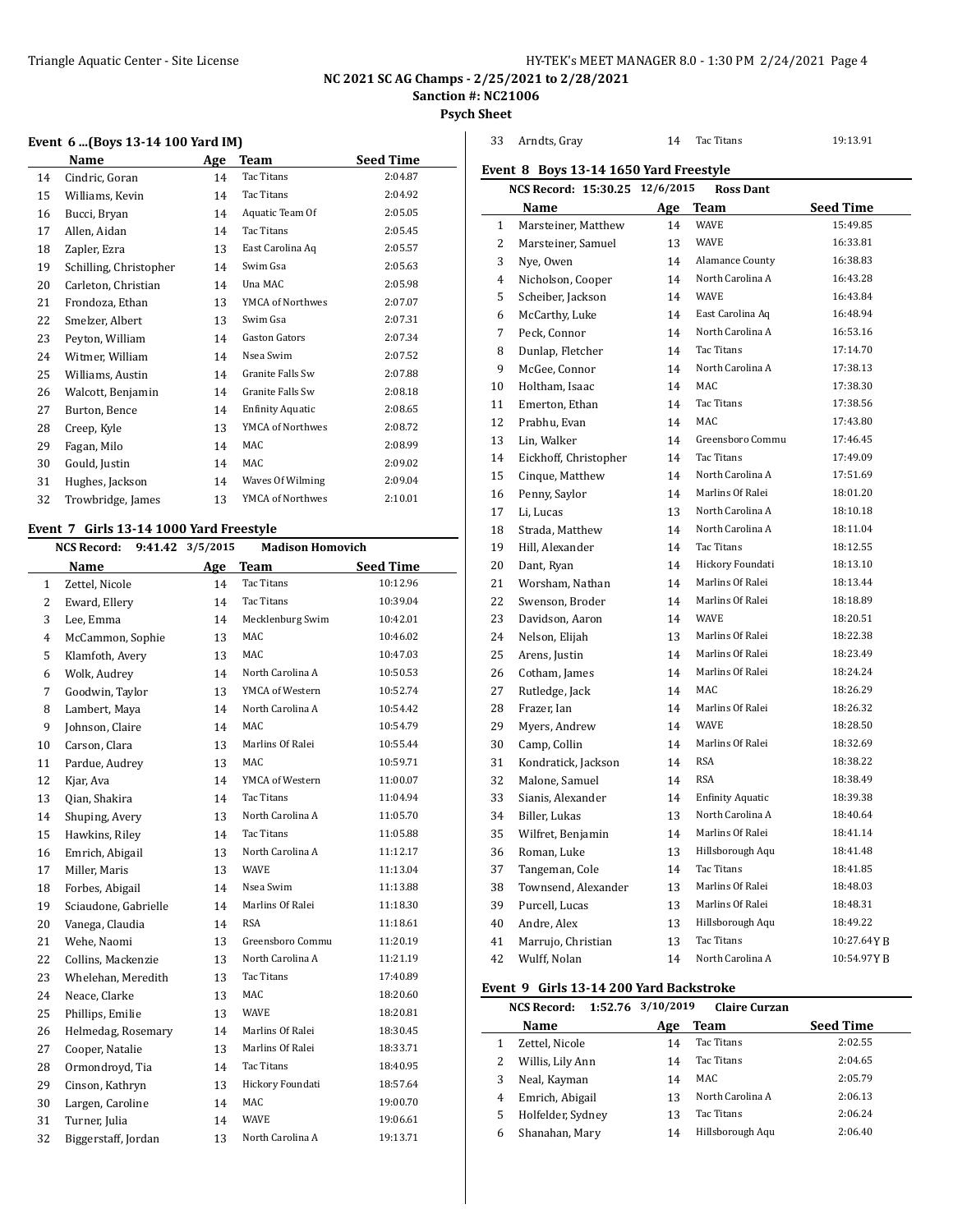**NC 2021 SC AG Champs - 2/25/2021 to 2/28/2021**

**Sanction #: NC21006**

**Psych Sheet**

| Name |                        | Age | Team                    | <b>Seed Time</b> |
|------|------------------------|-----|-------------------------|------------------|
| 14   | Cindric, Goran         | 14  | Tac Titans              | 2:04.87          |
| 15   | Williams, Kevin        | 14  | <b>Tac Titans</b>       | 2:04.92          |
| 16   | Bucci, Bryan           | 14  | Aquatic Team Of         | 2:05.05          |
| 17   | Allen, Aidan           | 14  | <b>Tac Titans</b>       | 2:05.45          |
| 18   | Zapler, Ezra           | 13  | East Carolina Aq        | 2:05.57          |
| 19   | Schilling, Christopher | 14  | Swim Gsa                | 2:05.63          |
| 20   | Carleton, Christian    | 14  | Una MAC                 | 2:05.98          |
| 21   | Frondoza, Ethan        | 13  | YMCA of Northwes        | 2:07.07          |
| 22   | Smelzer, Albert        | 13  | Swim Gsa                | 2:07.31          |
| 23   | Peyton, William        | 14  | <b>Gaston Gators</b>    | 2:07.34          |
| 24   | Witmer, William        | 14  | Nsea Swim               | 2:07.52          |
| 25   | Williams, Austin       | 14  | Granite Falls Sw        | 2:07.88          |
| 26   | Walcott, Benjamin      | 14  | <b>Granite Falls Sw</b> | 2:08.18          |
| 27   | Burton, Bence          | 14  | <b>Enfinity Aquatic</b> | 2:08.65          |
| 28   | Creep, Kyle            | 13  | YMCA of Northwes        | 2:08.72          |
| 29   | Fagan, Milo            | 14  | MAC                     | 2:08.99          |
| 30   | Gould, Justin          | 14  | <b>MAC</b>              | 2:09.02          |
| 31   | Hughes, Jackson        | 14  | Waves Of Wilming        | 2:09.04          |
| 32   | Trowbridge, James      | 13  | YMCA of Northwes        | 2:10.01          |
|      |                        |     |                         |                  |

#### **Event 7 Girls 13-14 1000 Yard Freestyle**

|                | <b>NCS Record:</b><br>9:41.42 | 3/5/2015 | <b>Madison Homovich</b> |                  |  |  |
|----------------|-------------------------------|----------|-------------------------|------------------|--|--|
|                | <b>Name</b>                   | Age      | <b>Team</b>             | <b>Seed Time</b> |  |  |
| 1              | Zettel, Nicole                | 14       | <b>Tac Titans</b>       | 10:12.96         |  |  |
| 2              | Eward, Ellery                 | 14       | Tac Titans              | 10:39.04         |  |  |
| 3              | Lee, Emma                     | 14       | Mecklenburg Swim        | 10:42.01         |  |  |
| $\overline{4}$ | McCammon, Sophie              | 13       | MAC                     | 10:46.02         |  |  |
| 5              | Klamfoth, Avery               | 13       | <b>MAC</b>              | 10:47.03         |  |  |
| 6              | Wolk, Audrey                  | 14       | North Carolina A        | 10:50.53         |  |  |
| 7              | Goodwin, Taylor               | 13       | YMCA of Western         | 10:52.74         |  |  |
| 8              | Lambert, Maya                 | 14       | North Carolina A        | 10:54.42         |  |  |
| 9              | Johnson, Claire               | 14       | <b>MAC</b>              | 10:54.79         |  |  |
| 10             | Carson, Clara                 | 13       | Marlins Of Ralei        | 10:55.44         |  |  |
| 11             | Pardue, Audrey                | 13       | <b>MAC</b>              | 10:59.71         |  |  |
| 12             | Kjar, Ava                     | 14       | YMCA of Western         | 11:00.07         |  |  |
| 13             | Oian, Shakira                 | 14       | Tac Titans              | 11:04.94         |  |  |
| 14             | Shuping, Avery                | 13       | North Carolina A        | 11:05.70         |  |  |
| 15             | Hawkins, Riley                | 14       | Tac Titans              | 11:05.88         |  |  |
| 16             | Emrich, Abigail               | 13       | North Carolina A        | 11:12.17         |  |  |
| 17             | Miller, Maris                 | 13       | <b>WAVE</b>             | 11:13.04         |  |  |
| 18             | Forbes, Abigail               | 14       | Nsea Swim               | 11:13.88         |  |  |
| 19             | Sciaudone, Gabrielle          | 14       | Marlins Of Ralei        | 11:18.30         |  |  |
| 20             | Vanega, Claudia               | 14       | <b>RSA</b>              | 11:18.61         |  |  |
| 21             | Wehe, Naomi                   | 13       | Greensboro Commu        | 11:20.19         |  |  |
| 22             | Collins, Mackenzie            | 13       | North Carolina A        | 11:21.19         |  |  |
| 23             | Whelehan, Meredith            | 13       | Tac Titans              | 17:40.89         |  |  |
| 24             | Neace, Clarke                 | 13       | MAC                     | 18:20.60         |  |  |
| 25             | Phillips, Emilie              | 13       | WAVE                    | 18:20.81         |  |  |
| 26             | Helmedag, Rosemary            | 14       | Marlins Of Ralei        | 18:30.45         |  |  |
| 27             | Cooper, Natalie               | 13       | Marlins Of Ralei        | 18:33.71         |  |  |
| 28             | Ormondroyd, Tia               | 14       | <b>Tac Titans</b>       | 18:40.95         |  |  |
| 29             | Cinson, Kathryn               | 13       | Hickory Foundati        | 18:57.64         |  |  |
| 30             | Largen, Caroline              | 14       | MAC                     | 19:00.70         |  |  |
| 31             | Turner, Julia                 | 14       | <b>WAVE</b>             | 19:06.61         |  |  |
| 32             | Biggerstaff, Jordan           | 13       | North Carolina A        | 19:13.71         |  |  |
|                |                               |          |                         |                  |  |  |

| 33 | Arndts, Gray                           | 14 | <b>Tac Titans</b>       | 19:13.91         |
|----|----------------------------------------|----|-------------------------|------------------|
|    | Event 8 Boys 13-14 1650 Yard Freestyle |    |                         |                  |
|    | NCS Record: 15:30.25 12/6/2015         |    | <b>Ross Dant</b>        |                  |
|    | Name                                   |    | Age Team                | <b>Seed Time</b> |
| 1  | Marsteiner, Matthew                    | 14 | <b>WAVE</b>             | 15:49.85         |
| 2  | Marsteiner, Samuel                     | 13 | <b>WAVE</b>             | 16:33.81         |
| 3  | Nye, Owen                              | 14 | Alamance County         | 16:38.83         |
| 4  | Nicholson, Cooper                      | 14 | North Carolina A        | 16:43.28         |
| 5  | Scheiber, Jackson                      | 14 | <b>WAVE</b>             | 16:43.84         |
| 6  | McCarthy, Luke                         | 14 | East Carolina Aq        | 16:48.94         |
| 7  | Peck. Connor                           | 14 | North Carolina A        | 16:53.16         |
| 8  | Dunlap, Fletcher                       | 14 | Tac Titans              | 17:14.70         |
| 9  | McGee, Connor                          | 14 | North Carolina A        | 17:38.13         |
| 10 | Holtham, Isaac                         | 14 | MAC                     | 17:38.30         |
| 11 | Emerton, Ethan                         | 14 | Tac Titans              | 17:38.56         |
| 12 | Prabhu, Evan                           | 14 | MAC.                    | 17:43.80         |
| 13 | Lin, Walker                            | 14 | Greensboro Commu        | 17:46.45         |
| 14 | Eickhoff, Christopher                  | 14 | Tac Titans              | 17:49.09         |
| 15 | Cinque, Matthew                        | 14 | North Carolina A        | 17:51.69         |
| 16 | Penny, Saylor                          | 14 | Marlins Of Ralei        | 18:01.20         |
| 17 | Li, Lucas                              | 13 | North Carolina A        | 18:10.18         |
| 18 | Strada, Matthew                        | 14 | North Carolina A        | 18:11.04         |
| 19 | Hill, Alexander                        | 14 | Tac Titans              | 18:12.55         |
| 20 | Dant, Ryan                             | 14 | Hickory Foundati        | 18:13.10         |
| 21 | Worsham, Nathan                        | 14 | Marlins Of Ralei        | 18:13.44         |
| 22 | Swenson, Broder                        | 14 | Marlins Of Ralei        | 18:18.89         |
| 23 | Davidson, Aaron                        | 14 | <b>WAVE</b>             | 18:20.51         |
| 24 | Nelson, Elijah                         | 13 | Marlins Of Ralei        | 18:22.38         |
| 25 | Arens, Justin                          | 14 | Marlins Of Ralei        | 18:23.49         |
| 26 | Cotham, James                          | 14 | Marlins Of Ralei        | 18:24.24         |
| 27 | Rutledge, Jack                         | 14 | MAC.                    | 18:26.29         |
| 28 | Frazer, Ian                            | 14 | Marlins Of Ralei        | 18:26.32         |
| 29 | Myers, Andrew                          | 14 | <b>WAVE</b>             | 18:28.50         |
| 30 | Camp, Collin                           | 14 | Marlins Of Ralei        | 18:32.69         |
| 31 | Kondratick, Jackson                    | 14 | <b>RSA</b>              | 18:38.22         |
| 32 | Malone, Samuel                         | 14 | <b>RSA</b>              | 18:38.49         |
| 33 | Sianis, Alexander                      | 14 | <b>Enfinity Aquatic</b> | 18:39.38         |
| 34 | Biller, Lukas                          | 13 | North Carolina A        | 18:40.64         |
| 35 | Wilfret, Benjamin                      | 14 | Marlins Of Ralei        | 18:41.14         |
| 36 | Roman, Luke                            | 13 | Hillsborough Aqu        | 18:41.48         |
| 37 | Tangeman, Cole                         | 14 | Tac Titans              | 18:41.85         |
| 38 | Townsend, Alexander                    | 13 | Marlins Of Ralei        | 18:48.03         |
| 39 | Purcell, Lucas                         | 13 | Marlins Of Ralei        | 18:48.31         |
| 40 | Andre, Alex                            | 13 | Hillsborough Aqu        | 18:49.22         |
| 41 | Marrujo, Christian                     | 13 | Tac Titans              | 10:27.64YB       |
| 42 | Wulff, Nolan                           | 14 | North Carolina A        | 10:54.97 Y B     |

## **Event 9 Girls 13-14 200 Yard Backstroke**

|   | <b>NCS Record:</b> | 1:52.76 3/10/2019 | <b>Claire Curzan</b> |                  |
|---|--------------------|-------------------|----------------------|------------------|
|   | Name               | Age               | Team                 | <b>Seed Time</b> |
|   | Zettel, Nicole     | 14                | Tac Titans           | 2:02.55          |
| 2 | Willis, Lily Ann   | 14                | Tac Titans           | 2:04.65          |
| 3 | Neal, Kayman       | 14                | MAC                  | 2:05.79          |
| 4 | Emrich, Abigail    | 13                | North Carolina A     | 2:06.13          |
| 5 | Holfelder, Sydney  | 13                | Tac Titans           | 2:06.24          |
| 6 | Shanahan, Mary     | 14                | Hillsborough Aqu     | 2:06.40          |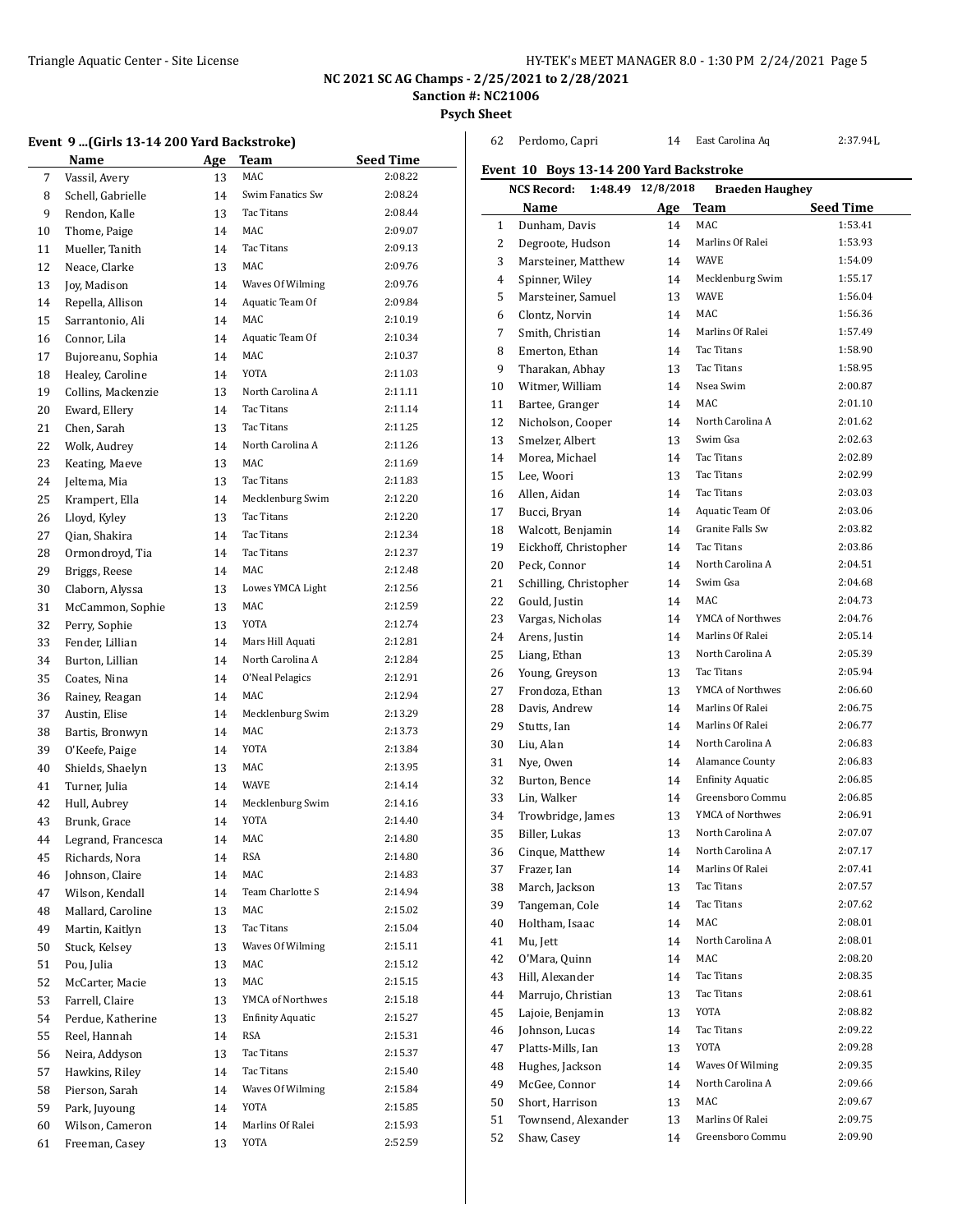**NC 2021 SC AG Champs - 2/25/2021 to 2/28/2021**

**Sanction #: NC21006**

**Psych Sheet**

|  |  |  |  |  |  | Event 9 (Girls 13-14 200 Yard Backstroke) |  |
|--|--|--|--|--|--|-------------------------------------------|--|
|--|--|--|--|--|--|-------------------------------------------|--|

|    | Name               | Age | Team                    | <b>Seed Time</b> |
|----|--------------------|-----|-------------------------|------------------|
| 7  | Vassil, Avery      | 13  | <b>MAC</b>              | 2:08.22          |
| 8  | Schell, Gabrielle  | 14  | Swim Fanatics Sw        | 2:08.24          |
| 9  | Rendon, Kalle      | 13  | Tac Titans              | 2:08.44          |
| 10 | Thome, Paige       | 14  | MAC                     | 2:09.07          |
| 11 | Mueller, Tanith    | 14  | Tac Titans              | 2:09.13          |
| 12 | Neace, Clarke      | 13  | MAC                     | 2:09.76          |
| 13 | Joy, Madison       | 14  | Waves Of Wilming        | 2:09.76          |
| 14 | Repella, Allison   | 14  | Aquatic Team Of         | 2:09.84          |
| 15 | Sarrantonio, Ali   | 14  | MAC                     | 2:10.19          |
| 16 | Connor, Lila       | 14  | Aquatic Team Of         | 2:10.34          |
| 17 | Bujoreanu, Sophia  | 14  | MAC                     | 2:10.37          |
| 18 | Healey, Caroline   | 14  | YOTA                    | 2:11.03          |
| 19 | Collins, Mackenzie | 13  | North Carolina A        | 2:11.11          |
| 20 | Eward, Ellery      | 14  | Tac Titans              | 2:11.14          |
| 21 | Chen, Sarah        | 13  | Tac Titans              | 2:11.25          |
| 22 | Wolk, Audrey       | 14  | North Carolina A        | 2:11.26          |
| 23 | Keating, Maeve     | 13  | MAC                     | 2:11.69          |
| 24 | Jeltema, Mia       | 13  | Tac Titans              | 2:11.83          |
| 25 | Krampert, Ella     | 14  | Mecklenburg Swim        | 2:12.20          |
| 26 | Lloyd, Kyley       | 13  | Tac Titans              | 2:12.20          |
| 27 | Qian, Shakira      | 14  | <b>Tac Titans</b>       | 2:12.34          |
| 28 | Ormondroyd, Tia    | 14  | Tac Titans              | 2:12.37          |
| 29 | Briggs, Reese      | 14  | MAC                     | 2:12.48          |
| 30 | Claborn, Alyssa    | 13  | Lowes YMCA Light        | 2:12.56          |
| 31 | McCammon, Sophie   | 13  | MAC                     | 2:12.59          |
| 32 | Perry, Sophie      | 13  | <b>YOTA</b>             | 2:12.74          |
| 33 | Fender, Lillian    | 14  | Mars Hill Aquati        | 2:12.81          |
| 34 | Burton, Lillian    | 14  | North Carolina A        | 2:12.84          |
| 35 | Coates, Nina       | 14  | O'Neal Pelagics         | 2:12.91          |
| 36 | Rainey, Reagan     | 14  | MAC                     | 2:12.94          |
| 37 | Austin, Elise      | 14  | Mecklenburg Swim        | 2:13.29          |
| 38 | Bartis, Bronwyn    | 14  | MAC                     | 2:13.73          |
| 39 | O'Keefe, Paige     | 14  | <b>YOTA</b>             | 2:13.84          |
| 40 | Shields, Shaelyn   | 13  | MAC                     | 2:13.95          |
| 41 | Turner, Julia      | 14  | <b>WAVE</b>             | 2:14.14          |
| 42 | Hull, Aubrey       | 14  | Mecklenburg Swim        | 2:14.16          |
| 43 | Brunk, Grace       | 14  | YOTA                    | 2:14.40          |
| 44 | Legrand, Francesca | 14  | MAC                     | 2:14.80          |
| 45 | Richards, Nora     | 14  | <b>RSA</b>              | 2:14.80          |
| 46 | Johnson, Claire    | 14  | MAC                     | 2:14.83          |
| 47 | Wilson, Kendall    | 14  | Team Charlotte S        | 2:14.94          |
| 48 | Mallard, Caroline  | 13  | MAC                     | 2:15.02          |
| 49 | Martin, Kaitlyn    | 13  | Tac Titans              | 2:15.04          |
| 50 | Stuck, Kelsey      | 13  | Waves Of Wilming        | 2:15.11          |
| 51 | Pou, Julia         | 13  | MAC                     | 2:15.12          |
| 52 | McCarter, Macie    | 13  | MAC                     | 2:15.15          |
| 53 | Farrell, Claire    | 13  | YMCA of Northwes        | 2:15.18          |
| 54 | Perdue, Katherine  | 13  | <b>Enfinity Aquatic</b> | 2:15.27          |
| 55 | Reel, Hannah       | 14  | RSA                     | 2:15.31          |
| 56 | Neira, Addyson     | 13  | Tac Titans              | 2:15.37          |
| 57 | Hawkins, Riley     | 14  | Tac Titans              | 2:15.40          |
| 58 | Pierson, Sarah     | 14  | Waves Of Wilming        | 2:15.84          |
| 59 | Park, Juyoung      | 14  | YOTA                    | 2:15.85          |
| 60 | Wilson, Cameron    | 14  | Marlins Of Ralei        | 2:15.93          |
| 61 | Freeman, Casey     | 13  | YOTA                    | 2:52.59          |
|    |                    |     |                         |                  |

| 62 | Perdomo, Capri                          | 14        | East Carolina Aq        | 2:37.94L         |
|----|-----------------------------------------|-----------|-------------------------|------------------|
|    | Event 10 Boys 13-14 200 Yard Backstroke |           |                         |                  |
|    | 1:48.49<br>NCS Record:                  | 12/8/2018 | <b>Braeden Haughey</b>  |                  |
|    | Name                                    | Age       | Team                    | <b>Seed Time</b> |
| 1  | Dunham, Davis                           | 14        | MAC                     | 1:53.41          |
| 2  | Degroote, Hudson                        | 14        | Marlins Of Ralei        | 1:53.93          |
| 3  | Marsteiner, Matthew                     | 14        | WAVE                    | 1:54.09          |
| 4  | Spinner, Wiley                          | 14        | Mecklenburg Swim        | 1:55.17          |
| 5  | Marsteiner, Samuel                      | 13        | WAVE                    | 1:56.04          |
| 6  | Clontz, Norvin                          | 14        | MAC                     | 1:56.36          |
| 7  | Smith, Christian                        | 14        | Marlins Of Ralei        | 1:57.49          |
| 8  | Emerton, Ethan                          | 14        | Tac Titans              | 1:58.90          |
| 9  | Tharakan, Abhay                         | 13        | Tac Titans              | 1:58.95          |
| 10 | Witmer, William                         | 14        | Nsea Swim               | 2:00.87          |
| 11 | Bartee, Granger                         | 14        | MAC                     | 2:01.10          |
| 12 | Nicholson, Cooper                       | 14        | North Carolina A        | 2:01.62          |
| 13 | Smelzer, Albert                         | 13        | Swim Gsa                | 2:02.63          |
| 14 | Morea, Michael                          | 14        | Tac Titans              | 2:02.89          |
| 15 | Lee, Woori                              | 13        | <b>Tac Titans</b>       | 2:02.99          |
| 16 | Allen, Aidan                            | 14        | Tac Titans              | 2:03.03          |
| 17 | Bucci, Bryan                            | 14        | Aquatic Team Of         | 2:03.06          |
| 18 | Walcott, Benjamin                       | 14        | Granite Falls Sw        | 2:03.82          |
| 19 | Eickhoff, Christopher                   | 14        | Tac Titans              | 2:03.86          |
| 20 | Peck, Connor                            | 14        | North Carolina A        | 2:04.51          |
| 21 | Schilling, Christopher                  | 14        | Swim Gsa                | 2:04.68          |
| 22 | Gould, Justin                           | 14        | MAC                     | 2:04.73          |
| 23 | Vargas, Nicholas                        | 14        | YMCA of Northwes        | 2:04.76          |
| 24 | Arens, Justin                           | 14        | Marlins Of Ralei        | 2:05.14          |
| 25 | Liang, Ethan                            | 13        | North Carolina A        | 2:05.39          |
| 26 | Young, Greyson                          | 13        | Tac Titans              | 2:05.94          |
| 27 | Frondoza, Ethan                         | 13        | YMCA of Northwes        | 2:06.60          |
| 28 | Davis, Andrew                           | 14        | Marlins Of Ralei        | 2:06.75          |
| 29 | Stutts, Ian                             | 14        | Marlins Of Ralei        | 2:06.77          |
| 30 | Liu, Alan                               | 14        | North Carolina A        | 2:06.83          |
| 31 | Nye, Owen                               | 14        | Alamance County         | 2:06.83          |
| 32 | Burton, Bence                           | 14        | <b>Enfinity Aquatic</b> | 2:06.85          |
| 33 | Lin, Walker                             | 14        | Greensboro Commu        | 2:06.85          |
| 34 | Trowbridge, James                       | 13        | YMCA of Northwes        | 2:06.91          |
| 35 | Biller, Lukas                           | 13        | North Carolina A        | 2:07.07          |
| 36 | Cinque, Matthew                         | 14        | North Carolina A        | 2:07.17          |
| 37 | Frazer, Ian                             | 14        | Marlins Of Ralei        | 2:07.41          |
| 38 | March, Jackson                          | 13        | Tac Titans              | 2:07.57          |
| 39 | Tangeman, Cole                          | 14        | Tac Titans              | 2:07.62          |
| 40 | Holtham, Isaac                          | 14        | MAC                     | 2:08.01          |
| 41 | Mu, Jett                                | 14        | North Carolina A        | 2:08.01          |
| 42 | O'Mara, Quinn                           | 14        | MAC                     | 2:08.20          |
| 43 | Hill, Alexander                         | 14        | Tac Titans              | 2:08.35          |
| 44 | Marrujo, Christian                      | 13        | Tac Titans              | 2:08.61          |
| 45 | Lajoie, Benjamin                        | 13        | YOTA                    | 2:08.82          |
| 46 | Johnson, Lucas                          | 14        | Tac Titans              | 2:09.22          |
| 47 | Platts-Mills, Ian                       | 13        | YOTA                    | 2:09.28          |
| 48 | Hughes, Jackson                         | 14        | Waves Of Wilming        | 2:09.35          |
| 49 | McGee, Connor                           | 14        | North Carolina A        | 2:09.66          |
| 50 | Short, Harrison                         | 13        | MAC                     | 2:09.67          |
| 51 | Townsend, Alexander                     | 13        | Marlins Of Ralei        | 2:09.75          |
| 52 | Shaw, Casey                             | 14        | Greensboro Commu        | 2:09.90          |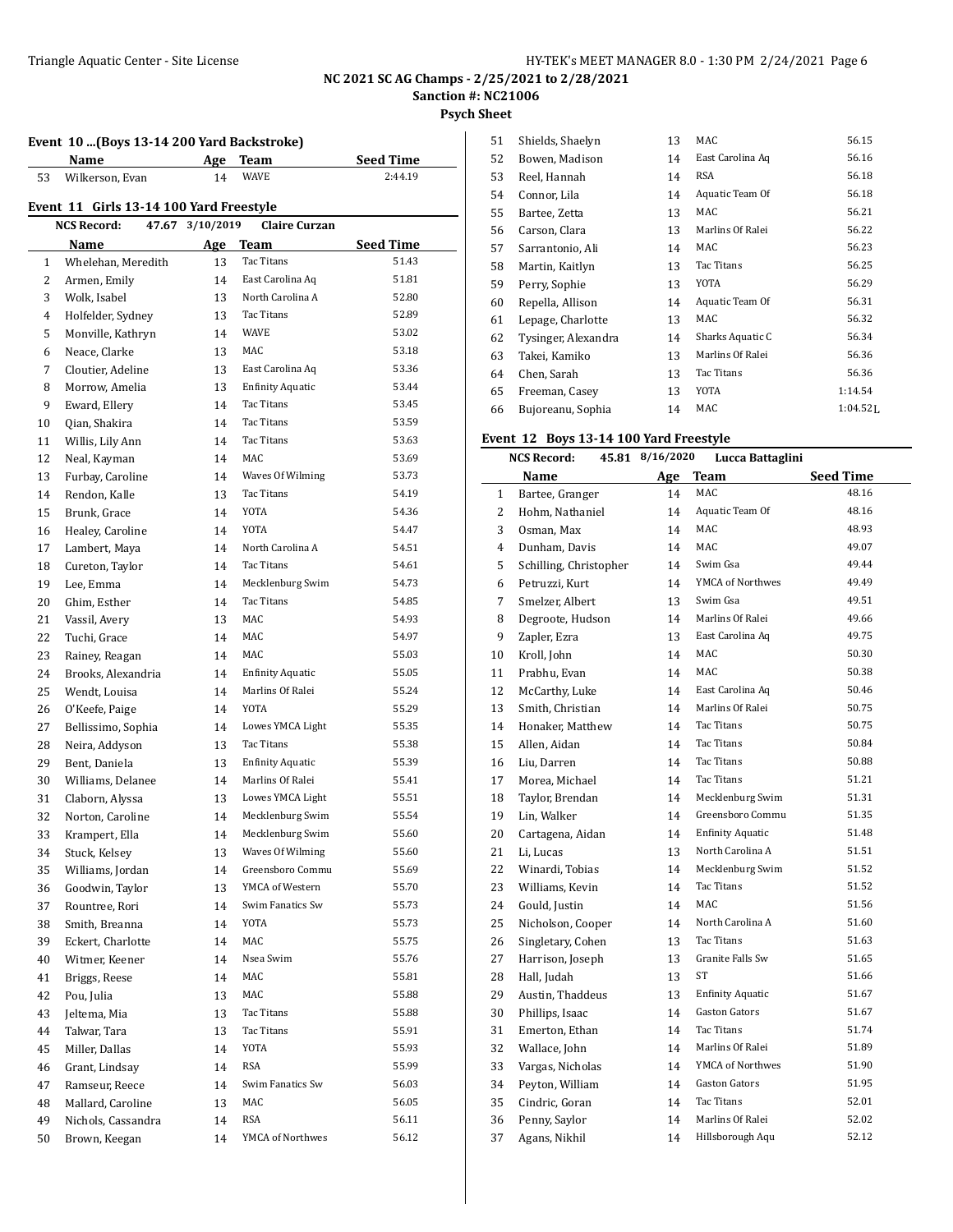**Psych Sheet**

#### **Event 10 ...(Boys 13-14 200 Yard Backstroke) Name Age Team Seed Time** Wilkerson, Evan 14 WAVE 2:44.19

#### **Event 11 Girls 13-14 100 Yard Freestyle**

|    | <b>NCS Record:</b><br>47.67 | 3/10/2019 | <b>Claire Curzan</b>    |                  |
|----|-----------------------------|-----------|-------------------------|------------------|
|    | Name                        | Age       | Team                    | <b>Seed Time</b> |
| 1  | Whelehan, Meredith          | 13        | Tac Titans              | 51.43            |
| 2  | Armen, Emily                | 14        | East Carolina Aq        | 51.81            |
| 3  | Wolk, Isabel                | 13        | North Carolina A        | 52.80            |
| 4  | Holfelder, Sydney           | 13        | Tac Titans              | 52.89            |
| 5  | Monville, Kathryn           | 14        | <b>WAVE</b>             | 53.02            |
| 6  | Neace, Clarke               | 13        | MAC                     | 53.18            |
| 7  | Cloutier, Adeline           | 13        | East Carolina Aq        | 53.36            |
| 8  | Morrow, Amelia              | 13        | <b>Enfinity Aquatic</b> | 53.44            |
| 9  | Eward, Ellery               | 14        | Tac Titans              | 53.45            |
| 10 | Qian, Shakira               | 14        | Tac Titans              | 53.59            |
| 11 | Willis, Lily Ann            | 14        | Tac Titans              | 53.63            |
| 12 | Neal, Kayman                | 14        | MAC                     | 53.69            |
| 13 | Furbay, Caroline            | 14        | Waves Of Wilming        | 53.73            |
| 14 | Rendon, Kalle               | 13        | Tac Titans              | 54.19            |
| 15 | Brunk, Grace                | 14        | YOTA                    | 54.36            |
| 16 | Healey, Caroline            | 14        | YOTA                    | 54.47            |
| 17 | Lambert, Maya               | 14        | North Carolina A        | 54.51            |
| 18 | Cureton, Taylor             | 14        | Tac Titans              | 54.61            |
| 19 | Lee, Emma                   | 14        | Mecklenburg Swim        | 54.73            |
| 20 | Ghim, Esther                | 14        | Tac Titans              | 54.85            |
| 21 | Vassil, Avery               | 13        | MAC                     | 54.93            |
| 22 | Tuchi, Grace                | 14        | MAC                     | 54.97            |
| 23 | Rainey, Reagan              | 14        | MAC                     | 55.03            |
| 24 | Brooks, Alexandria          | 14        | <b>Enfinity Aquatic</b> | 55.05            |
| 25 | Wendt, Louisa               | 14        | Marlins Of Ralei        | 55.24            |
| 26 | O'Keefe, Paige              | 14        | YOTA                    | 55.29            |
| 27 | Bellissimo, Sophia          | 14        | Lowes YMCA Light        | 55.35            |
| 28 | Neira, Addyson              | 13        | Tac Titans              | 55.38            |
| 29 | Bent, Daniela               | 13        | <b>Enfinity Aquatic</b> | 55.39            |
| 30 | Williams, Delanee           | 14        | Marlins Of Ralei        | 55.41            |
| 31 | Claborn, Alyssa             | 13        | Lowes YMCA Light        | 55.51            |
| 32 | Norton, Caroline            | 14        | Mecklenburg Swim        | 55.54            |
| 33 | Krampert, Ella              | 14        | Mecklenburg Swim        | 55.60            |
| 34 | Stuck, Kelsey               | 13        | Waves Of Wilming        | 55.60            |
| 35 | Williams, Jordan            | 14        | Greensboro Commu        | 55.69            |
| 36 | Goodwin, Taylor             | 13        | YMCA of Western         | 55.70            |
| 37 | Rountree, Rori              | 14        | Swim Fanatics Sw        | 55.73            |
| 38 | Smith, Breanna              | 14        | YOTA                    | 55.73            |
| 39 | Eckert, Charlotte           | 14        | MAC                     | 55.75            |
| 40 | Witmer, Keener              | 14        | Nsea Swim               | 55.76            |
| 41 | Briggs, Reese               | 14        | MAC                     | 55.81            |
| 42 | Pou, Julia                  | 13        | MAC                     | 55.88            |
| 43 | Jeltema, Mia                | 13        | Tac Titans              | 55.88            |
| 44 | Talwar, Tara                | 13        | Tac Titans              | 55.91            |
| 45 | Miller, Dallas              | 14        | YOTA                    | 55.93            |
| 46 | Grant, Lindsay              | 14        | RSA                     | 55.99            |
| 47 | Ramseur, Reece              | 14        | Swim Fanatics Sw        | 56.03            |
| 48 | Mallard, Caroline           | 13        | MAC                     | 56.05            |
| 49 | Nichols, Cassandra          | 14        | RSA                     | 56.11            |
| 50 | Brown, Keegan               | 14        | YMCA of Northwes        | 56.12            |
|    |                             |           |                         |                  |

| 51 | Shields, Shaelyn    | 13 | MAC              | 56.15        |
|----|---------------------|----|------------------|--------------|
| 52 | Bowen, Madison      | 14 | East Carolina Ag | 56.16        |
| 53 | Reel, Hannah        | 14 | RSA              | 56.18        |
| 54 | Connor, Lila        | 14 | Aquatic Team Of  | 56.18        |
| 55 | Bartee, Zetta       | 13 | MAC              | 56.21        |
| 56 | Carson, Clara       | 13 | Marlins Of Ralei | 56.22        |
| 57 | Sarrantonio, Ali    | 14 | MAC              | 56.23        |
| 58 | Martin, Kaitlyn     | 13 | Tac Titans       | 56.25        |
| 59 | Perry, Sophie       | 13 | YOTA             | 56.29        |
| 60 | Repella, Allison    | 14 | Aquatic Team Of  | 56.31        |
| 61 | Lepage, Charlotte   | 13 | MAC              | 56.32        |
| 62 | Tysinger, Alexandra | 14 | Sharks Aquatic C | 56.34        |
| 63 | Takei, Kamiko       | 13 | Marlins Of Ralei | 56.36        |
| 64 | Chen, Sarah         | 13 | Tac Titans       | 56.36        |
| 65 | Freeman, Casey      | 13 | <b>YOTA</b>      | 1:14.54      |
| 66 | Bujoreanu, Sophia   | 14 | MAC              | $1:04.52$ J. |

## **Event 12 Boys 13-14 100 Yard Freestyle**

|                | 45.81 8/16/2020<br><b>NCS Record:</b><br>Lucca Battaglini |     |                         |                  |
|----------------|-----------------------------------------------------------|-----|-------------------------|------------------|
|                | Name                                                      | Age | <b>Team</b>             | <b>Seed Time</b> |
| $\mathbf{1}$   | Bartee, Granger                                           | 14  | MAC                     | 48.16            |
| $\overline{2}$ | Hohm, Nathaniel                                           | 14  | Aquatic Team Of         | 48.16            |
| 3              | Osman, Max                                                | 14  | MAC                     | 48.93            |
| 4              | Dunham, Davis                                             | 14  | MAC                     | 49.07            |
| 5              | Schilling, Christopher                                    | 14  | Swim Gsa                | 49.44            |
| 6              | Petruzzi, Kurt                                            | 14  | YMCA of Northwes        | 49.49            |
| 7              | Smelzer, Albert                                           | 13  | Swim Gsa                | 49.51            |
| 8              | Degroote, Hudson                                          | 14  | Marlins Of Ralei        | 49.66            |
| 9              | Zapler, Ezra                                              | 13  | East Carolina Aq        | 49.75            |
| 10             | Kroll, John                                               | 14  | MAC                     | 50.30            |
| 11             | Prabhu, Evan                                              | 14  | MAC                     | 50.38            |
| 12             | McCarthy, Luke                                            | 14  | East Carolina Aq        | 50.46            |
| 13             | Smith, Christian                                          | 14  | Marlins Of Ralei        | 50.75            |
| 14             | Honaker, Matthew                                          | 14  | Tac Titans              | 50.75            |
| 15             | Allen, Aidan                                              | 14  | Tac Titans              | 50.84            |
| 16             | Liu, Darren                                               | 14  | Tac Titans              | 50.88            |
| 17             | Morea, Michael                                            | 14  | Tac Titans              | 51.21            |
| 18             | Taylor, Brendan                                           | 14  | Mecklenburg Swim        | 51.31            |
| 19             | Lin, Walker                                               | 14  | Greensboro Commu        | 51.35            |
| 20             | Cartagena, Aidan                                          | 14  | <b>Enfinity Aquatic</b> | 51.48            |
| 21             | Li, Lucas                                                 | 13  | North Carolina A        | 51.51            |
| 22             | Winardi, Tobias                                           | 14  | Mecklenburg Swim        | 51.52            |
| 23             | Williams, Kevin                                           | 14  | Tac Titans              | 51.52            |
| 24             | Gould, Justin                                             | 14  | <b>MAC</b>              | 51.56            |
| 25             | Nicholson, Cooper                                         | 14  | North Carolina A        | 51.60            |
| 26             | Singletary, Cohen                                         | 13  | Tac Titans              | 51.63            |
| 27             | Harrison, Joseph                                          | 13  | Granite Falls Sw        | 51.65            |
| 28             | Hall, Judah                                               | 13  | ST                      | 51.66            |
| 29             | Austin, Thaddeus                                          | 13  | <b>Enfinity Aquatic</b> | 51.67            |
| 30             | Phillips, Isaac                                           | 14  | Gaston Gators           | 51.67            |
| 31             | Emerton, Ethan                                            | 14  | Tac Titans              | 51.74            |
| 32             | Wallace, John                                             | 14  | Marlins Of Ralei        | 51.89            |
| 33             | Vargas, Nicholas                                          | 14  | YMCA of Northwes        | 51.90            |
| 34             | Peyton, William                                           | 14  | Gaston Gators           | 51.95            |
| 35             | Cindric, Goran                                            | 14  | Tac Titans              | 52.01            |
| 36             | Penny, Saylor                                             | 14  | Marlins Of Ralei        | 52.02            |
| 37             | Agans, Nikhil                                             | 14  | Hillsborough Aqu        | 52.12            |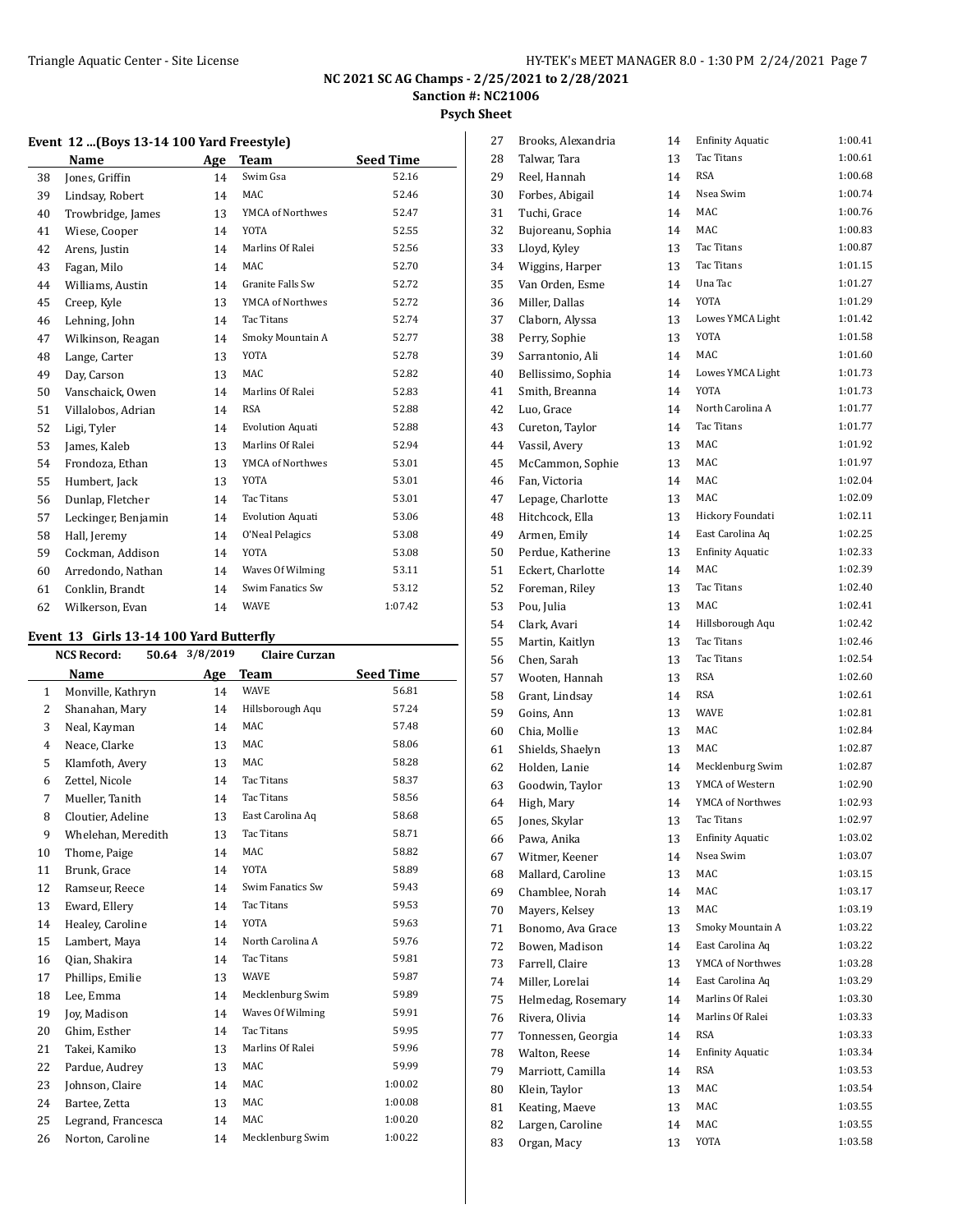**Psych Sheet**

|    | Event 12  (Boys 13-14 100 Yard Freestyle) |     |                         |                  |  |  |
|----|-------------------------------------------|-----|-------------------------|------------------|--|--|
|    | Name                                      | Age | <b>Team</b>             | <b>Seed Time</b> |  |  |
| 38 | Jones, Griffin                            | 14  | Swim Gsa                | 52.16            |  |  |
| 39 | Lindsay, Robert                           | 14  | <b>MAC</b>              | 52.46            |  |  |
| 40 | Trowbridge, James                         | 13  | YMCA of Northwes        | 52.47            |  |  |
| 41 | Wiese, Cooper                             | 14  | <b>YOTA</b>             | 52.55            |  |  |
| 42 | Arens, Justin                             | 14  | Marlins Of Ralei        | 52.56            |  |  |
| 43 | Fagan, Milo                               | 14  | <b>MAC</b>              | 52.70            |  |  |
| 44 | Williams, Austin                          | 14  | Granite Falls Sw        | 52.72            |  |  |
| 45 | Creep, Kyle                               | 13  | YMCA of Northwes        | 52.72            |  |  |
| 46 | Lehning, John                             | 14  | Tac Titans              | 52.74            |  |  |
| 47 | Wilkinson, Reagan                         | 14  | Smoky Mountain A        | 52.77            |  |  |
| 48 | Lange, Carter                             | 13  | YOTA                    | 52.78            |  |  |
| 49 | Day, Carson                               | 13  | <b>MAC</b>              | 52.82            |  |  |
| 50 | Vanschaick, Owen                          | 14  | Marlins Of Ralei        | 52.83            |  |  |
| 51 | Villalobos, Adrian                        | 14  | <b>RSA</b>              | 52.88            |  |  |
| 52 | Ligi, Tyler                               | 14  | <b>Evolution Aquati</b> | 52.88            |  |  |
| 53 | James, Kaleb                              | 13  | Marlins Of Ralei        | 52.94            |  |  |
| 54 | Frondoza, Ethan                           | 13  | YMCA of Northwes        | 53.01            |  |  |
| 55 | Humbert, Jack                             | 13  | <b>YOTA</b>             | 53.01            |  |  |
| 56 | Dunlap, Fletcher                          | 14  | Tac Titans              | 53.01            |  |  |
| 57 | Leckinger, Benjamin                       | 14  | <b>Evolution Aquati</b> | 53.06            |  |  |
| 58 | Hall, Jeremy                              | 14  | O'Neal Pelagics         | 53.08            |  |  |
| 59 | Cockman, Addison                          | 14  | <b>YOTA</b>             | 53.08            |  |  |
| 60 | Arredondo, Nathan                         | 14  | Waves Of Wilming        | 53.11            |  |  |
| 61 | Conklin, Brandt                           | 14  | Swim Fanatics Sw        | 53.12            |  |  |
| 62 | Wilkerson, Evan                           | 14  | WAVE                    | 1:07.42          |  |  |

#### **Event 13 Girls 13-14 100 Yard Butterfly**

|                | 15 anis 15 11 100 iara batterny<br>50.64 3/8/2019<br><b>NCS Record:</b><br><b>Claire Curzan</b> |     |                   |                  |  |  |
|----------------|-------------------------------------------------------------------------------------------------|-----|-------------------|------------------|--|--|
|                | Name                                                                                            | Age | <b>Team</b>       | <b>Seed Time</b> |  |  |
| $\mathbf{1}$   | Monville, Kathryn                                                                               | 14  | <b>WAVE</b>       | 56.81            |  |  |
| 2              | Shanahan, Mary                                                                                  | 14  | Hillsborough Aqu  | 57.24            |  |  |
| 3              | Neal, Kayman                                                                                    | 14  | MAC               | 57.48            |  |  |
| $\overline{4}$ | Neace, Clarke                                                                                   | 13  | MAC               | 58.06            |  |  |
| 5              | Klamfoth, Avery                                                                                 | 13  | MAC               | 58.28            |  |  |
| 6              | Zettel, Nicole                                                                                  | 14  | Tac Titans        | 58.37            |  |  |
| 7              | Mueller, Tanith                                                                                 | 14  | <b>Tac Titans</b> | 58.56            |  |  |
| 8              | Cloutier, Adeline                                                                               | 13  | East Carolina Aq  | 58.68            |  |  |
| 9              | Whelehan, Meredith                                                                              | 13  | Tac Titans        | 58.71            |  |  |
| 10             | Thome, Paige                                                                                    | 14  | MAC               | 58.82            |  |  |
| 11             | Brunk, Grace                                                                                    | 14  | YOTA              | 58.89            |  |  |
| 12             | Ramseur, Reece                                                                                  | 14  | Swim Fanatics Sw  | 59.43            |  |  |
| 13             | Eward, Ellery                                                                                   | 14  | <b>Tac Titans</b> | 59.53            |  |  |
| 14             | Healey, Caroline                                                                                | 14  | YOTA              | 59.63            |  |  |
| 15             | Lambert, Maya                                                                                   | 14  | North Carolina A  | 59.76            |  |  |
| 16             | Qian, Shakira                                                                                   | 14  | Tac Titans        | 59.81            |  |  |
| 17             | Phillips, Emilie                                                                                | 13  | <b>WAVE</b>       | 59.87            |  |  |
| 18             | Lee, Emma                                                                                       | 14  | Mecklenburg Swim  | 59.89            |  |  |
| 19             | Jov, Madison                                                                                    | 14  | Waves Of Wilming  | 59.91            |  |  |
| 20             | Ghim, Esther                                                                                    | 14  | <b>Tac Titans</b> | 59.95            |  |  |
| 21             | Takei, Kamiko                                                                                   | 13  | Marlins Of Ralei  | 59.96            |  |  |
| 22             | Pardue, Audrey                                                                                  | 13  | MAC               | 59.99            |  |  |
| 23             | Johnson, Claire                                                                                 | 14  | MAC               | 1:00.02          |  |  |
| 24             | Bartee, Zetta                                                                                   | 13  | MAC               | 1:00.08          |  |  |
| 25             | Legrand, Francesca                                                                              | 14  | MAC               | 1:00.20          |  |  |
| 26             | Norton, Caroline                                                                                | 14  | Mecklenburg Swim  | 1:00.22          |  |  |
|                |                                                                                                 |     |                   |                  |  |  |

| 27       | Brooks, Alexandria | 14 | <b>Enfinity Aquatic</b> | 1:00.41 |
|----------|--------------------|----|-------------------------|---------|
| 28       | Talwar, Tara       | 13 | <b>Tac Titans</b>       | 1:00.61 |
| 29       | Reel, Hannah       | 14 | <b>RSA</b>              | 1:00.68 |
| 30       | Forbes, Abigail    | 14 | Nsea Swim               | 1:00.74 |
| 31       | Tuchi, Grace       | 14 | MAC                     | 1:00.76 |
| 32       | Bujoreanu, Sophia  | 14 | MAC                     | 1:00.83 |
| 33       | Lloyd, Kyley       | 13 | <b>Tac Titans</b>       | 1:00.87 |
| 34       | Wiggins, Harper    | 13 | Tac Titans              | 1:01.15 |
| 35       | Van Orden, Esme    | 14 | Una Tac                 | 1:01.27 |
| 36       | Miller, Dallas     | 14 | YOTA                    | 1:01.29 |
| 37       | Claborn, Alyssa    | 13 | Lowes YMCA Light        | 1:01.42 |
| 38       | Perry, Sophie      | 13 | YOTA                    | 1:01.58 |
| 39       | Sarrantonio, Ali   | 14 | MAC                     | 1:01.60 |
| 40       | Bellissimo, Sophia | 14 | Lowes YMCA Light        | 1:01.73 |
| 41       | Smith, Breanna     | 14 | YOTA                    | 1:01.73 |
| 42       | Luo, Grace         | 14 | North Carolina A        | 1:01.77 |
|          | Cureton, Taylor    | 14 | Tac Titans              | 1:01.77 |
| 43       |                    |    | MAC                     | 1:01.92 |
| 44       | Vassil, Avery      | 13 | MAC                     | 1:01.97 |
| 45       | McCammon, Sophie   | 13 | MAC                     | 1:02.04 |
| 46       | Fan, Victoria      | 14 |                         |         |
| 47       | Lepage, Charlotte  | 13 | <b>MAC</b>              | 1:02.09 |
| 48       | Hitchcock, Ella    | 13 | Hickory Foundati        | 1:02.11 |
| 49       | Armen, Emily       | 14 | East Carolina Aq        | 1:02.25 |
| 50       | Perdue, Katherine  | 13 | <b>Enfinity Aquatic</b> | 1:02.33 |
| 51       | Eckert, Charlotte  | 14 | MAC                     | 1:02.39 |
| 52       | Foreman, Riley     | 13 | Tac Titans              | 1:02.40 |
| 53       | Pou, Julia         | 13 | MAC                     | 1:02.41 |
| 54       | Clark, Avari       | 14 | Hillsborough Aqu        | 1:02.42 |
| 55       | Martin, Kaitlyn    | 13 | Tac Titans              | 1:02.46 |
| 56       | Chen, Sarah        | 13 | Tac Titans              | 1:02.54 |
| 57       | Wooten, Hannah     | 13 | <b>RSA</b>              | 1:02.60 |
| 58       | Grant, Lindsay     | 14 | <b>RSA</b>              | 1:02.61 |
| 59       | Goins, Ann         | 13 | <b>WAVE</b>             | 1:02.81 |
| 60       | Chia, Mollie       | 13 | MAC                     | 1:02.84 |
| 61       | Shields, Shaelyn   | 13 | MAC                     | 1:02.87 |
| 62       | Holden, Lanie      | 14 | Mecklenburg Swim        | 1:02.87 |
| 63       | Goodwin, Taylor    | 13 | YMCA of Western         | 1:02.90 |
| 64       | High, Mary         | 14 | YMCA of Northwes        | 1:02.93 |
| 65       | Jones, Skylar      | 13 | Tac Titans              | 1:02.97 |
| 66       | Pawa, Anika        | 13 | <b>Enfinity Aquatic</b> | 1:03.02 |
| 67       | Witmer, Keener     | 14 | Nsea Swim               | 1:03.07 |
| 68       | Mallard, Caroline  | 13 | MAC                     | 1:03.15 |
| 69       | Chamblee, Norah    | 14 | MAC                     | 1:03.17 |
| 70       | Mayers, Kelsey     | 13 | MAC                     | 1:03.19 |
| 71       | Bonomo, Ava Grace  | 13 | Smoky Mountain A        | 1:03.22 |
| 72       | Bowen, Madison     | 14 | East Carolina Aq        | 1:03.22 |
| 73       | Farrell, Claire    | 13 | YMCA of Northwes        | 1:03.28 |
| 74       | Miller, Lorelai    | 14 | East Carolina Aq        | 1:03.29 |
| 75       | Helmedag, Rosemary | 14 | Marlins Of Ralei        | 1:03.30 |
| 76       | Rivera, Olivia     | 14 | Marlins Of Ralei        | 1:03.33 |
| 77       | Tonnessen, Georgia | 14 | RSA                     | 1:03.33 |
|          |                    |    | <b>Enfinity Aquatic</b> | 1:03.34 |
| 78<br>79 | Walton, Reese      | 14 | <b>RSA</b>              | 1:03.53 |
|          | Marriott, Camilla  | 14 | MAC                     | 1:03.54 |
| 80       | Klein, Taylor      | 13 | MAC                     | 1:03.55 |
| 81       | Keating, Maeve     | 13 | MAC                     | 1:03.55 |
| 82       | Largen, Caroline   | 14 |                         |         |
| 83       | Organ, Macy        | 13 | YOTA                    | 1:03.58 |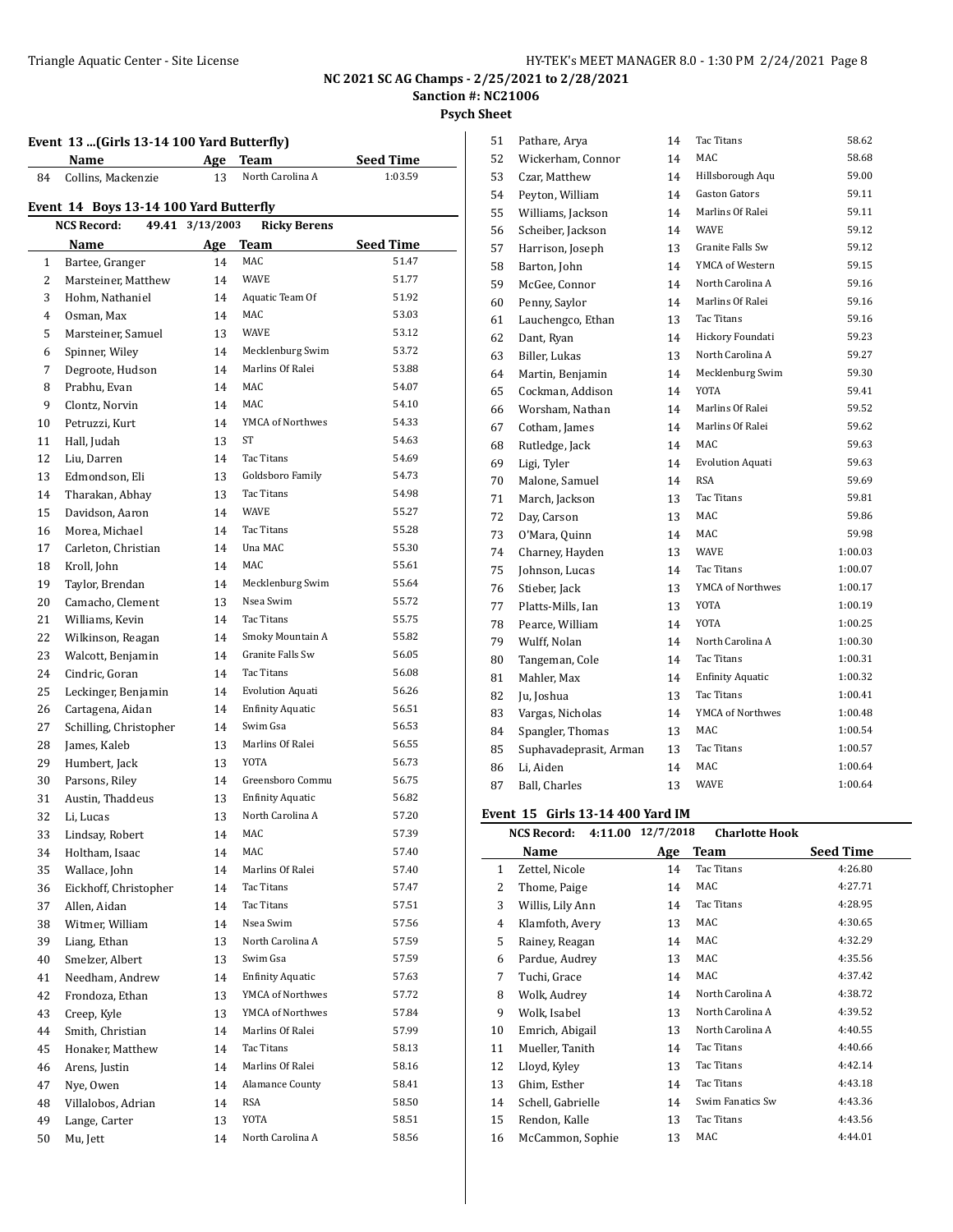**Event 13 ...(Girls 13-14 100 Yard Butterfly)**

#### **NC 2021 SC AG Champs - 2/25/2021 to 2/28/2021 Sanction #: NC21006**

**Psych Sheet**

## **Name Age Team Seed Time** 84 Collins, Mackenzie 13 North Carolina A 1:03.59 **Event 14 Boys 13-14 100 Yard Butterfly NCS Record: 49.41 3/13/2003 Ricky Berens Name Age Team Seed Time** 1 Bartee, Granger 14 MAC 51.47 2 Marsteiner, Matthew 14 WAVE 51.77 Hohm, Nathaniel 14 Aquatic Team Of 51.92 Osman, Max 14 MAC 53.03 5 Marsteiner, Samuel 13 WAVE 53.12 Spinner, Wiley 14 Mecklenburg Swim 53.72 7 Degroote, Hudson 14 Marlins Of Ralei 53.88 8 Prabhu, Evan 14 MAC 54.07 Clontz, Norvin 14 MAC 54.10 10 Petruzzi, Kurt 14 YMCA of Northwes 54.33 Hall, Judah 13 ST 54.63 12 Liu, Darren 14 Tac Titans 54.69 13 Edmondson, Eli 13 Goldsboro Family 54.73 14 Tharakan, Abhay 13 Tac Titans 54.98 15 Davidson, Aaron 14 WAVE 55.27 16 Morea, Michael 14 Tac Titans 55.28 17 Carleton, Christian 14 Una MAC 55.30 Kroll, John 14 MAC 55.61 Taylor, Brendan 14 Mecklenburg Swim 55.64 20 Camacho, Clement 13 Nsea Swim 55.72 21 Williams, Kevin 14 Tac Titans 55.75 22 Wilkinson, Reagan 14 Smoky Mountain A 55.82 23 Walcott, Benjamin 14 Granite Falls Sw 56.05 24 Cindric, Goran 14 Tac Titans 56.08 Leckinger, Benjamin 14 Evolution Aquati 56.26 Cartagena, Aidan 14 Enfinity Aquatic 56.51 27 Schilling, Christopher 14 Swim Gsa 56.53 28 James, Kaleb 13 Marlins Of Ralei 56.55 29 Humbert, Jack 13 YOTA 56.73 Parsons, Riley 14 Greensboro Commu 56.75 Austin, Thaddeus 13 Enfinity Aquatic 56.82 Li, Lucas 13 North Carolina A 57.20 Lindsay, Robert 14 MAC 57.39 Holtham, Isaac 14 MAC 57.40 35 Wallace, John 14 Marlins Of Ralei 57.40 Eickhoff, Christopher 14 Tac Titans 57.47 Allen, Aidan 14 Tac Titans 57.51 Witmer, William 14 Nsea Swim 57.56 39 Liang, Ethan 13 North Carolina A 57.59 Smelzer, Albert 13 Swim Gsa 57.59 Needham, Andrew 14 Enfinity Aquatic 57.63 42 Frondoza, Ethan 13 YMCA of Northwes 57.72 43 Creep, Kyle 13 YMCA of Northwes 57.84 Smith, Christian 14 Marlins Of Ralei 57.99 Honaker, Matthew 14 Tac Titans 58.13 Arens, Justin 14 Marlins Of Ralei 58.16 47 Nye, Owen 14 Alamance County 58.41 Villalobos, Adrian 14 RSA 58.50 49 Lange, Carter 13 YOTA 58.51 Mu, Jett 14 North Carolina A 58.56

| 51 | Pathare, Arya          | 14 | Tac Titans              | 58.62   |
|----|------------------------|----|-------------------------|---------|
| 52 | Wickerham, Connor      | 14 | MAC                     | 58.68   |
| 53 | Czar, Matthew          | 14 | Hillsborough Aqu        | 59.00   |
| 54 | Peyton, William        | 14 | <b>Gaston Gators</b>    | 59.11   |
| 55 | Williams, Jackson      | 14 | Marlins Of Ralei        | 59.11   |
| 56 | Scheiber, Jackson      | 14 | <b>WAVE</b>             | 59.12   |
| 57 | Harrison, Joseph       | 13 | Granite Falls Sw        | 59.12   |
| 58 | Barton, John           | 14 | YMCA of Western         | 59.15   |
| 59 | McGee, Connor          | 14 | North Carolina A        | 59.16   |
| 60 | Penny, Saylor          | 14 | Marlins Of Ralei        | 59.16   |
| 61 | Lauchengco, Ethan      | 13 | <b>Tac Titans</b>       | 59.16   |
| 62 | Dant, Ryan             | 14 | Hickory Foundati        | 59.23   |
| 63 | Biller, Lukas          | 13 | North Carolina A        | 59.27   |
| 64 | Martin, Benjamin       | 14 | Mecklenburg Swim        | 59.30   |
| 65 | Cockman, Addison       | 14 | <b>YOTA</b>             | 59.41   |
| 66 | Worsham, Nathan        | 14 | Marlins Of Ralei        | 59.52   |
| 67 | Cotham, James          | 14 | Marlins Of Ralei        | 59.62   |
| 68 | Rutledge, Jack         | 14 | <b>MAC</b>              | 59.63   |
| 69 | Ligi, Tyler            | 14 | <b>Evolution Aquati</b> | 59.63   |
| 70 | Malone, Samuel         | 14 | <b>RSA</b>              | 59.69   |
| 71 | March, Jackson         | 13 | <b>Tac Titans</b>       | 59.81   |
| 72 | Day, Carson            | 13 | MAC                     | 59.86   |
| 73 | O'Mara, Quinn          | 14 | MAC                     | 59.98   |
| 74 | Charney, Hayden        | 13 | <b>WAVE</b>             | 1:00.03 |
| 75 | Johnson, Lucas         | 14 | <b>Tac Titans</b>       | 1:00.07 |
| 76 | Stieber, Jack          | 13 | YMCA of Northwes        | 1:00.17 |
| 77 | Platts-Mills, Ian      | 13 | <b>YOTA</b>             | 1:00.19 |
| 78 | Pearce, William        | 14 | <b>YOTA</b>             | 1:00.25 |
| 79 | Wulff, Nolan           | 14 | North Carolina A        | 1:00.30 |
| 80 | Tangeman, Cole         | 14 | <b>Tac Titans</b>       | 1:00.31 |
| 81 | Mahler, Max            | 14 | <b>Enfinity Aquatic</b> | 1:00.32 |
| 82 | Ju, Joshua             | 13 | <b>Tac Titans</b>       | 1:00.41 |
| 83 | Vargas, Nicholas       | 14 | YMCA of Northwes        | 1:00.48 |
| 84 | Spangler, Thomas       | 13 | MAC                     | 1:00.54 |
| 85 | Suphavadeprasit, Arman | 13 | Tac Titans              | 1:00.57 |
| 86 | Li, Aiden              | 14 | MAC                     | 1:00.64 |
| 87 | Ball, Charles          | 13 | <b>WAVE</b>             | 1:00.64 |

#### **Event 15 Girls 13-14 400 Yard IM**

|    | 4:11.00<br><b>NCS Record:</b> | 12/7/2018 | <b>Charlotte Hook</b> |                  |
|----|-------------------------------|-----------|-----------------------|------------------|
|    | Name                          | Age       | Team                  | <b>Seed Time</b> |
| 1  | Zettel, Nicole                | 14        | Tac Titans            | 4:26.80          |
| 2  | Thome, Paige                  | 14        | MAC                   | 4:27.71          |
| 3  | Willis, Lily Ann              | 14        | Tac Titans            | 4:28.95          |
| 4  | Klamfoth, Avery               | 13        | MAC                   | 4:30.65          |
| 5  | Rainey, Reagan                | 14        | MAC                   | 4:32.29          |
| 6  | Pardue, Audrey                | 13        | MAC                   | 4:35.56          |
| 7  | Tuchi, Grace                  | 14        | MAC                   | 4:37.42          |
| 8  | Wolk, Audrey                  | 14        | North Carolina A      | 4:38.72          |
| 9  | Wolk, Isabel                  | 13        | North Carolina A      | 4:39.52          |
| 10 | Emrich, Abigail               | 13        | North Carolina A      | 4:40.55          |
| 11 | Mueller, Tanith               | 14        | Tac Titans            | 4:40.66          |
| 12 | Lloyd, Kyley                  | 13        | Tac Titans            | 4:42.14          |
| 13 | Ghim, Esther                  | 14        | Tac Titans            | 4:43.18          |
| 14 | Schell, Gabrielle             | 14        | Swim Fanatics Sw      | 4:43.36          |
| 15 | Rendon, Kalle                 | 13        | Tac Titans            | 4:43.56          |
| 16 | McCammon, Sophie              | 13        | MAC                   | 4:44.01          |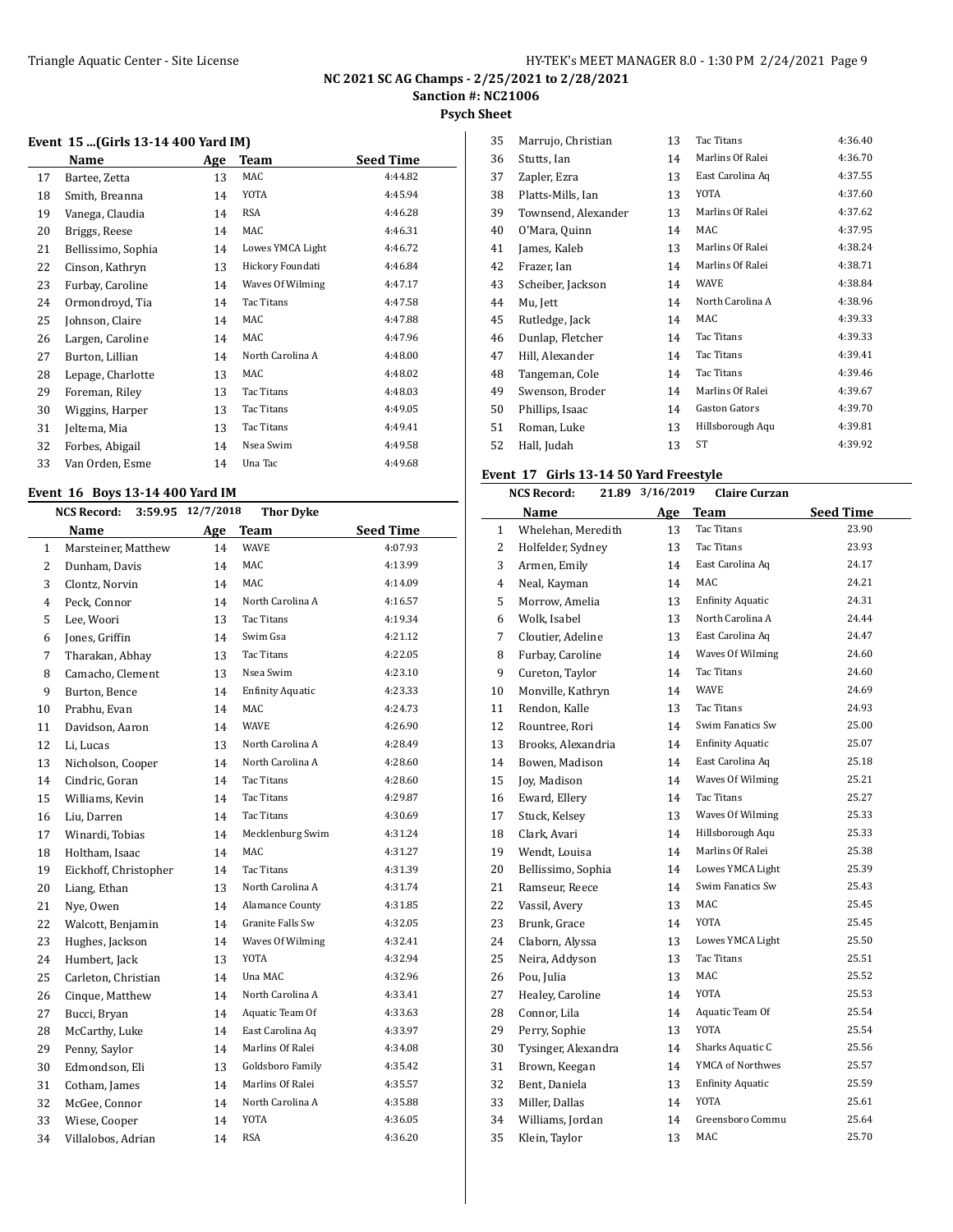**Psych Sheet**

#### **Event 15 ...(Girls 13-14 400 Yard IM)**

| Name               | Age | Team             | <b>Seed Time</b> |
|--------------------|-----|------------------|------------------|
| Bartee, Zetta      | 13  | MAC              | 4:44.82          |
| Smith, Breanna     | 14  | YOTA             | 4:45.94          |
| Vanega, Claudia    | 14  | RSA              | 4:46.28          |
| Briggs, Reese      | 14  | MAC              | 4:46.31          |
| Bellissimo, Sophia | 14  | Lowes YMCA Light | 4:46.72          |
| Cinson, Kathryn    | 13  | Hickory Foundati | 4:46.84          |
| Furbay, Caroline   | 14  | Waves Of Wilming | 4:47.17          |
| Ormondroyd, Tia    | 14  | Tac Titans       | 4:47.58          |
| Johnson, Claire    | 14  | MAC              | 4:47.88          |
| Largen, Caroline   | 14  | MAC              | 4:47.96          |
| Burton, Lillian    | 14  | North Carolina A | 4:48.00          |
| Lepage, Charlotte  | 13  | MAC              | 4:48.02          |
| Foreman, Riley     | 13  | Tac Titans       | 4:48.03          |
| Wiggins, Harper    | 13  | Tac Titans       | 4:49.05          |
| Jeltema, Mia       | 13  | Tac Titans       | 4:49.41          |
| Forbes, Abigail    | 14  | Nsea Swim        | 4:49.58          |
| Van Orden, Esme    | 14  | Una Tac          | 4:49.68          |
|                    |     |                  |                  |

#### **Event 16 Boys 13-14 400 Yard IM**

 $\overline{a}$ 

|                | 12/7/2018<br><b>Thor Dyke</b><br><b>NCS Record:</b><br>3:59.95 |     |                         |                  |  |
|----------------|----------------------------------------------------------------|-----|-------------------------|------------------|--|
|                | Name                                                           | Age | <b>Team</b>             | <b>Seed Time</b> |  |
| $\mathbf{1}$   | Marsteiner, Matthew                                            | 14  | <b>WAVE</b>             | 4:07.93          |  |
| $\overline{2}$ | Dunham, Davis                                                  | 14  | MAC                     | 4:13.99          |  |
| 3              | Clontz, Norvin                                                 | 14  | <b>MAC</b>              | 4:14.09          |  |
| 4              | Peck, Connor                                                   | 14  | North Carolina A        | 4:16.57          |  |
| 5              | Lee, Woori                                                     | 13  | <b>Tac Titans</b>       | 4:19.34          |  |
| 6              | Jones, Griffin                                                 | 14  | Swim Gsa                | 4:21.12          |  |
| 7              | Tharakan, Abhay                                                | 13  | <b>Tac Titans</b>       | 4:22.05          |  |
| 8              | Camacho, Clement                                               | 13  | Nsea Swim               | 4:23.10          |  |
| 9              | Burton, Bence                                                  | 14  | <b>Enfinity Aquatic</b> | 4:23.33          |  |
| 10             | Prabhu, Evan                                                   | 14  | <b>MAC</b>              | 4:24.73          |  |
| 11             | Davidson, Aaron                                                | 14  | <b>WAVE</b>             | 4:26.90          |  |
| 12             | Li, Lucas                                                      | 13  | North Carolina A        | 4:28.49          |  |
| 13             | Nicholson, Cooper                                              | 14  | North Carolina A        | 4:28.60          |  |
| 14             | Cindric, Goran                                                 | 14  | Tac Titans              | 4:28.60          |  |
| 15             | Williams, Kevin                                                | 14  | Tac Titans              | 4:29.87          |  |
| 16             | Liu, Darren                                                    | 14  | Tac Titans              | 4:30.69          |  |
| 17             | Winardi, Tobias                                                | 14  | Mecklenburg Swim        | 4:31.24          |  |
| 18             | Holtham, Isaac                                                 | 14  | <b>MAC</b>              | 4:31.27          |  |
| 19             | Eickhoff, Christopher                                          | 14  | <b>Tac Titans</b>       | 4:31.39          |  |
| 20             | Liang, Ethan                                                   | 13  | North Carolina A        | 4:31.74          |  |
| 21             | Nye, Owen                                                      | 14  | Alamance County         | 4:31.85          |  |
| 22             | Walcott, Benjamin                                              | 14  | Granite Falls Sw        | 4:32.05          |  |
| 23             | Hughes, Jackson                                                | 14  | Waves Of Wilming        | 4:32.41          |  |
| 24             | Humbert, Jack                                                  | 13  | <b>YOTA</b>             | 4:32.94          |  |
| 25             | Carleton, Christian                                            | 14  | Una MAC                 | 4:32.96          |  |
| 26             | Cinque, Matthew                                                | 14  | North Carolina A        | 4:33.41          |  |
| 27             | Bucci, Bryan                                                   | 14  | Aquatic Team Of         | 4:33.63          |  |
| 28             | McCarthy, Luke                                                 | 14  | East Carolina Aq        | 4:33.97          |  |
| 29             | Penny, Saylor                                                  | 14  | Marlins Of Ralei        | 4:34.08          |  |
| 30             | Edmondson, Eli                                                 | 13  | Goldsboro Family        | 4:35.42          |  |
| 31             | Cotham, James                                                  | 14  | Marlins Of Ralei        | 4:35.57          |  |
| 32             | McGee, Connor                                                  | 14  | North Carolina A        | 4:35.88          |  |
| 33             | Wiese, Cooper                                                  | 14  | <b>YOTA</b>             | 4:36.05          |  |
| 34             | Villalobos, Adrian                                             | 14  | <b>RSA</b>              | 4:36.20          |  |

| 35 | Marrujo, Christian  | 13 | Tac Titans       | 4:36.40 |
|----|---------------------|----|------------------|---------|
| 36 | Stutts, Ian         | 14 | Marlins Of Ralei | 4:36.70 |
| 37 | Zapler, Ezra        | 13 | East Carolina Aq | 4:37.55 |
| 38 | Platts-Mills, Ian   | 13 | YOTA             | 4:37.60 |
| 39 | Townsend, Alexander | 13 | Marlins Of Ralei | 4:37.62 |
| 40 | O'Mara, Quinn       | 14 | MAC              | 4:37.95 |
| 41 | James, Kaleb        | 13 | Marlins Of Ralei | 4:38.24 |
| 42 | Frazer, Ian         | 14 | Marlins Of Ralei | 4:38.71 |
| 43 | Scheiber, Jackson   | 14 | <b>WAVE</b>      | 4:38.84 |
| 44 | Mu, Jett            | 14 | North Carolina A | 4:38.96 |
| 45 | Rutledge, Jack      | 14 | MAC              | 4:39.33 |
| 46 | Dunlap, Fletcher    | 14 | Tac Titans       | 4:39.33 |
| 47 | Hill, Alexander     | 14 | Tac Titans       | 4:39.41 |
| 48 | Tangeman, Cole      | 14 | Tac Titans       | 4:39.46 |
| 49 | Swenson, Broder     | 14 | Marlins Of Ralei | 4:39.67 |
| 50 | Phillips, Isaac     | 14 | Gaston Gators    | 4:39.70 |
| 51 | Roman, Luke         | 13 | Hillsborough Aqu | 4:39.81 |
| 52 | Hall, Judah         | 13 | ST               | 4:39.92 |
|    |                     |    |                  |         |

#### **Event 17 Girls 13-14 50 Yard Freestyle**

|              | <b>NCS Record:</b>  | 3/16/2019<br>21.89 | <b>Claire Curzan</b>    |                  |
|--------------|---------------------|--------------------|-------------------------|------------------|
|              | Name                | Age                | Team                    | <b>Seed Time</b> |
| $\mathbf{1}$ | Whelehan, Meredith  | 13                 | <b>Tac Titans</b>       | 23.90            |
| 2            | Holfelder, Sydney   | 13                 | <b>Tac Titans</b>       | 23.93            |
| 3            | Armen, Emily        | 14                 | East Carolina Aq        | 24.17            |
| 4            | Neal, Kayman        | 14                 | MAC                     | 24.21            |
| 5            | Morrow, Amelia      | 13                 | <b>Enfinity Aquatic</b> | 24.31            |
| 6            | Wolk, Isabel        | 13                 | North Carolina A        | 24.44            |
| 7            | Cloutier, Adeline   | 13                 | East Carolina Aq        | 24.47            |
| 8            | Furbay, Caroline    | 14                 | Waves Of Wilming        | 24.60            |
| 9            | Cureton, Taylor     | 14                 | <b>Tac Titans</b>       | 24.60            |
| 10           | Monville, Kathryn   | 14                 | <b>WAVE</b>             | 24.69            |
| 11           | Rendon, Kalle       | 13                 | <b>Tac Titans</b>       | 24.93            |
| 12           | Rountree, Rori      | 14                 | Swim Fanatics Sw        | 25.00            |
| 13           | Brooks, Alexandria  | 14                 | <b>Enfinity Aquatic</b> | 25.07            |
| 14           | Bowen, Madison      | 14                 | East Carolina Aq        | 25.18            |
| 15           | Joy, Madison        | 14                 | Waves Of Wilming        | 25.21            |
| 16           | Eward, Ellery       | 14                 | <b>Tac Titans</b>       | 25.27            |
| 17           | Stuck, Kelsey       | 13                 | Waves Of Wilming        | 25.33            |
| 18           | Clark, Avari        | 14                 | Hillsborough Aqu        | 25.33            |
| 19           | Wendt, Louisa       | 14                 | Marlins Of Ralei        | 25.38            |
| 20           | Bellissimo, Sophia  | 14                 | Lowes YMCA Light        | 25.39            |
| 21           | Ramseur, Reece      | 14                 | Swim Fanatics Sw        | 25.43            |
| 22           | Vassil, Avery       | 13                 | MAC                     | 25.45            |
| 23           | Brunk, Grace        | 14                 | YOTA                    | 25.45            |
| 24           | Claborn, Alyssa     | 13                 | Lowes YMCA Light        | 25.50            |
| 25           | Neira, Addyson      | 13                 | <b>Tac Titans</b>       | 25.51            |
| 26           | Pou, Julia          | 13                 | MAC                     | 25.52            |
| 27           | Healey, Caroline    | 14                 | <b>YOTA</b>             | 25.53            |
| 28           | Connor, Lila        | 14                 | Aquatic Team Of         | 25.54            |
| 29           | Perry, Sophie       | 13                 | <b>YOTA</b>             | 25.54            |
| 30           | Tysinger, Alexandra | 14                 | Sharks Aquatic C        | 25.56            |
| 31           | Brown, Keegan       | 14                 | YMCA of Northwes        | 25.57            |
| 32           | Bent, Daniela       | 13                 | <b>Enfinity Aquatic</b> | 25.59            |
| 33           | Miller, Dallas      | 14                 | YOTA                    | 25.61            |
| 34           | Williams, Jordan    | 14                 | Greensboro Commu        | 25.64            |
| 35           | Klein, Taylor       | 13                 | MAC                     | 25.70            |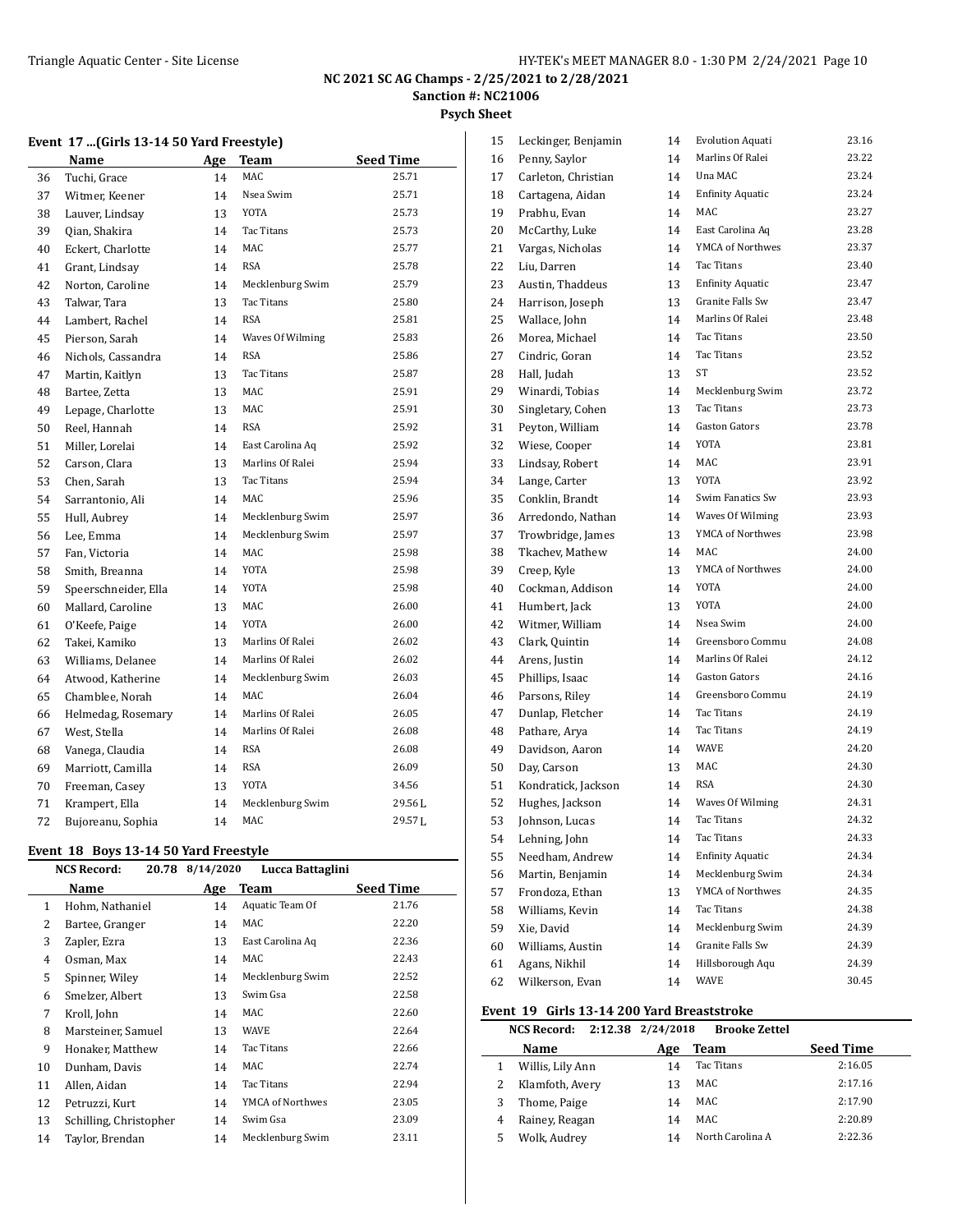**Psych Sheet**

#### **Event 17 ...(Girls 13-14 50 Yard Freestyle)**

|    | <b>Name</b>          | <u>Age</u> | <b>Team</b>       | <b>Seed Time</b> |
|----|----------------------|------------|-------------------|------------------|
| 36 | Tuchi, Grace         | 14         | MAC               | 25.71            |
| 37 | Witmer, Keener       | 14         | Nsea Swim         | 25.71            |
| 38 | Lauver, Lindsay      | 13         | <b>YOTA</b>       | 25.73            |
| 39 | Qian, Shakira        | 14         | <b>Tac Titans</b> | 25.73            |
| 40 | Eckert, Charlotte    | 14         | MAC               | 25.77            |
| 41 | Grant, Lindsay       | 14         | <b>RSA</b>        | 25.78            |
| 42 | Norton, Caroline     | 14         | Mecklenburg Swim  | 25.79            |
| 43 | Talwar, Tara         | 13         | Tac Titans        | 25.80            |
| 44 | Lambert, Rachel      | 14         | <b>RSA</b>        | 25.81            |
| 45 | Pierson, Sarah       | 14         | Waves Of Wilming  | 25.83            |
| 46 | Nichols, Cassandra   | 14         | <b>RSA</b>        | 25.86            |
| 47 | Martin, Kaitlyn      | 13         | Tac Titans        | 25.87            |
| 48 | Bartee, Zetta        | 13         | MAC               | 25.91            |
| 49 | Lepage, Charlotte    | 13         | MAC               | 25.91            |
| 50 | Reel, Hannah         | 14         | <b>RSA</b>        | 25.92            |
| 51 | Miller, Lorelai      | 14         | East Carolina Aq  | 25.92            |
| 52 | Carson, Clara        | 13         | Marlins Of Ralei  | 25.94            |
| 53 | Chen, Sarah          | 13         | Tac Titans        | 25.94            |
| 54 | Sarrantonio, Ali     | 14         | MAC               | 25.96            |
| 55 | Hull, Aubrey         | 14         | Mecklenburg Swim  | 25.97            |
| 56 | Lee, Emma            | 14         | Mecklenburg Swim  | 25.97            |
| 57 | Fan, Victoria        | 14         | MAC               | 25.98            |
| 58 | Smith, Breanna       | 14         | <b>YOTA</b>       | 25.98            |
| 59 | Speerschneider, Ella | 14         | YOTA              | 25.98            |
| 60 | Mallard, Caroline    | 13         | MAC               | 26.00            |
| 61 | O'Keefe, Paige       | 14         | <b>YOTA</b>       | 26.00            |
| 62 | Takei, Kamiko        | 13         | Marlins Of Ralei  | 26.02            |
| 63 | Williams, Delanee    | 14         | Marlins Of Ralei  | 26.02            |
| 64 | Atwood, Katherine    | 14         | Mecklenburg Swim  | 26.03            |
| 65 | Chamblee, Norah      | 14         | MAC               | 26.04            |
| 66 | Helmedag, Rosemary   | 14         | Marlins Of Ralei  | 26.05            |
| 67 | West, Stella         | 14         | Marlins Of Ralei  | 26.08            |
| 68 | Vanega, Claudia      | 14         | <b>RSA</b>        | 26.08            |
| 69 | Marriott, Camilla    | 14         | <b>RSA</b>        | 26.09            |
| 70 | Freeman, Casey       | 13         | <b>YOTA</b>       | 34.56            |
| 71 | Krampert, Ella       | 14         | Mecklenburg Swim  | 29.56L           |
| 72 | Bujoreanu, Sophia    | 14         | MAC               | 29.57L           |
|    |                      |            |                   |                  |

#### **Event 18 Boys 13-14 50 Yard Freestyle**

|    | 20.78<br><b>NCS Record:</b> | 8/14/2020 | Lucca Battaglini |                  |
|----|-----------------------------|-----------|------------------|------------------|
|    | Name                        | Age       | Team             | <b>Seed Time</b> |
| 1  | Hohm, Nathaniel             | 14        | Aquatic Team Of  | 21.76            |
| 2  | Bartee, Granger             | 14        | MAC              | 22.20            |
| 3  | Zapler, Ezra                | 13        | East Carolina Aq | 22.36            |
| 4  | Osman, Max                  | 14        | MAC              | 22.43            |
| 5  | Spinner, Wiley              | 14        | Mecklenburg Swim | 22.52            |
| 6  | Smelzer, Albert             | 13        | Swim Gsa         | 22.58            |
| 7  | Kroll, John                 | 14        | MAC              | 22.60            |
| 8  | Marsteiner, Samuel          | 13        | <b>WAVE</b>      | 22.64            |
| 9  | Honaker, Matthew            | 14        | Tac Titans       | 22.66            |
| 10 | Dunham, Davis               | 14        | MAC              | 22.74            |
| 11 | Allen, Aidan                | 14        | Tac Titans       | 22.94            |
| 12 | Petruzzi, Kurt              | 14        | YMCA of Northwes | 23.05            |
| 13 | Schilling, Christopher      | 14        | Swim Gsa         | 23.09            |
| 14 | Taylor, Brendan             | 14        | Mecklenburg Swim | 23.11            |
|    |                             |           |                  |                  |

| 15 | Leckinger, Benjamin | 14 | <b>Evolution Aquati</b> | 23.16 |
|----|---------------------|----|-------------------------|-------|
| 16 | Penny, Saylor       | 14 | Marlins Of Ralei        | 23.22 |
| 17 | Carleton, Christian | 14 | Una MAC                 | 23.24 |
| 18 | Cartagena, Aidan    | 14 | <b>Enfinity Aquatic</b> | 23.24 |
| 19 | Prabhu, Evan        | 14 | MAC                     | 23.27 |
| 20 | McCarthy, Luke      | 14 | East Carolina Aq        | 23.28 |
| 21 | Vargas, Nicholas    | 14 | YMCA of Northwes        | 23.37 |
| 22 | Liu, Darren         | 14 | Tac Titans              | 23.40 |
| 23 | Austin, Thaddeus    | 13 | <b>Enfinity Aquatic</b> | 23.47 |
| 24 | Harrison, Joseph    | 13 | Granite Falls Sw        | 23.47 |
| 25 | Wallace, John       | 14 | Marlins Of Ralei        | 23.48 |
| 26 | Morea, Michael      | 14 | Tac Titans              | 23.50 |
| 27 | Cindric, Goran      | 14 | <b>Tac Titans</b>       | 23.52 |
| 28 | Hall, Judah         | 13 | ST                      | 23.52 |
| 29 | Winardi, Tobias     | 14 | Mecklenburg Swim        | 23.72 |
| 30 | Singletary, Cohen   | 13 | Tac Titans              | 23.73 |
| 31 | Peyton, William     | 14 | <b>Gaston Gators</b>    | 23.78 |
| 32 | Wiese, Cooper       | 14 | YOTA                    | 23.81 |
| 33 | Lindsay, Robert     | 14 | MAC                     | 23.91 |
| 34 | Lange, Carter       | 13 | YOTA                    | 23.92 |
| 35 | Conklin, Brandt     | 14 | Swim Fanatics Sw        | 23.93 |
| 36 | Arredondo, Nathan   | 14 | Waves Of Wilming        | 23.93 |
| 37 | Trowbridge, James   | 13 | YMCA of Northwes        | 23.98 |
| 38 | Tkachev, Mathew     | 14 | MAC                     | 24.00 |
| 39 | Creep, Kyle         | 13 | YMCA of Northwes        | 24.00 |
| 40 | Cockman, Addison    | 14 | <b>YOTA</b>             | 24.00 |
| 41 | Humbert, Jack       | 13 | YOTA                    | 24.00 |
| 42 | Witmer, William     | 14 | Nsea Swim               | 24.00 |
| 43 | Clark, Quintin      | 14 | Greensboro Commu        | 24.08 |
| 44 | Arens, Justin       | 14 | Marlins Of Ralei        | 24.12 |
| 45 | Phillips, Isaac     | 14 | <b>Gaston Gators</b>    | 24.16 |
| 46 | Parsons, Riley      | 14 | Greensboro Commu        | 24.19 |
| 47 | Dunlap, Fletcher    | 14 | Tac Titans              | 24.19 |
| 48 | Pathare, Arya       | 14 | <b>Tac Titans</b>       | 24.19 |
| 49 | Davidson, Aaron     | 14 | WAVE                    | 24.20 |
| 50 | Day, Carson         | 13 | MAC                     | 24.30 |
| 51 | Kondratick, Jackson | 14 | <b>RSA</b>              | 24.30 |
| 52 | Hughes, Jackson     | 14 | Waves Of Wilming        | 24.31 |
| 53 | Johnson, Lucas      | 14 | Tac Titans              | 24.32 |
| 54 | Lehning, John       | 14 | Tac Titans              | 24.33 |
| 55 | Needham, Andrew     | 14 | <b>Enfinity Aquatic</b> | 24.34 |
| 56 | Martin, Benjamin    | 14 | Mecklenburg Swim        | 24.34 |
| 57 | Frondoza, Ethan     | 13 | YMCA of Northwes        | 24.35 |
| 58 | Williams, Kevin     | 14 | Tac Titans              | 24.38 |
| 59 | Xie. David          | 14 | Mecklenburg Swim        | 24.39 |
| 60 | Williams, Austin    | 14 | Granite Falls Sw        | 24.39 |
| 61 | Agans, Nikhil       | 14 | Hillsborough Aqu        | 24.39 |
| 62 | Wilkerson, Evan     | 14 | <b>WAVE</b>             | 30.45 |
|    |                     |    |                         |       |

#### **Event 19 Girls 13-14 200 Yard Breaststroke**

 $\overline{\phantom{a}}$ 

|   | <b>NCS Record:</b> | 2:12.38 2/24/2018 | <b>Brooke Zettel</b> |                  |
|---|--------------------|-------------------|----------------------|------------------|
|   | <b>Name</b>        | Age               | Team                 | <b>Seed Time</b> |
|   | Willis, Lily Ann   | 14                | Tac Titans           | 2:16.05          |
|   | Klamfoth, Avery    | 13                | MAC                  | 2:17.16          |
|   | Thome, Paige       | 14                | MAC                  | 2:17.90          |
|   | Rainey, Reagan     | 14                | MAC                  | 2:20.89          |
| 5 | Wolk, Audrey       | 14                | North Carolina A     | 2:22.36          |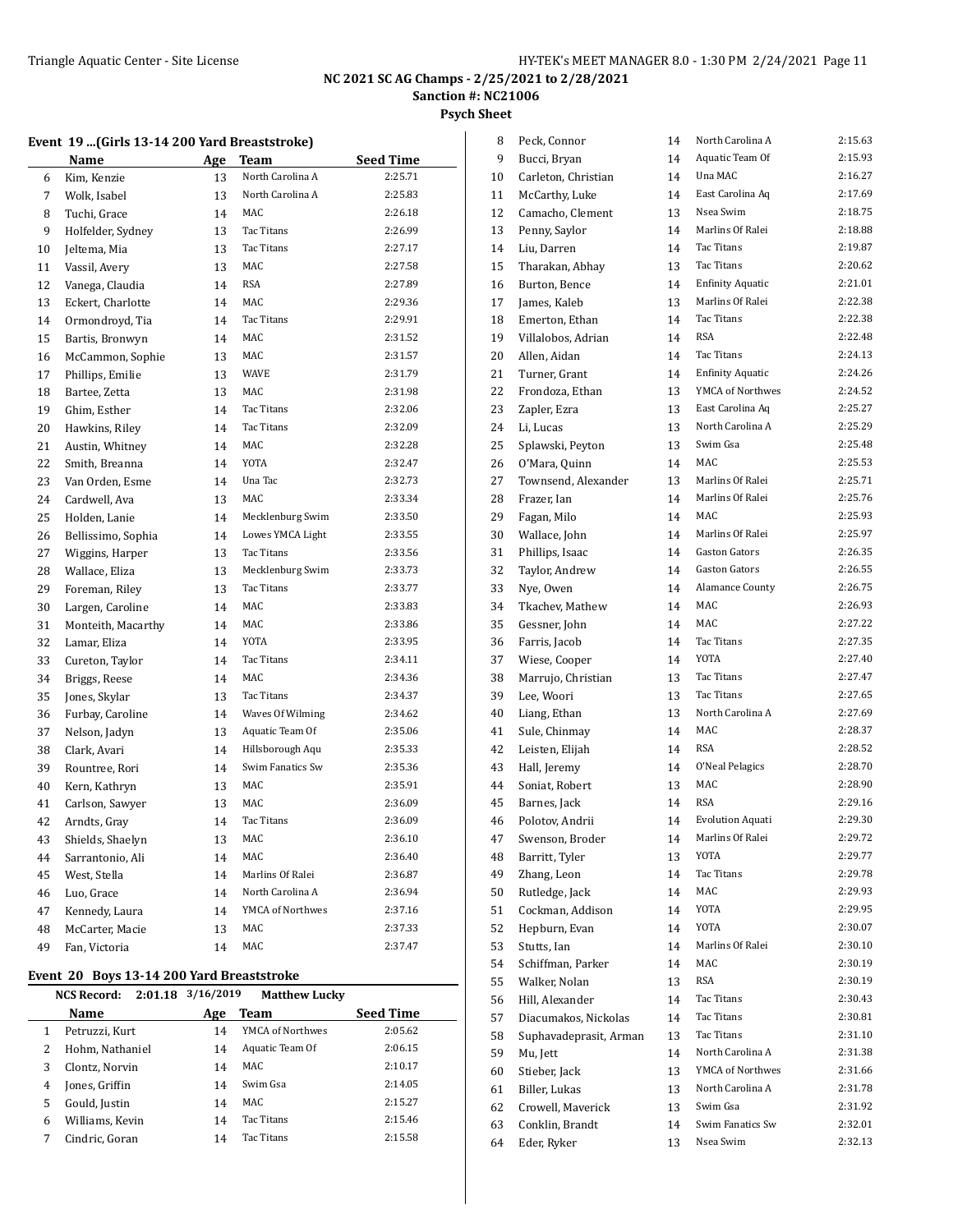**Psych Sheet**

#### **Event 19 ...(Girls 13-14 200 Yard Breaststroke)**

|    | <b>Name</b>        | Age | <b>Team</b>       | <b>Seed Time</b> |
|----|--------------------|-----|-------------------|------------------|
| 6  | Kim, Kenzie        | 13  | North Carolina A  | 2:25.71          |
| 7  | Wolk, Isabel       | 13  | North Carolina A  | 2:25.83          |
| 8  | Tuchi, Grace       | 14  | <b>MAC</b>        | 2:26.18          |
| 9  | Holfelder, Sydney  | 13  | Tac Titans        | 2:26.99          |
| 10 | Jeltema, Mia       | 13  | Tac Titans        | 2:27.17          |
| 11 | Vassil, Avery      | 13  | MAC               | 2:27.58          |
| 12 | Vanega, Claudia    | 14  | <b>RSA</b>        | 2:27.89          |
| 13 | Eckert, Charlotte  | 14  | <b>MAC</b>        | 2:29.36          |
| 14 | Ormondroyd, Tia    | 14  | Tac Titans        | 2:29.91          |
| 15 | Bartis, Bronwyn    | 14  | MAC               | 2:31.52          |
| 16 | McCammon, Sophie   | 13  | MAC               | 2:31.57          |
| 17 | Phillips, Emilie   | 13  | <b>WAVE</b>       | 2:31.79          |
| 18 | Bartee, Zetta      | 13  | MAC               | 2:31.98          |
| 19 | Ghim, Esther       | 14  | Tac Titans        | 2:32.06          |
| 20 | Hawkins, Riley     | 14  | Tac Titans        | 2:32.09          |
| 21 | Austin, Whitney    | 14  | MAC               | 2:32.28          |
| 22 | Smith, Breanna     | 14  | <b>YOTA</b>       | 2:32.47          |
| 23 | Van Orden, Esme    | 14  | Una Tac           | 2:32.73          |
| 24 | Cardwell, Ava      | 13  | MAC               | 2:33.34          |
| 25 | Holden, Lanie      | 14  | Mecklenburg Swim  | 2:33.50          |
| 26 | Bellissimo, Sophia | 14  | Lowes YMCA Light  | 2:33.55          |
| 27 | Wiggins, Harper    | 13  | Tac Titans        | 2:33.56          |
| 28 | Wallace, Eliza     | 13  | Mecklenburg Swim  | 2:33.73          |
| 29 | Foreman, Riley     | 13  | Tac Titans        | 2:33.77          |
| 30 | Largen, Caroline   | 14  | MAC               | 2:33.83          |
| 31 | Monteith, Macarthy | 14  | MAC               | 2:33.86          |
| 32 | Lamar, Eliza       | 14  | <b>YOTA</b>       | 2:33.95          |
| 33 | Cureton, Taylor    | 14  | Tac Titans        | 2:34.11          |
| 34 | Briggs, Reese      | 14  | MAC               | 2:34.36          |
| 35 | Jones, Skylar      | 13  | Tac Titans        | 2:34.37          |
| 36 | Furbay, Caroline   | 14  | Waves Of Wilming  | 2:34.62          |
| 37 | Nelson, Jadyn      | 13  | Aquatic Team Of   | 2:35.06          |
| 38 | Clark, Avari       | 14  | Hillsborough Aqu  | 2:35.33          |
| 39 | Rountree, Rori     | 14  | Swim Fanatics Sw  | 2:35.36          |
| 40 | Kern, Kathryn      | 13  | MAC               | 2:35.91          |
| 41 | Carlson, Sawyer    | 13  | MAC               | 2:36.09          |
| 42 | Arndts, Gray       | 14  | <b>Tac Titans</b> | 2:36.09          |
| 43 | Shields, Shaelyn   | 13  | MAC               | 2:36.10          |
| 44 | Sarrantonio, Ali   | 14  | MAC               | 2:36.40          |
| 45 | West, Stella       | 14  | Marlins Of Ralei  | 2:36.87          |
| 46 | Luo, Grace         | 14  | North Carolina A  | 2:36.94          |
| 47 | Kennedy, Laura     | 14  | YMCA of Northwes  | 2:37.16          |
| 48 | McCarter, Macie    | 13  | MAC               | 2:37.33          |
| 49 | Fan, Victoria      | 14  | <b>MAC</b>        | 2:37.47          |
|    |                    |     |                   |                  |

#### **Event 20 Boys 13-14 200 Yard Breaststroke**

|   | 2:01.18<br><b>NCS Record:</b> | 3/16/2019 | <b>Matthew Lucky</b> |           |
|---|-------------------------------|-----------|----------------------|-----------|
|   | Name                          | Age       | Team                 | Seed Time |
| 1 | Petruzzi, Kurt                | 14        | YMCA of Northwes     | 2:05.62   |
| 2 | Hohm, Nathaniel               | 14        | Aquatic Team Of      | 2:06.15   |
| 3 | Clontz, Norvin                | 14        | MAC.                 | 2:10.17   |
| 4 | Jones, Griffin                | 14        | Swim Gsa             | 2:14.05   |
| 5 | Gould, Justin                 | 14        | MAC.                 | 2:15.27   |
| 6 | Williams, Kevin               | 14        | <b>Tac Titans</b>    | 2:15.46   |
| 7 | Cindric, Goran                | 14        | <b>Tac Titans</b>    | 2:15.58   |

| 8  | Peck, Connor           | 14 | North Carolina A        | 2:15.63 |
|----|------------------------|----|-------------------------|---------|
| 9  | Bucci, Bryan           | 14 | Aquatic Team Of         | 2:15.93 |
| 10 | Carleton, Christian    | 14 | Una MAC                 | 2:16.27 |
| 11 | McCarthy, Luke         | 14 | East Carolina Aq        | 2:17.69 |
| 12 | Camacho, Clement       | 13 | Nsea Swim               | 2:18.75 |
| 13 | Penny, Saylor          | 14 | Marlins Of Ralei        | 2:18.88 |
| 14 | Liu, Darren            | 14 | <b>Tac Titans</b>       | 2:19.87 |
| 15 | Tharakan, Abhay        | 13 | <b>Tac Titans</b>       | 2:20.62 |
| 16 | Burton, Bence          | 14 | <b>Enfinity Aquatic</b> | 2:21.01 |
| 17 | James, Kaleb           | 13 | Marlins Of Ralei        | 2:22.38 |
| 18 | Emerton, Ethan         | 14 | Tac Titans              | 2:22.38 |
| 19 | Villalobos, Adrian     | 14 | <b>RSA</b>              | 2:22.48 |
| 20 | Allen, Aidan           | 14 | Tac Titans              | 2:24.13 |
| 21 | Turner, Grant          | 14 | <b>Enfinity Aquatic</b> | 2:24.26 |
| 22 | Frondoza, Ethan        | 13 | YMCA of Northwes        | 2:24.52 |
| 23 | Zapler, Ezra           | 13 | East Carolina Aq        | 2:25.27 |
| 24 | Li, Lucas              | 13 | North Carolina A        | 2:25.29 |
| 25 | Splawski, Peyton       | 13 | Swim Gsa                | 2:25.48 |
| 26 | O'Mara, Quinn          | 14 | MAC                     | 2:25.53 |
| 27 | Townsend, Alexander    | 13 | Marlins Of Ralei        | 2:25.71 |
| 28 | Frazer, Ian            | 14 | Marlins Of Ralei        | 2:25.76 |
| 29 | Fagan, Milo            | 14 | MAC                     | 2:25.93 |
| 30 | Wallace, John          | 14 | Marlins Of Ralei        | 2:25.97 |
| 31 | Phillips, Isaac        | 14 | <b>Gaston Gators</b>    | 2:26.35 |
| 32 | Taylor, Andrew         | 14 | <b>Gaston Gators</b>    | 2:26.55 |
| 33 | Nye, Owen              | 14 | <b>Alamance County</b>  | 2:26.75 |
| 34 | Tkachev, Mathew        | 14 | MAC                     | 2:26.93 |
| 35 | Gessner, John          | 14 | MAC                     | 2:27.22 |
| 36 | Farris, Jacob          | 14 | Tac Titans              | 2:27.35 |
| 37 | Wiese, Cooper          | 14 | <b>YOTA</b>             | 2:27.40 |
| 38 | Marrujo, Christian     | 13 | Tac Titans              | 2:27.47 |
| 39 | Lee, Woori             | 13 | Tac Titans              | 2:27.65 |
| 40 | Liang, Ethan           | 13 | North Carolina A        | 2:27.69 |
| 41 | Sule, Chinmay          | 14 | MAC                     | 2:28.37 |
| 42 | Leisten, Elijah        | 14 | RSA                     | 2:28.52 |
| 43 | Hall, Jeremy           | 14 | O'Neal Pelagics         | 2:28.70 |
| 44 | Soniat, Robert         | 13 | MAC                     | 2:28.90 |
| 45 | Barnes, Jack           | 14 | <b>RSA</b>              | 2:29.16 |
| 46 | Polotov, Andrii        | 14 | <b>Evolution Aquati</b> | 2:29.30 |
| 47 | Swenson, Broder        | 14 | Marlins Of Ralei        | 2:29.72 |
| 48 | Barritt, Tyler         | 13 | <b>YOTA</b>             | 2:29.77 |
| 49 | Zhang, Leon            | 14 | Tac Titans              | 2:29.78 |
| 50 | Rutledge, Jack         | 14 | MAC                     | 2:29.93 |
| 51 | Cockman, Addison       | 14 | YOTA                    | 2:29.95 |
| 52 | Hepburn, Evan          | 14 | YOTA                    | 2:30.07 |
| 53 | Stutts, Ian            | 14 | Marlins Of Ralei        | 2:30.10 |
| 54 | Schiffman, Parker      | 14 | MAC                     | 2:30.19 |
| 55 | Walker, Nolan          | 13 | RSA                     | 2:30.19 |
| 56 | Hill, Alexander        | 14 | Tac Titans              | 2:30.43 |
| 57 | Diacumakos, Nickolas   | 14 | Tac Titans              | 2:30.81 |
| 58 | Suphavadeprasit, Arman | 13 | Tac Titans              | 2:31.10 |
| 59 | Mu, Jett               | 14 | North Carolina A        | 2:31.38 |
| 60 | Stieber, Jack          | 13 | YMCA of Northwes        | 2:31.66 |
| 61 | Biller, Lukas          | 13 | North Carolina A        | 2:31.78 |
| 62 | Crowell, Maverick      | 13 | Swim Gsa                | 2:31.92 |
| 63 | Conklin, Brandt        | 14 | Swim Fanatics Sw        | 2:32.01 |
| 64 | Eder, Ryker            | 13 | Nsea Swim               | 2:32.13 |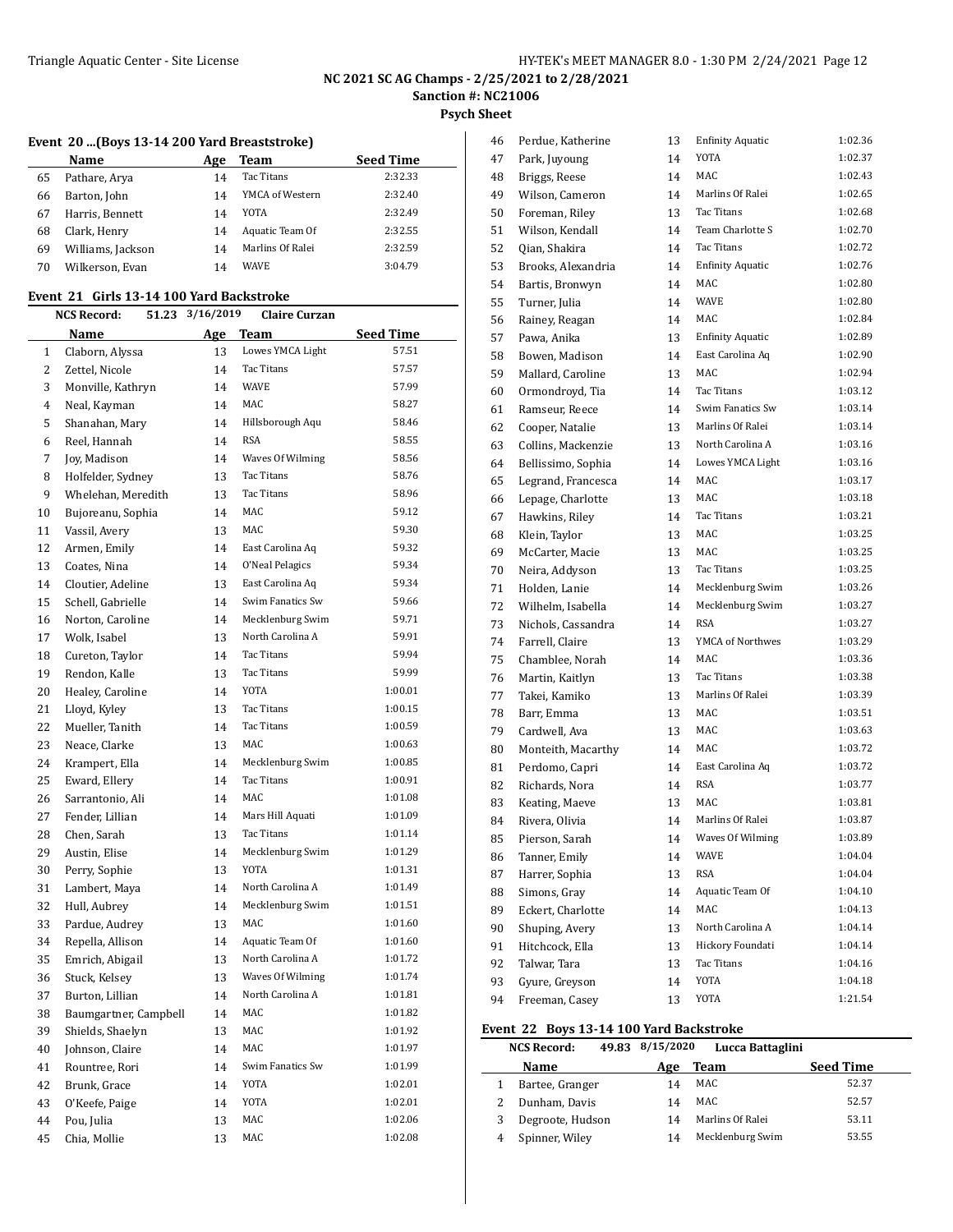# **NC 2021 SC AG Champs - 2/25/2021 to 2/28/2021**

**Sanction #: NC21006**

**Psych Sheet**

|  |  |  |  |  |  | Event 20 (Boys 13-14 200 Yard Breaststroke) |  |
|--|--|--|--|--|--|---------------------------------------------|--|
|--|--|--|--|--|--|---------------------------------------------|--|

|    | Name              | Age | Team             | <b>Seed Time</b> |
|----|-------------------|-----|------------------|------------------|
| 65 | Pathare, Arya     | 14  | Tac Titans       | 2:32.33          |
| 66 | Barton, John      | 14  | YMCA of Western  | 2:32.40          |
| 67 | Harris, Bennett   | 14  | YOTA             | 2:32.49          |
| 68 | Clark, Henry      | 14  | Aquatic Team Of  | 2:32.55          |
| 69 | Williams, Jackson | 14  | Marlins Of Ralei | 2:32.59          |
| 70 | Wilkerson, Evan   | 14  | WAVE             | 3:04.79          |

# **Event 21 Girls 13-14 100 Yard Backstroke**

|    | <b>NCS Record:</b><br>51.23 |     | 3/16/2019<br><b>Claire Curzan</b> |                  |
|----|-----------------------------|-----|-----------------------------------|------------------|
|    | Name                        | Age | Team                              | <b>Seed Time</b> |
| 1  | Claborn, Alyssa             | 13  | Lowes YMCA Light                  | 57.51            |
| 2  | Zettel, Nicole              | 14  | Tac Titans                        | 57.57            |
| 3  | Monville, Kathryn           | 14  | <b>WAVE</b>                       | 57.99            |
| 4  | Neal, Kayman                | 14  | MAC                               | 58.27            |
| 5  | Shanahan, Mary              | 14  | Hillsborough Aqu                  | 58.46            |
| 6  | Reel, Hannah                | 14  | RSA                               | 58.55            |
| 7  | Joy, Madison                | 14  | Waves Of Wilming                  | 58.56            |
| 8  | Holfelder, Sydney           | 13  | Tac Titans                        | 58.76            |
| 9  | Whelehan, Meredith          | 13  | <b>Tac Titans</b>                 | 58.96            |
| 10 | Bujoreanu, Sophia           | 14  | MAC                               | 59.12            |
| 11 | Vassil, Avery               | 13  | MAC                               | 59.30            |
| 12 | Armen, Emily                | 14  | East Carolina Aq                  | 59.32            |
| 13 | Coates, Nina                | 14  | O'Neal Pelagics                   | 59.34            |
| 14 | Cloutier, Adeline           | 13  | East Carolina Aq                  | 59.34            |
| 15 | Schell, Gabrielle           | 14  | Swim Fanatics Sw                  | 59.66            |
| 16 | Norton, Caroline            | 14  | Mecklenburg Swim                  | 59.71            |
| 17 | Wolk, Isabel                | 13  | North Carolina A                  | 59.91            |
| 18 | Cureton, Taylor             | 14  | <b>Tac Titans</b>                 | 59.94            |
| 19 | Rendon, Kalle               | 13  | Tac Titans                        | 59.99            |
| 20 | Healey, Caroline            | 14  | <b>YOTA</b>                       | 1:00.01          |
| 21 | Lloyd, Kyley                | 13  | <b>Tac Titans</b>                 | 1:00.15          |
| 22 | Mueller, Tanith             | 14  | <b>Tac Titans</b>                 | 1:00.59          |
| 23 | Neace, Clarke               | 13  | MAC                               | 1:00.63          |
| 24 | Krampert, Ella              | 14  | Mecklenburg Swim                  | 1:00.85          |
| 25 | Eward, Ellery               | 14  | Tac Titans                        | 1:00.91          |
| 26 | Sarrantonio, Ali            | 14  | MAC                               | 1:01.08          |
| 27 | Fender, Lillian             | 14  | Mars Hill Aquati                  | 1:01.09          |
| 28 | Chen, Sarah                 | 13  | Tac Titans                        | 1:01.14          |
| 29 | Austin, Elise               | 14  | Mecklenburg Swim                  | 1:01.29          |
| 30 | Perry, Sophie               | 13  | YOTA                              | 1:01.31          |
| 31 | Lambert, Maya               | 14  | North Carolina A                  | 1:01.49          |
| 32 | Hull, Aubrey                | 14  | Mecklenburg Swim                  | 1:01.51          |
| 33 | Pardue, Audrey              | 13  | MAC                               | 1:01.60          |
| 34 | Repella, Allison            | 14  | Aquatic Team Of                   | 1:01.60          |
| 35 | Emrich, Abigail             | 13  | North Carolina A                  | 1:01.72          |
| 36 | Stuck, Kelsey               | 13  | Waves Of Wilming                  | 1:01.74          |
| 37 | Burton, Lillian             | 14  | North Carolina A                  | 1:01.81          |
| 38 | Baumgartner, Campbell       | 14  | MAC                               | 1:01.82          |
| 39 | Shields, Shaelyn            | 13  | MAC                               | 1:01.92          |
| 40 | Johnson, Claire             | 14  | MAC                               | 1:01.97          |
| 41 | Rountree, Rori              | 14  | Swim Fanatics Sw                  | 1:01.99          |
| 42 | Brunk, Grace                | 14  | YOTA                              | 1:02.01          |
| 43 | O'Keefe, Paige              | 14  | YOTA                              | 1:02.01          |
| 44 | Pou, Julia                  | 13  | MAC                               | 1:02.06          |
| 45 | Chia, Mollie                | 13  | MAC                               | 1:02.08          |
|    |                             |     |                                   |                  |

| 46 | Perdue, Katherine  | 13 | <b>Enfinity Aquatic</b> | 1:02.36 |
|----|--------------------|----|-------------------------|---------|
| 47 | Park, Juyoung      | 14 | <b>YOTA</b>             | 1:02.37 |
| 48 | Briggs, Reese      | 14 | MAC.                    | 1:02.43 |
| 49 | Wilson, Cameron    | 14 | Marlins Of Ralei        | 1:02.65 |
| 50 | Foreman, Riley     | 13 | Tac Titans              | 1:02.68 |
| 51 | Wilson, Kendall    | 14 | Team Charlotte S        | 1:02.70 |
| 52 | Qian, Shakira      | 14 | Tac Titans              | 1:02.72 |
| 53 | Brooks, Alexandria | 14 | <b>Enfinity Aquatic</b> | 1:02.76 |
| 54 | Bartis, Bronwyn    | 14 | MAC                     | 1:02.80 |
| 55 | Turner, Julia      | 14 | <b>WAVE</b>             | 1:02.80 |
| 56 | Rainey, Reagan     | 14 | MAC                     | 1:02.84 |
| 57 | Pawa, Anika        | 13 | <b>Enfinity Aquatic</b> | 1:02.89 |
| 58 | Bowen, Madison     | 14 | East Carolina Aq        | 1:02.90 |
| 59 | Mallard, Caroline  | 13 | MAC                     | 1:02.94 |
| 60 | Ormondroyd, Tia    | 14 | Tac Titans              | 1:03.12 |
| 61 | Ramseur, Reece     | 14 | Swim Fanatics Sw        | 1:03.14 |
| 62 | Cooper, Natalie    | 13 | Marlins Of Ralei        | 1:03.14 |
| 63 | Collins, Mackenzie | 13 | North Carolina A        | 1:03.16 |
| 64 | Bellissimo, Sophia | 14 | Lowes YMCA Light        | 1:03.16 |
| 65 | Legrand, Francesca | 14 | MAC                     | 1:03.17 |
| 66 | Lepage, Charlotte  | 13 | MAC                     | 1:03.18 |
| 67 | Hawkins, Riley     | 14 | <b>Tac Titans</b>       | 1:03.21 |
| 68 | Klein, Taylor      | 13 | MAC                     | 1:03.25 |
| 69 | McCarter, Macie    | 13 | MAC                     | 1:03.25 |
| 70 | Neira, Addyson     | 13 | Tac Titans              | 1:03.25 |
| 71 | Holden, Lanie      | 14 | Mecklenburg Swim        | 1:03.26 |
| 72 | Wilhelm, Isabella  | 14 | Mecklenburg Swim        | 1:03.27 |
| 73 | Nichols, Cassandra | 14 | <b>RSA</b>              | 1:03.27 |
| 74 | Farrell, Claire    | 13 | YMCA of Northwes        | 1:03.29 |
| 75 | Chamblee, Norah    | 14 | MAC                     | 1:03.36 |
| 76 | Martin, Kaitlyn    | 13 | Tac Titans              | 1:03.38 |
| 77 | Takei, Kamiko      | 13 | Marlins Of Ralei        | 1:03.39 |
| 78 | Barr, Emma         | 13 | MAC                     | 1:03.51 |
| 79 | Cardwell, Ava      | 13 | MAC                     | 1:03.63 |
| 80 | Monteith, Macarthy | 14 | MAC                     | 1:03.72 |
| 81 | Perdomo, Capri     | 14 | East Carolina Aq        | 1:03.72 |
| 82 | Richards, Nora     | 14 | <b>RSA</b>              | 1:03.77 |
| 83 | Keating, Maeve     | 13 | MAC                     | 1:03.81 |
| 84 | Rivera, Olivia     | 14 | Marlins Of Ralei        | 1:03.87 |
| 85 | Pierson, Sarah     | 14 | Waves Of Wilming        | 1:03.89 |
| 86 | Tanner, Emily      | 14 | WAVE                    | 1:04.04 |
| 87 | Harrer, Sophia     | 13 | RSA                     | 1:04.04 |
| 88 | Simons, Gray       | 14 | Aquatic Team Of         | 1:04.10 |
| 89 | Eckert, Charlotte  | 14 | MAC                     | 1:04.13 |
| 90 | Shuping, Avery     | 13 | North Carolina A        | 1:04.14 |
| 91 | Hitchcock, Ella    | 13 | Hickory Foundati        | 1:04.14 |
| 92 | Talwar, Tara       | 13 | Tac Titans              | 1:04.16 |
| 93 | Gyure, Greyson     | 14 | YOTA                    | 1:04.18 |
| 94 | Freeman, Casey     | 13 | YOTA                    | 1:21.54 |

# **Event 22 Boys 13-14 100 Yard Backstroke**

|   | <b>NCS Record:</b> | 49.83 8/15/2020 | Lucca Battaglini |                  |
|---|--------------------|-----------------|------------------|------------------|
|   | <b>Name</b>        | Age             | Team             | <b>Seed Time</b> |
|   | Bartee, Granger    | 14              | MAC              | 52.37            |
|   | Dunham, Davis      | 14              | MAC              | 52.57            |
| 3 | Degroote, Hudson   | 14              | Marlins Of Ralei | 53.11            |
|   | Spinner, Wiley     | 14              | Mecklenburg Swim | 53.55            |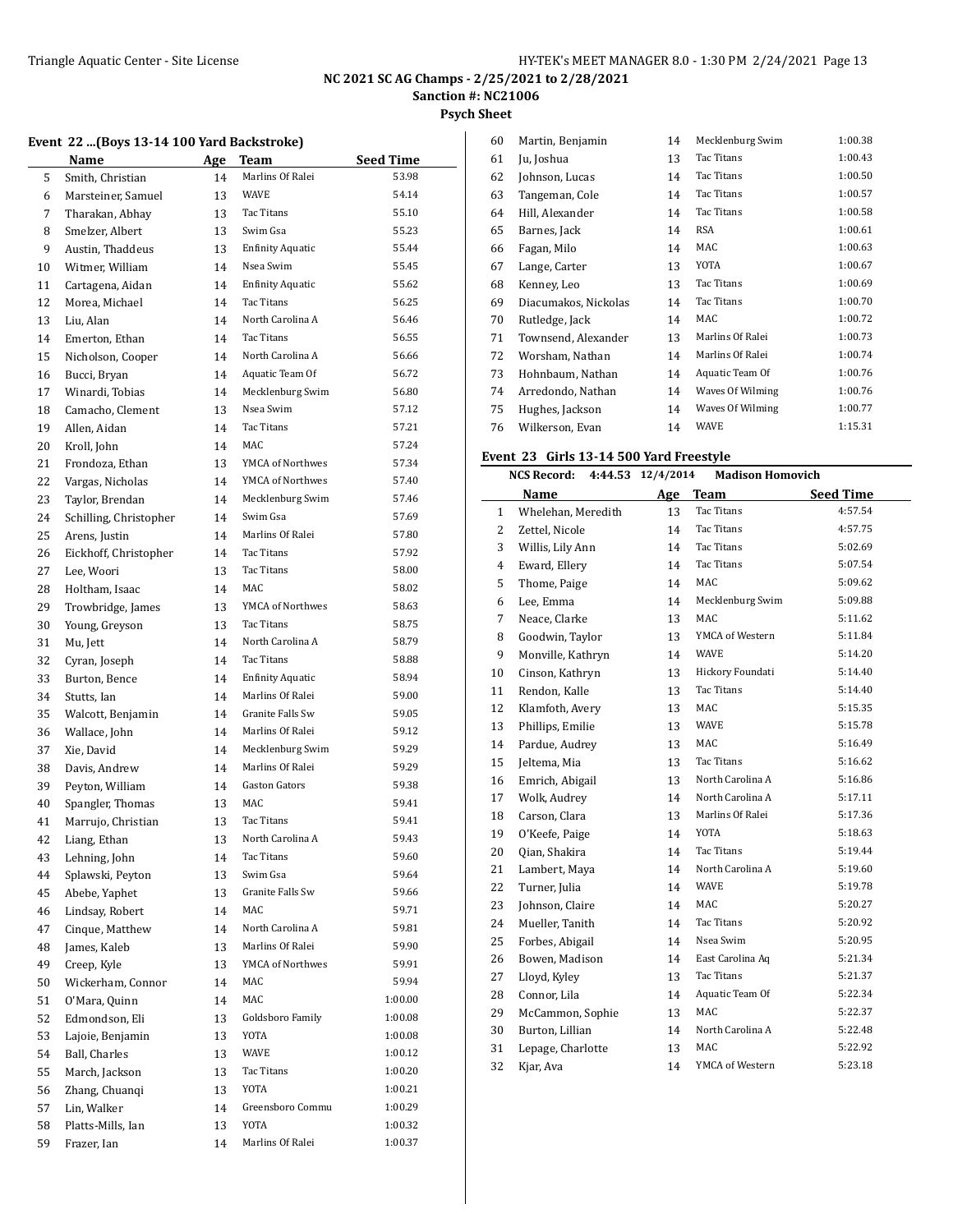**Psych Sheet**

## **Event 22 ...(Boys 13-14 100 Yard Backstroke)**

|    | Name                   | <b>Age</b> | Team                    | Seed Time |
|----|------------------------|------------|-------------------------|-----------|
| 5  | Smith, Christian       | 14         | Marlins Of Ralei        | 53.98     |
| 6  | Marsteiner, Samuel     | 13         | <b>WAVE</b>             | 54.14     |
| 7  | Tharakan, Abhay        | 13         | Tac Titans              | 55.10     |
| 8  | Smelzer, Albert        | 13         | Swim Gsa                | 55.23     |
| 9  | Austin, Thaddeus       | 13         | <b>Enfinity Aquatic</b> | 55.44     |
| 10 | Witmer, William        | 14         | Nsea Swim               | 55.45     |
| 11 | Cartagena, Aidan       | 14         | <b>Enfinity Aquatic</b> | 55.62     |
| 12 | Morea, Michael         | 14         | Tac Titans              | 56.25     |
| 13 | Liu, Alan              | 14         | North Carolina A        | 56.46     |
| 14 | Emerton, Ethan         | 14         | Tac Titans              | 56.55     |
| 15 | Nicholson, Cooper      | 14         | North Carolina A        | 56.66     |
| 16 | Bucci, Bryan           | 14         | Aquatic Team Of         | 56.72     |
| 17 | Winardi, Tobias        | 14         | Mecklenburg Swim        | 56.80     |
| 18 | Camacho, Clement       | 13         | Nsea Swim               | 57.12     |
| 19 | Allen, Aidan           | 14         | Tac Titans              | 57.21     |
| 20 | Kroll, John            | 14         | MAC                     | 57.24     |
| 21 | Frondoza, Ethan        | 13         | YMCA of Northwes        | 57.34     |
| 22 | Vargas, Nicholas       | 14         | YMCA of Northwes        | 57.40     |
| 23 | Taylor, Brendan        | 14         | Mecklenburg Swim        | 57.46     |
| 24 | Schilling, Christopher | 14         | Swim Gsa                | 57.69     |
| 25 | Arens, Justin          | 14         | Marlins Of Ralei        | 57.80     |
| 26 | Eickhoff, Christopher  | 14         | Tac Titans              | 57.92     |
| 27 | Lee, Woori             | 13         | Tac Titans              | 58.00     |
| 28 | Holtham, Isaac         | 14         | MAC                     | 58.02     |
| 29 | Trowbridge, James      | 13         | YMCA of Northwes        | 58.63     |
| 30 | Young, Greyson         | 13         | Tac Titans              | 58.75     |
| 31 | Mu, Jett               | 14         | North Carolina A        | 58.79     |
| 32 | Cyran, Joseph          | 14         | Tac Titans              | 58.88     |
| 33 | Burton, Bence          | 14         | <b>Enfinity Aquatic</b> | 58.94     |
| 34 | Stutts, Ian            | 14         | Marlins Of Ralei        | 59.00     |
| 35 | Walcott, Benjamin      | 14         | Granite Falls Sw        | 59.05     |
| 36 | Wallace, John          | 14         | Marlins Of Ralei        | 59.12     |
| 37 | Xie, David             | 14         | Mecklenburg Swim        | 59.29     |
| 38 | Davis, Andrew          | 14         | Marlins Of Ralei        | 59.29     |
| 39 | Peyton, William        | 14         | <b>Gaston Gators</b>    | 59.38     |
| 40 | Spangler, Thomas       | 13         | MAC                     | 59.41     |
| 41 | Marrujo, Christian     | 13         | Tac Titans              | 59.41     |
| 42 | Liang, Ethan           | 13         | North Carolina A        | 59.43     |
| 43 | Lehning, John          | 14         | Tac Titans              | 59.60     |
| 44 | Splawski, Peyton       | 13         | Swim Gsa                | 59.64     |
| 45 | Abebe, Yaphet          | 13         | Granite Falls Sw        | 59.66     |
| 46 | Lindsay, Robert        | 14         | <b>MAC</b>              | 59.71     |
| 47 | Cinque, Matthew        | 14         | North Carolina A        | 59.81     |
| 48 | James, Kaleb           | 13         | Marlins Of Ralei        | 59.90     |
| 49 | Creep, Kyle            | 13         | YMCA of Northwes        | 59.91     |
| 50 | Wickerham, Connor      | 14         | MAC                     | 59.94     |
| 51 | O'Mara, Quinn          | 14         | MAC                     | 1:00.00   |
| 52 | Edmondson, Eli         | 13         | Goldsboro Family        | 1:00.08   |
| 53 | Lajoie, Benjamin       | 13         | YOTA                    | 1:00.08   |
| 54 | Ball, Charles          | 13         | WAVE                    | 1:00.12   |
| 55 | March, Jackson         | 13         | Tac Titans              | 1:00.20   |
| 56 | Zhang, Chuanqi         | 13         | YOTA                    | 1:00.21   |
| 57 | Lin, Walker            | 14         | Greensboro Commu        | 1:00.29   |
| 58 | Platts-Mills, Ian      | 13         | YOTA                    | 1:00.32   |
| 59 | Frazer, Ian            | 14         | Marlins Of Ralei        | 1:00.37   |
|    |                        |            |                         |           |

| 60 | Martin, Benjamin     | 14 | Mecklenburg Swim | 1:00.38 |
|----|----------------------|----|------------------|---------|
| 61 | Ju, Joshua           | 13 | Tac Titans       | 1:00.43 |
| 62 | Johnson, Lucas       | 14 | Tac Titans       | 1:00.50 |
| 63 | Tangeman, Cole       | 14 | Tac Titans       | 1:00.57 |
| 64 | Hill, Alexander      | 14 | Tac Titans       | 1:00.58 |
| 65 | Barnes, Jack         | 14 | <b>RSA</b>       | 1:00.61 |
| 66 | Fagan, Milo          | 14 | MAC              | 1:00.63 |
| 67 | Lange, Carter        | 13 | YOTA             | 1:00.67 |
| 68 | Kenney, Leo          | 13 | Tac Titans       | 1:00.69 |
| 69 | Diacumakos, Nickolas | 14 | Tac Titans       | 1:00.70 |
| 70 | Rutledge, Jack       | 14 | MAC              | 1:00.72 |
| 71 | Townsend, Alexander  | 13 | Marlins Of Ralei | 1:00.73 |
| 72 | Worsham, Nathan      | 14 | Marlins Of Ralei | 1:00.74 |
| 73 | Hohnbaum, Nathan     | 14 | Aquatic Team Of  | 1:00.76 |
| 74 | Arredondo, Nathan    | 14 | Waves Of Wilming | 1:00.76 |
| 75 | Hughes, Jackson      | 14 | Waves Of Wilming | 1:00.77 |
| 76 | Wilkerson, Evan      | 14 | WAVE             | 1:15.31 |

#### **Event 23 Girls 13-14 500 Yard Freestyle**

|    | <b>NCS Record:</b> | 4:44.53 | 12/4/2014 | <b>Madison Homovich</b> |                  |
|----|--------------------|---------|-----------|-------------------------|------------------|
|    | Name               |         | Age       | <b>Team</b>             | <b>Seed Time</b> |
| 1  | Whelehan, Meredith |         | 13        | <b>Tac Titans</b>       | 4:57.54          |
| 2  | Zettel, Nicole     |         | 14        | Tac Titans              | 4:57.75          |
| 3  | Willis, Lily Ann   |         | 14        | Tac Titans              | 5:02.69          |
| 4  | Eward, Ellery      |         | 14        | <b>Tac Titans</b>       | 5:07.54          |
| 5  | Thome, Paige       |         | 14        | MAC                     | 5:09.62          |
| 6  | Lee, Emma          |         | 14        | Mecklenburg Swim        | 5:09.88          |
| 7  | Neace, Clarke      |         | 13        | MAC                     | 5:11.62          |
| 8  | Goodwin, Taylor    |         | 13        | YMCA of Western         | 5:11.84          |
| 9  | Monville, Kathryn  |         | 14        | <b>WAVE</b>             | 5:14.20          |
| 10 | Cinson, Kathryn    |         | 13        | Hickory Foundati        | 5:14.40          |
| 11 | Rendon, Kalle      |         | 13        | <b>Tac Titans</b>       | 5:14.40          |
| 12 | Klamfoth, Avery    |         | 13        | MAC                     | 5:15.35          |
| 13 | Phillips, Emilie   |         | 13        | WAVE                    | 5:15.78          |
| 14 | Pardue, Audrey     |         | 13        | MAC                     | 5:16.49          |
| 15 | Jeltema, Mia       |         | 13        | Tac Titans              | 5:16.62          |
| 16 | Emrich, Abigail    |         | 13        | North Carolina A        | 5:16.86          |
| 17 | Wolk, Audrey       |         | 14        | North Carolina A        | 5:17.11          |
| 18 | Carson, Clara      |         | 13        | Marlins Of Ralei        | 5:17.36          |
| 19 | O'Keefe, Paige     |         | 14        | <b>YOTA</b>             | 5:18.63          |
| 20 | Qian, Shakira      |         | 14        | Tac Titans              | 5:19.44          |
| 21 | Lambert, Maya      |         | 14        | North Carolina A        | 5:19.60          |
| 22 | Turner, Julia      |         | 14        | WAVE                    | 5:19.78          |
| 23 | Johnson, Claire    |         | 14        | MAC                     | 5:20.27          |
| 24 | Mueller, Tanith    |         | 14        | Tac Titans              | 5:20.92          |
| 25 | Forbes, Abigail    |         | 14        | Nsea Swim               | 5:20.95          |
| 26 | Bowen, Madison     |         | 14        | East Carolina Aq        | 5:21.34          |
| 27 | Lloyd, Kyley       |         | 13        | <b>Tac Titans</b>       | 5:21.37          |
| 28 | Connor, Lila       |         | 14        | Aquatic Team Of         | 5:22.34          |
| 29 | McCammon, Sophie   |         | 13        | MAC                     | 5:22.37          |
| 30 | Burton, Lillian    |         | 14        | North Carolina A        | 5:22.48          |
| 31 | Lepage, Charlotte  |         | 13        | MAC                     | 5:22.92          |
| 32 | Kjar, Ava          |         | 14        | YMCA of Western         | 5:23.18          |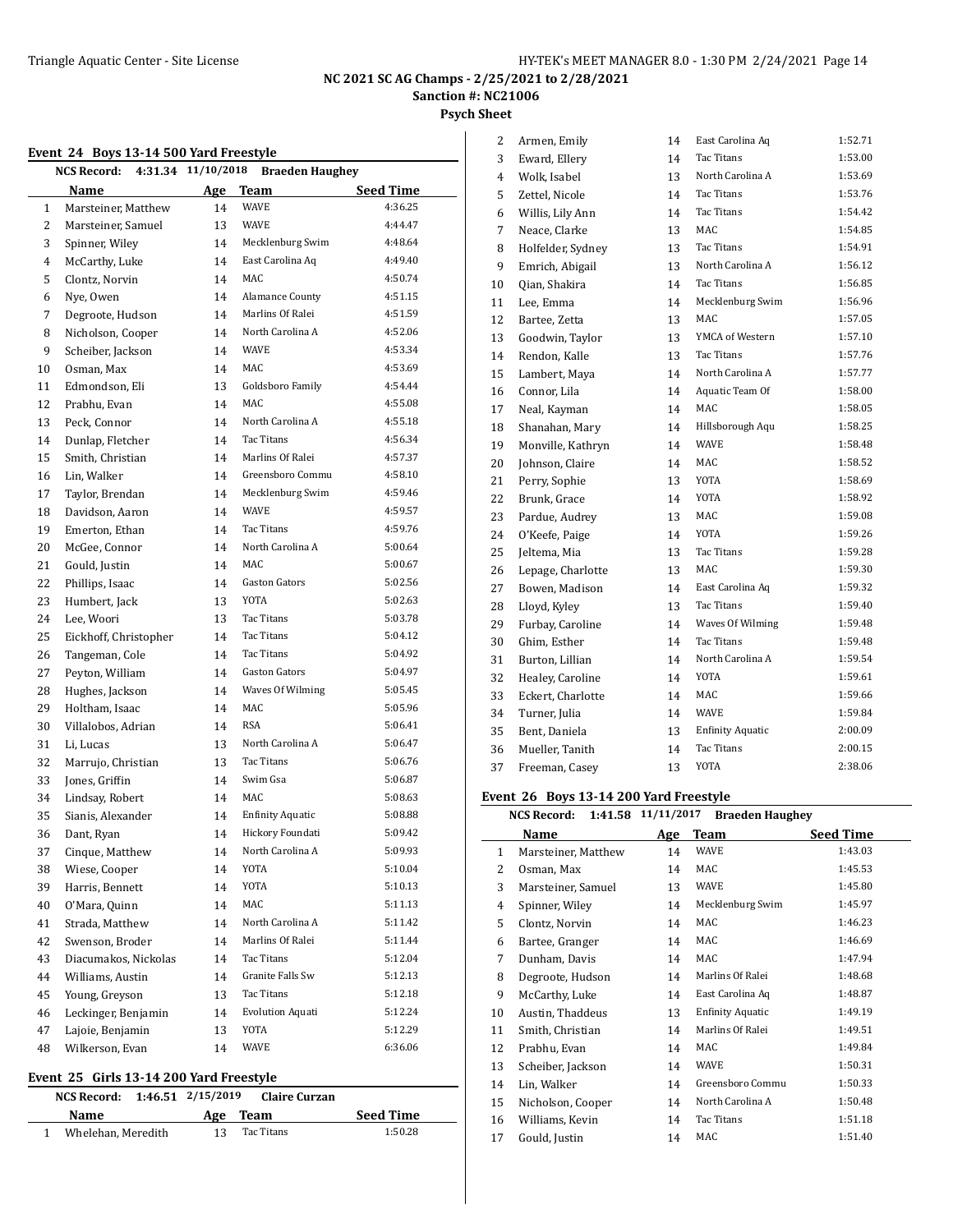**Psych Sheet**

#### **Event 24 Boys 13-14 500 Yard Freestyle**

| Event 24 Doys 15-14 500 raid ricestyle<br>4:31.34 11/10/2018<br>NCS Record:<br><b>Braeden Haughey</b> |                       |     |                         |                  |  |
|-------------------------------------------------------------------------------------------------------|-----------------------|-----|-------------------------|------------------|--|
|                                                                                                       | <b>Name</b>           | Age | <b>Team</b>             | <b>Seed Time</b> |  |
| 1                                                                                                     | Marsteiner, Matthew   | 14  | <b>WAVE</b>             | 4:36.25          |  |
| 2                                                                                                     | Marsteiner, Samuel    | 13  | WAVE                    | 4:44.47          |  |
| 3                                                                                                     | Spinner, Wiley        | 14  | Mecklenburg Swim        | 4:48.64          |  |
| 4                                                                                                     | McCarthy, Luke        | 14  | East Carolina Aq        | 4:49.40          |  |
| 5                                                                                                     | Clontz, Norvin        | 14  | MAC                     | 4:50.74          |  |
| 6                                                                                                     | Nye, Owen             | 14  | <b>Alamance County</b>  | 4:51.15          |  |
| 7                                                                                                     | Degroote, Hudson      | 14  | Marlins Of Ralei        | 4:51.59          |  |
| 8                                                                                                     | Nicholson, Cooper     | 14  | North Carolina A        | 4:52.06          |  |
| 9                                                                                                     | Scheiber, Jackson     | 14  | WAVE                    | 4:53.34          |  |
| 10                                                                                                    | Osman, Max            | 14  | MAC                     | 4:53.69          |  |
| 11                                                                                                    | Edmondson, Eli        | 13  | Goldsboro Family        | 4:54.44          |  |
| 12                                                                                                    | Prabhu, Evan          | 14  | MAC                     | 4:55.08          |  |
| 13                                                                                                    | Peck, Connor          | 14  | North Carolina A        | 4:55.18          |  |
| 14                                                                                                    | Dunlap, Fletcher      | 14  | Tac Titans              | 4:56.34          |  |
| 15                                                                                                    | Smith, Christian      | 14  | Marlins Of Ralei        | 4:57.37          |  |
| 16                                                                                                    | Lin, Walker           | 14  | Greensboro Commu        | 4:58.10          |  |
| 17                                                                                                    | Taylor, Brendan       | 14  | Mecklenburg Swim        | 4:59.46          |  |
| 18                                                                                                    | Davidson, Aaron       | 14  | <b>WAVE</b>             | 4:59.57          |  |
| 19                                                                                                    | Emerton, Ethan        | 14  | Tac Titans              | 4:59.76          |  |
| 20                                                                                                    | McGee, Connor         | 14  | North Carolina A        | 5:00.64          |  |
| 21                                                                                                    | Gould, Justin         | 14  | MAC                     | 5:00.67          |  |
| 22                                                                                                    | Phillips, Isaac       | 14  | <b>Gaston Gators</b>    | 5:02.56          |  |
| 23                                                                                                    | Humbert, Jack         | 13  | YOTA                    | 5:02.63          |  |
| 24                                                                                                    | Lee, Woori            | 13  | Tac Titans              | 5:03.78          |  |
| 25                                                                                                    | Eickhoff, Christopher | 14  | Tac Titans              | 5:04.12          |  |
| 26                                                                                                    | Tangeman, Cole        | 14  | Tac Titans              | 5:04.92          |  |
| 27                                                                                                    | Peyton, William       | 14  | <b>Gaston Gators</b>    | 5:04.97          |  |
| 28                                                                                                    | Hughes, Jackson       | 14  | Waves Of Wilming        | 5:05.45          |  |
| 29                                                                                                    | Holtham, Isaac        | 14  | MAC                     | 5:05.96          |  |
| 30                                                                                                    | Villalobos, Adrian    | 14  | <b>RSA</b>              | 5:06.41          |  |
| 31                                                                                                    | Li, Lucas             | 13  | North Carolina A        | 5:06.47          |  |
| 32                                                                                                    | Marrujo, Christian    | 13  | Tac Titans              | 5:06.76          |  |
| 33                                                                                                    | Jones, Griffin        | 14  | Swim Gsa                | 5:06.87          |  |
| 34                                                                                                    | Lindsay, Robert       | 14  | MAC                     | 5:08.63          |  |
| 35                                                                                                    | Sianis, Alexander     | 14  | <b>Enfinity Aquatic</b> | 5:08.88          |  |
| 36                                                                                                    | Dant, Ryan            | 14  | Hickory Foundati        | 5:09.42          |  |
| 37                                                                                                    | Cinque, Matthew       | 14  | North Carolina A        | 5:09.93          |  |
| 38                                                                                                    | Wiese, Cooper         | 14  | YOTA                    | 5:10.04          |  |
| 39                                                                                                    | Harris, Bennett       | 14  | YOTA                    | 5:10.13          |  |
| 40                                                                                                    | O'Mara, Quinn         | 14  | MAC                     | 5:11.13          |  |
| 41                                                                                                    | Strada, Matthew       | 14  | North Carolina A        | 5:11.42          |  |
| 42                                                                                                    | Swenson, Broder       | 14  | Marlins Of Ralei        | 5:11.44          |  |
| 43                                                                                                    | Diacumakos, Nickolas  | 14  | Tac Titans              | 5:12.04          |  |
| 44                                                                                                    | Williams, Austin      | 14  | Granite Falls Sw        | 5:12.13          |  |
| 45                                                                                                    | Young, Greyson        | 13  | Tac Titans              | 5:12.18          |  |
| 46                                                                                                    | Leckinger, Benjamin   | 14  | <b>Evolution Aquati</b> | 5:12.24          |  |
| 47                                                                                                    | Lajoie, Benjamin      | 13  | YOTA                    | 5:12.29          |  |
| 48                                                                                                    | Wilkerson, Evan       | 14  | <b>WAVE</b>             | 6:36.06          |  |
|                                                                                                       |                       |     |                         |                  |  |

# **Event 25 Girls 13-14 200 Yard Freestyle**

**NCS Record: 1:46.51 2/15/2019 Claire Curzan**

| Name               | Age | Team       | <b>Seed Time</b> |
|--------------------|-----|------------|------------------|
| Whelehan, Meredith |     | Tac Titans | 1:50.28          |

| 2  | Armen, Emily      | 14 | East Carolina Aq        | 1:52.71 |
|----|-------------------|----|-------------------------|---------|
| 3  | Eward, Ellery     | 14 | <b>Tac Titans</b>       | 1:53.00 |
| 4  | Wolk, Isabel      | 13 | North Carolina A        | 1:53.69 |
| 5  | Zettel, Nicole    | 14 | Tac Titans              | 1:53.76 |
| 6  | Willis, Lily Ann  | 14 | <b>Tac Titans</b>       | 1:54.42 |
| 7  | Neace, Clarke     | 13 | MAC                     | 1:54.85 |
| 8  | Holfelder, Sydney | 13 | <b>Tac Titans</b>       | 1:54.91 |
| 9  | Emrich, Abigail   | 13 | North Carolina A        | 1:56.12 |
| 10 | Oian, Shakira     | 14 | <b>Tac Titans</b>       | 1:56.85 |
| 11 | Lee, Emma         | 14 | Mecklenburg Swim        | 1:56.96 |
| 12 | Bartee, Zetta     | 13 | MAC                     | 1:57.05 |
| 13 | Goodwin, Taylor   | 13 | YMCA of Western         | 1:57.10 |
| 14 | Rendon, Kalle     | 13 | <b>Tac Titans</b>       | 1:57.76 |
| 15 | Lambert, Maya     | 14 | North Carolina A        | 1:57.77 |
| 16 | Connor, Lila      | 14 | Aquatic Team Of         | 1:58.00 |
| 17 | Neal, Kayman      | 14 | MAC                     | 1:58.05 |
| 18 | Shanahan, Mary    | 14 | Hillsborough Aqu        | 1:58.25 |
| 19 | Monville, Kathryn | 14 | <b>WAVE</b>             | 1:58.48 |
| 20 | Johnson, Claire   | 14 | MAC                     | 1:58.52 |
| 21 | Perry, Sophie     | 13 | <b>YOTA</b>             | 1:58.69 |
| 22 | Brunk, Grace      | 14 | <b>YOTA</b>             | 1:58.92 |
| 23 | Pardue, Audrey    | 13 | MAC                     | 1:59.08 |
| 24 | O'Keefe, Paige    | 14 | YOTA                    | 1:59.26 |
| 25 | Jeltema, Mia      | 13 | <b>Tac Titans</b>       | 1:59.28 |
| 26 | Lepage, Charlotte | 13 | MAC                     | 1:59.30 |
| 27 | Bowen, Madison    | 14 | East Carolina Aq        | 1:59.32 |
| 28 | Lloyd, Kyley      | 13 | Tac Titans              | 1:59.40 |
| 29 | Furbay, Caroline  | 14 | Waves Of Wilming        | 1:59.48 |
| 30 | Ghim, Esther      | 14 | <b>Tac Titans</b>       | 1:59.48 |
| 31 | Burton, Lillian   | 14 | North Carolina A        | 1:59.54 |
| 32 | Healey, Caroline  | 14 | <b>YOTA</b>             | 1:59.61 |
| 33 | Eckert, Charlotte | 14 | MAC                     | 1:59.66 |
| 34 | Turner, Julia     | 14 | <b>WAVE</b>             | 1:59.84 |
| 35 | Bent, Daniela     | 13 | <b>Enfinity Aquatic</b> | 2:00.09 |
| 36 | Mueller, Tanith   | 14 | <b>Tac Titans</b>       | 2:00.15 |
| 37 | Freeman, Casey    | 13 | YOTA                    | 2:38.06 |

## **Event 26 Boys 13-14 200 Yard Freestyle**

|    | <b>NCS Record:</b>  | 1:41.58 11/11/2017 | <b>Braeden Haughey</b>  |                  |
|----|---------------------|--------------------|-------------------------|------------------|
|    | Name                | Age                | Team                    | <b>Seed Time</b> |
| 1  | Marsteiner, Matthew | 14                 | WAVE                    | 1:43.03          |
| 2  | Osman, Max          | 14                 | MAC                     | 1:45.53          |
| 3  | Marsteiner, Samuel  | 13                 | WAVE                    | 1:45.80          |
| 4  | Spinner, Wiley      | 14                 | Mecklenburg Swim        | 1:45.97          |
| 5  | Clontz, Norvin      | 14                 | MAC                     | 1:46.23          |
| 6  | Bartee, Granger     | 14                 | MAC                     | 1:46.69          |
| 7  | Dunham, Davis       | 14                 | MAC                     | 1:47.94          |
| 8  | Degroote, Hudson    | 14                 | Marlins Of Ralei        | 1:48.68          |
| 9  | McCarthy, Luke      | 14                 | East Carolina Aq        | 1:48.87          |
| 10 | Austin, Thaddeus    | 13                 | <b>Enfinity Aquatic</b> | 1:49.19          |
| 11 | Smith, Christian    | 14                 | Marlins Of Ralei        | 1:49.51          |
| 12 | Prabhu, Evan        | 14                 | MAC                     | 1:49.84          |
| 13 | Scheiber, Jackson   | 14                 | WAVE                    | 1:50.31          |
| 14 | Lin, Walker         | 14                 | Greensboro Commu        | 1:50.33          |
| 15 | Nicholson, Cooper   | 14                 | North Carolina A        | 1:50.48          |
| 16 | Williams, Kevin     | 14                 | Tac Titans              | 1:51.18          |
| 17 | Gould, Justin       | 14                 | MAC                     | 1:51.40          |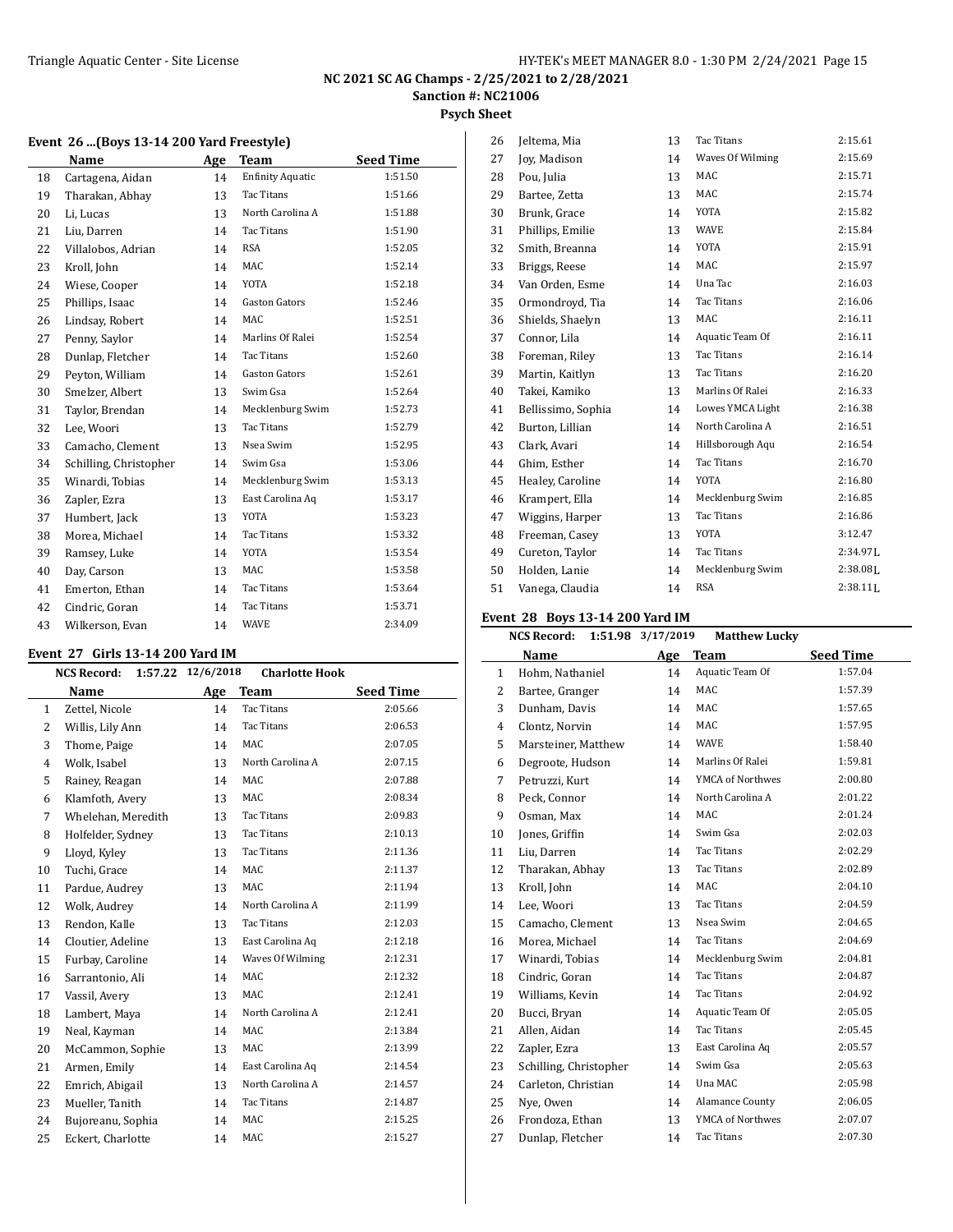# **Psych Sheet**

|  |  |  |  |  |  | Event 26 (Boys 13-14 200 Yard Freestyle) |  |
|--|--|--|--|--|--|------------------------------------------|--|
|--|--|--|--|--|--|------------------------------------------|--|

|    | Name                   | Age | Team                    | <b>Seed Time</b> |
|----|------------------------|-----|-------------------------|------------------|
| 18 | Cartagena, Aidan       | 14  | <b>Enfinity Aquatic</b> | 1:51.50          |
| 19 | Tharakan, Abhay        | 13  | Tac Titans              | 1:51.66          |
| 20 | Li, Lucas              | 13  | North Carolina A        | 1:51.88          |
| 21 | Liu, Darren            | 14  | Tac Titans              | 1:51.90          |
| 22 | Villalobos, Adrian     | 14  | <b>RSA</b>              | 1:52.05          |
| 23 | Kroll, John            | 14  | MAC                     | 1:52.14          |
| 24 | Wiese, Cooper          | 14  | YOTA                    | 1:52.18          |
| 25 | Phillips, Isaac        | 14  | Gaston Gators           | 1:52.46          |
| 26 | Lindsay, Robert        | 14  | <b>MAC</b>              | 1:52.51          |
| 27 | Penny, Saylor          | 14  | Marlins Of Ralei        | 1:52.54          |
| 28 | Dunlap, Fletcher       | 14  | Tac Titans              | 1:52.60          |
| 29 | Peyton, William        | 14  | <b>Gaston Gators</b>    | 1:52.61          |
| 30 | Smelzer, Albert        | 13  | Swim Gsa                | 1:52.64          |
| 31 | Taylor, Brendan        | 14  | Mecklenburg Swim        | 1:52.73          |
| 32 | Lee, Woori             | 13  | <b>Tac Titans</b>       | 1:52.79          |
| 33 | Camacho, Clement       | 13  | Nsea Swim               | 1:52.95          |
| 34 | Schilling, Christopher | 14  | Swim Gsa                | 1:53.06          |
| 35 | Winardi, Tobias        | 14  | Mecklenburg Swim        | 1:53.13          |
| 36 | Zapler, Ezra           | 13  | East Carolina Aq        | 1:53.17          |
| 37 | Humbert, Jack          | 13  | YOTA                    | 1:53.23          |
| 38 | Morea, Michael         | 14  | Tac Titans              | 1:53.32          |
| 39 | Ramsey, Luke           | 14  | <b>YOTA</b>             | 1:53.54          |
| 40 | Day, Carson            | 13  | MAC                     | 1:53.58          |
| 41 | Emerton, Ethan         | 14  | Tac Titans              | 1:53.64          |
| 42 | Cindric, Goran         | 14  | Tac Titans              | 1:53.71          |
| 43 | Wilkerson, Evan        | 14  | <b>WAVE</b>             | 2:34.09          |

#### **Event 27 Girls 13-14 200 Yard IM**

| <b>NCS Record:</b> |     | <b>Charlotte Hook</b> |                  |
|--------------------|-----|-----------------------|------------------|
| Name               | Age | <b>Team</b>           | <b>Seed Time</b> |
| Zettel, Nicole     | 14  | Tac Titans            | 2:05.66          |
| Willis, Lily Ann   | 14  | Tac Titans            | 2:06.53          |
| Thome, Paige       | 14  | MAC                   | 2:07.05          |
| Wolk, Isabel       | 13  | North Carolina A      | 2:07.15          |
| Rainey, Reagan     | 14  | MAC                   | 2:07.88          |
| Klamfoth, Avery    | 13  | MAC                   | 2:08.34          |
| Whelehan, Meredith | 13  | Tac Titans            | 2:09.83          |
| Holfelder, Sydney  | 13  | Tac Titans            | 2:10.13          |
| Lloyd, Kyley       | 13  | Tac Titans            | 2:11.36          |
| Tuchi, Grace       | 14  | MAC                   | 2:11.37          |
| Pardue, Audrey     | 13  | MAC                   | 2:11.94          |
| Wolk, Audrey       | 14  | North Carolina A      | 2:11.99          |
| Rendon, Kalle      | 13  | Tac Titans            | 2:12.03          |
| Cloutier, Adeline  | 13  | East Carolina Aq      | 2:12.18          |
| Furbay, Caroline   | 14  | Waves Of Wilming      | 2:12.31          |
| Sarrantonio, Ali   | 14  | <b>MAC</b>            | 2:12.32          |
| Vassil, Avery      | 13  | MAC                   | 2:12.41          |
| Lambert, Maya      | 14  | North Carolina A      | 2:12.41          |
| Neal, Kayman       | 14  | MAC                   | 2:13.84          |
| McCammon, Sophie   | 13  | MAC                   | 2:13.99          |
| Armen, Emily       | 14  | East Carolina Aq      | 2:14.54          |
| Emrich, Abigail    | 13  | North Carolina A      | 2:14.57          |
| Mueller, Tanith    | 14  | Tac Titans            | 2:14.87          |
| Bujoreanu, Sophia  | 14  | MAC                   | 2:15.25          |
| Eckert, Charlotte  | 14  | MAC                   | 2:15.27          |
|                    |     | 1:57.22               | 12/6/2018        |

| 26 | Jeltema, Mia       | 13 | <b>Tac Titans</b> | 2:15.61                |
|----|--------------------|----|-------------------|------------------------|
| 27 | Joy, Madison       | 14 | Waves Of Wilming  | 2:15.69                |
| 28 | Pou, Julia         | 13 | MAC               | 2:15.71                |
| 29 | Bartee, Zetta      | 13 | MAC               | 2:15.74                |
| 30 | Brunk, Grace       | 14 | YOTA              | 2:15.82                |
| 31 | Phillips, Emilie   | 13 | <b>WAVE</b>       | 2:15.84                |
| 32 | Smith, Breanna     | 14 | YOTA              | 2:15.91                |
| 33 | Briggs, Reese      | 14 | MAC               | 2:15.97                |
| 34 | Van Orden, Esme    | 14 | Una Tac           | 2:16.03                |
| 35 | Ormondroyd, Tia    | 14 | Tac Titans        | 2:16.06                |
| 36 | Shields, Shaelyn   | 13 | MAC               | 2:16.11                |
| 37 | Connor, Lila       | 14 | Aquatic Team Of   | 2:16.11                |
| 38 | Foreman, Riley     | 13 | Tac Titans        | 2:16.14                |
| 39 | Martin, Kaitlyn    | 13 | Tac Titans        | 2:16.20                |
| 40 | Takei, Kamiko      | 13 | Marlins Of Ralei  | 2:16.33                |
| 41 | Bellissimo, Sophia | 14 | Lowes YMCA Light  | 2:16.38                |
| 42 | Burton, Lillian    | 14 | North Carolina A  | 2:16.51                |
| 43 | Clark, Avari       | 14 | Hillsborough Aqu  | 2:16.54                |
| 44 | Ghim, Esther       | 14 | Tac Titans        | 2:16.70                |
| 45 | Healey, Caroline   | 14 | YOTA              | 2:16.80                |
| 46 | Krampert, Ella     | 14 | Mecklenburg Swim  | 2:16.85                |
| 47 | Wiggins, Harper    | 13 | Tac Titans        | 2:16.86                |
| 48 | Freeman, Casey     | 13 | YOTA              | 3:12.47                |
| 49 | Cureton, Taylor    | 14 | Tac Titans        | $2:34.97$ J.           |
| 50 | Holden, Lanie      | 14 | Mecklenburg Swim  | $2:38.08$ <sub>L</sub> |
| 51 | Vanega, Claudia    | 14 | <b>RSA</b>        | $2:38.11$ J            |

# **Event 28 Boys 13-14 200 Yard IM**

|              | <b>NCS Record:</b>     | 1:51.98 3/17/2019 | <b>Matthew Lucky</b> |                  |
|--------------|------------------------|-------------------|----------------------|------------------|
|              | Name                   | Age               | <b>Team</b>          | <b>Seed Time</b> |
| $\mathbf{1}$ | Hohm, Nathaniel        | 14                | Aquatic Team Of      | 1:57.04          |
| 2            | Bartee, Granger        | 14                | MAC                  | 1:57.39          |
| 3            | Dunham, Davis          | 14                | MAC                  | 1:57.65          |
| 4            | Clontz, Norvin         | 14                | <b>MAC</b>           | 1:57.95          |
| 5            | Marsteiner, Matthew    | 14                | <b>WAVE</b>          | 1:58.40          |
| 6            | Degroote, Hudson       | 14                | Marlins Of Ralei     | 1:59.81          |
| 7            | Petruzzi, Kurt         | 14                | YMCA of Northwes     | 2:00.80          |
| 8            | Peck, Connor           | 14                | North Carolina A     | 2:01.22          |
| 9            | Osman, Max             | 14                | <b>MAC</b>           | 2:01.24          |
| 10           | Jones, Griffin         | 14                | Swim Gsa             | 2:02.03          |
| 11           | Liu, Darren            | 14                | Tac Titans           | 2:02.29          |
| 12           | Tharakan, Abhay        | 13                | <b>Tac Titans</b>    | 2:02.89          |
| 13           | Kroll, John            | 14                | MAC                  | 2:04.10          |
| 14           | Lee, Woori             | 13                | Tac Titans           | 2:04.59          |
| 15           | Camacho, Clement       | 13                | Nsea Swim            | 2:04.65          |
| 16           | Morea, Michael         | 14                | Tac Titans           | 2:04.69          |
| 17           | Winardi, Tobias        | 14                | Mecklenburg Swim     | 2:04.81          |
| 18           | Cindric, Goran         | 14                | Tac Titans           | 2:04.87          |
| 19           | Williams, Kevin        | 14                | <b>Tac Titans</b>    | 2:04.92          |
| 20           | Bucci, Bryan           | 14                | Aquatic Team Of      | 2:05.05          |
| 21           | Allen, Aidan           | 14                | Tac Titans           | 2:05.45          |
| 22           | Zapler, Ezra           | 13                | East Carolina Aq     | 2:05.57          |
| 23           | Schilling, Christopher | 14                | Swim Gsa             | 2:05.63          |
| 24           | Carleton, Christian    | 14                | Una MAC              | 2:05.98          |
| 25           | Nye, Owen              | 14                | Alamance County      | 2:06.05          |
| 26           | Frondoza, Ethan        | 13                | YMCA of Northwes     | 2:07.07          |
| 27           | Dunlap, Fletcher       | 14                | <b>Tac Titans</b>    | 2:07.30          |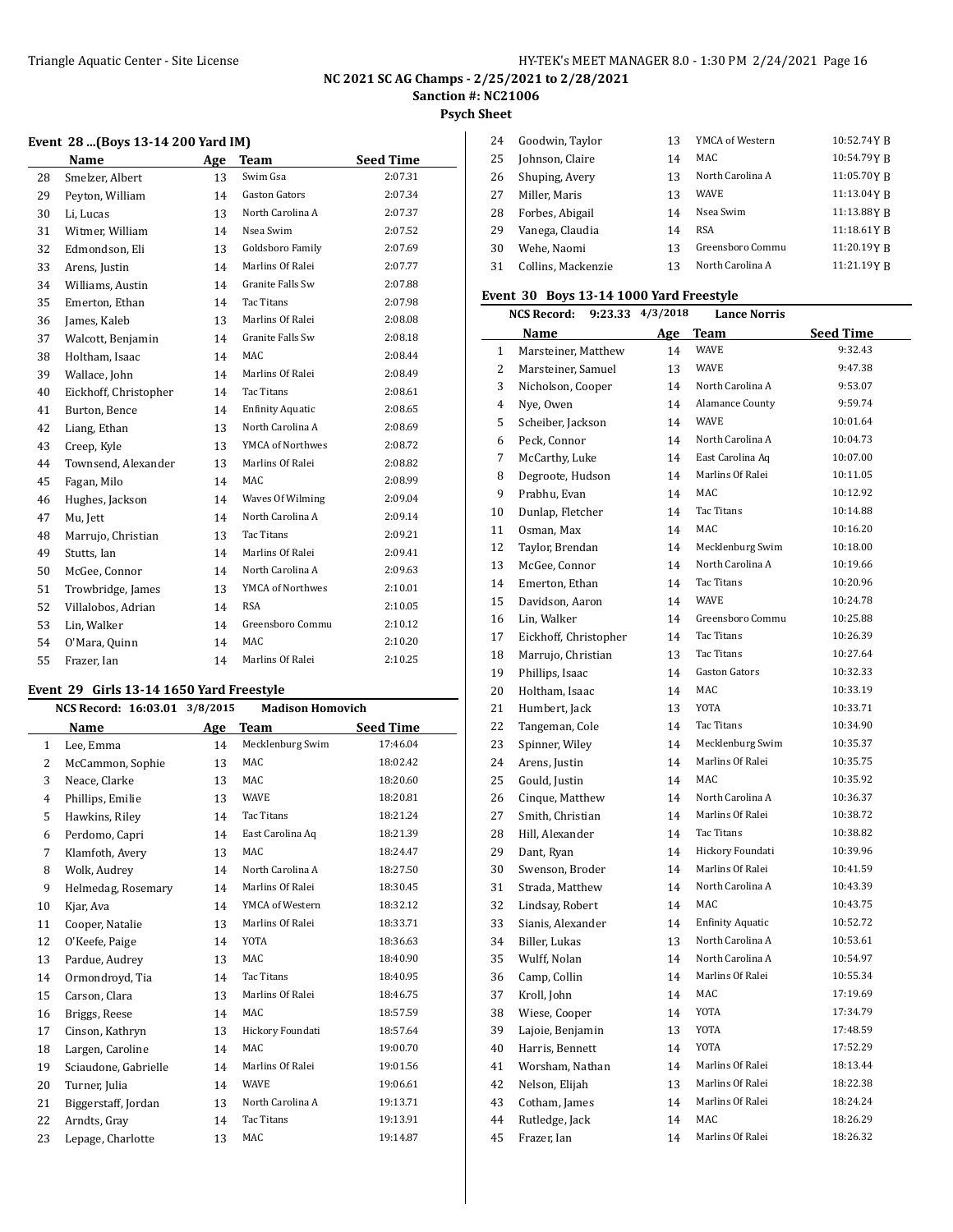# **NC 2021 SC AG Champs - 2/25/2021 to 2/28/2021**

**Sanction #: NC21006**

**Psych Sheet**

|    | Name                  | Age | <b>Team</b>             | <b>Seed Time</b> |
|----|-----------------------|-----|-------------------------|------------------|
| 28 | Smelzer, Albert       | 13  | Swim Gsa                | 2:07.31          |
| 29 | Peyton, William       | 14  | <b>Gaston Gators</b>    | 2:07.34          |
| 30 | Li, Lucas             | 13  | North Carolina A        | 2:07.37          |
| 31 | Witmer, William       | 14  | Nsea Swim               | 2:07.52          |
| 32 | Edmondson, Eli        | 13  | Goldsboro Family        | 2:07.69          |
| 33 | Arens, Justin         | 14  | Marlins Of Ralei        | 2:07.77          |
| 34 | Williams, Austin      | 14  | Granite Falls Sw        | 2:07.88          |
| 35 | Emerton, Ethan        | 14  | Tac Titans              | 2:07.98          |
| 36 | James, Kaleb          | 13  | Marlins Of Ralei        | 2:08.08          |
| 37 | Walcott, Benjamin     | 14  | Granite Falls Sw        | 2:08.18          |
| 38 | Holtham, Isaac        | 14  | MAC                     | 2:08.44          |
| 39 | Wallace, John         | 14  | Marlins Of Ralei        | 2:08.49          |
| 40 | Eickhoff, Christopher | 14  | <b>Tac Titans</b>       | 2:08.61          |
| 41 | Burton, Bence         | 14  | <b>Enfinity Aquatic</b> | 2:08.65          |
| 42 | Liang, Ethan          | 13  | North Carolina A        | 2:08.69          |
| 43 | Creep, Kyle           | 13  | YMCA of Northwes        | 2:08.72          |
| 44 | Townsend, Alexander   | 13  | Marlins Of Ralei        | 2:08.82          |
| 45 | Fagan, Milo           | 14  | MAC                     | 2:08.99          |
| 46 | Hughes, Jackson       | 14  | Waves Of Wilming        | 2:09.04          |
| 47 | Mu, Jett              | 14  | North Carolina A        | 2:09.14          |
| 48 | Marrujo, Christian    | 13  | <b>Tac Titans</b>       | 2:09.21          |
| 49 | Stutts, Ian           | 14  | Marlins Of Ralei        | 2:09.41          |
| 50 | McGee, Connor         | 14  | North Carolina A        | 2:09.63          |
| 51 | Trowbridge, James     | 13  | YMCA of Northwes        | 2:10.01          |
| 52 | Villalobos, Adrian    | 14  | <b>RSA</b>              | 2:10.05          |
| 53 | Lin, Walker           | 14  | Greensboro Commu        | 2:10.12          |
| 54 | O'Mara, Quinn         | 14  | MAC.                    | 2:10.20          |
| 55 | Frazer, Ian           | 14  | Marlins Of Ralei        | 2:10.25          |

#### **Event 29 Girls 13-14 1650 Yard Freestyle**

|              | NCS Record: 16:03.01 3/8/2015 |     | <b>Madison Homovich</b> |                  |
|--------------|-------------------------------|-----|-------------------------|------------------|
|              | Name                          | Age | Team                    | <b>Seed Time</b> |
| $\mathbf{1}$ | Lee, Emma                     | 14  | Mecklenburg Swim        | 17:46.04         |
| 2            | McCammon, Sophie              | 13  | MAC                     | 18:02.42         |
| 3            | Neace, Clarke                 | 13  | MAC                     | 18:20.60         |
| 4            | Phillips, Emilie              | 13  | WAVE                    | 18:20.81         |
| 5            | Hawkins, Riley                | 14  | <b>Tac Titans</b>       | 18:21.24         |
| 6            | Perdomo, Capri                | 14  | East Carolina Aq        | 18:21.39         |
| 7            | Klamfoth, Avery               | 13  | MAC                     | 18:24.47         |
| 8            | Wolk, Audrey                  | 14  | North Carolina A        | 18:27.50         |
| 9            | Helmedag, Rosemary            | 14  | Marlins Of Ralei        | 18:30.45         |
| 10           | Kjar, Ava                     | 14  | YMCA of Western         | 18:32.12         |
| 11           | Cooper, Natalie               | 13  | Marlins Of Ralei        | 18:33.71         |
| 12           | O'Keefe, Paige                | 14  | YOTA                    | 18:36.63         |
| 13           | Pardue, Audrey                | 13  | MAC                     | 18:40.90         |
| 14           | Ormondroyd, Tia               | 14  | <b>Tac Titans</b>       | 18:40.95         |
| 15           | Carson, Clara                 | 13  | Marlins Of Ralei        | 18:46.75         |
| 16           | Briggs, Reese                 | 14  | MAC                     | 18:57.59         |
| 17           | Cinson, Kathryn               | 13  | Hickory Foundati        | 18:57.64         |
| 18           | Largen, Caroline              | 14  | MAC                     | 19:00.70         |
| 19           | Sciaudone, Gabrielle          | 14  | Marlins Of Ralei        | 19:01.56         |
| 20           | Turner, Julia                 | 14  | <b>WAVE</b>             | 19:06.61         |
| 21           | Biggerstaff, Jordan           | 13  | North Carolina A        | 19:13.71         |
| 22           | Arndts, Gray                  | 14  | Tac Titans              | 19:13.91         |
| 23           | Lepage, Charlotte             | 13  | MAC                     | 19:14.87         |

| 24 | Goodwin, Taylor    | 13 | YMCA of Western  | 10:52.74YB   |
|----|--------------------|----|------------------|--------------|
| 25 | Johnson, Claire    | 14 | MAC              | 10:54.79YR   |
| 26 | Shuping, Avery     | 13 | North Carolina A | 11:05.70YR   |
| 27 | Miller, Maris      | 13 | <b>WAVE</b>      | 11:13.04 Y B |
| 28 | Forbes, Abigail    | 14 | Nsea Swim        | 11:13.88YR   |
| 29 | Vanega, Claudia    | 14 | RSA              | 11:18.61 Y R |
| 30 | Wehe, Naomi        | 13 | Greensboro Commu | 11:20.19YR   |
| 31 | Collins, Mackenzie | 13 | North Carolina A | 11:21.19Y R  |

#### **Event 30 Boys 13-14 1000 Yard Freestyle**

|    | <b>NCS Record:</b><br>9:23.33 | 4/3/2018 | <b>Lance Norris</b>     |                  |
|----|-------------------------------|----------|-------------------------|------------------|
|    | Name                          | Age      | <b>Team</b>             | <u>Seed Time</u> |
| 1  | Marsteiner, Matthew           | 14       | WAVE                    | 9:32.43          |
| 2  | Marsteiner, Samuel            | 13       | WAVE                    | 9:47.38          |
| 3  | Nicholson, Cooper             | 14       | North Carolina A        | 9:53.07          |
| 4  | Nye, Owen                     | 14       | Alamance County         | 9:59.74          |
| 5  | Scheiber, Jackson             | 14       | <b>WAVE</b>             | 10:01.64         |
| 6  | Peck, Connor                  | 14       | North Carolina A        | 10:04.73         |
| 7  | McCarthy, Luke                | 14       | East Carolina Aq        | 10:07.00         |
| 8  | Degroote, Hudson              | 14       | Marlins Of Ralei        | 10:11.05         |
| 9  | Prabhu, Evan                  | 14       | MAC                     | 10:12.92         |
| 10 | Dunlap, Fletcher              | 14       | <b>Tac Titans</b>       | 10:14.88         |
| 11 | Osman, Max                    | 14       | MAC                     | 10:16.20         |
| 12 | Taylor, Brendan               | 14       | Mecklenburg Swim        | 10:18.00         |
| 13 | McGee, Connor                 | 14       | North Carolina A        | 10:19.66         |
| 14 | Emerton, Ethan                | 14       | Tac Titans              | 10:20.96         |
| 15 | Davidson, Aaron               | 14       | WAVE                    | 10:24.78         |
| 16 | Lin, Walker                   | 14       | Greensboro Commu        | 10:25.88         |
| 17 | Eickhoff, Christopher         | 14       | <b>Tac Titans</b>       | 10:26.39         |
| 18 | Marrujo, Christian            | 13       | Tac Titans              | 10:27.64         |
| 19 | Phillips, Isaac               | 14       | <b>Gaston Gators</b>    | 10:32.33         |
| 20 | Holtham, Isaac                | 14       | MAC                     | 10:33.19         |
| 21 | Humbert, Jack                 | 13       | YOTA                    | 10:33.71         |
| 22 | Tangeman, Cole                | 14       | Tac Titans              | 10:34.90         |
| 23 | Spinner, Wiley                | 14       | Mecklenburg Swim        | 10:35.37         |
| 24 | Arens, Justin                 | 14       | Marlins Of Ralei        | 10:35.75         |
| 25 | Gould, Justin                 | 14       | MAC                     | 10:35.92         |
| 26 | Cinque, Matthew               | 14       | North Carolina A        | 10:36.37         |
| 27 | Smith, Christian              | 14       | Marlins Of Ralei        | 10:38.72         |
| 28 | Hill, Alexander               | 14       | Tac Titans              | 10:38.82         |
| 29 | Dant, Ryan                    | 14       | Hickory Foundati        | 10:39.96         |
| 30 | Swenson, Broder               | 14       | Marlins Of Ralei        | 10:41.59         |
| 31 | Strada, Matthew               | 14       | North Carolina A        | 10:43.39         |
| 32 | Lindsay, Robert               | 14       | MAC                     | 10:43.75         |
| 33 | Sianis, Alexander             | 14       | <b>Enfinity Aquatic</b> | 10:52.72         |
| 34 | Biller, Lukas                 | 13       | North Carolina A        | 10:53.61         |
| 35 | Wulff, Nolan                  | 14       | North Carolina A        | 10:54.97         |
| 36 | Camp, Collin                  | 14       | Marlins Of Ralei        | 10:55.34         |
| 37 | Kroll, John                   | 14       | MAC                     | 17:19.69         |
| 38 | Wiese, Cooper                 | 14       | YOTA                    | 17:34.79         |
| 39 | Lajoie, Benjamin              | 13       | YOTA                    | 17:48.59         |
| 40 | Harris, Bennett               | 14       | YOTA                    | 17:52.29         |
| 41 | Worsham, Nathan               | 14       | Marlins Of Ralei        | 18:13.44         |
| 42 | Nelson, Elijah                | 13       | Marlins Of Ralei        | 18:22.38         |
| 43 | Cotham, James                 | 14       | Marlins Of Ralei        | 18:24.24         |
| 44 | Rutledge, Jack                | 14       | MAC                     | 18:26.29         |
| 45 | Frazer, Ian                   | 14       | Marlins Of Ralei        | 18:26.32         |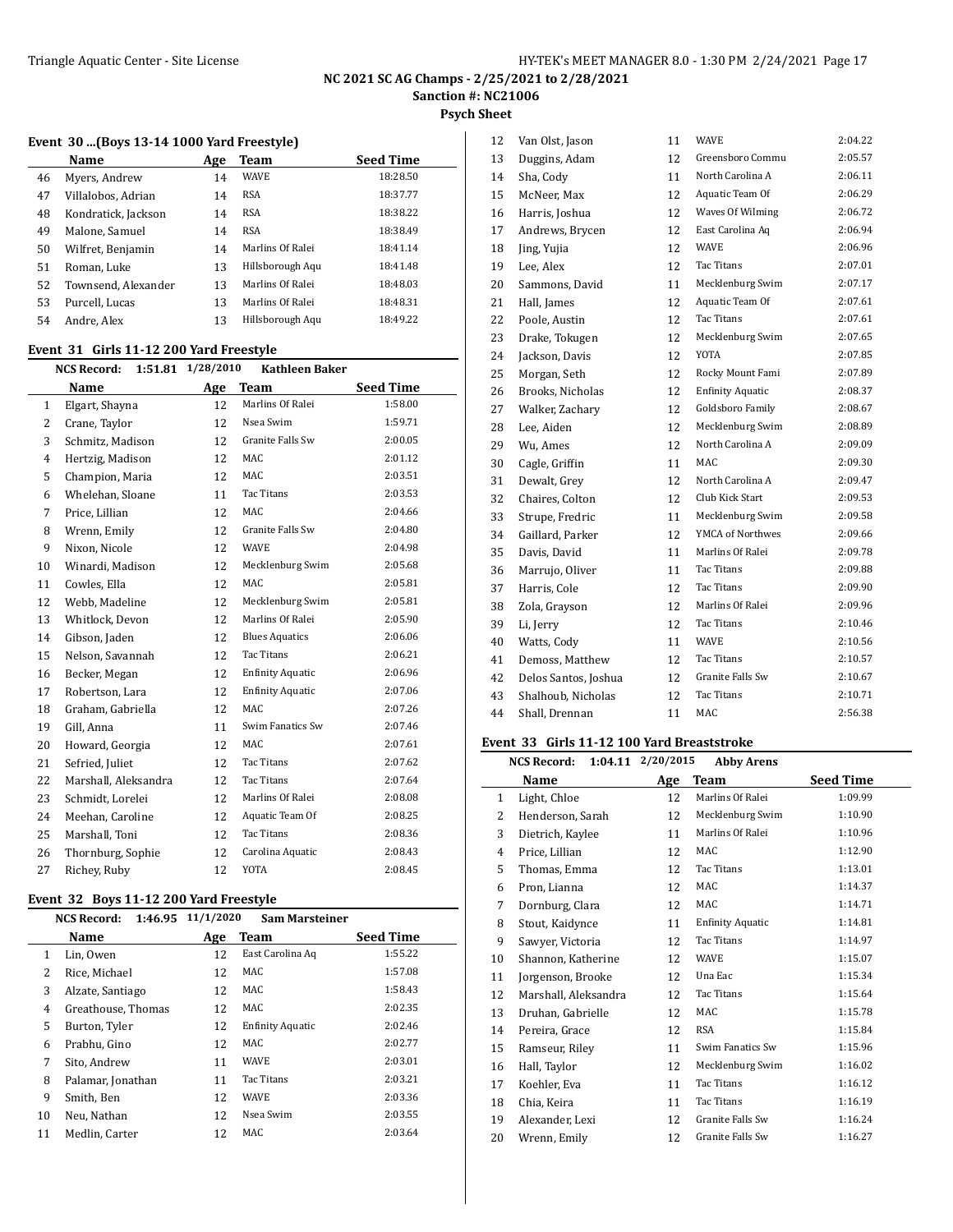**Psych Sheet**

#### **Event 30 ...(Boys 13-14 1000 Yard Freestyle)**

|    | Name                | Age | Team             | <b>Seed Time</b> |
|----|---------------------|-----|------------------|------------------|
| 46 | Myers, Andrew       | 14  | <b>WAVE</b>      | 18:28.50         |
| 47 | Villalobos, Adrian  | 14  | <b>RSA</b>       | 18:37.77         |
| 48 | Kondratick, Jackson | 14  | <b>RSA</b>       | 18:38.22         |
| 49 | Malone, Samuel      | 14  | <b>RSA</b>       | 18:38.49         |
| 50 | Wilfret, Benjamin   | 14  | Marlins Of Ralei | 18:41.14         |
| 51 | Roman, Luke         | 13  | Hillsborough Aqu | 18:41.48         |
| 52 | Townsend, Alexander | 13  | Marlins Of Ralei | 18:48.03         |
| 53 | Purcell, Lucas      | 13  | Marlins Of Ralei | 18:48.31         |
| 54 | Andre, Alex         | 13  | Hillsborough Aqu | 18:49.22         |
|    |                     |     |                  |                  |

#### **Event 31 Girls 11-12 200 Yard Freestyle**

|    | <b>NCS Record:</b><br>1:51.81 | 1/28/2010 | <b>Kathleen Baker</b>   |                  |
|----|-------------------------------|-----------|-------------------------|------------------|
|    | Name                          | Age       | <b>Team</b>             | <b>Seed Time</b> |
| 1  | Elgart, Shayna                | 12        | Marlins Of Ralei        | 1:58.00          |
| 2  | Crane, Taylor                 | 12        | Nsea Swim               | 1:59.71          |
| 3  | Schmitz, Madison              | 12        | Granite Falls Sw        | 2:00.05          |
| 4  | Hertzig, Madison              | 12        | MAC                     | 2:01.12          |
| 5  | Champion, Maria               | 12        | <b>MAC</b>              | 2:03.51          |
| 6  | Whelehan, Sloane              | 11        | Tac Titans              | 2:03.53          |
| 7  | Price, Lillian                | 12        | MAC                     | 2:04.66          |
| 8  | Wrenn, Emily                  | 12        | <b>Granite Falls Sw</b> | 2:04.80          |
| 9  | Nixon, Nicole                 | 12        | <b>WAVE</b>             | 2:04.98          |
| 10 | Winardi, Madison              | 12        | Mecklenburg Swim        | 2:05.68          |
| 11 | Cowles, Ella                  | 12        | MAC                     | 2:05.81          |
| 12 | Webb, Madeline                | 12        | Mecklenburg Swim        | 2:05.81          |
| 13 | Whitlock, Devon               | 12        | Marlins Of Ralei        | 2:05.90          |
| 14 | Gibson, Jaden                 | 12        | <b>Blues Aquatics</b>   | 2:06.06          |
| 15 | Nelson, Savannah              | 12        | <b>Tac Titans</b>       | 2:06.21          |
| 16 | Becker, Megan                 | 12        | <b>Enfinity Aquatic</b> | 2:06.96          |
| 17 | Robertson, Lara               | 12        | <b>Enfinity Aquatic</b> | 2:07.06          |
| 18 | Graham, Gabriella             | 12        | MAC                     | 2:07.26          |
| 19 | Gill, Anna                    | 11        | Swim Fanatics Sw        | 2:07.46          |
| 20 | Howard, Georgia               | 12        | <b>MAC</b>              | 2:07.61          |
| 21 | Sefried, Juliet               | 12        | <b>Tac Titans</b>       | 2:07.62          |
| 22 | Marshall, Aleksandra          | 12        | Tac Titans              | 2:07.64          |
| 23 | Schmidt, Lorelei              | 12        | Marlins Of Ralei        | 2:08.08          |
| 24 | Meehan, Caroline              | 12        | Aquatic Team Of         | 2:08.25          |
| 25 | Marshall, Toni                | 12        | <b>Tac Titans</b>       | 2:08.36          |
| 26 | Thornburg, Sophie             | 12        | Carolina Aquatic        | 2:08.43          |
| 27 | Richey, Ruby                  | 12        | YOTA                    | 2:08.45          |
|    |                               |           |                         |                  |

## **Event 32 Boys 11-12 200 Yard Freestyle**

 $\overline{a}$ 

|    | <b>NCS Record:</b> | 1:46.95 11/1/2020 | <b>Sam Marsteiner</b>   |                  |
|----|--------------------|-------------------|-------------------------|------------------|
|    | Name               | Age               | Team                    | <b>Seed Time</b> |
| 1  | Lin, Owen          | 12                | East Carolina Ag        | 1:55.22          |
| 2  | Rice, Michael      | 12                | MAC                     | 1:57.08          |
| 3  | Alzate, Santiago   | 12                | MAC                     | 1:58.43          |
| 4  | Greathouse, Thomas | 12                | MAC                     | 2:02.35          |
| 5  | Burton, Tyler      | 12                | <b>Enfinity Aquatic</b> | 2:02.46          |
| 6  | Prabhu, Gino       | 12                | MAC                     | 2:02.77          |
| 7  | Sito. Andrew       | 11                | <b>WAVE</b>             | 2:03.01          |
| 8  | Palamar, Jonathan  | 11                | Tac Titans              | 2:03.21          |
| 9  | Smith, Ben         | 12                | <b>WAVE</b>             | 2:03.36          |
| 10 | Neu, Nathan        | 12                | Nsea Swim               | 2:03.55          |
| 11 | Medlin, Carter     | 12                | MAC                     | 2:03.64          |

| 12 | Van Olst, Jason      | 11 | <b>WAVE</b>             | 2:04.22 |
|----|----------------------|----|-------------------------|---------|
| 13 | Duggins, Adam        | 12 | Greensboro Commu        | 2:05.57 |
| 14 | Sha, Cody            | 11 | North Carolina A        | 2:06.11 |
| 15 | McNeer, Max          | 12 | Aquatic Team Of         | 2:06.29 |
| 16 | Harris, Joshua       | 12 | Waves Of Wilming        | 2:06.72 |
| 17 | Andrews, Brycen      | 12 | East Carolina Aq        | 2:06.94 |
| 18 | Jing, Yujia          | 12 | <b>WAVE</b>             | 2:06.96 |
| 19 | Lee, Alex            | 12 | <b>Tac Titans</b>       | 2:07.01 |
| 20 | Sammons, David       | 11 | Mecklenburg Swim        | 2:07.17 |
| 21 | Hall, James          | 12 | Aquatic Team Of         | 2:07.61 |
| 22 | Poole, Austin        | 12 | Tac Titans              | 2:07.61 |
| 23 | Drake, Tokugen       | 12 | Mecklenburg Swim        | 2:07.65 |
| 24 | Jackson, Davis       | 12 | <b>YOTA</b>             | 2:07.85 |
| 25 | Morgan, Seth         | 12 | Rocky Mount Fami        | 2:07.89 |
| 26 | Brooks, Nicholas     | 12 | <b>Enfinity Aquatic</b> | 2:08.37 |
| 27 | Walker, Zachary      | 12 | Goldsboro Family        | 2:08.67 |
| 28 | Lee, Aiden           | 12 | Mecklenburg Swim        | 2:08.89 |
| 29 | Wu, Ames             | 12 | North Carolina A        | 2:09.09 |
| 30 | Cagle, Griffin       | 11 | MAC                     | 2:09.30 |
| 31 | Dewalt, Grey         | 12 | North Carolina A        | 2:09.47 |
| 32 | Chaires, Colton      | 12 | Club Kick Start         | 2:09.53 |
| 33 | Strupe, Fredric      | 11 | Mecklenburg Swim        | 2:09.58 |
| 34 | Gaillard, Parker     | 12 | YMCA of Northwes        | 2:09.66 |
| 35 | Davis, David         | 11 | Marlins Of Ralei        | 2:09.78 |
| 36 | Marrujo, Oliver      | 11 | Tac Titans              | 2:09.88 |
| 37 | Harris, Cole         | 12 | Tac Titans              | 2:09.90 |
| 38 | Zola, Grayson        | 12 | Marlins Of Ralei        | 2:09.96 |
| 39 | Li, Jerry            | 12 | <b>Tac Titans</b>       | 2:10.46 |
| 40 | Watts, Cody          | 11 | <b>WAVE</b>             | 2:10.56 |
| 41 | Demoss, Matthew      | 12 | Tac Titans              | 2:10.57 |
| 42 | Delos Santos, Joshua | 12 | Granite Falls Sw        | 2:10.67 |
| 43 | Shalhoub, Nicholas   | 12 | <b>Tac Titans</b>       | 2:10.71 |
| 44 | Shall, Drennan       | 11 | MAC                     | 2:56.38 |
|    |                      |    |                         |         |

# **Event 33 Girls 11-12 100 Yard Breaststroke**

|    | <b>NCS Record:</b>   | 1:04.11 2/20/2015 | <b>Abby Arens</b>       |                  |
|----|----------------------|-------------------|-------------------------|------------------|
|    | Name                 | Age               | Team                    | <b>Seed Time</b> |
| 1  | Light, Chloe         | 12                | Marlins Of Ralei        | 1:09.99          |
| 2  | Henderson, Sarah     | 12                | Mecklenburg Swim        | 1:10.90          |
| 3  | Dietrich, Kaylee     | 11                | Marlins Of Ralei        | 1:10.96          |
| 4  | Price, Lillian       | 12                | MAC                     | 1:12.90          |
| 5  | Thomas, Emma         | 12                | Tac Titans              | 1:13.01          |
| 6  | Pron, Lianna         | 12                | MAC                     | 1:14.37          |
| 7  | Dornburg, Clara      | 12                | MAC                     | 1:14.71          |
| 8  | Stout, Kaidynce      | 11                | <b>Enfinity Aquatic</b> | 1:14.81          |
| 9  | Sawyer, Victoria     | 12                | <b>Tac Titans</b>       | 1:14.97          |
| 10 | Shannon, Katherine   | 12                | WAVE                    | 1:15.07          |
| 11 | Jorgenson, Brooke    | 12                | Una Eac                 | 1:15.34          |
| 12 | Marshall, Aleksandra | 12                | Tac Titans              | 1:15.64          |
| 13 | Druhan, Gabrielle    | 12                | MAC                     | 1:15.78          |
| 14 | Pereira, Grace       | 12                | <b>RSA</b>              | 1:15.84          |
| 15 | Ramseur, Riley       | 11                | Swim Fanatics Sw        | 1:15.96          |
| 16 | Hall, Taylor         | 12                | Mecklenburg Swim        | 1:16.02          |
| 17 | Koehler, Eva         | 11                | Tac Titans              | 1:16.12          |
| 18 | Chia, Keira          | 11                | Tac Titans              | 1:16.19          |
| 19 | Alexander, Lexi      | 12                | Granite Falls Sw        | 1:16.24          |
| 20 | Wrenn, Emily         | 12                | Granite Falls Sw        | 1:16.27          |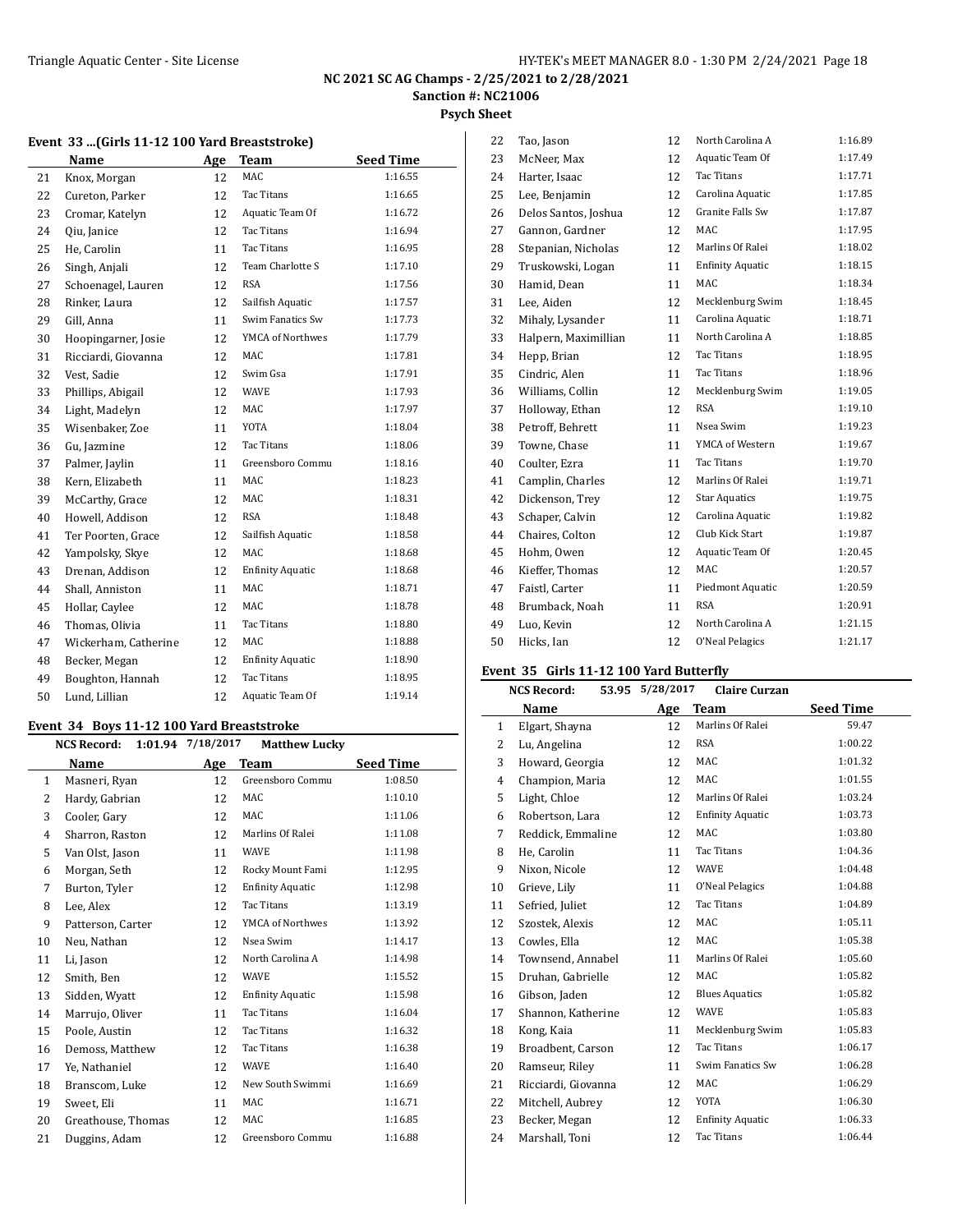#### **Psych Sheet**

|    | Name                 | Age | <b>Team</b>             | <b>Seed Time</b> |
|----|----------------------|-----|-------------------------|------------------|
| 21 | Knox, Morgan         | 12  | MAC.                    | 1:16.55          |
| 22 | Cureton, Parker      | 12  | Tac Titans              | 1:16.65          |
| 23 | Cromar, Katelyn      | 12  | Aquatic Team Of         | 1:16.72          |
| 24 | Oiu, Janice          | 12  | Tac Titans              | 1:16.94          |
| 25 | He, Carolin          | 11  | Tac Titans              | 1:16.95          |
| 26 | Singh, Anjali        | 12  | Team Charlotte S        | 1:17.10          |
| 27 | Schoenagel, Lauren   | 12  | <b>RSA</b>              | 1:17.56          |
| 28 | Rinker. Laura        | 12  | Sailfish Aquatic        | 1:17.57          |
| 29 | Gill, Anna           | 11  | Swim Fanatics Sw        | 1:17.73          |
| 30 | Hoopingarner, Josie  | 12  | YMCA of Northwes        | 1:17.79          |
| 31 | Ricciardi, Giovanna  | 12  | MAC                     | 1:17.81          |
| 32 | Vest, Sadie          | 12  | Swim Gsa                | 1:17.91          |
| 33 | Phillips, Abigail    | 12  | <b>WAVE</b>             | 1:17.93          |
| 34 | Light, Madelyn       | 12  | MAC.                    | 1:17.97          |
| 35 | Wisenbaker, Zoe      | 11  | <b>YOTA</b>             | 1:18.04          |
| 36 | Gu, Jazmine          | 12  | <b>Tac Titans</b>       | 1:18.06          |
| 37 | Palmer, Jaylin       | 11  | Greensboro Commu        | 1:18.16          |
| 38 | Kern, Elizabeth      | 11  | <b>MAC</b>              | 1:18.23          |
| 39 | McCarthy, Grace      | 12  | MAC.                    | 1:18.31          |
| 40 | Howell, Addison      | 12  | <b>RSA</b>              | 1:18.48          |
| 41 | Ter Poorten, Grace   | 12  | Sailfish Aquatic        | 1:18.58          |
| 42 | Yampolsky, Skye      | 12  | MAC                     | 1:18.68          |
| 43 | Drenan, Addison      | 12  | <b>Enfinity Aquatic</b> | 1:18.68          |
| 44 | Shall, Anniston      | 11  | <b>MAC</b>              | 1:18.71          |
| 45 | Hollar, Caylee       | 12  | MAC.                    | 1:18.78          |
| 46 | Thomas, Olivia       | 11  | <b>Tac Titans</b>       | 1:18.80          |
| 47 | Wickerham, Catherine | 12  | <b>MAC</b>              | 1:18.88          |
| 48 | Becker, Megan        | 12  | <b>Enfinity Aquatic</b> | 1:18.90          |
| 49 | Boughton, Hannah     | 12  | <b>Tac Titans</b>       | 1:18.95          |
| 50 | Lund, Lillian        | 12  | Aquatic Team Of         | 1:19.14          |

#### **Event 34 Boys 11-12 100 Yard Breaststroke**

|                | <b>NCS Record:</b> | 1:01.94 7/18/2017 | <b>Matthew Lucky</b>    |                  |
|----------------|--------------------|-------------------|-------------------------|------------------|
|                | Name               | <b>Age</b>        | Team                    | <b>Seed Time</b> |
| $\mathbf{1}$   | Masneri, Ryan      | 12                | Greensboro Commu        | 1:08.50          |
| 2              | Hardy, Gabrian     | 12                | MAC                     | 1:10.10          |
| 3              | Cooler, Gary       | 12                | <b>MAC</b>              | 1:11.06          |
| $\overline{4}$ | Sharron, Raston    | 12                | Marlins Of Ralei        | 1:11.08          |
| 5              | Van Olst, Jason    | 11                | <b>WAVE</b>             | 1:11.98          |
| 6              | Morgan, Seth       | 12                | Rocky Mount Fami        | 1:12.95          |
| 7              | Burton, Tyler      | 12                | <b>Enfinity Aquatic</b> | 1:12.98          |
| 8              | Lee, Alex          | 12                | Tac Titans              | 1:13.19          |
| 9              | Patterson, Carter  | 12                | YMCA of Northwes        | 1:13.92          |
| 10             | Neu, Nathan        | 12                | Nsea Swim               | 1:14.17          |
| 11             | Li, Jason          | 12                | North Carolina A        | 1:14.98          |
| 12             | Smith, Ben         | 12                | <b>WAVE</b>             | 1:15.52          |
| 13             | Sidden, Wyatt      | 12                | <b>Enfinity Aquatic</b> | 1:15.98          |
| 14             | Marrujo, Oliver    | 11                | Tac Titans              | 1:16.04          |
| 15             | Poole, Austin      | 12                | Tac Titans              | 1:16.32          |
| 16             | Demoss, Matthew    | 12                | Tac Titans              | 1:16.38          |
| 17             | Ye, Nathaniel      | 12                | <b>WAVE</b>             | 1:16.40          |
| 18             | Branscom, Luke     | 12                | New South Swimmi        | 1:16.69          |
| 19             | Sweet, Eli         | 11                | MAC                     | 1:16.71          |
| 20             | Greathouse, Thomas | 12                | MAC                     | 1:16.85          |
| 21             | Duggins, Adam      | 12                | Greensboro Commu        | 1:16.88          |

| 22 | Tao, Jason           | 12 | North Carolina A        | 1:16.89 |
|----|----------------------|----|-------------------------|---------|
| 23 | McNeer, Max          | 12 | Aquatic Team Of         | 1:17.49 |
| 24 | Harter, Isaac        | 12 | <b>Tac Titans</b>       | 1:17.71 |
| 25 | Lee, Benjamin        | 12 | Carolina Aquatic        | 1:17.85 |
| 26 | Delos Santos, Joshua | 12 | Granite Falls Sw        | 1:17.87 |
| 27 | Gannon, Gardner      | 12 | MAC                     | 1:17.95 |
| 28 | Stepanian, Nicholas  | 12 | Marlins Of Ralei        | 1:18.02 |
| 29 | Truskowski, Logan    | 11 | <b>Enfinity Aquatic</b> | 1:18.15 |
| 30 | Hamid, Dean          | 11 | <b>MAC</b>              | 1:18.34 |
| 31 | Lee, Aiden           | 12 | Mecklenburg Swim        | 1:18.45 |
| 32 | Mihaly, Lysander     | 11 | Carolina Aquatic        | 1:18.71 |
| 33 | Halpern, Maximillian | 11 | North Carolina A        | 1:18.85 |
| 34 | Hepp, Brian          | 12 | <b>Tac Titans</b>       | 1:18.95 |
| 35 | Cindric, Alen        | 11 | <b>Tac Titans</b>       | 1:18.96 |
| 36 | Williams, Collin     | 12 | Mecklenburg Swim        | 1:19.05 |
| 37 | Holloway, Ethan      | 12 | <b>RSA</b>              | 1:19.10 |
| 38 | Petroff, Behrett     | 11 | Nsea Swim               | 1:19.23 |
| 39 | Towne, Chase         | 11 | YMCA of Western         | 1:19.67 |
| 40 | Coulter, Ezra        | 11 | <b>Tac Titans</b>       | 1:19.70 |
| 41 | Camplin, Charles     | 12 | Marlins Of Ralei        | 1:19.71 |
| 42 | Dickenson, Trev      | 12 | <b>Star Aquatics</b>    | 1:19.75 |
| 43 | Schaper, Calvin      | 12 | Carolina Aquatic        | 1:19.82 |
| 44 | Chaires, Colton      | 12 | Club Kick Start         | 1:19.87 |
| 45 | Hohm, Owen           | 12 | Aquatic Team Of         | 1:20.45 |
| 46 | Kieffer, Thomas      | 12 | <b>MAC</b>              | 1:20.57 |
| 47 | Faistl, Carter       | 11 | Piedmont Aquatic        | 1:20.59 |
| 48 | Brumback, Noah       | 11 | <b>RSA</b>              | 1:20.91 |
| 49 | Luo, Kevin           | 12 | North Carolina A        | 1:21.15 |
| 50 | Hicks, Ian           | 12 | O'Neal Pelagics         | 1:21.17 |
|    |                      |    |                         |         |

#### **Event 35 Girls 11-12 100 Yard Butterfly**

|              | <b>NCS Record:</b>  | 53.95 5/28/2017 | <b>Claire Curzan</b>    |                  |
|--------------|---------------------|-----------------|-------------------------|------------------|
|              | Name                | Age             | Team                    | <b>Seed Time</b> |
| $\mathbf{1}$ | Elgart, Shayna      | 12              | Marlins Of Ralei        | 59.47            |
| 2            | Lu, Angelina        | 12              | <b>RSA</b>              | 1:00.22          |
| 3            | Howard, Georgia     | 12              | MAC                     | 1:01.32          |
| 4            | Champion, Maria     | 12              | MAC                     | 1:01.55          |
| 5            | Light, Chloe        | 12              | Marlins Of Ralei        | 1:03.24          |
| 6            | Robertson, Lara     | 12              | <b>Enfinity Aquatic</b> | 1:03.73          |
| 7            | Reddick, Emmaline   | 12              | MAC                     | 1:03.80          |
| 8            | He, Carolin         | 11              | Tac Titans              | 1:04.36          |
| 9            | Nixon, Nicole       | 12              | <b>WAVE</b>             | 1:04.48          |
| 10           | Grieve, Lily        | 11              | O'Neal Pelagics         | 1:04.88          |
| 11           | Sefried, Juliet     | 12              | <b>Tac Titans</b>       | 1:04.89          |
| 12           | Szostek, Alexis     | 12              | MAC                     | 1:05.11          |
| 13           | Cowles, Ella        | 12              | MAC                     | 1:05.38          |
| 14           | Townsend, Annabel   | 11              | Marlins Of Ralei        | 1:05.60          |
| 15           | Druhan, Gabrielle   | 12              | MAC                     | 1:05.82          |
| 16           | Gibson, Jaden       | 12              | <b>Blues Aquatics</b>   | 1:05.82          |
| 17           | Shannon, Katherine  | 12              | <b>WAVE</b>             | 1:05.83          |
| 18           | Kong, Kaia          | 11              | Mecklenburg Swim        | 1:05.83          |
| 19           | Broadbent, Carson   | 12              | <b>Tac Titans</b>       | 1:06.17          |
| 20           | Ramseur, Riley      | 11              | Swim Fanatics Sw        | 1:06.28          |
| 21           | Ricciardi, Giovanna | 12              | MAC                     | 1:06.29          |
| 22           | Mitchell, Aubrey    | 12              | YOTA                    | 1:06.30          |
| 23           | Becker, Megan       | 12              | <b>Enfinity Aquatic</b> | 1:06.33          |
| 24           | Marshall, Toni      | 12              | <b>Tac Titans</b>       | 1:06.44          |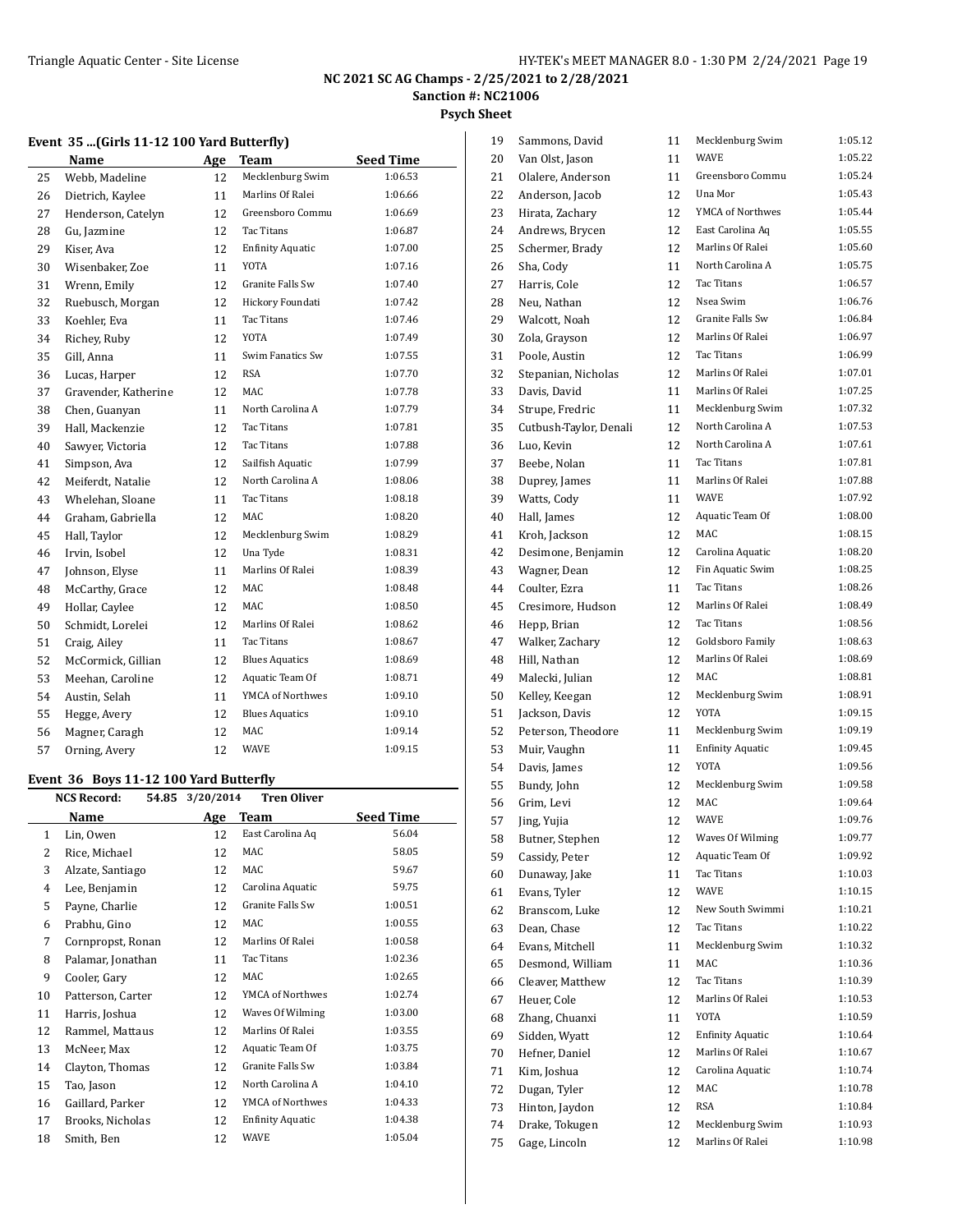**Psych Sheet**

# **Event 35 ...(Girls 11-12 100 Yard Butterfly)**

|    | Name                 | Age | <b>Team</b>             | <b>Seed Time</b> |
|----|----------------------|-----|-------------------------|------------------|
| 25 | Webb, Madeline       | 12  | Mecklenburg Swim        | 1:06.53          |
| 26 | Dietrich, Kaylee     | 11  | Marlins Of Ralei        | 1:06.66          |
| 27 | Henderson, Catelyn   | 12  | Greensboro Commu        | 1:06.69          |
| 28 | Gu, Jazmine          | 12  | Tac Titans              | 1:06.87          |
| 29 | Kiser, Ava           | 12  | <b>Enfinity Aquatic</b> | 1:07.00          |
| 30 | Wisenbaker, Zoe      | 11  | <b>YOTA</b>             | 1:07.16          |
| 31 | Wrenn, Emily         | 12  | Granite Falls Sw        | 1:07.40          |
| 32 | Ruebusch, Morgan     | 12  | Hickory Foundati        | 1:07.42          |
| 33 | Koehler, Eva         | 11  | Tac Titans              | 1:07.46          |
| 34 | Richey, Ruby         | 12  | <b>YOTA</b>             | 1:07.49          |
| 35 | Gill, Anna           | 11  | Swim Fanatics Sw        | 1:07.55          |
| 36 | Lucas, Harper        | 12  | <b>RSA</b>              | 1:07.70          |
| 37 | Gravender, Katherine | 12  | MAC                     | 1:07.78          |
| 38 | Chen, Guanyan        | 11  | North Carolina A        | 1:07.79          |
| 39 | Hall, Mackenzie      | 12  | <b>Tac Titans</b>       | 1:07.81          |
| 40 | Sawyer, Victoria     | 12  | Tac Titans              | 1:07.88          |
| 41 | Simpson, Ava         | 12  | Sailfish Aquatic        | 1:07.99          |
| 42 | Meiferdt, Natalie    | 12  | North Carolina A        | 1:08.06          |
| 43 | Whelehan, Sloane     | 11  | Tac Titans              | 1:08.18          |
| 44 | Graham, Gabriella    | 12  | MAC                     | 1:08.20          |
| 45 | Hall, Taylor         | 12  | Mecklenburg Swim        | 1:08.29          |
| 46 | Irvin, Isobel        | 12  | Una Tyde                | 1:08.31          |
| 47 | Johnson, Elyse       | 11  | Marlins Of Ralei        | 1:08.39          |
| 48 | McCarthy, Grace      | 12  | MAC                     | 1:08.48          |
| 49 | Hollar, Caylee       | 12  | MAC                     | 1:08.50          |
| 50 | Schmidt, Lorelei     | 12  | Marlins Of Ralei        | 1:08.62          |
| 51 | Craig, Ailey         | 11  | Tac Titans              | 1:08.67          |
| 52 | McCormick, Gillian   | 12  | <b>Blues Aquatics</b>   | 1:08.69          |
| 53 | Meehan, Caroline     | 12  | Aquatic Team Of         | 1:08.71          |
| 54 | Austin, Selah        | 11  | YMCA of Northwes        | 1:09.10          |
| 55 | Hegge, Avery         | 12  | <b>Blues Aquatics</b>   | 1:09.10          |
| 56 | Magner, Caragh       | 12  | MAC                     | 1:09.14          |
| 57 | Orning, Avery        | 12  | WAVE                    | 1:09.15          |

#### **Event 36 Boys 11-12 100 Yard Butterfly**

|                | 54.85<br><b>NCS Record:</b> | 3/20/2014 | <b>Tren Oliver</b>      |           |
|----------------|-----------------------------|-----------|-------------------------|-----------|
|                | Name                        | Age       | Team                    | Seed Time |
| $\mathbf{1}$   | Lin, Owen                   | 12        | East Carolina Aq        | 56.04     |
| 2              | Rice, Michael               | 12        | MAC                     | 58.05     |
| 3              | Alzate, Santiago            | 12        | MAC                     | 59.67     |
| $\overline{4}$ | Lee, Benjamin               | 12        | Carolina Aquatic        | 59.75     |
| 5              | Payne, Charlie              | 12        | Granite Falls Sw        | 1:00.51   |
| 6              | Prabhu, Gino                | 12        | MAC                     | 1:00.55   |
| 7              | Cornpropst, Ronan           | 12        | Marlins Of Ralei        | 1:00.58   |
| 8              | Palamar, Jonathan           | 11        | Tac Titans              | 1:02.36   |
| 9              | Cooler, Gary                | 12        | MAC                     | 1:02.65   |
| 10             | Patterson, Carter           | 12        | YMCA of Northwes        | 1:02.74   |
| 11             | Harris, Joshua              | 12        | Waves Of Wilming        | 1:03.00   |
| 12             | Rammel, Mattaus             | 12        | Marlins Of Ralei        | 1:03.55   |
| 13             | McNeer, Max                 | 12        | Aquatic Team Of         | 1:03.75   |
| 14             | Clayton, Thomas             | 12        | Granite Falls Sw        | 1:03.84   |
| 15             | Tao, Jason                  | 12        | North Carolina A        | 1:04.10   |
| 16             | Gaillard, Parker            | 12        | YMCA of Northwes        | 1:04.33   |
| 17             | Brooks, Nicholas            | 12        | <b>Enfinity Aquatic</b> | 1:04.38   |
| 18             | Smith, Ben                  | 12        | <b>WAVE</b>             | 1:05.04   |
|                |                             |           |                         |           |

| 19       | Sammons, David                  | 11       | Mecklenburg Swim                            | 1:05.12            |
|----------|---------------------------------|----------|---------------------------------------------|--------------------|
| 20       | Van Olst, Jason                 | 11       | WAVE                                        | 1:05.22            |
| 21       | Olalere, Anderson               | 11       | Greensboro Commu                            | 1:05.24            |
| 22       | Anderson, Jacob                 | 12       | Una Mor                                     | 1:05.43            |
| 23       | Hirata, Zachary                 | 12       | YMCA of Northwes                            | 1:05.44            |
| 24       | Andrews, Brycen                 | 12       | East Carolina Aq                            | 1:05.55            |
| 25       | Schermer, Brady                 | 12       | Marlins Of Ralei                            | 1:05.60            |
| 26       | Sha, Cody                       | 11       | North Carolina A                            | 1:05.75            |
| 27       | Harris, Cole                    | 12       | <b>Tac Titans</b>                           | 1:06.57            |
| 28       | Neu, Nathan                     | 12       | Nsea Swim                                   | 1:06.76            |
| 29       | Walcott, Noah                   | 12       | <b>Granite Falls Sw</b>                     | 1:06.84            |
| 30       | Zola, Grayson                   | 12       | Marlins Of Ralei                            | 1:06.97            |
| 31       | Poole, Austin                   | 12       | Tac Titans                                  | 1:06.99            |
| 32       | Stepanian, Nicholas             | 12       | Marlins Of Ralei                            | 1:07.01            |
| 33       | Davis, David                    | 11       | Marlins Of Ralei                            | 1:07.25            |
| 34       | Strupe, Fredric                 | 11       | Mecklenburg Swim                            | 1:07.32            |
| 35       | Cutbush-Taylor, Denali          | 12       | North Carolina A                            | 1:07.53            |
| 36       | Luo, Kevin                      | 12       | North Carolina A                            | 1:07.61            |
| 37       | Beebe, Nolan                    | 11       | Tac Titans                                  | 1:07.81            |
| 38       | Duprey, James                   | 11       | Marlins Of Ralei                            | 1:07.88            |
| 39       | Watts, Cody                     | 11       | <b>WAVE</b>                                 | 1:07.92            |
| 40       | Hall, James                     | 12       | Aquatic Team Of                             | 1:08.00            |
| 41       | Kroh, Jackson                   | 12       | MAC                                         | 1:08.15            |
| 42       | Desimone, Benjamin              | 12       | Carolina Aquatic                            | 1:08.20            |
| 43       | Wagner, Dean                    | 12       | Fin Aquatic Swim                            | 1:08.25            |
| 44       | Coulter, Ezra                   | 11       | Tac Titans                                  | 1:08.26            |
| 45       | Cresimore, Hudson               | 12       | Marlins Of Ralei                            | 1:08.49            |
| 46       | Hepp, Brian                     | 12       | Tac Titans                                  | 1:08.56            |
| 47       | Walker, Zachary                 | 12       | Goldsboro Family                            | 1:08.63            |
| 48       | Hill, Nathan                    | 12       | Marlins Of Ralei                            | 1:08.69            |
| 49       | Malecki, Julian                 | 12       | MAC                                         | 1:08.81            |
| 50       | Kelley, Keegan                  | 12       | Mecklenburg Swim                            | 1:08.91            |
| 51       | Jackson, Davis                  | 12       | YOTA                                        | 1:09.15            |
| 52       | Peterson, Theodore              | 11       | Mecklenburg Swim                            | 1:09.19            |
| 53       | Muir, Vaughn                    | 11       | <b>Enfinity Aquatic</b>                     | 1:09.45            |
| 54       | Davis, James                    | 12       | YOTA                                        | 1:09.56            |
| 55       | Bundy, John                     | 12       | Mecklenburg Swim                            | 1:09.58            |
| 56       | Grim, Levi                      | 12       | <b>MAC</b>                                  | 1:09.64            |
| 57       | Jing, Yujia                     | 12       | <b>WAVE</b>                                 | 1:09.76            |
| 58       | Butner, Stephen                 | 12       | Waves Of Wilming                            | 1:09.77            |
| 59       | Cassidy, Peter                  | 12       | Aquatic Team Of                             | 1:09.92            |
| 60       | Dunaway, Jake                   | 11       | Tac Titans                                  | 1:10.03            |
| 61       | Evans, Tyler                    | 12       | <b>WAVE</b>                                 | 1:10.15            |
| 62       | Branscom, Luke                  | 12       | New South Swimmi                            | 1:10.21            |
| 63       | Dean, Chase                     | 12       | Tac Titans                                  | 1:10.22            |
| 64       | Evans, Mitchell                 | 11       | Mecklenburg Swim                            | 1:10.32            |
| 65       | Desmond, William                | 11       | MAC                                         | 1:10.36            |
| 66       | Cleaver, Matthew                | 12       | Tac Titans<br>Marlins Of Ralei              | 1:10.39<br>1:10.53 |
| 67       | Heuer, Cole                     | 12       | <b>YOTA</b>                                 | 1:10.59            |
| 68       | Zhang, Chuanxi                  | 11       |                                             | 1:10.64            |
| 69<br>70 | Sidden, Wyatt<br>Hefner, Daniel | 12<br>12 | <b>Enfinity Aquatic</b><br>Marlins Of Ralei | 1:10.67            |
| 71       | Kim, Joshua                     | 12       | Carolina Aquatic                            | 1:10.74            |
| 72       | Dugan, Tyler                    | 12       | MAC                                         | 1:10.78            |
| 73       | Hinton, Jaydon                  | 12       | <b>RSA</b>                                  | 1:10.84            |
| 74       | Drake, Tokugen                  | 12       | Mecklenburg Swim                            | 1:10.93            |
| 75       | Gage, Lincoln                   | 12       | Marlins Of Ralei                            | 1:10.98            |
|          |                                 |          |                                             |                    |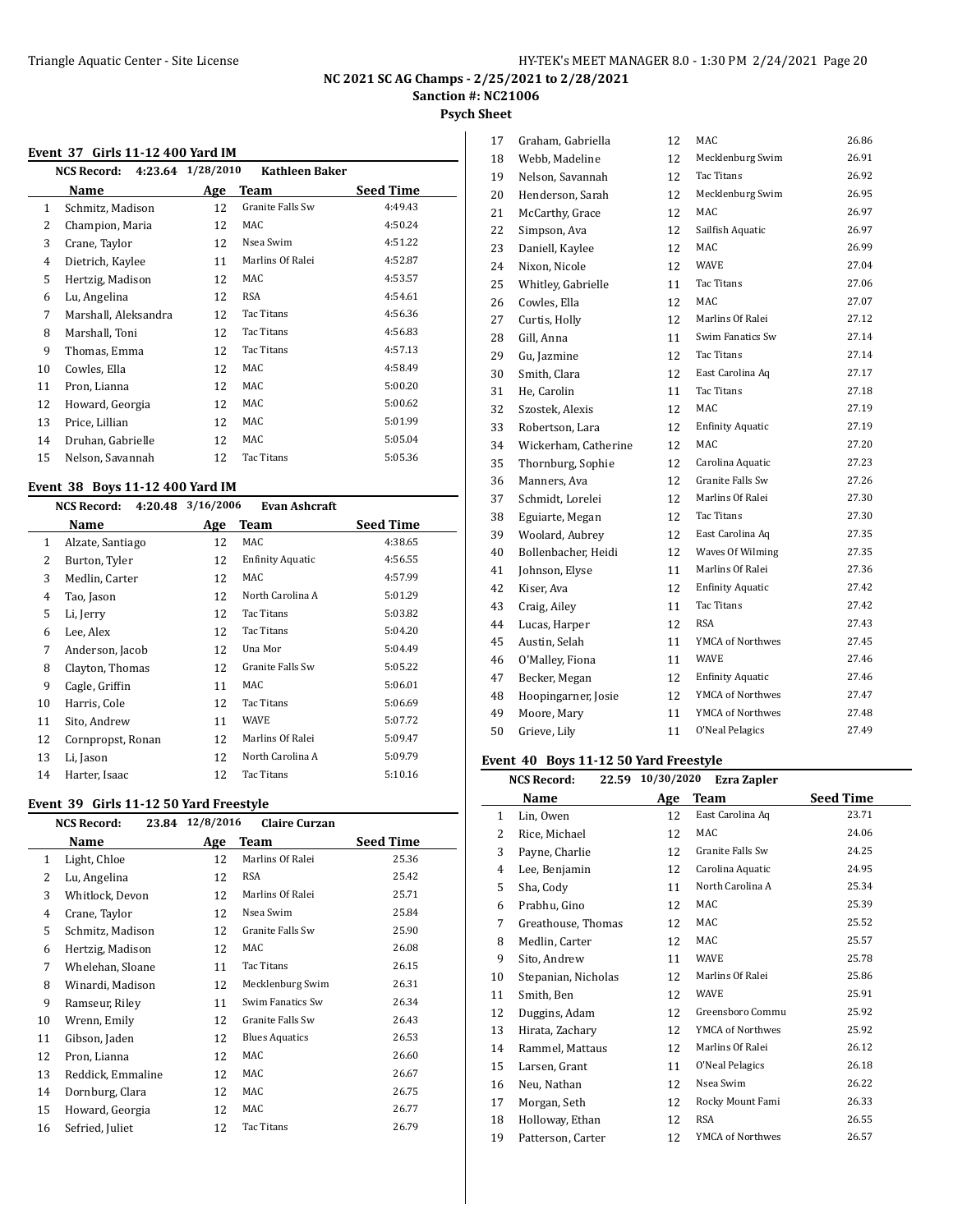# **Psych Sheet**

#### **Event 37 Girls 11-12 400 Yard IM**

|    | <b>NCS Record:</b>   | 4:23.64 1/28/2010 | <b>Kathleen Baker</b> |                  |
|----|----------------------|-------------------|-----------------------|------------------|
|    | Name                 | Age               | Team                  | <b>Seed Time</b> |
| 1  | Schmitz, Madison     | 12                | Granite Falls Sw      | 4:49.43          |
| 2  | Champion, Maria      | 12                | MAC                   | 4:50.24          |
| 3  | Crane, Taylor        | 12                | Nsea Swim             | 4:51.22          |
| 4  | Dietrich, Kaylee     | 11                | Marlins Of Ralei      | 4:52.87          |
| 5  | Hertzig, Madison     | 12                | MAC                   | 4:53.57          |
| 6  | Lu, Angelina         | 12                | RSA                   | 4:54.61          |
| 7  | Marshall, Aleksandra | 12                | Tac Titans            | 4:56.36          |
| 8  | Marshall, Toni       | 12                | Tac Titans            | 4:56.83          |
| 9  | Thomas, Emma         | 12                | Tac Titans            | 4:57.13          |
| 10 | Cowles, Ella         | 12                | MAC                   | 4:58.49          |
| 11 | Pron, Lianna         | 12                | MAC                   | 5:00.20          |
| 12 | Howard, Georgia      | 12                | MAC                   | 5:00.62          |
| 13 | Price, Lillian       | 12                | MAC                   | 5:01.99          |
| 14 | Druhan, Gabrielle    | 12                | MAC                   | 5:05.04          |
| 15 | Nelson, Savannah     | 12                | Tac Titans            | 5:05.36          |
|    |                      |                   |                       |                  |

#### **Event 38 Boys 11-12 400 Yard IM**

#### **NCS Record: 4:20.48 3/16/2006 Evan Ashcraft**

|    | Name              | Age | Team                    | <b>Seed Time</b> |
|----|-------------------|-----|-------------------------|------------------|
| 1  | Alzate, Santiago  | 12  | MAC                     | 4:38.65          |
| 2  | Burton, Tyler     | 12  | <b>Enfinity Aquatic</b> | 4:56.55          |
| 3  | Medlin, Carter    | 12  | MAC                     | 4:57.99          |
| 4  | Tao, Jason        | 12  | North Carolina A        | 5:01.29          |
| 5  | Li, Jerry         | 12  | Tac Titans              | 5:03.82          |
| 6  | Lee, Alex         | 12  | Tac Titans              | 5:04.20          |
| 7  | Anderson, Jacob   | 12  | Una Mor                 | 5:04.49          |
| 8  | Clayton, Thomas   | 12  | Granite Falls Sw        | 5:05.22          |
| 9  | Cagle, Griffin    | 11  | MAC                     | 5:06.01          |
| 10 | Harris, Cole      | 12  | Tac Titans              | 5:06.69          |
| 11 | Sito, Andrew      | 11  | <b>WAVE</b>             | 5:07.72          |
| 12 | Cornpropst, Ronan | 12  | Marlins Of Ralei        | 5:09.47          |
| 13 | Li, Jason         | 12  | North Carolina A        | 5:09.79          |
| 14 | Harter, Isaac     | 12  | Tac Titans              | 5:10.16          |

#### **Event 39 Girls 11-12 50 Yard Freestyle**

|    | <b>NCS Record:</b> | 23.84 12/8/2016 | <b>Claire Curzan</b>  |                  |
|----|--------------------|-----------------|-----------------------|------------------|
|    | Name               | Age             | Team                  | <b>Seed Time</b> |
| 1  | Light, Chloe       | 12              | Marlins Of Ralei      | 25.36            |
| 2  | Lu, Angelina       | 12              | <b>RSA</b>            | 25.42            |
| 3  | Whitlock, Devon    | 12              | Marlins Of Ralei      | 25.71            |
| 4  | Crane, Taylor      | 12              | Nsea Swim             | 25.84            |
| 5  | Schmitz, Madison   | 12              | Granite Falls Sw      | 25.90            |
| 6  | Hertzig, Madison   | 12              | MAC                   | 26.08            |
| 7  | Whelehan, Sloane   | 11              | Tac Titans            | 26.15            |
| 8  | Winardi, Madison   | 12              | Mecklenburg Swim      | 26.31            |
| 9  | Ramseur, Riley     | 11              | Swim Fanatics Sw      | 26.34            |
| 10 | Wrenn, Emily       | 12              | Granite Falls Sw      | 26.43            |
| 11 | Gibson, Jaden      | 12              | <b>Blues Aquatics</b> | 26.53            |
| 12 | Pron, Lianna       | 12              | MAC                   | 26.60            |
| 13 | Reddick, Emmaline  | 12              | MAC                   | 26.67            |
| 14 | Dornburg, Clara    | 12              | MAC                   | 26.75            |
| 15 | Howard, Georgia    | 12              | MAC                   | 26.77            |
| 16 | Sefried, Juliet    | 12              | Tac Titans            | 26.79            |
|    |                    |                 |                       |                  |

| 17 | Graham, Gabriella    | 12 | MAC                     | 26.86 |
|----|----------------------|----|-------------------------|-------|
| 18 | Webb, Madeline       | 12 | Mecklenburg Swim        | 26.91 |
| 19 | Nelson, Savannah     | 12 | Tac Titans              | 26.92 |
| 20 | Henderson, Sarah     | 12 | Mecklenburg Swim        | 26.95 |
| 21 | McCarthy, Grace      | 12 | MAC                     | 26.97 |
| 22 | Simpson, Ava         | 12 | Sailfish Aquatic        | 26.97 |
| 23 | Daniell, Kaylee      | 12 | MAC                     | 26.99 |
| 24 | Nixon, Nicole        | 12 | <b>WAVE</b>             | 27.04 |
| 25 | Whitley, Gabrielle   | 11 | Tac Titans              | 27.06 |
| 26 | Cowles, Ella         | 12 | MAC                     | 27.07 |
| 27 | Curtis, Holly        | 12 | Marlins Of Ralei        | 27.12 |
| 28 | Gill, Anna           | 11 | Swim Fanatics Sw        | 27.14 |
| 29 | Gu, Jazmine          | 12 | Tac Titans              | 27.14 |
| 30 | Smith, Clara         | 12 | East Carolina Aq        | 27.17 |
| 31 | He, Carolin          | 11 | <b>Tac Titans</b>       | 27.18 |
| 32 | Szostek, Alexis      | 12 | MAC                     | 27.19 |
| 33 | Robertson, Lara      | 12 | <b>Enfinity Aquatic</b> | 27.19 |
| 34 | Wickerham, Catherine | 12 | MAC                     | 27.20 |
| 35 | Thornburg, Sophie    | 12 | Carolina Aquatic        | 27.23 |
| 36 | Manners, Ava         | 12 | Granite Falls Sw        | 27.26 |
| 37 | Schmidt, Lorelei     | 12 | Marlins Of Ralei        | 27.30 |
| 38 | Eguiarte, Megan      | 12 | Tac Titans              | 27.30 |
| 39 | Woolard, Aubrey      | 12 | East Carolina Aq        | 27.35 |
| 40 | Bollenbacher, Heidi  | 12 | Waves Of Wilming        | 27.35 |
| 41 | Johnson, Elyse       | 11 | Marlins Of Ralei        | 27.36 |
| 42 | Kiser, Ava           | 12 | <b>Enfinity Aquatic</b> | 27.42 |
| 43 | Craig, Ailey         | 11 | Tac Titans              | 27.42 |
| 44 | Lucas, Harper        | 12 | <b>RSA</b>              | 27.43 |
| 45 | Austin, Selah        | 11 | YMCA of Northwes        | 27.45 |
| 46 | O'Malley, Fiona      | 11 | <b>WAVE</b>             | 27.46 |
| 47 | Becker, Megan        | 12 | <b>Enfinity Aquatic</b> | 27.46 |
| 48 | Hoopingarner, Josie  | 12 | YMCA of Northwes        | 27.47 |
| 49 | Moore, Mary          | 11 | YMCA of Northwes        | 27.48 |
| 50 | Grieve, Lily         | 11 | <b>O'Neal Pelagics</b>  | 27.49 |

#### **Event 40 Boys 11-12 50 Yard Freestyle**

|    | <b>NCS Record:</b><br>22.59 | 10/30/2020 | Ezra Zapler      |                  |
|----|-----------------------------|------------|------------------|------------------|
|    | Name                        | <b>Age</b> | Team             | <b>Seed Time</b> |
| 1  | Lin, Owen                   | 12         | East Carolina Aq | 23.71            |
| 2  | Rice, Michael               | 12         | MAC              | 24.06            |
| 3  | Payne, Charlie              | 12         | Granite Falls Sw | 24.25            |
| 4  | Lee, Benjamin               | 12         | Carolina Aquatic | 24.95            |
| 5  | Sha, Cody                   | 11         | North Carolina A | 25.34            |
| 6  | Prabhu, Gino                | 12         | MAC              | 25.39            |
| 7  | Greathouse, Thomas          | 12         | MAC              | 25.52            |
| 8  | Medlin, Carter              | 12         | MAC              | 25.57            |
| 9  | Sito, Andrew                | 11         | <b>WAVE</b>      | 25.78            |
| 10 | Stepanian, Nicholas         | 12         | Marlins Of Ralei | 25.86            |
| 11 | Smith, Ben                  | 12         | <b>WAVE</b>      | 25.91            |
| 12 | Duggins, Adam               | 12         | Greensboro Commu | 25.92            |
| 13 | Hirata, Zachary             | 12         | YMCA of Northwes | 25.92            |
| 14 | Rammel, Mattaus             | 12         | Marlins Of Ralei | 26.12            |
| 15 | Larsen, Grant               | 11         | O'Neal Pelagics  | 26.18            |
| 16 | Neu, Nathan                 | 12         | Nsea Swim        | 26.22            |
| 17 | Morgan, Seth                | 12         | Rocky Mount Fami | 26.33            |
| 18 | Holloway, Ethan             | 12         | <b>RSA</b>       | 26.55            |
| 19 | Patterson, Carter           | 12         | YMCA of Northwes | 26.57            |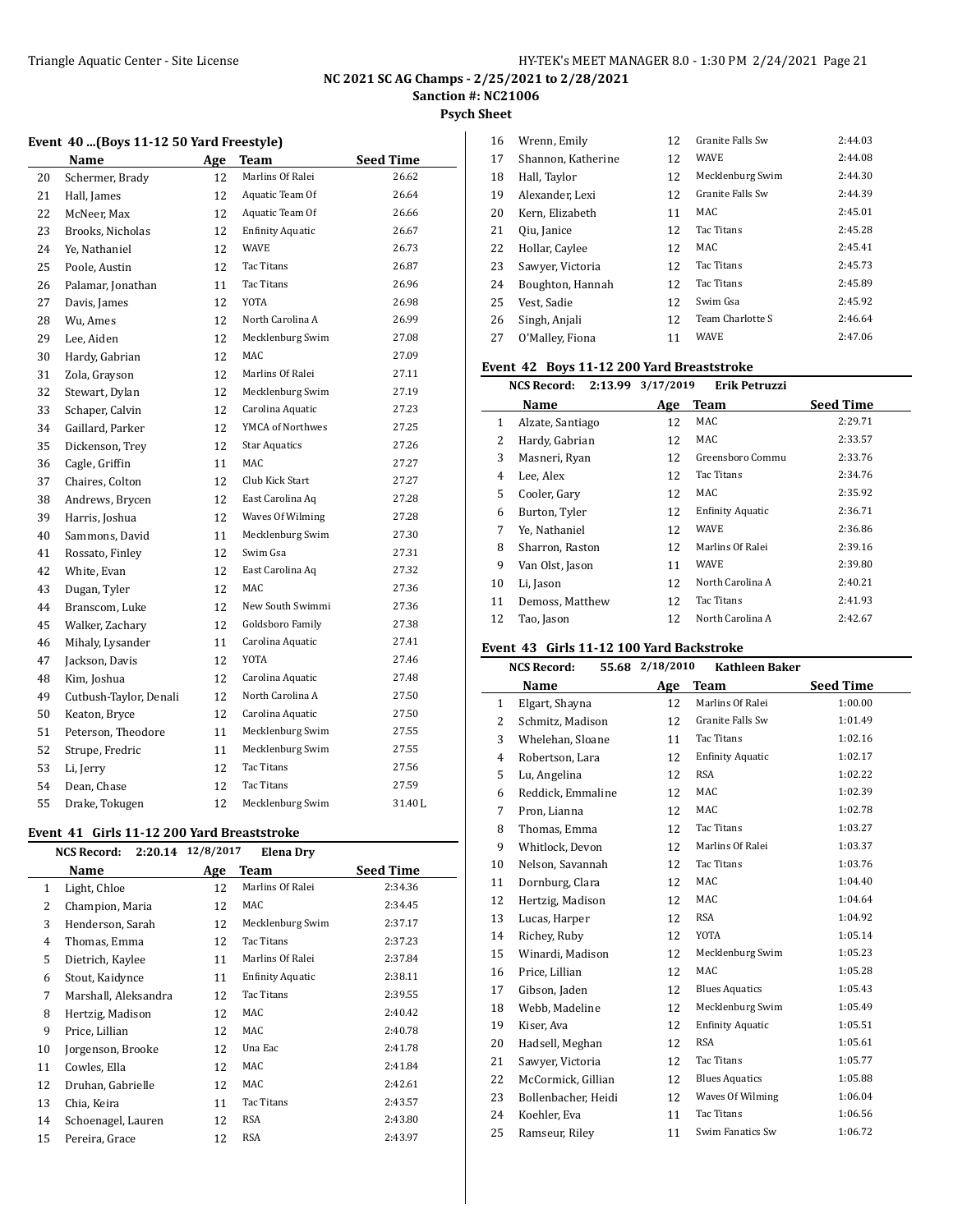**Psych Sheet**

#### **Event 40 ...(Boys 11-12 50 Yard Freestyle)**

|    | Name                   | Age | Team                    | <b>Seed Time</b> |
|----|------------------------|-----|-------------------------|------------------|
| 20 | Schermer, Brady        | 12  | Marlins Of Ralei        | 26.62            |
| 21 | Hall, James            | 12  | Aquatic Team Of         | 26.64            |
| 22 | McNeer, Max            | 12  | Aquatic Team Of         | 26.66            |
| 23 | Brooks, Nicholas       | 12  | <b>Enfinity Aquatic</b> | 26.67            |
| 24 | Ye, Nathaniel          | 12  | <b>WAVE</b>             | 26.73            |
| 25 | Poole, Austin          | 12  | Tac Titans              | 26.87            |
| 26 | Palamar, Jonathan      | 11  | Tac Titans              | 26.96            |
| 27 | Davis, James           | 12  | YOTA                    | 26.98            |
| 28 | Wu, Ames               | 12  | North Carolina A        | 26.99            |
| 29 | Lee, Aiden             | 12  | Mecklenburg Swim        | 27.08            |
| 30 | Hardy, Gabrian         | 12  | <b>MAC</b>              | 27.09            |
| 31 | Zola, Grayson          | 12  | Marlins Of Ralei        | 27.11            |
| 32 | Stewart, Dylan         | 12  | Mecklenburg Swim        | 27.19            |
| 33 | Schaper, Calvin        | 12  | Carolina Aquatic        | 27.23            |
| 34 | Gaillard, Parker       | 12  | <b>YMCA of Northwes</b> | 27.25            |
| 35 | Dickenson, Trey        | 12  | <b>Star Aquatics</b>    | 27.26            |
| 36 | Cagle, Griffin         | 11  | MAC                     | 27.27            |
| 37 | Chaires, Colton        | 12  | Club Kick Start         | 27.27            |
| 38 | Andrews, Brycen        | 12  | East Carolina Aq        | 27.28            |
| 39 | Harris, Joshua         | 12  | Waves Of Wilming        | 27.28            |
| 40 | Sammons, David         | 11  | Mecklenburg Swim        | 27.30            |
| 41 | Rossato, Finley        | 12  | Swim Gsa                | 27.31            |
| 42 | White, Evan            | 12  | East Carolina Aq        | 27.32            |
| 43 | Dugan, Tyler           | 12  | <b>MAC</b>              | 27.36            |
| 44 | Branscom, Luke         | 12  | New South Swimmi        | 27.36            |
| 45 | Walker, Zachary        | 12  | Goldsboro Family        | 27.38            |
| 46 | Mihaly, Lysander       | 11  | Carolina Aquatic        | 27.41            |
| 47 | Jackson, Davis         | 12  | YOTA                    | 27.46            |
| 48 | Kim, Joshua            | 12  | Carolina Aquatic        | 27.48            |
| 49 | Cutbush-Taylor, Denali | 12  | North Carolina A        | 27.50            |
| 50 | Keaton, Bryce          | 12  | Carolina Aquatic        | 27.50            |
| 51 | Peterson, Theodore     | 11  | Mecklenburg Swim        | 27.55            |
| 52 | Strupe, Fredric        | 11  | Mecklenburg Swim        | 27.55            |
| 53 | Li, Jerry              | 12  | Tac Titans              | 27.56            |
| 54 | Dean, Chase            | 12  | Tac Titans              | 27.59            |
| 55 | Drake, Tokugen         | 12  | Mecklenburg Swim        | 31.40 L          |

#### **Event 41 Girls 11-12 200 Yard Breaststroke**

L

|                | 2:20.14 12/8/2017<br><b>NCS Record:</b> |     | <b>Elena Drv</b>        |                  |
|----------------|-----------------------------------------|-----|-------------------------|------------------|
|                | Name                                    | Age | Team                    | <b>Seed Time</b> |
| $\mathbf{1}$   | Light, Chloe                            | 12  | Marlins Of Ralei        | 2:34.36          |
| 2              | Champion, Maria                         | 12  | MAC                     | 2:34.45          |
| 3              | Henderson, Sarah                        | 12  | Mecklenburg Swim        | 2:37.17          |
| $\overline{4}$ | Thomas, Emma                            | 12  | Tac Titans              | 2:37.23          |
| 5              | Dietrich, Kaylee                        | 11  | Marlins Of Ralei        | 2:37.84          |
| 6              | Stout, Kaidynce                         | 11  | <b>Enfinity Aquatic</b> | 2:38.11          |
| 7              | Marshall, Aleksandra                    | 12  | Tac Titans              | 2:39.55          |
| 8              | Hertzig, Madison                        | 12  | MAC                     | 2:40.42          |
| 9              | Price, Lillian                          | 12  | MAC                     | 2:40.78          |
| 10             | Jorgenson, Brooke                       | 12  | Una Eac                 | 2:41.78          |
| 11             | Cowles, Ella                            | 12  | MAC                     | 2:41.84          |
| 12             | Druhan, Gabrielle                       | 12  | MAC                     | 2:42.61          |
| 13             | Chia, Keira                             | 11  | Tac Titans              | 2:43.57          |
| 14             | Schoenagel, Lauren                      | 12  | <b>RSA</b>              | 2:43.80          |
| 15             | Pereira, Grace                          | 12  | RSA                     | 2:43.97          |
|                |                                         |     |                         |                  |

| 16 | Wrenn, Emily       | 12 | <b>Granite Falls Sw</b> | 2:44.03 |
|----|--------------------|----|-------------------------|---------|
| 17 | Shannon, Katherine | 12 | <b>WAVE</b>             | 2:44.08 |
| 18 | Hall, Taylor       | 12 | Mecklenburg Swim        | 2:44.30 |
| 19 | Alexander, Lexi    | 12 | Granite Falls Sw        | 2:44.39 |
| 20 | Kern, Elizabeth    | 11 | MAC                     | 2:45.01 |
| 21 | Qiu, Janice        | 12 | Tac Titans              | 2:45.28 |
| 22 | Hollar, Caylee     | 12 | MAC                     | 2:45.41 |
| 23 | Sawyer, Victoria   | 12 | Tac Titans              | 2:45.73 |
| 24 | Boughton, Hannah   | 12 | Tac Titans              | 2:45.89 |
| 25 | Vest. Sadie        | 12 | Swim Gsa                | 2:45.92 |
| 26 | Singh, Anjali      | 12 | Team Charlotte S        | 2:46.64 |
| 27 | O'Malley, Fiona    | 11 | <b>WAVE</b>             | 2:47.06 |

#### **Event 42 Boys 11-12 200 Yard Breaststroke**

|    | 2:13.99<br><b>NCS Record:</b> | 3/17/2019 | Erik Petruzzi           |                  |
|----|-------------------------------|-----------|-------------------------|------------------|
|    | Name                          | Age       | <b>Team</b>             | <b>Seed Time</b> |
| 1  | Alzate, Santiago              | 12        | MAC                     | 2:29.71          |
| 2  | Hardy, Gabrian                | 12        | MAC                     | 2:33.57          |
| 3  | Masneri, Ryan                 | 12        | Greensboro Commu        | 2:33.76          |
| 4  | Lee, Alex                     | 12        | Tac Titans              | 2:34.76          |
| 5  | Cooler, Gary                  | 12        | MAC                     | 2:35.92          |
| 6  | Burton, Tyler                 | 12        | <b>Enfinity Aquatic</b> | 2:36.71          |
| 7  | Ye. Nathaniel                 | 12        | <b>WAVE</b>             | 2:36.86          |
| 8  | Sharron, Raston               | 12        | Marlins Of Ralei        | 2:39.16          |
| 9  | Van Olst, Jason               | 11        | <b>WAVE</b>             | 2:39.80          |
| 10 | Li, Jason                     | 12        | North Carolina A        | 2:40.21          |
| 11 | Demoss, Matthew               | 12        | Tac Titans              | 2:41.93          |
| 12 | Tao, Jason                    | 12        | North Carolina A        | 2:42.67          |

#### **Event 43 Girls 11-12 100 Yard Backstroke**

|    | <b>NCS Record:</b>  | 55.68 2/18/2010 | <b>Kathleen Baker</b>   |                  |
|----|---------------------|-----------------|-------------------------|------------------|
|    | Name                | Age             | Team                    | <b>Seed Time</b> |
| 1  | Elgart, Shayna      | 12              | Marlins Of Ralei        | 1:00.00          |
| 2  | Schmitz, Madison    | 12              | Granite Falls Sw        | 1:01.49          |
| 3  | Whelehan, Sloane    | 11              | <b>Tac Titans</b>       | 1:02.16          |
| 4  | Robertson, Lara     | 12              | <b>Enfinity Aquatic</b> | 1:02.17          |
| 5  | Lu, Angelina        | 12              | <b>RSA</b>              | 1:02.22          |
| 6  | Reddick, Emmaline   | 12              | MAC                     | 1:02.39          |
| 7  | Pron, Lianna        | 12              | MAC                     | 1:02.78          |
| 8  | Thomas, Emma        | 12              | <b>Tac Titans</b>       | 1:03.27          |
| 9  | Whitlock, Devon     | 12              | Marlins Of Ralei        | 1:03.37          |
| 10 | Nelson, Savannah    | 12              | Tac Titans              | 1:03.76          |
| 11 | Dornburg, Clara     | 12              | MAC                     | 1:04.40          |
| 12 | Hertzig, Madison    | 12              | MAC                     | 1:04.64          |
| 13 | Lucas, Harper       | 12              | <b>RSA</b>              | 1:04.92          |
| 14 | Richey, Ruby        | 12              | <b>YOTA</b>             | 1:05.14          |
| 15 | Winardi, Madison    | 12              | Mecklenburg Swim        | 1:05.23          |
| 16 | Price, Lillian      | 12              | MAC                     | 1:05.28          |
| 17 | Gibson, Jaden       | 12              | <b>Blues Aquatics</b>   | 1:05.43          |
| 18 | Webb, Madeline      | 12              | Mecklenburg Swim        | 1:05.49          |
| 19 | Kiser, Ava          | 12              | <b>Enfinity Aquatic</b> | 1:05.51          |
| 20 | Hadsell, Meghan     | 12              | <b>RSA</b>              | 1:05.61          |
| 21 | Sawyer, Victoria    | 12              | Tac Titans              | 1:05.77          |
| 22 | McCormick, Gillian  | 12              | <b>Blues Aquatics</b>   | 1:05.88          |
| 23 | Bollenbacher, Heidi | 12              | Waves Of Wilming        | 1:06.04          |
| 24 | Koehler, Eva        | 11              | <b>Tac Titans</b>       | 1:06.56          |
| 25 | Ramseur, Riley      | 11              | Swim Fanatics Sw        | 1:06.72          |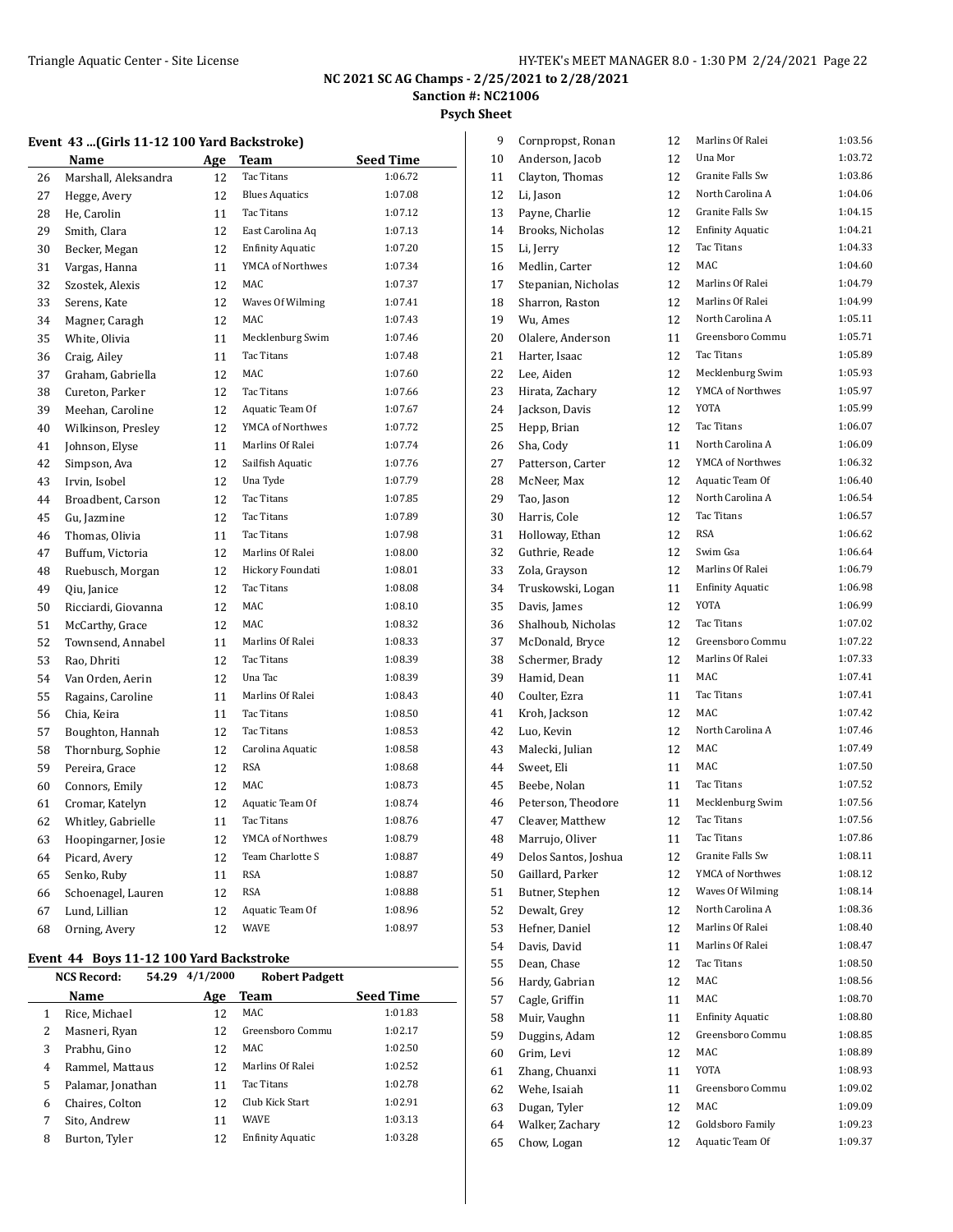**Psych Sheet**

|          | Name                                    | Age      | Team                    | <b>Seed Time</b> |
|----------|-----------------------------------------|----------|-------------------------|------------------|
| 26       | Marshall, Aleksandra                    | 12       | Tac Titans              | 1:06.72          |
| 27       | Hegge, Avery                            | 12       | <b>Blues Aquatics</b>   | 1:07.08          |
| 28       | He, Carolin                             | 11       | Tac Titans              | 1:07.12          |
| 29       | Smith, Clara                            | 12       | East Carolina Aq        | 1:07.13          |
| 30       | Becker, Megan                           | 12       | <b>Enfinity Aquatic</b> | 1:07.20          |
| 31       | Vargas, Hanna                           | 11       | YMCA of Northwes        | 1:07.34          |
| 32       | Szostek, Alexis                         | 12       | MAC                     | 1:07.37          |
| 33       | Serens, Kate                            | 12       | Waves Of Wilming        | 1:07.41          |
| 34       | Magner, Caragh                          | 12       | MAC                     | 1:07.43          |
| 35       | White, Olivia                           | 11       | Mecklenburg Swim        | 1:07.46          |
| 36       | Craig, Ailey                            | 11       | Tac Titans              | 1:07.48          |
| 37       | Graham, Gabriella                       | 12       | MAC                     | 1:07.60          |
| 38       | Cureton, Parker                         | 12       | Tac Titans              | 1:07.66          |
| 39       | Meehan, Caroline                        | 12       | Aquatic Team Of         | 1:07.67          |
| 40       | Wilkinson, Presley                      | 12       | YMCA of Northwes        | 1:07.72          |
| 41       | Johnson, Elyse                          | 11       | Marlins Of Ralei        | 1:07.74          |
| 42       | Simpson, Ava                            | 12       | Sailfish Aquatic        | 1:07.76          |
| 43       | Irvin, Isobel                           | 12       | Una Tyde                | 1:07.79          |
| 44       | Broadbent, Carson                       | 12       | Tac Titans              | 1:07.85          |
| 45       | Gu, Jazmine                             | 12       | Tac Titans              | 1:07.89          |
| 46       | Thomas, Olivia                          | 11       | <b>Tac Titans</b>       | 1:07.98          |
| 47       | Buffum, Victoria                        | 12       | Marlins Of Ralei        | 1:08.00          |
| 48       | Ruebusch, Morgan                        | 12       | Hickory Foundati        | 1:08.01          |
| 49       | Qiu, Janice                             | 12       | Tac Titans              | 1:08.08          |
| 50       | Ricciardi, Giovanna                     | 12       | MAC                     | 1:08.10          |
| 51       | McCarthy, Grace                         | 12       | <b>MAC</b>              | 1:08.32          |
| 52       | Townsend, Annabel                       | 11       | Marlins Of Ralei        | 1:08.33          |
| 53       | Rao, Dhriti                             | 12       | Tac Titans              | 1:08.39          |
| 54       | Van Orden, Aerin                        | 12       | Una Tac                 | 1:08.39          |
| 55       | Ragains, Caroline                       | 11       | Marlins Of Ralei        | 1:08.43          |
| 56       | Chia, Keira                             | 11       | <b>Tac Titans</b>       | 1:08.50          |
| 57       | Boughton, Hannah                        | 12       | Tac Titans              | 1:08.53          |
| 58       | Thornburg, Sophie                       | 12       | Carolina Aquatic        | 1:08.58          |
| 59       | Pereira, Grace                          | 12       | RSA                     | 1:08.68          |
| 60       | Connors, Emily                          | 12       | MAC                     | 1:08.73          |
| 61       | Cromar, Katelyn                         | 12       | Aquatic Team Of         | 1:08.74          |
| 62       | Whitley, Gabrielle                      | 11       | Tac Titans              | 1:08.76          |
| 63       | Hoopingarner, Josie                     | 12       | YMCA of Northwes        | 1:08.79          |
| 64       | Picard, Avery                           | 12       | Team Charlotte S        | 1:08.87          |
| 65       | Senko, Ruby                             | 11       | <b>RSA</b>              | 1:08.87          |
|          |                                         |          | <b>RSA</b>              | 1:08.88          |
| 66<br>67 | Schoenagel, Lauren<br>Lund, Lillian     | 12<br>12 | Aquatic Team Of         | 1:08.96          |
|          |                                         |          | <b>WAVE</b>             | 1:08.97          |
| 68       | Orning, Avery                           | 12       |                         |                  |
|          | Event 44 Boys 11-12 100 Yard Backstroke |          |                         |                  |

**Name Age Team Seed Time** 1 Rice, Michael 12 MAC 1:01.83 Masneri, Ryan 12 Greensboro Commu 1:02.17 Prabhu, Gino 12 MAC 1:02.50 4 Rammel, Mattaus 12 Marlins Of Ralei 1:02.52 Palamar, Jonathan 11 Tac Titans 1:02.78 Chaires, Colton 12 Club Kick Start 1:02.91 Sito, Andrew 11 WAVE 1:03.13 8 Burton, Tyler 12 Enfinity Aquatic 1:03.28

| 9        | Cornpropst, Ronan              | 12       | Marlins Of Ralei                     | 1:03.56            |
|----------|--------------------------------|----------|--------------------------------------|--------------------|
| 10       | Anderson, Jacob                | 12       | Una Mor                              | 1:03.72            |
| 11       | Clayton, Thomas                | 12       | <b>Granite Falls Sw</b>              | 1:03.86            |
| 12       | Li, Jason                      | 12       | North Carolina A                     | 1:04.06            |
| 13       | Payne, Charlie                 | 12       | Granite Falls Sw                     | 1:04.15            |
| 14       | Brooks, Nicholas               | 12       | <b>Enfinity Aquatic</b>              | 1:04.21            |
| 15       | Li, Jerry                      | 12       | <b>Tac Titans</b>                    | 1:04.33            |
| 16       | Medlin, Carter                 | 12       | MAC                                  | 1:04.60            |
| 17       | Stepanian, Nicholas            | 12       | Marlins Of Ralei                     | 1:04.79            |
| 18       | Sharron, Raston                | 12       | Marlins Of Ralei                     | 1:04.99            |
| 19       | Wu, Ames                       | 12       | North Carolina A                     | 1:05.11            |
| 20       | Olalere, Anderson              | 11       | Greensboro Commu                     | 1:05.71            |
| 21       | Harter, Isaac                  | 12       | Tac Titans                           | 1:05.89            |
| 22       | Lee, Aiden                     | 12       | Mecklenburg Swim                     | 1:05.93            |
| 23       | Hirata, Zachary                | 12       | YMCA of Northwes                     | 1:05.97            |
| 24       | Jackson, Davis                 | 12       | YOTA                                 | 1:05.99            |
| 25       | Hepp, Brian                    | 12       | Tac Titans                           | 1:06.07            |
| 26       | Sha, Cody                      | 11       | North Carolina A                     | 1:06.09            |
| 27       | Patterson, Carter              | 12       | YMCA of Northwes                     | 1:06.32            |
| 28       | McNeer, Max                    | 12       | Aquatic Team Of                      | 1:06.40            |
| 29       | Tao, Jason                     | 12       | North Carolina A                     | 1:06.54            |
| 30       | Harris, Cole                   | 12       | <b>Tac Titans</b>                    | 1:06.57            |
| 31       | Holloway, Ethan                | 12       | <b>RSA</b>                           | 1:06.62            |
| 32       | Guthrie, Reade                 | 12       | Swim Gsa                             | 1:06.64            |
| 33       | Zola, Grayson                  | 12       | Marlins Of Ralei                     | 1:06.79            |
| 34       | Truskowski, Logan              | 11       | <b>Enfinity Aquatic</b>              | 1:06.98            |
| 35       | Davis, James                   | 12       | YOTA                                 | 1:06.99            |
| 36       | Shalhoub, Nicholas             | 12       | <b>Tac Titans</b>                    | 1:07.02            |
| 37       | McDonald, Bryce                | 12       | Greensboro Commu                     | 1:07.22            |
| 38       | Schermer, Brady                | 12       | Marlins Of Ralei                     | 1:07.33            |
| 39       | Hamid, Dean                    | 11       | <b>MAC</b>                           | 1:07.41            |
| 40       | Coulter, Ezra                  | 11       | <b>Tac Titans</b>                    | 1:07.41            |
| 41       | Kroh, Jackson                  | 12       | MAC                                  | 1:07.42            |
| 42       | Luo, Kevin                     | 12       | North Carolina A                     | 1:07.46            |
| 43       | Malecki, Julian                | 12       | MAC                                  | 1:07.49            |
| 44       | Sweet, Eli                     | 11       | MAC                                  | 1:07.50            |
| 45       | Beebe, Nolan                   | 11       | Tac Titans                           | 1:07.52            |
| 46       | Peterson, Theodore             | 11       | Mecklenburg Swim                     | 1:07.56            |
| 47       | Cleaver, Matthew               | 12       | Tac Titans                           | 1:07.56            |
| 48       | Marrujo, Oliver                | 11       | <b>Tac Titans</b>                    | 1:07.86            |
| 49       | Delos Santos, Joshua           | 12       | Granite Falls Sw                     | 1:08.11            |
| 50       | Gaillard, Parker               | 12       | YMCA of Northwes                     | 1:08.12            |
| 51       | Butner, Stephen                | 12       | Waves Of Wilming<br>North Carolina A | 1:08.14<br>1:08.36 |
| 52       | Dewalt, Grey                   | 12       | Marlins Of Ralei                     | 1:08.40            |
| 53       | Hefner, Daniel                 | 12       | Marlins Of Ralei                     |                    |
| 54       | Davis, David                   | 11       | <b>Tac Titans</b>                    | 1:08.47<br>1:08.50 |
| 55       | Dean, Chase                    | 12       | MAC                                  | 1:08.56            |
| 56       | Hardy, Gabrian                 | 12       | MAC                                  | 1:08.70            |
| 57       | Cagle, Griffin<br>Muir, Vaughn | 11       | <b>Enfinity Aquatic</b>              | 1:08.80            |
| 58       |                                | 11       | Greensboro Commu                     | 1:08.85            |
| 59<br>60 | Duggins, Adam<br>Grim, Levi    | 12<br>12 | MAC                                  | 1:08.89            |
| 61       | Zhang, Chuanxi                 | 11       | YOTA                                 | 1:08.93            |
| 62       | Wehe, Isaiah                   | 11       | Greensboro Commu                     | 1:09.02            |
| 63       | Dugan, Tyler                   | 12       | MAC                                  | 1:09.09            |
| 64       | Walker, Zachary                | 12       | Goldsboro Family                     | 1:09.23            |
| 65       | Chow, Logan                    | 12       | Aquatic Team Of                      | 1:09.37            |
|          |                                |          |                                      |                    |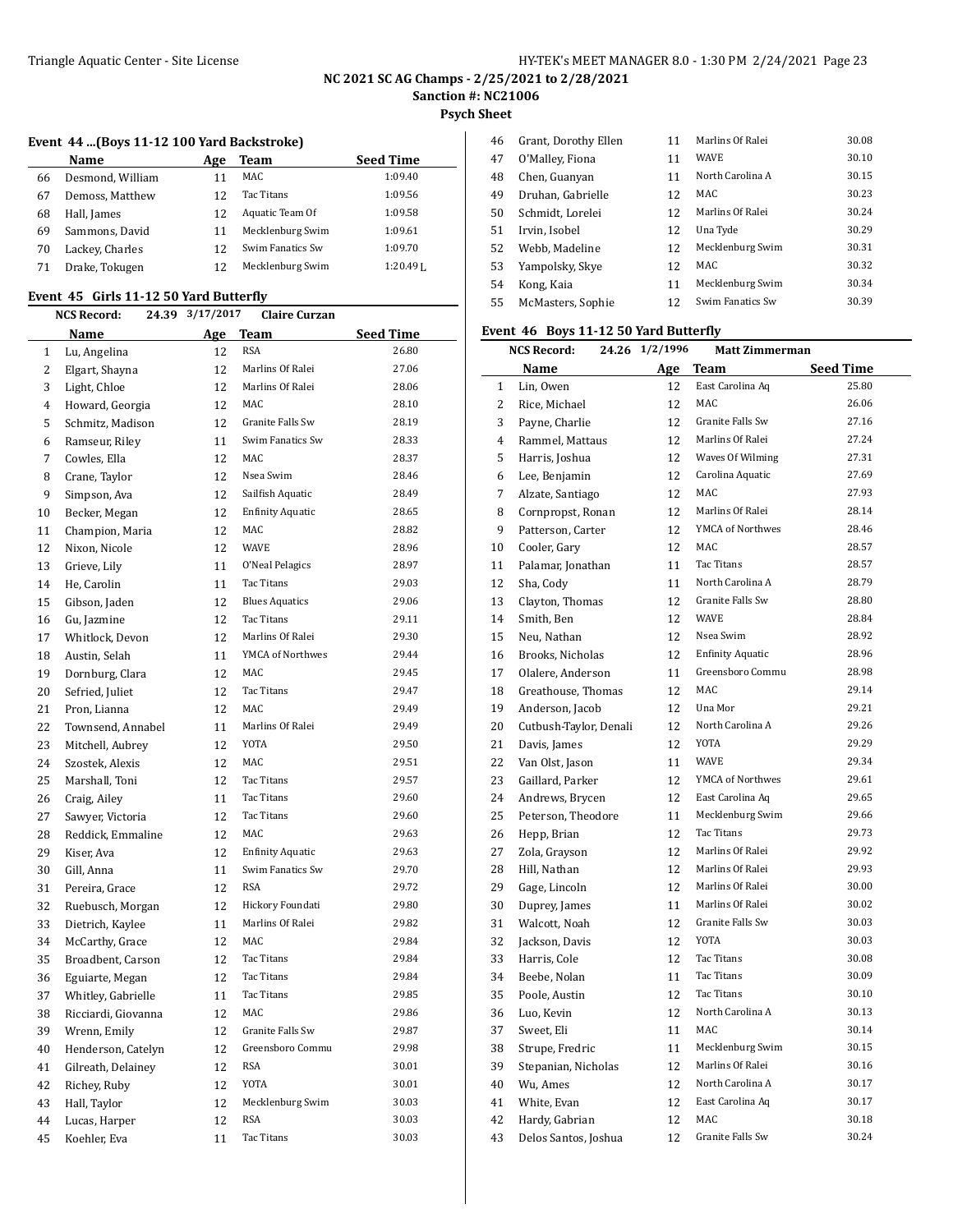# **NC 2021 SC AG Champs - 2/25/2021 to 2/28/2021**

**Sanction #: NC21006**

**Psych Sheet**

 $\overline{a}$ 

#### **Event 44 ...(Boys 11-12 100 Yard Backstroke)**

|    | Name             | Age | Team             | <b>Seed Time</b> |
|----|------------------|-----|------------------|------------------|
| 66 | Desmond, William |     | MAC              | 1:09.40          |
| 67 | Demoss, Matthew  | 12  | Tac Titans       | 1:09.56          |
| 68 | Hall, James      | 12  | Aquatic Team Of  | 1:09.58          |
| 69 | Sammons, David   |     | Mecklenburg Swim | 1:09.61          |
| 70 | Lackey, Charles  | 12  | Swim Fanatics Sw | 1:09.70          |
| 71 | Drake, Tokugen   |     | Mecklenburg Swim | $1:20.49I$ .     |

#### **Event 45 Girls 11-12 50 Yard Butterfly**

|    | NCS Record:<br>24.39 | 3/17/2017 | <b>Claire Curzan</b>    |           |
|----|----------------------|-----------|-------------------------|-----------|
|    | Name                 |           | Age Team                | Seed Time |
| 1  | Lu, Angelina         | 12        | <b>RSA</b>              | 26.80     |
| 2  | Elgart, Shayna       | 12        | Marlins Of Ralei        | 27.06     |
| 3  | Light, Chloe         | 12        | Marlins Of Ralei        | 28.06     |
| 4  | Howard, Georgia      | 12        | MAC                     | 28.10     |
| 5  | Schmitz, Madison     | 12        | Granite Falls Sw        | 28.19     |
| 6  | Ramseur, Riley       | 11        | Swim Fanatics Sw        | 28.33     |
| 7  | Cowles, Ella         | 12        | MAC                     | 28.37     |
| 8  | Crane, Taylor        | 12        | Nsea Swim               | 28.46     |
| 9  | Simpson, Ava         | 12        | Sailfish Aquatic        | 28.49     |
| 10 | Becker, Megan        | 12        | <b>Enfinity Aquatic</b> | 28.65     |
| 11 | Champion, Maria      | 12        | MAC                     | 28.82     |
| 12 | Nixon, Nicole        | 12        | WAVE                    | 28.96     |
| 13 | Grieve, Lily         | 11        | O'Neal Pelagics         | 28.97     |
| 14 | He, Carolin          | 11        | Tac Titans              | 29.03     |
| 15 | Gibson, Jaden        | 12        | <b>Blues Aquatics</b>   | 29.06     |
| 16 | Gu, Jazmine          | 12        | Tac Titans              | 29.11     |
| 17 | Whitlock, Devon      | 12        | Marlins Of Ralei        | 29.30     |
| 18 | Austin, Selah        | 11        | YMCA of Northwes        | 29.44     |
| 19 | Dornburg, Clara      | 12        | MAC                     | 29.45     |
| 20 | Sefried, Juliet      | 12        | Tac Titans              | 29.47     |
| 21 | Pron, Lianna         | 12        | MAC                     | 29.49     |
| 22 | Townsend, Annabel    | 11        | Marlins Of Ralei        | 29.49     |
| 23 | Mitchell, Aubrey     | 12        | YOTA                    | 29.50     |
| 24 | Szostek, Alexis      | 12        | MAC                     | 29.51     |
| 25 | Marshall, Toni       | 12        | Tac Titans              | 29.57     |
| 26 | Craig, Ailey         | 11        | Tac Titans              | 29.60     |
| 27 | Sawyer, Victoria     | 12        | Tac Titans              | 29.60     |
| 28 | Reddick, Emmaline    | 12        | MAC                     | 29.63     |
| 29 | Kiser, Ava           | 12        | <b>Enfinity Aquatic</b> | 29.63     |
| 30 | Gill, Anna           | 11        | Swim Fanatics Sw        | 29.70     |
| 31 | Pereira, Grace       | 12        | <b>RSA</b>              | 29.72     |
| 32 | Ruebusch, Morgan     | 12        | Hickory Foundati        | 29.80     |
| 33 | Dietrich, Kaylee     | 11        | Marlins Of Ralei        | 29.82     |
| 34 | McCarthy, Grace      | 12        | MAC                     | 29.84     |
| 35 | Broadbent, Carson    | 12        | Tac Titans              | 29.84     |
| 36 | Eguiarte, Megan      | 12        | Tac Titans              | 29.84     |
| 37 | Whitley, Gabrielle   | 11        | Tac Titans              | 29.85     |
| 38 | Ricciardi, Giovanna  | 12        | MAC                     | 29.86     |
| 39 | Wrenn, Emily         | 12        | Granite Falls Sw        | 29.87     |
| 40 | Henderson, Catelyn   | 12        | Greensboro Commu        | 29.98     |
| 41 | Gilreath, Delainey   | 12        | RSA                     | 30.01     |
| 42 | Richey, Ruby         | 12        | YOTA                    | 30.01     |
| 43 | Hall, Taylor         | 12        | Mecklenburg Swim        | 30.03     |
| 44 | Lucas, Harper        | 12        | RSA                     | 30.03     |
| 45 | Koehler, Eva         | 11        | Tac Titans              | 30.03     |

| 46 | Grant, Dorothy Ellen | 11 | Marlins Of Ralei | 30.08 |
|----|----------------------|----|------------------|-------|
| 47 | O'Malley, Fiona      | 11 | <b>WAVE</b>      | 30.10 |
| 48 | Chen, Guanyan        | 11 | North Carolina A | 30.15 |
| 49 | Druhan, Gabrielle    | 12 | MAC.             | 30.23 |
| 50 | Schmidt, Lorelei     | 12 | Marlins Of Ralei | 30.24 |
| 51 | Irvin, Isobel        | 12 | Una Tyde         | 30.29 |
| 52 | Webb, Madeline       | 12 | Mecklenburg Swim | 30.31 |
| 53 | Yampolsky, Skye      | 12 | MAC.             | 30.32 |
| 54 | Kong, Kaia           | 11 | Mecklenburg Swim | 30.34 |
| 55 | McMasters, Sophie    | 12 | Swim Fanatics Sw | 30.39 |
|    |                      |    |                  |       |

## **Event 46 Boys 11-12 50 Yard Butterfly**

|                | <b>NCS Record:</b><br>24.26 | 1/2/1996   | <b>Matt Zimmerman</b>   |                  |
|----------------|-----------------------------|------------|-------------------------|------------------|
|                | Name                        | <u>Age</u> | Team                    | <b>Seed Time</b> |
| 1              | Lin, Owen                   | 12         | East Carolina Aq        | 25.80            |
| 2              | Rice, Michael               | 12         | <b>MAC</b>              | 26.06            |
| 3              | Payne, Charlie              | 12         | Granite Falls Sw        | 27.16            |
| $\overline{4}$ | Rammel, Mattaus             | 12         | Marlins Of Ralei        | 27.24            |
| 5              | Harris, Joshua              | 12         | Waves Of Wilming        | 27.31            |
| 6              | Lee, Benjamin               | 12         | Carolina Aquatic        | 27.69            |
| 7              | Alzate, Santiago            | 12         | <b>MAC</b>              | 27.93            |
| 8              | Cornpropst, Ronan           | 12         | Marlins Of Ralei        | 28.14            |
| 9              | Patterson, Carter           | 12         | <b>YMCA of Northwes</b> | 28.46            |
| 10             | Cooler, Gary                | 12         | MAC.                    | 28.57            |
| 11             | Palamar, Jonathan           | 11         | <b>Tac Titans</b>       | 28.57            |
| 12             | Sha, Cody                   | 11         | North Carolina A        | 28.79            |
| 13             | Clayton, Thomas             | 12         | Granite Falls Sw        | 28.80            |
| 14             | Smith, Ben                  | 12         | <b>WAVE</b>             | 28.84            |
| 15             | Neu, Nathan                 | 12         | Nsea Swim               | 28.92            |
| 16             | Brooks, Nicholas            | 12         | <b>Enfinity Aquatic</b> | 28.96            |
| 17             | Olalere, Anderson           | 11         | Greensboro Commu        | 28.98            |
| 18             | Greathouse, Thomas          | 12         | MAC                     | 29.14            |
| 19             | Anderson, Jacob             | 12         | Una Mor                 | 29.21            |
| 20             | Cutbush-Taylor, Denali      | 12         | North Carolina A        | 29.26            |
| 21             | Davis, James                | 12         | <b>YOTA</b>             | 29.29            |
| 22             | Van Olst, Jason             | 11         | <b>WAVE</b>             | 29.34            |
| 23             | Gaillard, Parker            | 12         | YMCA of Northwes        | 29.61            |
| 24             | Andrews, Brycen             | 12         | East Carolina Aq        | 29.65            |
| 25             | Peterson, Theodore          | 11         | Mecklenburg Swim        | 29.66            |
| 26             | Hepp, Brian                 | 12         | <b>Tac Titans</b>       | 29.73            |
| 27             | Zola, Grayson               | 12         | Marlins Of Ralei        | 29.92            |
| 28             | Hill, Nathan                | 12         | Marlins Of Ralei        | 29.93            |
| 29             | Gage, Lincoln               | 12         | Marlins Of Ralei        | 30.00            |
| 30             | Duprey, James               | 11         | Marlins Of Ralei        | 30.02            |
| 31             | Walcott, Noah               | 12         | Granite Falls Sw        | 30.03            |
| 32             | Jackson, Davis              | 12         | <b>YOTA</b>             | 30.03            |
| 33             | Harris, Cole                | 12         | <b>Tac Titans</b>       | 30.08            |
| 34             | Beebe, Nolan                | 11         | <b>Tac Titans</b>       | 30.09            |
| 35             | Poole, Austin               | 12         | <b>Tac Titans</b>       | 30.10            |
| 36             | Luo, Kevin                  | 12         | North Carolina A        | 30.13            |
| 37             | Sweet, Eli                  | 11         | MAC                     | 30.14            |
| 38             | Strupe, Fredric             | 11         | Mecklenburg Swim        | 30.15            |
| 39             | Stepanian, Nicholas         | 12         | Marlins Of Ralei        | 30.16            |
| 40             | Wu, Ames                    | 12         | North Carolina A        | 30.17            |
| 41             | White, Evan                 | 12         | East Carolina Aq        | 30.17            |
| 42             | Hardy, Gabrian              | 12         | MAC.                    | 30.18            |
| 43             | Delos Santos, Joshua        | 12         | <b>Granite Falls Sw</b> | 30.24            |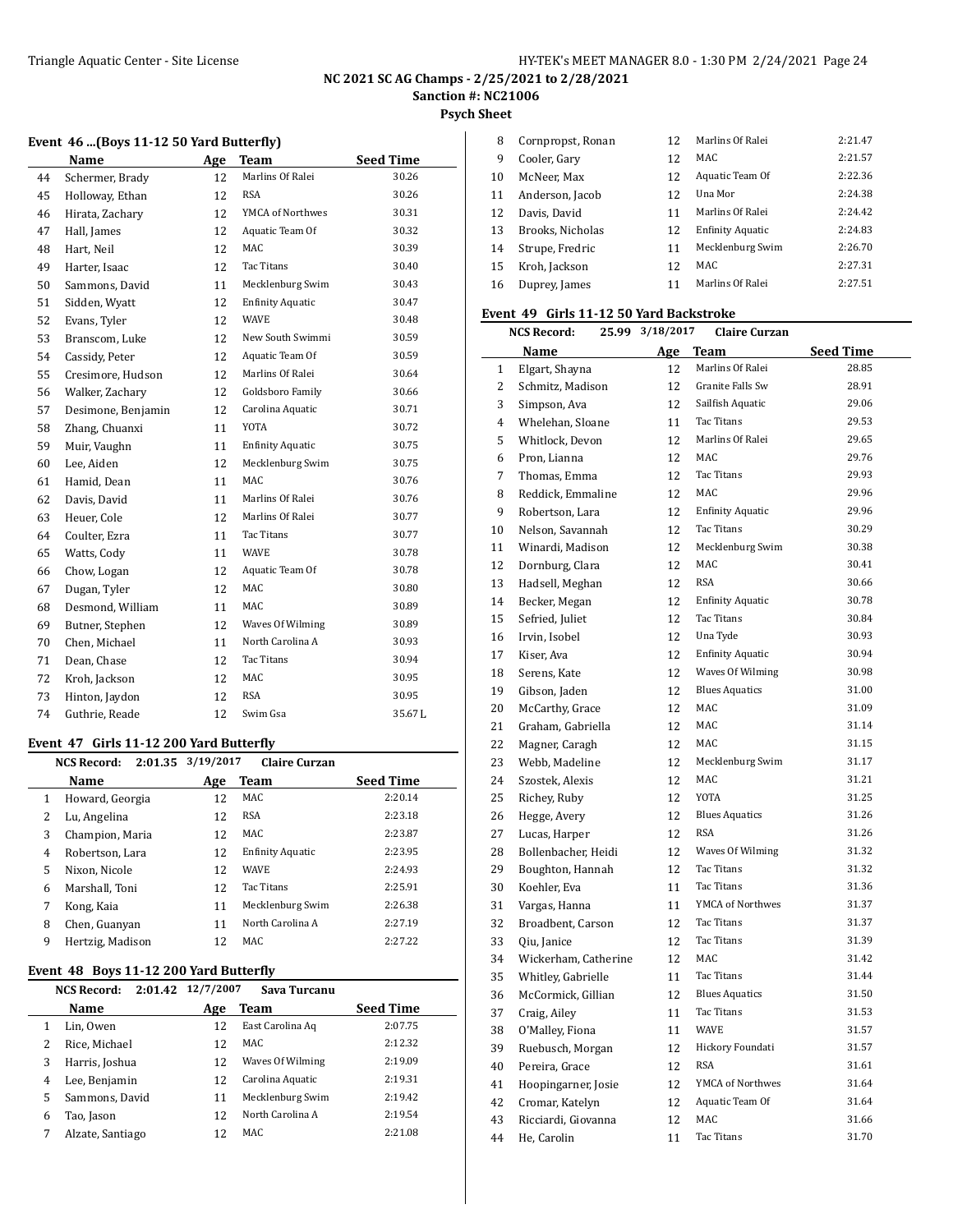#### **NC 2021 SC AG Champs - 2/25/2021 to 2/28/2021 Sanction #: NC21006**

**Psych Sheet**

| rsych sneet |  |  |
|-------------|--|--|
|             |  |  |

#### **Event 46 ...(Boys 11-12 50 Yard Butterfly)**

|    | Name               | Age | Team                    | <b>Seed Time</b> |
|----|--------------------|-----|-------------------------|------------------|
| 44 | Schermer, Brady    | 12  | Marlins Of Ralei        | 30.26            |
| 45 | Holloway, Ethan    | 12  | <b>RSA</b>              | 30.26            |
| 46 | Hirata, Zachary    | 12  | YMCA of Northwes        | 30.31            |
| 47 | Hall, James        | 12  | Aquatic Team Of         | 30.32            |
| 48 | Hart, Neil         | 12  | MAC                     | 30.39            |
| 49 | Harter, Isaac      | 12  | <b>Tac Titans</b>       | 30.40            |
| 50 | Sammons, David     | 11  | Mecklenburg Swim        | 30.43            |
| 51 | Sidden, Wyatt      | 12  | <b>Enfinity Aquatic</b> | 30.47            |
| 52 | Evans, Tyler       | 12  | <b>WAVE</b>             | 30.48            |
| 53 | Branscom, Luke     | 12  | New South Swimmi        | 30.59            |
| 54 | Cassidy, Peter     | 12  | Aquatic Team Of         | 30.59            |
| 55 | Cresimore, Hudson  | 12  | Marlins Of Ralei        | 30.64            |
| 56 | Walker, Zachary    | 12  | Goldsboro Family        | 30.66            |
| 57 | Desimone, Benjamin | 12  | Carolina Aquatic        | 30.71            |
| 58 | Zhang, Chuanxi     | 11  | YOTA                    | 30.72            |
| 59 | Muir, Vaughn       | 11  | <b>Enfinity Aquatic</b> | 30.75            |
| 60 | Lee, Aiden         | 12  | Mecklenburg Swim        | 30.75            |
| 61 | Hamid, Dean        | 11  | MAC                     | 30.76            |
| 62 | Davis, David       | 11  | Marlins Of Ralei        | 30.76            |
| 63 | Heuer, Cole        | 12  | Marlins Of Ralei        | 30.77            |
| 64 | Coulter, Ezra      | 11  | <b>Tac Titans</b>       | 30.77            |
| 65 | Watts, Cody        | 11  | WAVE                    | 30.78            |
| 66 | Chow, Logan        | 12  | Aquatic Team Of         | 30.78            |
| 67 | Dugan, Tyler       | 12  | <b>MAC</b>              | 30.80            |
| 68 | Desmond, William   | 11  | MAC                     | 30.89            |
| 69 | Butner, Stephen    | 12  | Waves Of Wilming        | 30.89            |
| 70 | Chen, Michael      | 11  | North Carolina A        | 30.93            |
| 71 | Dean, Chase        | 12  | Tac Titans              | 30.94            |
| 72 | Kroh, Jackson      | 12  | MAC                     | 30.95            |
| 73 | Hinton, Jaydon     | 12  | <b>RSA</b>              | 30.95            |
| 74 | Guthrie, Reade     | 12  | Swim Gsa                | 35.67L           |

#### **Event 47 Girls 11-12 200 Yard Butterfly**

|   | 2:01.35<br><b>NCS Record:</b> | 3/19/2017 | <b>Claire Curzan</b>    |                  |
|---|-------------------------------|-----------|-------------------------|------------------|
|   | Name                          | Age       | Team                    | <b>Seed Time</b> |
| 1 | Howard, Georgia               | 12        | MAC                     | 2:20.14          |
|   | Lu, Angelina                  | 12        | <b>RSA</b>              | 2:23.18          |
| 3 | Champion, Maria               | 12        | MAC                     | 2:23.87          |
| 4 | Robertson, Lara               | 12        | <b>Enfinity Aquatic</b> | 2:23.95          |
| 5 | Nixon, Nicole                 | 12        | <b>WAVE</b>             | 2:24.93          |
| 6 | Marshall, Toni                | 12        | Tac Titans              | 2:25.91          |
| 7 | Kong, Kaia                    | 11        | Mecklenburg Swim        | 2:26.38          |
| 8 | Chen, Guanyan                 | 11        | North Carolina A        | 2:27.19          |
| 9 | Hertzig, Madison              | 12        | MAC.                    | 2:27.22          |

#### **Event 48 Boys 11-12 200 Yard Butterfly**

|   | <b>NCS Record:</b> | 2:01.42 12/7/2007 | Sava Turcanu     |                  |
|---|--------------------|-------------------|------------------|------------------|
|   | Name               | Age               | Team             | <b>Seed Time</b> |
|   | Lin, Owen          | 12                | East Carolina Aq | 2:07.75          |
|   | Rice, Michael      | 12                | MAC.             | 2:12.32          |
| 3 | Harris, Joshua     | 12                | Waves Of Wilming | 2:19.09          |
| 4 | Lee, Benjamin      | 12                | Carolina Aquatic | 2:19.31          |
| 5 | Sammons, David     | 11                | Mecklenburg Swim | 2:19.42          |
| 6 | Tao, Jason         | 12                | North Carolina A | 2:19.54          |
|   | Alzate, Santiago   |                   | MAC.             | 2:21.08          |

| 8  | Cornpropst, Ronan | 12 | Marlins Of Ralei        | 2:21.47 |
|----|-------------------|----|-------------------------|---------|
| 9  | Cooler, Gary      | 12 | MAC.                    | 2:21.57 |
| 10 | McNeer, Max       | 12 | Aquatic Team Of         | 2:22.36 |
| 11 | Anderson, Jacob   | 12 | Una Mor                 | 2:24.38 |
| 12 | Davis. David      | 11 | Marlins Of Ralei        | 2:24.42 |
| 13 | Brooks, Nicholas  | 12 | <b>Enfinity Aquatic</b> | 2:24.83 |
| 14 | Strupe, Fredric   | 11 | Mecklenburg Swim        | 2:26.70 |
| 15 | Kroh, Jackson     | 12 | MAC.                    | 2:27.31 |
| 16 | Duprey, James     | 11 | Marlins Of Ralei        | 2:27.51 |

### **Event 49 Girls 11-12 50 Yard Backstroke**

| <b>NCS Record:</b><br>25.99 |                      | 3/18/2017 | <b>Claire Curzan</b> |                         |                  |
|-----------------------------|----------------------|-----------|----------------------|-------------------------|------------------|
|                             | Name                 |           | Age                  | Team                    | <b>Seed Time</b> |
| $\mathbf{1}$                | Elgart, Shayna       |           | 12                   | Marlins Of Ralei        | 28.85            |
| 2                           | Schmitz, Madison     |           | 12                   | Granite Falls Sw        | 28.91            |
| 3                           | Simpson, Ava         |           | 12                   | Sailfish Aquatic        | 29.06            |
| 4                           | Whelehan, Sloane     |           | 11                   | Tac Titans              | 29.53            |
| 5                           | Whitlock, Devon      |           | 12                   | Marlins Of Ralei        | 29.65            |
| 6                           | Pron, Lianna         |           | 12                   | MAC                     | 29.76            |
| 7                           | Thomas, Emma         |           | 12                   | Tac Titans              | 29.93            |
| 8                           | Reddick, Emmaline    |           | 12                   | MAC                     | 29.96            |
| 9                           | Robertson, Lara      |           | 12                   | <b>Enfinity Aquatic</b> | 29.96            |
| 10                          | Nelson, Savannah     |           | 12                   | Tac Titans              | 30.29            |
| 11                          | Winardi, Madison     |           | 12                   | Mecklenburg Swim        | 30.38            |
| 12                          | Dornburg, Clara      |           | 12                   | MAC                     | 30.41            |
| 13                          | Hadsell, Meghan      |           | 12                   | <b>RSA</b>              | 30.66            |
| 14                          | Becker, Megan        |           | 12                   | <b>Enfinity Aquatic</b> | 30.78            |
| 15                          | Sefried, Juliet      |           | 12                   | Tac Titans              | 30.84            |
| 16                          | Irvin, Isobel        |           | 12                   | Una Tyde                | 30.93            |
| 17                          | Kiser, Ava           |           | 12                   | <b>Enfinity Aquatic</b> | 30.94            |
| 18                          | Serens, Kate         |           | 12                   | Waves Of Wilming        | 30.98            |
| 19                          | Gibson, Jaden        |           | 12                   | <b>Blues Aquatics</b>   | 31.00            |
| 20                          | McCarthy, Grace      |           | 12                   | MAC                     | 31.09            |
| 21                          | Graham, Gabriella    |           | 12                   | MAC                     | 31.14            |
| 22                          | Magner, Caragh       |           | 12                   | MAC                     | 31.15            |
| 23                          | Webb, Madeline       |           | 12                   | Mecklenburg Swim        | 31.17            |
| 24                          | Szostek, Alexis      |           | 12                   | MAC                     | 31.21            |
| 25                          | Richey, Ruby         |           | 12                   | <b>YOTA</b>             | 31.25            |
| 26                          | Hegge, Avery         |           | 12                   | <b>Blues Aquatics</b>   | 31.26            |
| 27                          | Lucas, Harper        |           | 12                   | RSA                     | 31.26            |
| 28                          | Bollenbacher, Heidi  |           | 12                   | Waves Of Wilming        | 31.32            |
| 29                          | Boughton, Hannah     |           | 12                   | Tac Titans              | 31.32            |
| 30                          | Koehler, Eva         |           | 11                   | Tac Titans              | 31.36            |
| 31                          | Vargas, Hanna        |           | 11                   | YMCA of Northwes        | 31.37            |
| 32                          | Broadbent, Carson    |           | 12                   | Tac Titans              | 31.37            |
| 33                          | Qiu, Janice          |           | 12                   | Tac Titans              | 31.39            |
| 34                          | Wickerham, Catherine |           | 12                   | MAC                     | 31.42            |
| 35                          | Whitley, Gabrielle   |           | 11                   | Tac Titans              | 31.44            |
| 36                          | McCormick, Gillian   |           | 12                   | <b>Blues Aquatics</b>   | 31.50            |
| 37                          | Craig, Ailey         |           | 11                   | <b>Tac Titans</b>       | 31.53            |
| 38                          | O'Malley, Fiona      |           | 11                   | WAVE                    | 31.57            |
| 39                          | Ruebusch, Morgan     |           | 12                   | Hickory Foundati        | 31.57            |
| 40                          | Pereira, Grace       |           | 12                   | <b>RSA</b>              | 31.61            |
| 41                          | Hoopingarner, Josie  |           | 12                   | YMCA of Northwes        | 31.64            |
| 42                          | Cromar, Katelyn      |           | 12                   | Aquatic Team Of         | 31.64            |
| 43                          | Ricciardi, Giovanna  |           | 12                   | MAC                     | 31.66            |
| 44                          | He, Carolin          |           | 11                   | Tac Titans              | 31.70            |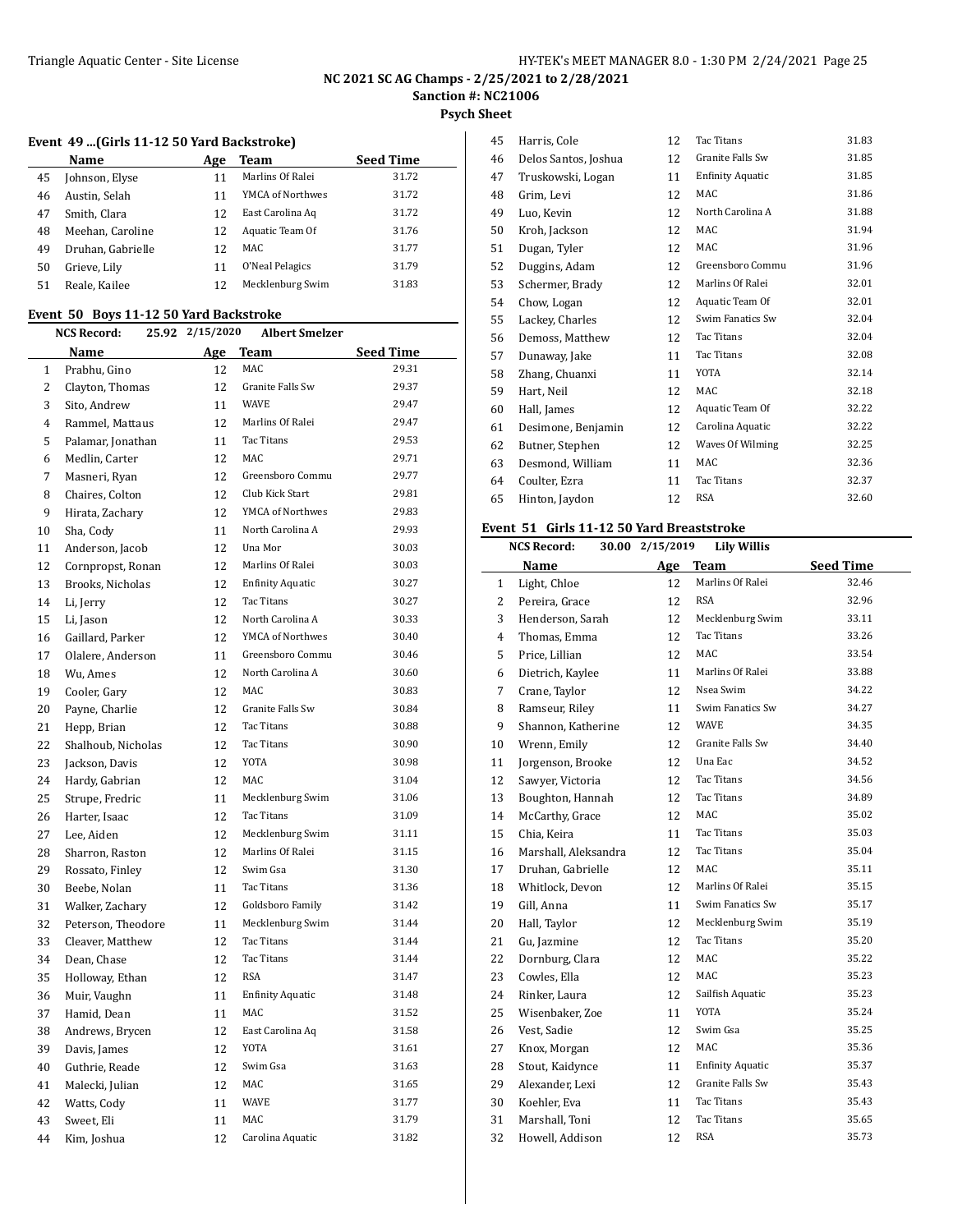**NC 2021 SC AG Champs - 2/25/2021 to 2/28/2021**

**Sanction #: NC21006**

**Psych Sheet**

#### **Event 49 ...(Girls 11-12 50 Yard Backstroke)**

|    | Name              | Age | Team             | <b>Seed Time</b> |
|----|-------------------|-----|------------------|------------------|
| 45 | Johnson, Elyse    | 11  | Marlins Of Ralei | 31.72            |
| 46 | Austin, Selah     | 11  | YMCA of Northwes | 31.72            |
| 47 | Smith, Clara      | 12  | East Carolina Ag | 31.72            |
| 48 | Meehan, Caroline  | 12  | Aquatic Team Of  | 31.76            |
| 49 | Druhan, Gabrielle | 12  | MAC              | 31.77            |
| 50 | Grieve, Lily      | 11  | O'Neal Pelagics  | 31.79            |
| 51 | Reale, Kailee     | 12  | Mecklenburg Swim | 31.83            |
|    |                   |     |                  |                  |

#### **Event 50 Boys 11-12 50 Yard Backstroke**

|              | <b>NCS Record:</b><br>25.92 | 2/15/2020 | <b>Albert Smelzer</b>   |                  |
|--------------|-----------------------------|-----------|-------------------------|------------------|
|              | Name                        | Age       | Team                    | <b>Seed Time</b> |
| $\mathbf{1}$ | Prabhu, Gino                | 12        | <b>MAC</b>              | 29.31            |
| 2            | Clayton, Thomas             | 12        | Granite Falls Sw        | 29.37            |
| 3            | Sito, Andrew                | 11        | <b>WAVE</b>             | 29.47            |
| 4            | Rammel, Mattaus             | 12        | Marlins Of Ralei        | 29.47            |
| 5            | Palamar, Jonathan           | 11        | Tac Titans              | 29.53            |
| 6            | Medlin, Carter              | 12        | MAC                     | 29.71            |
| 7            | Masneri, Ryan               | 12        | Greensboro Commu        | 29.77            |
| 8            | Chaires, Colton             | 12        | Club Kick Start         | 29.81            |
| 9            | Hirata, Zachary             | 12        | YMCA of Northwes        | 29.83            |
| 10           | Sha, Cody                   | 11        | North Carolina A        | 29.93            |
| 11           | Anderson, Jacob             | 12        | Una Mor                 | 30.03            |
| 12           | Cornpropst, Ronan           | 12        | Marlins Of Ralei        | 30.03            |
| 13           | Brooks, Nicholas            | 12        | <b>Enfinity Aquatic</b> | 30.27            |
| 14           | Li, Jerry                   | 12        | Tac Titans              | 30.27            |
| 15           | Li, Jason                   | 12        | North Carolina A        | 30.33            |
| 16           | Gaillard, Parker            | 12        | YMCA of Northwes        | 30.40            |
| 17           | Olalere, Anderson           | 11        | Greensboro Commu        | 30.46            |
| 18           | Wu, Ames                    | 12        | North Carolina A        | 30.60            |
| 19           | Cooler, Gary                | 12        | MAC                     | 30.83            |
| 20           | Payne, Charlie              | 12        | Granite Falls Sw        | 30.84            |
| 21           | Hepp, Brian                 | 12        | Tac Titans              | 30.88            |
| 22           | Shalhoub, Nicholas          | 12        | Tac Titans              | 30.90            |
| 23           | Jackson, Davis              | 12        | <b>YOTA</b>             | 30.98            |
| 24           | Hardy, Gabrian              | 12        | MAC                     | 31.04            |
| 25           | Strupe, Fredric             | 11        | Mecklenburg Swim        | 31.06            |
| 26           | Harter, Isaac               | 12        | Tac Titans              | 31.09            |
| 27           | Lee, Aiden                  | 12        | Mecklenburg Swim        | 31.11            |
| 28           | Sharron, Raston             | 12        | Marlins Of Ralei        | 31.15            |
| 29           | Rossato, Finley             | 12        | Swim Gsa                | 31.30            |
| 30           | Beebe, Nolan                | 11        | Tac Titans              | 31.36            |
| 31           | Walker, Zachary             | 12        | Goldsboro Family        | 31.42            |
| 32           | Peterson, Theodore          | 11        | Mecklenburg Swim        | 31.44            |
| 33           | Cleaver, Matthew            | 12        | Tac Titans              | 31.44            |
| 34           | Dean, Chase                 | 12        | Tac Titans              | 31.44            |
| 35           | Holloway, Ethan             | 12        | <b>RSA</b>              | 31.47            |
| 36           | Muir, Vaughn                | 11        | <b>Enfinity Aquatic</b> | 31.48            |
| 37           | Hamid, Dean                 | 11        | MAC                     | 31.52            |
| 38           | Andrews, Brycen             | 12        | East Carolina Aq        | 31.58            |
| 39           | Davis, James                | 12        | YOTA                    | 31.61            |
| 40           | Guthrie, Reade              | 12        | Swim Gsa                | 31.63            |
| 41           | Malecki, Julian             | 12        | MAC                     | 31.65            |
| 42           | Watts, Cody                 | 11        | <b>WAVE</b>             | 31.77            |
| 43           | Sweet, Eli                  | 11        | MAC                     | 31.79            |
| 44           | Kim, Joshua                 | 12        | Carolina Aquatic        | 31.82            |
|              |                             |           |                         |                  |

| 45 | Harris, Cole         | 12 | <b>Tac Titans</b>       | 31.83 |
|----|----------------------|----|-------------------------|-------|
| 46 | Delos Santos, Joshua | 12 | Granite Falls Sw        | 31.85 |
| 47 | Truskowski, Logan    | 11 | <b>Enfinity Aquatic</b> | 31.85 |
| 48 | Grim, Levi           | 12 | MAC                     | 31.86 |
| 49 | Luo, Kevin           | 12 | North Carolina A        | 31.88 |
| 50 | Kroh, Jackson        | 12 | MAC                     | 31.94 |
| 51 | Dugan, Tyler         | 12 | MAC                     | 31.96 |
| 52 | Duggins, Adam        | 12 | Greensboro Commu        | 31.96 |
| 53 | Schermer, Brady      | 12 | Marlins Of Ralei        | 32.01 |
| 54 | Chow, Logan          | 12 | Aquatic Team Of         | 32.01 |
| 55 | Lackey, Charles      | 12 | Swim Fanatics Sw        | 32.04 |
| 56 | Demoss, Matthew      | 12 | Tac Titans              | 32.04 |
| 57 | Dunaway, Jake        | 11 | Tac Titans              | 32.08 |
| 58 | Zhang, Chuanxi       | 11 | YOTA                    | 32.14 |
| 59 | Hart, Neil           | 12 | MAC                     | 32.18 |
| 60 | Hall, James          | 12 | Aquatic Team Of         | 32.22 |
| 61 | Desimone, Benjamin   | 12 | Carolina Aquatic        | 32.22 |
| 62 | Butner, Stephen      | 12 | Waves Of Wilming        | 32.25 |
| 63 | Desmond, William     | 11 | MAC                     | 32.36 |
| 64 | Coulter, Ezra        | 11 | Tac Titans              | 32.37 |
| 65 | Hinton, Jaydon       | 12 | <b>RSA</b>              | 32.60 |
|    |                      |    |                         |       |

# **Event 51 Girls 11-12 50 Yard Breaststroke**

|                | <b>NCS Record:</b>   | 30.00 2/15/2019 | <b>Lily Willis</b>      |                  |
|----------------|----------------------|-----------------|-------------------------|------------------|
|                | Name                 | Age             | <b>Team</b>             | <b>Seed Time</b> |
| 1              | Light, Chloe         | 12              | Marlins Of Ralei        | 32.46            |
| $\overline{2}$ | Pereira, Grace       | 12              | <b>RSA</b>              | 32.96            |
| 3              | Henderson, Sarah     | 12              | Mecklenburg Swim        | 33.11            |
| $\overline{4}$ | Thomas, Emma         | 12              | Tac Titans              | 33.26            |
| 5              | Price, Lillian       | 12              | MAC                     | 33.54            |
| 6              | Dietrich, Kaylee     | 11              | Marlins Of Ralei        | 33.88            |
| 7              | Crane, Taylor        | 12              | Nsea Swim               | 34.22            |
| 8              | Ramseur, Riley       | 11              | Swim Fanatics Sw        | 34.27            |
| 9              | Shannon, Katherine   | 12              | <b>WAVE</b>             | 34.35            |
| 10             | Wrenn, Emily         | 12              | <b>Granite Falls Sw</b> | 34.40            |
| 11             | Jorgenson, Brooke    | 12              | Una Eac                 | 34.52            |
| 12             | Sawyer, Victoria     | 12              | Tac Titans              | 34.56            |
| 13             | Boughton, Hannah     | 12              | Tac Titans              | 34.89            |
| 14             | McCarthy, Grace      | 12              | MAC                     | 35.02            |
| 15             | Chia, Keira          | 11              | Tac Titans              | 35.03            |
| 16             | Marshall, Aleksandra | 12              | Tac Titans              | 35.04            |
| 17             | Druhan, Gabrielle    | 12              | MAC                     | 35.11            |
| 18             | Whitlock, Devon      | 12              | Marlins Of Ralei        | 35.15            |
| 19             | Gill, Anna           | 11              | Swim Fanatics Sw        | 35.17            |
| 20             | Hall, Taylor         | 12              | Mecklenburg Swim        | 35.19            |
| 21             | Gu, Jazmine          | 12              | Tac Titans              | 35.20            |
| 22             | Dornburg, Clara      | 12              | MAC                     | 35.22            |
| 23             | Cowles, Ella         | 12              | MAC                     | 35.23            |
| 24             | Rinker, Laura        | 12              | Sailfish Aquatic        | 35.23            |
| 25             | Wisenbaker, Zoe      | 11              | <b>YOTA</b>             | 35.24            |
| 26             | Vest, Sadie          | 12              | Swim Gsa                | 35.25            |
| 27             | Knox, Morgan         | 12              | MAC                     | 35.36            |
| 28             | Stout, Kaidynce      | 11              | <b>Enfinity Aquatic</b> | 35.37            |
| 29             | Alexander, Lexi      | 12              | Granite Falls Sw        | 35.43            |
| 30             | Koehler, Eva         | 11              | Tac Titans              | 35.43            |
| 31             | Marshall, Toni       | 12              | <b>Tac Titans</b>       | 35.65            |
| 32             | Howell, Addison      | 12              | <b>RSA</b>              | 35.73            |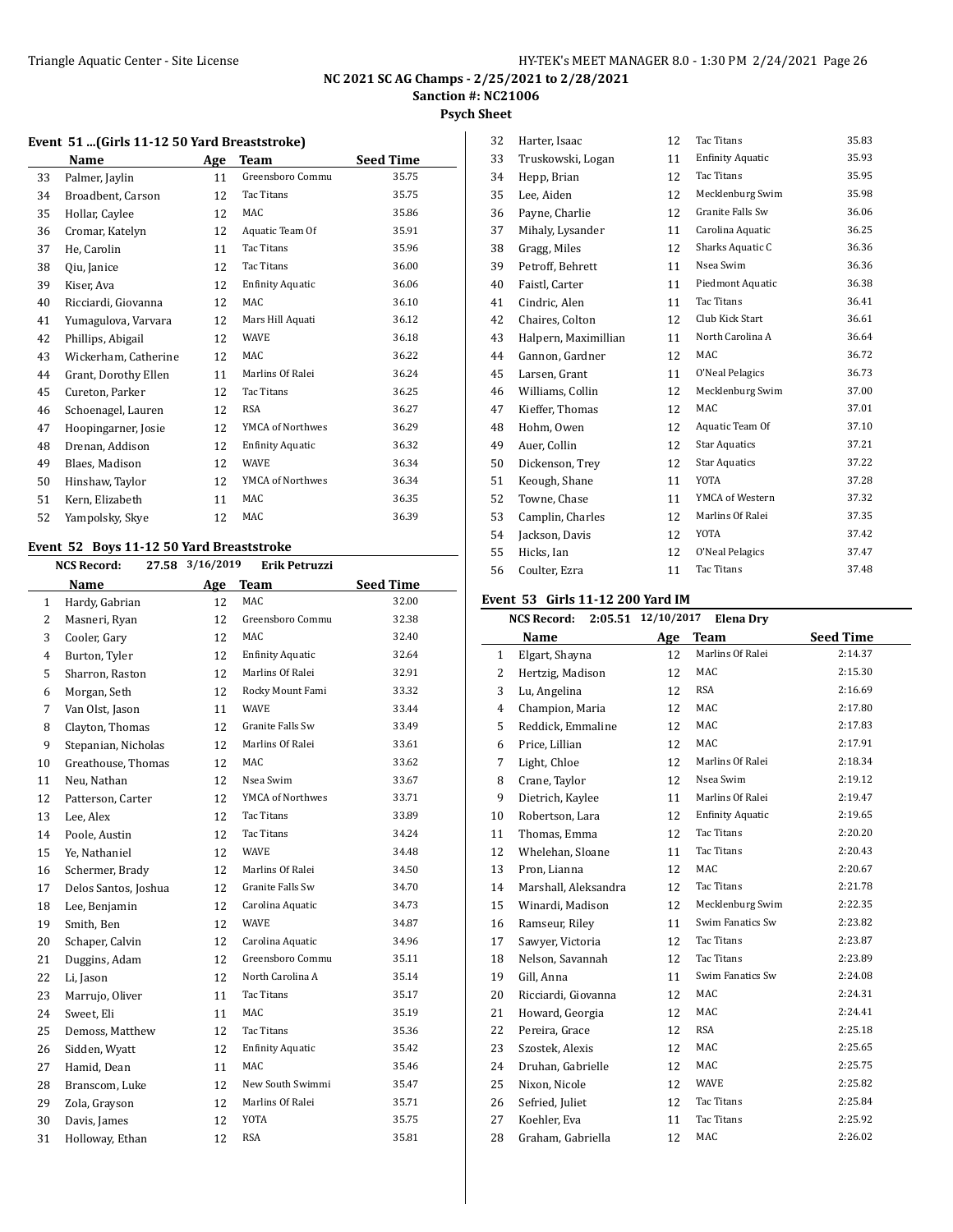**Psych Sheet**

#### **Event 51 ...(Girls 11-12 50 Yard Breaststroke)**

|    | Name                 | Age | Team                    | <b>Seed Time</b> |
|----|----------------------|-----|-------------------------|------------------|
| 33 | Palmer, Jaylin       | 11  | Greensboro Commu        | 35.75            |
| 34 | Broadbent, Carson    | 12  | Tac Titans              | 35.75            |
| 35 | Hollar, Caylee       | 12  | MAC                     | 35.86            |
| 36 | Cromar, Katelyn      | 12  | Aquatic Team Of         | 35.91            |
| 37 | He, Carolin          | 11  | Tac Titans              | 35.96            |
| 38 | Qiu, Janice          | 12  | Tac Titans              | 36.00            |
| 39 | Kiser, Ava           | 12  | <b>Enfinity Aquatic</b> | 36.06            |
| 40 | Ricciardi, Giovanna  | 12  | MAC                     | 36.10            |
| 41 | Yumagulova, Varvara  | 12  | Mars Hill Aquati        | 36.12            |
| 42 | Phillips, Abigail    | 12  | <b>WAVE</b>             | 36.18            |
| 43 | Wickerham, Catherine | 12  | <b>MAC</b>              | 36.22            |
| 44 | Grant, Dorothy Ellen | 11  | Marlins Of Ralei        | 36.24            |
| 45 | Cureton, Parker      | 12  | Tac Titans              | 36.25            |
| 46 | Schoenagel, Lauren   | 12  | <b>RSA</b>              | 36.27            |
| 47 | Hoopingarner, Josie  | 12  | YMCA of Northwes        | 36.29            |
| 48 | Drenan, Addison      | 12  | <b>Enfinity Aquatic</b> | 36.32            |
| 49 | Blaes, Madison       | 12  | <b>WAVE</b>             | 36.34            |
| 50 | Hinshaw, Taylor      | 12  | YMCA of Northwes        | 36.34            |
| 51 | Kern, Elizabeth      | 11  | MAC                     | 36.35            |
| 52 | Yampolsky, Skye      | 12  | MAC                     | 36.39            |

#### **Event 52 Boys 11-12 50 Yard Breaststroke NCS Record: 27.58 3/16/2019 Erik Petruzzi**

|                | NCS Record:<br>27.58 | 3/16/2019 | Erik Petruzzi           |                  |
|----------------|----------------------|-----------|-------------------------|------------------|
|                | Name                 | Age       | <b>Team</b>             | <b>Seed Time</b> |
| 1              | Hardy, Gabrian       | 12        | MAC                     | 32.00            |
| 2              | Masneri, Ryan        | 12        | Greensboro Commu        | 32.38            |
| 3              | Cooler, Gary         | 12        | MAC.                    | 32.40            |
| $\overline{4}$ | Burton, Tyler        | 12        | <b>Enfinity Aquatic</b> | 32.64            |
| 5              | Sharron, Raston      | 12        | Marlins Of Ralei        | 32.91            |
| 6              | Morgan, Seth         | 12        | Rocky Mount Fami        | 33.32            |
| 7              | Van Olst, Jason      | 11        | WAVE                    | 33.44            |
| 8              | Clayton, Thomas      | 12        | Granite Falls Sw        | 33.49            |
| 9              | Stepanian, Nicholas  | 12        | Marlins Of Ralei        | 33.61            |
| 10             | Greathouse, Thomas   | 12        | MAC                     | 33.62            |
| 11             | Neu, Nathan          | 12        | Nsea Swim               | 33.67            |
| 12             | Patterson, Carter    | 12        | YMCA of Northwes        | 33.71            |
| 13             | Lee, Alex            | 12        | Tac Titans              | 33.89            |
| 14             | Poole, Austin        | 12        | Tac Titans              | 34.24            |
| 15             | Ye, Nathaniel        | 12        | WAVE                    | 34.48            |
| 16             | Schermer, Brady      | 12        | Marlins Of Ralei        | 34.50            |
| 17             | Delos Santos, Joshua | 12        | Granite Falls Sw        | 34.70            |
| 18             | Lee, Benjamin        | 12        | Carolina Aquatic        | 34.73            |
| 19             | Smith, Ben           | 12        | <b>WAVE</b>             | 34.87            |
| 20             | Schaper, Calvin      | 12        | Carolina Aquatic        | 34.96            |
| 21             | Duggins, Adam        | 12        | Greensboro Commu        | 35.11            |
| 22             | Li, Jason            | 12        | North Carolina A        | 35.14            |
| 23             | Marrujo, Oliver      | 11        | Tac Titans              | 35.17            |
| 24             | Sweet, Eli           | 11        | MAC                     | 35.19            |
| 25             | Demoss, Matthew      | 12        | Tac Titans              | 35.36            |
| 26             | Sidden, Wyatt        | 12        | <b>Enfinity Aquatic</b> | 35.42            |
| 27             | Hamid, Dean          | 11        | MAC                     | 35.46            |
| 28             | Branscom, Luke       | 12        | New South Swimmi        | 35.47            |
| 29             | Zola, Grayson        | 12        | Marlins Of Ralei        | 35.71            |
| 30             | Davis, James         | 12        | <b>YOTA</b>             | 35.75            |
| 31             | Holloway, Ethan      | 12        | <b>RSA</b>              | 35.81            |
|                |                      |           |                         |                  |

| 32 | Harter, Isaac        | 12 | <b>Tac Titans</b>       | 35.83 |
|----|----------------------|----|-------------------------|-------|
| 33 | Truskowski, Logan    | 11 | <b>Enfinity Aquatic</b> | 35.93 |
| 34 | Hepp, Brian          | 12 | <b>Tac Titans</b>       | 35.95 |
| 35 | Lee, Aiden           | 12 | Mecklenburg Swim        | 35.98 |
| 36 | Payne, Charlie       | 12 | Granite Falls Sw        | 36.06 |
| 37 | Mihaly, Lysander     | 11 | Carolina Aquatic        | 36.25 |
| 38 | Gragg, Miles         | 12 | Sharks Aquatic C        | 36.36 |
| 39 | Petroff, Behrett     | 11 | Nsea Swim               | 36.36 |
| 40 | Faistl, Carter       | 11 | Piedmont Aquatic        | 36.38 |
| 41 | Cindric, Alen        | 11 | Tac Titans              | 36.41 |
| 42 | Chaires, Colton      | 12 | Club Kick Start         | 36.61 |
| 43 | Halpern, Maximillian | 11 | North Carolina A        | 36.64 |
| 44 | Gannon, Gardner      | 12 | MAC                     | 36.72 |
| 45 | Larsen, Grant        | 11 | O'Neal Pelagics         | 36.73 |
| 46 | Williams, Collin     | 12 | Mecklenburg Swim        | 37.00 |
| 47 | Kieffer, Thomas      | 12 | MAC                     | 37.01 |
| 48 | Hohm, Owen           | 12 | Aquatic Team Of         | 37.10 |
| 49 | Auer, Collin         | 12 | <b>Star Aquatics</b>    | 37.21 |
| 50 | Dickenson, Trey      | 12 | <b>Star Aquatics</b>    | 37.22 |
| 51 | Keough, Shane        | 11 | <b>YOTA</b>             | 37.28 |
| 52 | Towne, Chase         | 11 | YMCA of Western         | 37.32 |
| 53 | Camplin, Charles     | 12 | Marlins Of Ralei        | 37.35 |
| 54 | Jackson, Davis       | 12 | <b>YOTA</b>             | 37.42 |
| 55 | Hicks, Ian           | 12 | O'Neal Pelagics         | 37.47 |
| 56 | Coulter, Ezra        | 11 | <b>Tac Titans</b>       | 37.48 |

#### **Event 53 Girls 11-12 200 Yard IM**

|                | <b>NCS Record:</b>   | 2:05.51 12/10/2017 | <b>Elena Dry</b>        |                  |
|----------------|----------------------|--------------------|-------------------------|------------------|
|                | Name                 | Age                | <b>Team</b>             | <b>Seed Time</b> |
| $\mathbf{1}$   | Elgart, Shayna       | 12                 | Marlins Of Ralei        | 2:14.37          |
| 2              | Hertzig, Madison     | 12                 | MAC                     | 2:15.30          |
| 3              | Lu, Angelina         | 12                 | <b>RSA</b>              | 2:16.69          |
| $\overline{4}$ | Champion, Maria      | 12                 | <b>MAC</b>              | 2:17.80          |
| 5              | Reddick, Emmaline    | 12                 | MAC                     | 2:17.83          |
| 6              | Price, Lillian       | 12                 | <b>MAC</b>              | 2:17.91          |
| 7              | Light, Chloe         | 12                 | Marlins Of Ralei        | 2:18.34          |
| 8              | Crane, Taylor        | 12                 | Nsea Swim               | 2:19.12          |
| 9              | Dietrich, Kaylee     | 11                 | Marlins Of Ralei        | 2:19.47          |
| 10             | Robertson, Lara      | 12                 | <b>Enfinity Aquatic</b> | 2:19.65          |
| 11             | Thomas, Emma         | 12                 | Tac Titans              | 2:20.20          |
| 12             | Whelehan, Sloane     | 11                 | <b>Tac Titans</b>       | 2:20.43          |
| 13             | Pron, Lianna         | 12                 | <b>MAC</b>              | 2:20.67          |
| 14             | Marshall, Aleksandra | 12                 | Tac Titans              | 2:21.78          |
| 15             | Winardi, Madison     | 12                 | Mecklenburg Swim        | 2:22.35          |
| 16             | Ramseur, Riley       | 11                 | Swim Fanatics Sw        | 2:23.82          |
| 17             | Sawyer, Victoria     | 12                 | <b>Tac Titans</b>       | 2:23.87          |
| 18             | Nelson, Savannah     | 12                 | <b>Tac Titans</b>       | 2:23.89          |
| 19             | Gill, Anna           | 11                 | Swim Fanatics Sw        | 2:24.08          |
| 20             | Ricciardi, Giovanna  | 12                 | MAC                     | 2:24.31          |
| 21             | Howard, Georgia      | 12                 | MAC                     | 2:24.41          |
| 22             | Pereira, Grace       | 12                 | <b>RSA</b>              | 2:25.18          |
| 23             | Szostek, Alexis      | 12                 | MAC                     | 2:25.65          |
| 24             | Druhan, Gabrielle    | 12                 | MAC                     | 2:25.75          |
| 25             | Nixon, Nicole        | 12                 | WAVE                    | 2:25.82          |
| 26             | Sefried, Juliet      | 12                 | Tac Titans              | 2:25.84          |
| 27             | Koehler, Eva         | 11                 | Tac Titans              | 2:25.92          |
| 28             | Graham, Gabriella    | 12                 | MAC                     | 2:26.02          |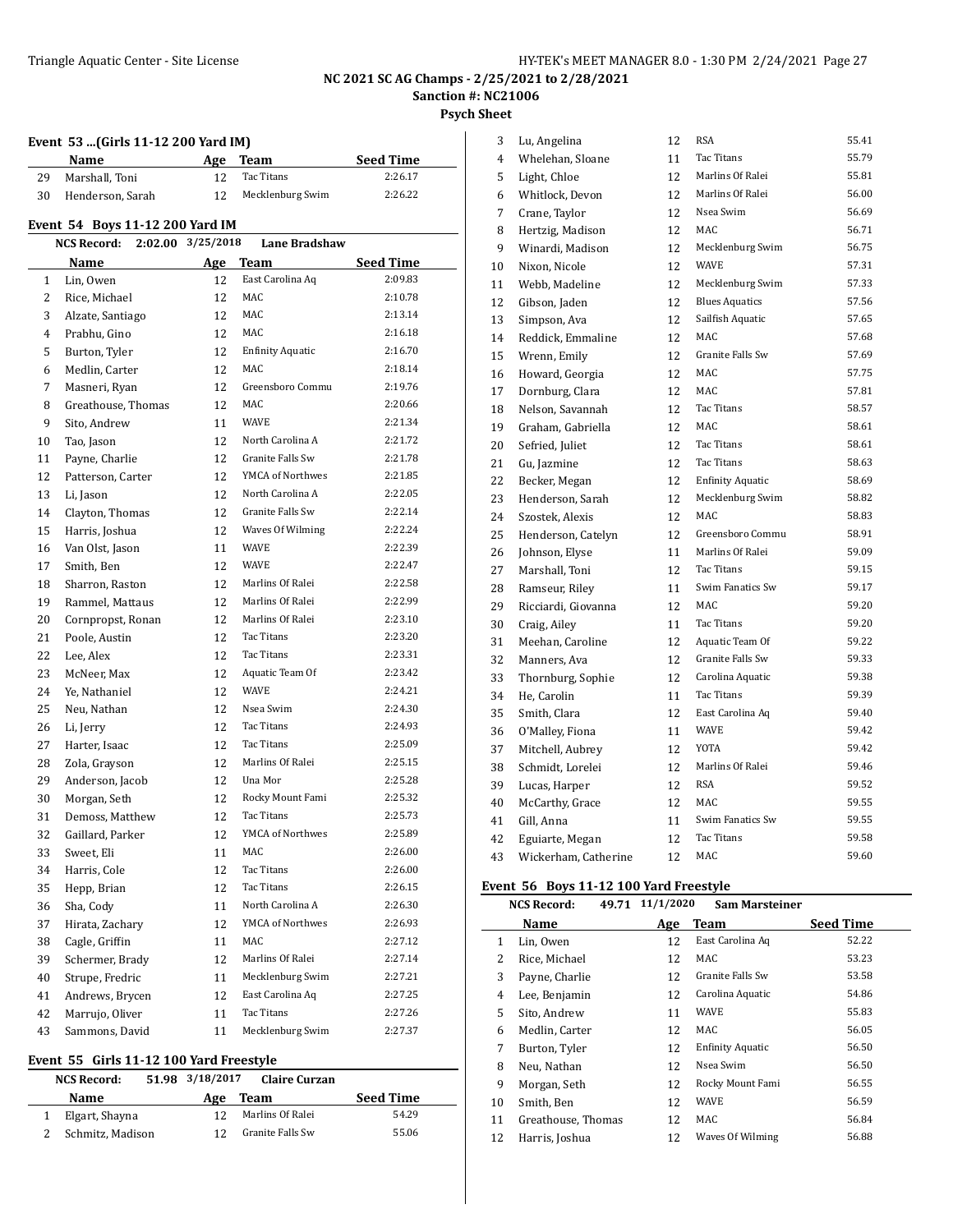**Psych Sheet**

|  | Event 53 (Girls 11-12 200 Yard IM) |  |  |  |
|--|------------------------------------|--|--|--|
|  |                                    |  |  |  |

|    | Event 33  (GHTs 11-12 200 Taru IMJ<br>Name |                   | Age Team                             | <b>Seed Time</b>   |
|----|--------------------------------------------|-------------------|--------------------------------------|--------------------|
| 29 | Marshall, Toni                             | 12                | Tac Titans                           | 2:26.17            |
| 30 | Henderson, Sarah                           | 12                | Mecklenburg Swim                     | 2:26.22            |
|    |                                            |                   |                                      |                    |
|    | Event 54 Boys 11-12 200 Yard IM            |                   |                                      |                    |
|    | <b>NCS Record:</b>                         | 2:02.00 3/25/2018 | <b>Lane Bradshaw</b>                 |                    |
|    | Name                                       |                   | Age Team                             | <b>Seed Time</b>   |
| 1  | Lin, Owen                                  | 12                | East Carolina Aq                     | 2:09.83            |
| 2  | Rice, Michael                              | 12                | MAC                                  | 2:10.78            |
| 3  | Alzate, Santiago                           | 12                | MAC                                  | 2:13.14            |
| 4  | Prabhu, Gino                               | 12                | MAC                                  | 2:16.18            |
| 5  | Burton, Tyler                              | 12                | <b>Enfinity Aquatic</b>              | 2:16.70            |
| 6  | Medlin, Carter                             | 12                | MAC                                  | 2:18.14            |
| 7  | Masneri, Ryan                              | 12                | Greensboro Commu                     | 2:19.76            |
| 8  | Greathouse, Thomas                         | 12                | MAC                                  | 2:20.66            |
| 9  | Sito, Andrew                               | 11                | <b>WAVE</b>                          | 2:21.34            |
| 10 | Tao, Jason                                 | 12                | North Carolina A                     | 2:21.72            |
| 11 | Payne, Charlie                             | 12                | Granite Falls Sw                     | 2:21.78            |
| 12 | Patterson, Carter                          | 12                | YMCA of Northwes                     | 2:21.85            |
| 13 | Li, Jason                                  | 12                | North Carolina A                     | 2:22.05            |
| 14 | Clayton, Thomas                            | 12                | Granite Falls Sw                     | 2:22.14            |
| 15 | Harris, Joshua                             | 12                | Waves Of Wilming                     | 2:22.24            |
| 16 | Van Olst, Jason                            | 11                | <b>WAVE</b>                          | 2:22.39            |
| 17 | Smith, Ben                                 | 12                | <b>WAVE</b>                          | 2:22.47            |
| 18 | Sharron, Raston                            | 12                | Marlins Of Ralei                     | 2:22.58            |
| 19 | Rammel, Mattaus                            | 12                | Marlins Of Ralei                     | 2:22.99            |
| 20 | Cornpropst, Ronan                          | 12                | Marlins Of Ralei                     | 2:23.10            |
| 21 | Poole, Austin                              | 12                | Tac Titans                           | 2:23.20            |
| 22 | Lee, Alex                                  | 12                | Tac Titans                           | 2:23.31            |
| 23 | McNeer, Max                                | 12                | Aquatic Team Of                      | 2:23.42            |
| 24 | Ye, Nathaniel                              | 12                | <b>WAVE</b>                          | 2:24.21            |
| 25 | Neu, Nathan                                | 12                | Nsea Swim                            | 2:24.30            |
| 26 | Li, Jerry                                  | 12                | Tac Titans                           | 2:24.93            |
| 27 | Harter, Isaac                              | 12                | Tac Titans                           | 2:25.09            |
| 28 | Zola, Grayson                              | 12                | Marlins Of Ralei                     | 2:25.15            |
| 29 | Anderson, Jacob                            | 12                | Una Mor                              | 2:25.28            |
| 30 | Morgan, Seth                               | 12                | Rocky Mount Fami                     | 2:25.32            |
| 31 | Demoss, Matthew                            | 12                | Tac Titans<br>YMCA of Northwes       | 2:25.73            |
| 32 | Gaillard, Parker                           | 12                |                                      | 2:25.89            |
| 33 | Sweet, Eli                                 | 11                | MAC                                  | 2:26.00            |
| 34 | Harris, Cole                               | 12                | Tac Titans<br>Tac Titans             | 2:26.00            |
| 35 | Hepp, Brian                                | 12                |                                      | 2:26.15            |
| 36 | Sha, Cody                                  | 11                | North Carolina A<br>YMCA of Northwes | 2:26.30<br>2:26.93 |
| 37 | Hirata, Zachary                            | 12                |                                      |                    |
| 38 | Cagle, Griffin                             | 11                | MAC<br>Marlins Of Ralei              | 2:27.12            |
| 39 | Schermer, Brady                            | 12                |                                      | 2:27.14            |
| 40 | Strupe, Fredric                            | 11                | Mecklenburg Swim                     | 2:27.21            |
| 41 | Andrews, Brycen                            | 12                | East Carolina Aq                     | 2:27.25            |
| 42 | Marrujo, Oliver                            | 11                | Tac Titans<br>Mecklenburg Swim       | 2:27.26            |
| 43 | Sammons, David<br>49.400 V.                | 11                |                                      | 2:27.37            |

#### **Event 55 Girls 11-12 100 Yard Freestyle**

| <b>NCS Record:</b> | 51.98 3/18/2017 | Claire Curzan    |                  |
|--------------------|-----------------|------------------|------------------|
| Name               | Age             | Team             | <b>Seed Time</b> |
| Elgart, Shayna     |                 | Marlins Of Ralei | 54.29            |
| Schmitz, Madison   |                 | Granite Falls Sw | 55.06            |

| 3              | Lu, Angelina         | 12 | <b>RSA</b>              | 55.41 |
|----------------|----------------------|----|-------------------------|-------|
| $\overline{4}$ | Whelehan, Sloane     | 11 | Tac Titans              | 55.79 |
| 5              | Light, Chloe         | 12 | Marlins Of Ralei        | 55.81 |
| 6              | Whitlock, Devon      | 12 | Marlins Of Ralei        | 56.00 |
| 7              | Crane, Taylor        | 12 | Nsea Swim               | 56.69 |
| 8              | Hertzig, Madison     | 12 | MAC                     | 56.71 |
| 9              | Winardi, Madison     | 12 | Mecklenburg Swim        | 56.75 |
| 10             | Nixon, Nicole        | 12 | <b>WAVE</b>             | 57.31 |
| 11             | Webb, Madeline       | 12 | Mecklenburg Swim        | 57.33 |
| 12             | Gibson, Jaden        | 12 | <b>Blues Aquatics</b>   | 57.56 |
| 13             | Simpson, Ava         | 12 | Sailfish Aquatic        | 57.65 |
| 14             | Reddick, Emmaline    | 12 | MAC                     | 57.68 |
| 15             | Wrenn, Emily         | 12 | <b>Granite Falls Sw</b> | 57.69 |
| 16             | Howard, Georgia      | 12 | MAC                     | 57.75 |
| 17             | Dornburg, Clara      | 12 | <b>MAC</b>              | 57.81 |
| 18             | Nelson, Savannah     | 12 | Tac Titans              | 58.57 |
| 19             | Graham, Gabriella    | 12 | <b>MAC</b>              | 58.61 |
| 20             | Sefried, Juliet      | 12 | Tac Titans              | 58.61 |
| 21             | Gu, Jazmine          | 12 | <b>Tac Titans</b>       | 58.63 |
| 22             | Becker, Megan        | 12 | <b>Enfinity Aquatic</b> | 58.69 |
| 23             | Henderson, Sarah     | 12 | Mecklenburg Swim        | 58.82 |
| 24             | Szostek, Alexis      | 12 | MAC.                    | 58.83 |
| 25             | Henderson, Catelyn   | 12 | Greensboro Commu        | 58.91 |
| 26             | Johnson, Elyse       | 11 | Marlins Of Ralei        | 59.09 |
| 27             | Marshall, Toni       | 12 | <b>Tac Titans</b>       | 59.15 |
| 28             | Ramseur, Riley       | 11 | Swim Fanatics Sw        | 59.17 |
| 29             | Ricciardi, Giovanna  | 12 | <b>MAC</b>              | 59.20 |
| 30             | Craig, Ailey         | 11 | <b>Tac Titans</b>       | 59.20 |
| 31             | Meehan, Caroline     | 12 | Aquatic Team Of         | 59.22 |
| 32             | Manners, Ava         | 12 | Granite Falls Sw        | 59.33 |
| 33             | Thornburg, Sophie    | 12 | Carolina Aquatic        | 59.38 |
| 34             | He, Carolin          | 11 | <b>Tac Titans</b>       | 59.39 |
| 35             | Smith, Clara         | 12 | East Carolina Aq        | 59.40 |
| 36             | O'Malley, Fiona      | 11 | <b>WAVE</b>             | 59.42 |
| 37             | Mitchell, Aubrey     | 12 | <b>YOTA</b>             | 59.42 |
| 38             | Schmidt, Lorelei     | 12 | Marlins Of Ralei        | 59.46 |
| 39             | Lucas, Harper        | 12 | <b>RSA</b>              | 59.52 |
| 40             | McCarthy, Grace      | 12 | <b>MAC</b>              | 59.55 |
| 41             | Gill, Anna           | 11 | Swim Fanatics Sw        | 59.55 |
| 42             | Eguiarte, Megan      | 12 | <b>Tac Titans</b>       | 59.58 |
| 43             | Wickerham, Catherine | 12 | MAC                     | 59.60 |
|                |                      |    |                         |       |

#### **Event 56 Boys 11-12 100 Yard Freestyle**

| <b>NCS Record:</b> |                    | 49.71 | 11/1/2020 | <b>Sam Marsteiner</b>   |                  |
|--------------------|--------------------|-------|-----------|-------------------------|------------------|
|                    | <b>Name</b>        |       | Age       | Team                    | <b>Seed Time</b> |
| $\mathbf{1}$       | Lin, Owen          |       | 12        | East Carolina Aq        | 52.22            |
| 2                  | Rice, Michael      |       | 12        | MAC                     | 53.23            |
| 3                  | Payne, Charlie     |       | 12        | Granite Falls Sw        | 53.58            |
| 4                  | Lee, Benjamin      |       | 12        | Carolina Aquatic        | 54.86            |
| 5                  | Sito, Andrew       |       | 11        | <b>WAVE</b>             | 55.83            |
| 6                  | Medlin, Carter     |       | 12        | MAC                     | 56.05            |
| 7                  | Burton, Tyler      |       | 12        | <b>Enfinity Aquatic</b> | 56.50            |
| 8                  | Neu, Nathan        |       | 12        | Nsea Swim               | 56.50            |
| 9                  | Morgan, Seth       |       | 12        | Rocky Mount Fami        | 56.55            |
| 10                 | Smith, Ben         |       | 12        | <b>WAVE</b>             | 56.59            |
| 11                 | Greathouse, Thomas |       | 12        | MAC                     | 56.84            |
| 12                 | Harris, Joshua     |       | 12        | Waves Of Wilming        | 56.88            |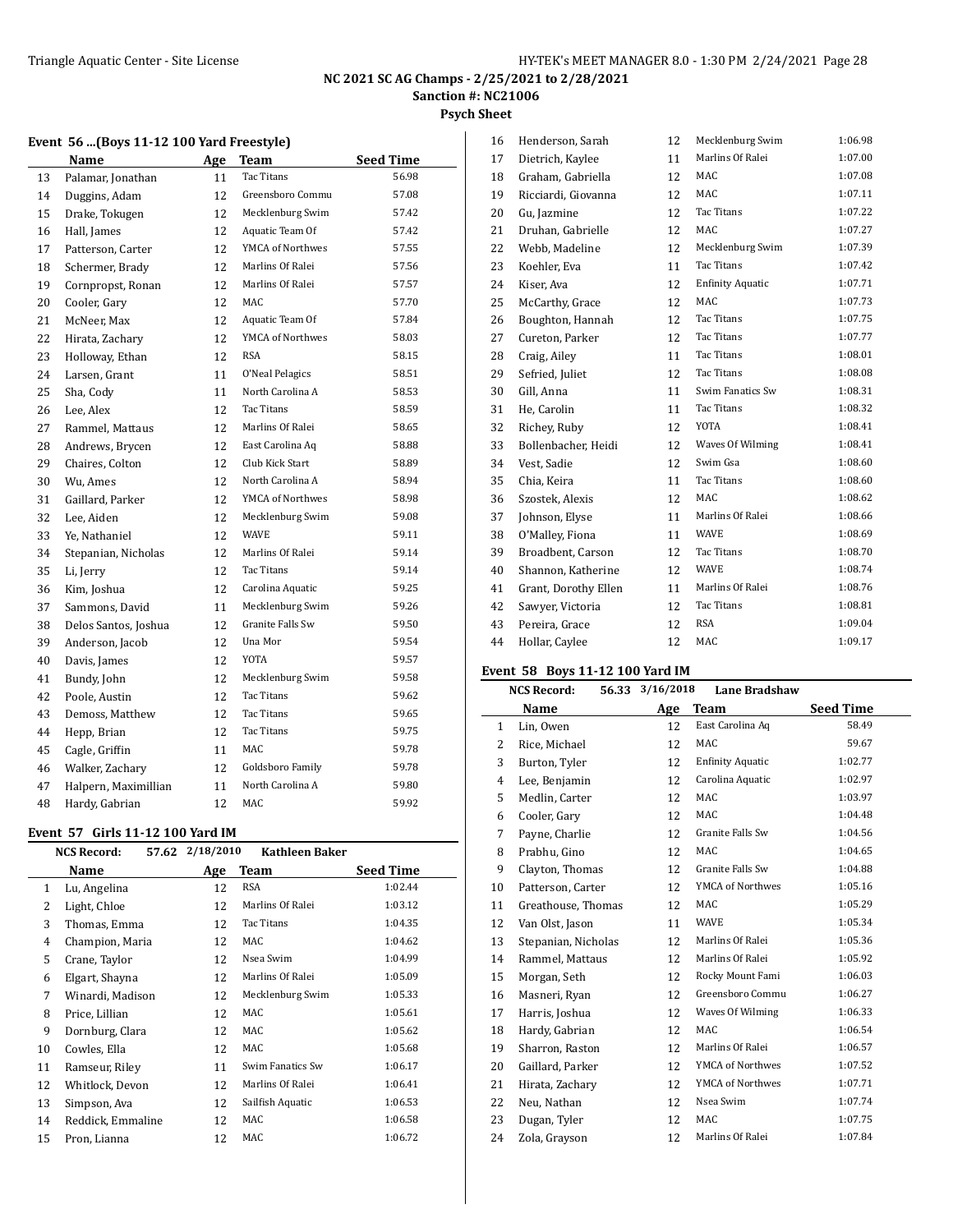#### **Psych Sheet**

|    | Name                 | <u>Age</u> | <b>Team</b>             | <b>Seed Time</b> |
|----|----------------------|------------|-------------------------|------------------|
| 13 | Palamar, Jonathan    | 11         | <b>Tac Titans</b>       | 56.98            |
| 14 | Duggins, Adam        | 12         | Greensboro Commu        | 57.08            |
| 15 | Drake, Tokugen       | 12         | Mecklenburg Swim        | 57.42            |
| 16 | Hall, James          | 12         | Aquatic Team Of         | 57.42            |
| 17 | Patterson, Carter    | 12         | YMCA of Northwes        | 57.55            |
| 18 | Schermer, Brady      | 12         | Marlins Of Ralei        | 57.56            |
| 19 | Cornpropst, Ronan    | 12         | Marlins Of Ralei        | 57.57            |
| 20 | Cooler, Gary         | 12         | MAC                     | 57.70            |
| 21 | McNeer, Max          | 12         | Aquatic Team Of         | 57.84            |
| 22 | Hirata, Zachary      | 12         | YMCA of Northwes        | 58.03            |
| 23 | Holloway, Ethan      | 12         | <b>RSA</b>              | 58.15            |
| 24 | Larsen, Grant        | 11         | O'Neal Pelagics         | 58.51            |
| 25 | Sha, Cody            | 11         | North Carolina A        | 58.53            |
| 26 | Lee, Alex            | 12         | Tac Titans              | 58.59            |
| 27 | Rammel, Mattaus      | 12         | Marlins Of Ralei        | 58.65            |
| 28 | Andrews, Brycen      | 12         | East Carolina Aq        | 58.88            |
| 29 | Chaires, Colton      | 12         | Club Kick Start         | 58.89            |
| 30 | Wu, Ames             | 12         | North Carolina A        | 58.94            |
| 31 | Gaillard, Parker     | 12         | YMCA of Northwes        | 58.98            |
| 32 | Lee, Aiden           | 12         | Mecklenburg Swim        | 59.08            |
| 33 | Ye, Nathaniel        | 12         | <b>WAVE</b>             | 59.11            |
| 34 | Stepanian, Nicholas  | 12         | Marlins Of Ralei        | 59.14            |
| 35 | Li, Jerry            | 12         | Tac Titans              | 59.14            |
| 36 | Kim, Joshua          | 12         | Carolina Aquatic        | 59.25            |
| 37 | Sammons, David       | 11         | Mecklenburg Swim        | 59.26            |
| 38 | Delos Santos, Joshua | 12         | <b>Granite Falls Sw</b> | 59.50            |
| 39 | Anderson, Jacob      | 12         | Una Mor                 | 59.54            |
| 40 | Davis, James         | 12         | YOTA                    | 59.57            |
| 41 | Bundy, John          | 12         | Mecklenburg Swim        | 59.58            |
| 42 | Poole, Austin        | 12         | Tac Titans              | 59.62            |
| 43 | Demoss, Matthew      | 12         | Tac Titans              | 59.65            |
| 44 | Hepp, Brian          | 12         | Tac Titans              | 59.75            |
| 45 | Cagle, Griffin       | 11         | MAC                     | 59.78            |
| 46 | Walker, Zachary      | 12         | Goldsboro Family        | 59.78            |
| 47 | Halpern, Maximillian | 11         | North Carolina A        | 59.80            |
| 48 | Hardy, Gabrian       | 12         | MAC                     | 59.92            |

#### **Event 57 Girls 11-12 100 Yard IM**

| <b>NCS Record:</b>           |            | <b>Kathleen Baker</b> |                  |
|------------------------------|------------|-----------------------|------------------|
| Name                         | <u>Age</u> | Team                  | <b>Seed Time</b> |
| Lu, Angelina<br>$\mathbf{1}$ | 12         | <b>RSA</b>            | 1:02.44          |
| 2<br>Light, Chloe            | 12         | Marlins Of Ralei      | 1:03.12          |
| 3<br>Thomas, Emma            | 12         | Tac Titans            | 1:04.35          |
| 4<br>Champion, Maria         | 12         | MAC                   | 1:04.62          |
| 5<br>Crane, Taylor           | 12         | Nsea Swim             | 1:04.99          |
| 6<br>Elgart, Shayna          | 12         | Marlins Of Ralei      | 1:05.09          |
| 7<br>Winardi, Madison        | 12         | Mecklenburg Swim      | 1:05.33          |
| 8<br>Price, Lillian          | 12         | MAC                   | 1:05.61          |
| 9<br>Dornburg, Clara         | 12         | MAC                   | 1:05.62          |
| 10<br>Cowles, Ella           | 12         | MAC                   | 1:05.68          |
| 11<br>Ramseur, Riley         | 11         | Swim Fanatics Sw      | 1:06.17          |
| 12<br>Whitlock, Devon        | 12         | Marlins Of Ralei      | 1:06.41          |
| 13<br>Simpson, Ava           | 12         | Sailfish Aquatic      | 1:06.53          |
| 14<br>Reddick, Emmaline      | 12         | MAC                   | 1:06.58          |
| 15<br>Pron, Lianna           | 12         | MAC                   | 1:06.72          |
|                              |            | 57.62                 | 2/18/2010        |

| 16 | Henderson, Sarah     | 12 | Mecklenburg Swim        | 1:06.98 |
|----|----------------------|----|-------------------------|---------|
| 17 | Dietrich, Kaylee     | 11 | Marlins Of Ralei        | 1:07.00 |
| 18 | Graham, Gabriella    | 12 | <b>MAC</b>              | 1:07.08 |
| 19 | Ricciardi, Giovanna  | 12 | <b>MAC</b>              | 1:07.11 |
| 20 | Gu, Jazmine          | 12 | <b>Tac Titans</b>       | 1:07.22 |
| 21 | Druhan, Gabrielle    | 12 | MAC                     | 1:07.27 |
| 22 | Webb, Madeline       | 12 | Mecklenburg Swim        | 1:07.39 |
| 23 | Koehler, Eva         | 11 | <b>Tac Titans</b>       | 1:07.42 |
| 24 | Kiser, Ava           | 12 | <b>Enfinity Aquatic</b> | 1:07.71 |
| 25 | McCarthy, Grace      | 12 | <b>MAC</b>              | 1:07.73 |
| 26 | Boughton, Hannah     | 12 | <b>Tac Titans</b>       | 1:07.75 |
| 27 | Cureton, Parker      | 12 | <b>Tac Titans</b>       | 1:07.77 |
| 28 | Craig, Ailey         | 11 | <b>Tac Titans</b>       | 1:08.01 |
| 29 | Sefried, Juliet      | 12 | <b>Tac Titans</b>       | 1:08.08 |
| 30 | Gill, Anna           | 11 | Swim Fanatics Sw        | 1:08.31 |
| 31 | He, Carolin          | 11 | <b>Tac Titans</b>       | 1:08.32 |
| 32 | Richey, Ruby         | 12 | <b>YOTA</b>             | 1:08.41 |
| 33 | Bollenbacher, Heidi  | 12 | Waves Of Wilming        | 1:08.41 |
| 34 | Vest, Sadie          | 12 | Swim Gsa                | 1:08.60 |
| 35 | Chia, Keira          | 11 | <b>Tac Titans</b>       | 1:08.60 |
| 36 | Szostek, Alexis      | 12 | <b>MAC</b>              | 1:08.62 |
| 37 | Johnson, Elyse       | 11 | Marlins Of Ralei        | 1:08.66 |
| 38 | O'Malley, Fiona      | 11 | <b>WAVE</b>             | 1:08.69 |
| 39 | Broadbent, Carson    | 12 | <b>Tac Titans</b>       | 1:08.70 |
| 40 | Shannon, Katherine   | 12 | <b>WAVE</b>             | 1:08.74 |
| 41 | Grant, Dorothy Ellen | 11 | Marlins Of Ralei        | 1:08.76 |
| 42 | Sawyer, Victoria     | 12 | Tac Titans              | 1:08.81 |
| 43 | Pereira, Grace       | 12 | <b>RSA</b>              | 1:09.04 |
| 44 | Hollar, Caylee       | 12 | <b>MAC</b>              | 1:09.17 |
|    |                      |    |                         |         |

## **Event 58 Boys 11-12 100 Yard IM**

|              | <b>NCS Record:</b>  | 56.33 3/16/2018 | <b>Lane Bradshaw</b>    |                  |
|--------------|---------------------|-----------------|-------------------------|------------------|
|              | Name                | Age             | Team                    | <b>Seed Time</b> |
| $\mathbf{1}$ | Lin, Owen           | 12              | East Carolina Aq        | 58.49            |
| 2            | Rice, Michael       | 12              | MAC                     | 59.67            |
| 3            | Burton, Tyler       | 12              | <b>Enfinity Aquatic</b> | 1:02.77          |
| 4            | Lee, Benjamin       | 12              | Carolina Aquatic        | 1:02.97          |
| 5            | Medlin, Carter      | 12              | MAC                     | 1:03.97          |
| 6            | Cooler, Gary        | 12              | MAC                     | 1:04.48          |
| 7            | Payne, Charlie      | 12              | Granite Falls Sw        | 1:04.56          |
| 8            | Prabhu, Gino        | 12              | MAC                     | 1:04.65          |
| 9            | Clayton, Thomas     | 12              | Granite Falls Sw        | 1:04.88          |
| 10           | Patterson, Carter   | 12              | YMCA of Northwes        | 1:05.16          |
| 11           | Greathouse, Thomas  | 12              | MAC                     | 1:05.29          |
| 12           | Van Olst, Jason     | 11              | <b>WAVE</b>             | 1:05.34          |
| 13           | Stepanian, Nicholas | 12              | Marlins Of Ralei        | 1:05.36          |
| 14           | Rammel, Mattaus     | 12              | Marlins Of Ralei        | 1:05.92          |
| 15           | Morgan, Seth        | 12              | Rocky Mount Fami        | 1:06.03          |
| 16           | Masneri, Ryan       | 12              | Greensboro Commu        | 1:06.27          |
| 17           | Harris, Joshua      | 12              | Waves Of Wilming        | 1:06.33          |
| 18           | Hardy, Gabrian      | 12              | MAC                     | 1:06.54          |
| 19           | Sharron, Raston     | 12              | Marlins Of Ralei        | 1:06.57          |
| 20           | Gaillard, Parker    | 12              | YMCA of Northwes        | 1:07.52          |
| 21           | Hirata, Zachary     | 12              | YMCA of Northwes        | 1:07.71          |
| 22           | Neu, Nathan         | 12              | Nsea Swim               | 1:07.74          |
| 23           | Dugan, Tyler        | 12              | MAC                     | 1:07.75          |
| 24           | Zola, Grayson       | 12              | Marlins Of Ralei        | 1:07.84          |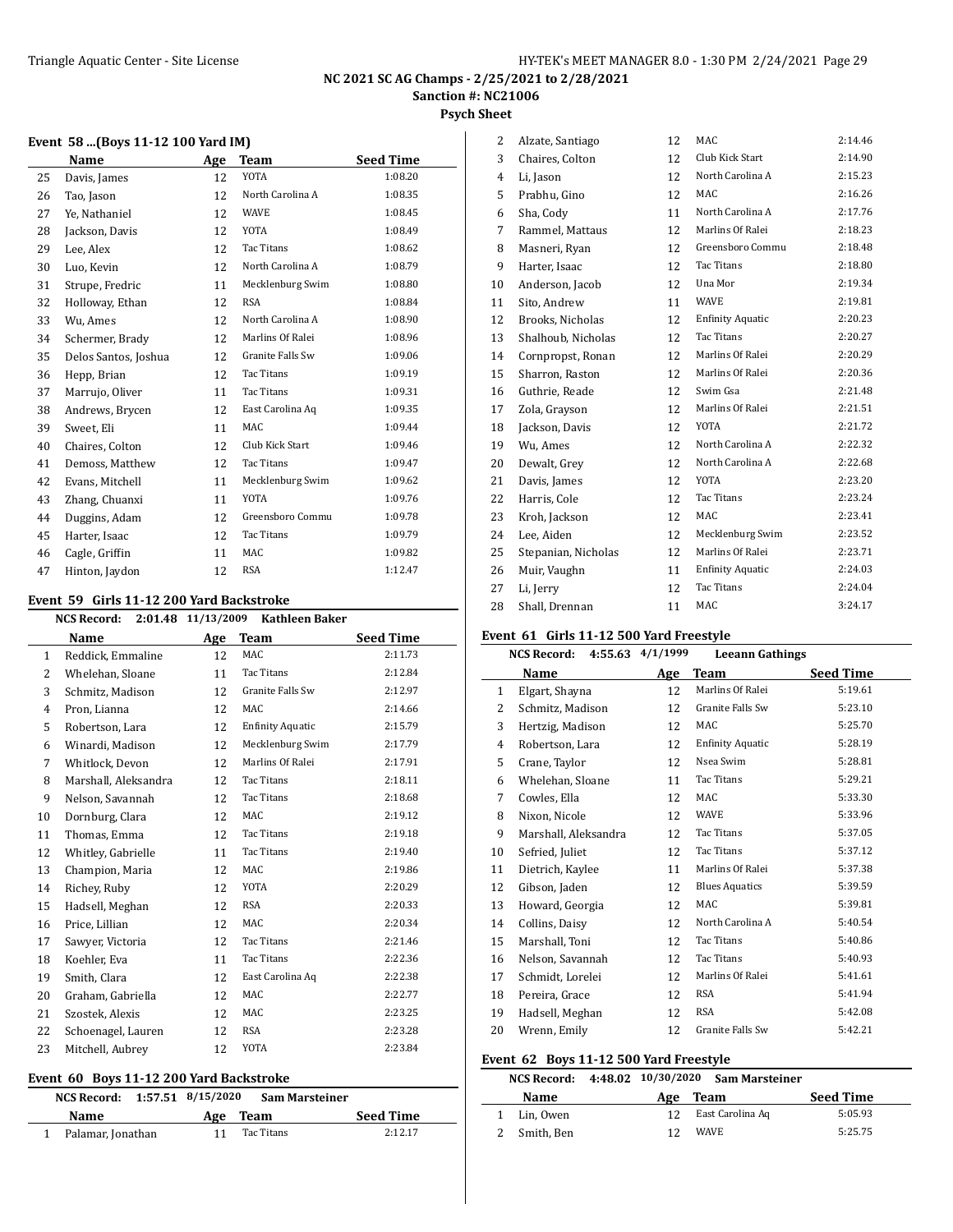#### **Psych Sheet**

#### **Event 58 ...(Boys 11-12 100 Yard IM)**

|    | Name                 | Age | <b>Team</b>      | <b>Seed Time</b> |
|----|----------------------|-----|------------------|------------------|
| 25 | Davis, James         | 12  | <b>YOTA</b>      | 1:08.20          |
| 26 | Tao, Jason           | 12  | North Carolina A | 1:08.35          |
| 27 | Ye, Nathaniel        | 12  | WAVE             | 1:08.45          |
| 28 | Jackson, Davis       | 12  | YOTA             | 1:08.49          |
| 29 | Lee, Alex            | 12  | Tac Titans       | 1:08.62          |
| 30 | Luo, Kevin           | 12  | North Carolina A | 1:08.79          |
| 31 | Strupe, Fredric      | 11  | Mecklenburg Swim | 1:08.80          |
| 32 | Holloway, Ethan      | 12  | <b>RSA</b>       | 1:08.84          |
| 33 | Wu, Ames             | 12  | North Carolina A | 1:08.90          |
| 34 | Schermer, Brady      | 12  | Marlins Of Ralei | 1:08.96          |
| 35 | Delos Santos, Joshua | 12  | Granite Falls Sw | 1:09.06          |
| 36 | Hepp, Brian          | 12  | Tac Titans       | 1:09.19          |
| 37 | Marrujo, Oliver      | 11  | Tac Titans       | 1:09.31          |
| 38 | Andrews, Brycen      | 12  | East Carolina Aq | 1:09.35          |
| 39 | Sweet, Eli           | 11  | <b>MAC</b>       | 1:09.44          |
| 40 | Chaires, Colton      | 12  | Club Kick Start  | 1:09.46          |
| 41 | Demoss, Matthew      | 12  | Tac Titans       | 1:09.47          |
| 42 | Evans, Mitchell      | 11  | Mecklenburg Swim | 1:09.62          |
| 43 | Zhang, Chuanxi       | 11  | <b>YOTA</b>      | 1:09.76          |
| 44 | Duggins, Adam        | 12  | Greensboro Commu | 1:09.78          |
| 45 | Harter, Isaac        | 12  | Tac Titans       | 1:09.79          |
| 46 | Cagle, Griffin       | 11  | MAC              | 1:09.82          |
| 47 | Hinton, Jaydon       | 12  | <b>RSA</b>       | 1:12.47          |

#### **Event 59 Girls 11-12 200 Yard Backstroke**

|              | <b>NCS Record:</b>   | 2:01.48 11/13/2009<br><b>Kathleen Baker</b> |                         |                  |
|--------------|----------------------|---------------------------------------------|-------------------------|------------------|
|              | Name                 | Age                                         | <b>Team</b>             | <b>Seed Time</b> |
| $\mathbf{1}$ | Reddick, Emmaline    | 12                                          | <b>MAC</b>              | 2:11.73          |
| 2            | Whelehan, Sloane     | 11                                          | Tac Titans              | 2:12.84          |
| 3            | Schmitz, Madison     | 12                                          | Granite Falls Sw        | 2:12.97          |
| 4            | Pron, Lianna         | 12                                          | MAC                     | 2:14.66          |
| 5            | Robertson, Lara      | 12                                          | <b>Enfinity Aquatic</b> | 2:15.79          |
| 6            | Winardi, Madison     | 12                                          | Mecklenburg Swim        | 2:17.79          |
| 7            | Whitlock, Devon      | 12                                          | Marlins Of Ralei        | 2:17.91          |
| 8            | Marshall, Aleksandra | 12                                          | Tac Titans              | 2:18.11          |
| 9            | Nelson, Savannah     | 12                                          | Tac Titans              | 2:18.68          |
| 10           | Dornburg, Clara      | 12                                          | MAC                     | 2:19.12          |
| 11           | Thomas, Emma         | 12                                          | Tac Titans              | 2:19.18          |
| 12           | Whitley, Gabrielle   | 11                                          | Tac Titans              | 2:19.40          |
| 13           | Champion, Maria      | 12                                          | MAC                     | 2:19.86          |
| 14           | Richey, Ruby         | 12                                          | YOTA                    | 2:20.29          |
| 15           | Hadsell, Meghan      | 12                                          | <b>RSA</b>              | 2:20.33          |
| 16           | Price, Lillian       | 12                                          | MAC                     | 2:20.34          |
| 17           | Sawyer, Victoria     | 12                                          | Tac Titans              | 2:21.46          |
| 18           | Koehler, Eva         | 11                                          | Tac Titans              | 2:22.36          |
| 19           | Smith, Clara         | 12                                          | East Carolina Aq        | 2:22.38          |
| 20           | Graham, Gabriella    | 12                                          | MAC                     | 2:22.77          |
| 21           | Szostek, Alexis      | 12                                          | MAC                     | 2:23.25          |
| 22           | Schoenagel, Lauren   | 12                                          | RSA                     | 2:23.28          |
| 23           | Mitchell, Aubrey     | 12                                          | <b>YOTA</b>             | 2:23.84          |
|              |                      |                                             |                         |                  |

# **Event 60 Boys 11-12 200 Yard Backstroke**

| Name                | Age Team   | <b>Seed Time</b> |
|---------------------|------------|------------------|
| 1 Palamar, Jonathan | Tac Titans | 2:12.17          |

| Alzate, Santiago    | 12 | <b>MAC</b>              | 2:14.46 |
|---------------------|----|-------------------------|---------|
| Chaires, Colton     | 12 | Club Kick Start         | 2:14.90 |
| Li, Jason           | 12 | North Carolina A        | 2:15.23 |
| Prabhu, Gino        | 12 | MAC                     | 2:16.26 |
| Sha, Cody           | 11 | North Carolina A        | 2:17.76 |
| Rammel, Mattaus     | 12 | Marlins Of Ralei        | 2:18.23 |
| Masneri, Ryan       | 12 | Greensboro Commu        | 2:18.48 |
| Harter, Isaac       | 12 | <b>Tac Titans</b>       | 2:18.80 |
| Anderson, Jacob     | 12 | Una Mor                 | 2:19.34 |
| Sito, Andrew        | 11 | <b>WAVE</b>             | 2:19.81 |
| Brooks, Nicholas    | 12 | <b>Enfinity Aquatic</b> | 2:20.23 |
| Shalhoub, Nicholas  | 12 | Tac Titans              | 2:20.27 |
| Cornpropst, Ronan   | 12 | Marlins Of Ralei        | 2:20.29 |
| Sharron, Raston     | 12 | Marlins Of Ralei        | 2:20.36 |
| Guthrie, Reade      | 12 | Swim Gsa                | 2:21.48 |
| Zola, Grayson       | 12 | Marlins Of Ralei        | 2:21.51 |
| Jackson, Davis      | 12 | YOTA                    | 2:21.72 |
| Wu, Ames            | 12 | North Carolina A        | 2:22.32 |
| Dewalt, Grey        | 12 | North Carolina A        | 2:22.68 |
| Davis, James        | 12 | YOTA                    | 2:23.20 |
| Harris, Cole        | 12 | <b>Tac Titans</b>       | 2:23.24 |
| Kroh, Jackson       | 12 | MAC                     | 2:23.41 |
| Lee, Aiden          | 12 | Mecklenburg Swim        | 2:23.52 |
| Stepanian, Nicholas | 12 | Marlins Of Ralei        | 2:23.71 |
| Muir, Vaughn        | 11 | <b>Enfinity Aquatic</b> | 2:24.03 |
| Li, Jerry           | 12 | Tac Titans              | 2:24.04 |
| Shall, Drennan      | 11 | MAC                     | 3:24.17 |
|                     |    |                         |         |

#### **Event 61 Girls 11-12 500 Yard Freestyle**

|              | <b>NCS Record:</b>   | 4:55.63 4/1/1999 | <b>Leeann Gathings</b>  |                  |
|--------------|----------------------|------------------|-------------------------|------------------|
|              | Name                 | Age              | Team                    | <b>Seed Time</b> |
| $\mathbf{1}$ | Elgart, Shayna       | 12               | Marlins Of Ralei        | 5:19.61          |
| 2            | Schmitz, Madison     | 12               | Granite Falls Sw        | 5:23.10          |
| 3            | Hertzig, Madison     | 12               | MAC                     | 5:25.70          |
| 4            | Robertson, Lara      | 12               | <b>Enfinity Aquatic</b> | 5:28.19          |
| 5            | Crane, Taylor        | 12               | Nsea Swim               | 5:28.81          |
| 6            | Whelehan, Sloane     | 11               | Tac Titans              | 5:29.21          |
| 7            | Cowles, Ella         | 12               | MAC                     | 5:33.30          |
| 8            | Nixon, Nicole        | 12               | WAVE                    | 5:33.96          |
| 9            | Marshall, Aleksandra | 12               | Tac Titans              | 5:37.05          |
| 10           | Sefried, Juliet      | 12               | Tac Titans              | 5:37.12          |
| 11           | Dietrich, Kaylee     | 11               | Marlins Of Ralei        | 5:37.38          |
| 12           | Gibson, Jaden        | 12               | <b>Blues Aquatics</b>   | 5:39.59          |
| 13           | Howard, Georgia      | 12               | MAC                     | 5:39.81          |
| 14           | Collins, Daisy       | 12               | North Carolina A        | 5:40.54          |
| 15           | Marshall, Toni       | 12               | Tac Titans              | 5:40.86          |
| 16           | Nelson, Savannah     | 12               | <b>Tac Titans</b>       | 5:40.93          |
| 17           | Schmidt, Lorelei     | 12               | Marlins Of Ralei        | 5:41.61          |
| 18           | Pereira, Grace       | 12               | <b>RSA</b>              | 5:41.94          |
| 19           | Hadsell, Meghan      | 12               | <b>RSA</b>              | 5:42.08          |
| 20           | Wrenn, Emily         | 12               | <b>Granite Falls Sw</b> | 5:42.21          |

#### **Event 62 Boys 11-12 500 Yard Freestyle**

L.

|             | NCS Record: 4:48.02 10/30/2020 Sam Marsteiner |     |                  |                  |
|-------------|-----------------------------------------------|-----|------------------|------------------|
| <b>Name</b> |                                               | Age | Team             | <b>Seed Time</b> |
| Lin, Owen   |                                               | 12  | East Carolina Ag | 5:05.93          |
| Smith, Ben  |                                               | 12  | <b>WAVE</b>      | 5:25.75          |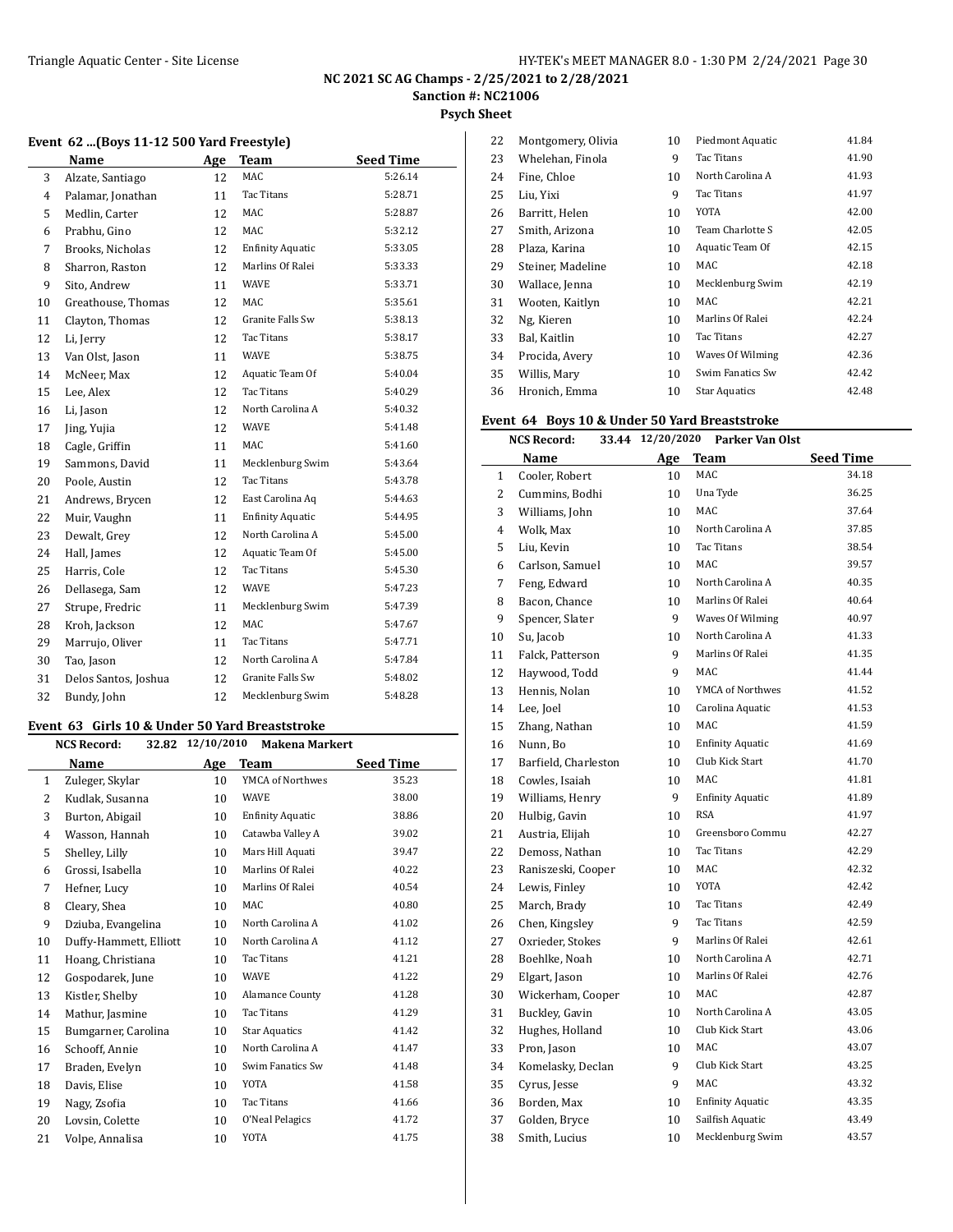**Psych Sheet**

#### **Event 62 ...(Boys 11-12 500 Yard Freestyle)**

| Name           |                      | Age | <b>Team</b>             | <b>Seed Time</b> |
|----------------|----------------------|-----|-------------------------|------------------|
| 3              | Alzate, Santiago     | 12  | <b>MAC</b>              | 5:26.14          |
| $\overline{4}$ | Palamar, Jonathan    | 11  | Tac Titans              | 5:28.71          |
| 5              | Medlin, Carter       | 12  | MAC                     | 5:28.87          |
| 6              | Prabhu, Gino         | 12  | MAC                     | 5:32.12          |
| 7              | Brooks, Nicholas     | 12  | <b>Enfinity Aquatic</b> | 5:33.05          |
| 8              | Sharron, Raston      | 12  | Marlins Of Ralei        | 5:33.33          |
| 9              | Sito, Andrew         | 11  | <b>WAVE</b>             | 5:33.71          |
| 10             | Greathouse, Thomas   | 12  | <b>MAC</b>              | 5:35.61          |
| 11             | Clayton, Thomas      | 12  | Granite Falls Sw        | 5:38.13          |
| 12             | Li, Jerry            | 12  | Tac Titans              | 5:38.17          |
| 13             | Van Olst, Jason      | 11  | <b>WAVE</b>             | 5:38.75          |
| 14             | McNeer, Max          | 12  | Aquatic Team Of         | 5:40.04          |
| 15             | Lee, Alex            | 12  | Tac Titans              | 5:40.29          |
| 16             | Li, Jason            | 12  | North Carolina A        | 5:40.32          |
| 17             | Jing, Yujia          | 12  | <b>WAVE</b>             | 5:41.48          |
| 18             | Cagle, Griffin       | 11  | MAC                     | 5:41.60          |
| 19             | Sammons, David       | 11  | Mecklenburg Swim        | 5:43.64          |
| 20             | Poole, Austin        | 12  | Tac Titans              | 5:43.78          |
| 21             | Andrews, Brycen      | 12  | East Carolina Aq        | 5:44.63          |
| 22             | Muir, Vaughn         | 11  | <b>Enfinity Aquatic</b> | 5:44.95          |
| 23             | Dewalt, Grey         | 12  | North Carolina A        | 5:45.00          |
| 24             | Hall, James          | 12  | Aquatic Team Of         | 5:45.00          |
| 25             | Harris, Cole         | 12  | <b>Tac Titans</b>       | 5:45.30          |
| 26             | Dellasega, Sam       | 12  | <b>WAVE</b>             | 5:47.23          |
| 27             | Strupe, Fredric      | 11  | Mecklenburg Swim        | 5:47.39          |
| 28             | Kroh, Jackson        | 12  | MAC                     | 5:47.67          |
| 29             | Marrujo, Oliver      | 11  | Tac Titans              | 5:47.71          |
| 30             | Tao, Jason           | 12  | North Carolina A        | 5:47.84          |
| 31             | Delos Santos, Joshua | 12  | Granite Falls Sw        | 5:48.02          |
| 32             | Bundy, John          | 12  | Mecklenburg Swim        | 5:48.28          |

#### **Event 63 Girls 10 & Under 50 Yard Breaststroke**

|              | Name                   | Age |                         |                  |
|--------------|------------------------|-----|-------------------------|------------------|
|              |                        |     | <b>Team</b>             | <b>Seed Time</b> |
| $\mathbf{1}$ | Zuleger, Skylar        | 10  | YMCA of Northwes        | 35.23            |
| 2            | Kudlak, Susanna        | 10  | <b>WAVE</b>             | 38.00            |
| 3            | Burton, Abigail        | 10  | <b>Enfinity Aquatic</b> | 38.86            |
| 4            | Wasson, Hannah         | 10  | Catawba Valley A        | 39.02            |
| 5            | Shelley, Lilly         | 10  | Mars Hill Aquati        | 39.47            |
| 6            | Grossi, Isabella       | 10  | Marlins Of Ralei        | 40.22            |
| 7            | Hefner, Lucy           | 10  | Marlins Of Ralei        | 40.54            |
| 8            | Cleary, Shea           | 10  | MAC                     | 40.80            |
| 9            | Dziuba, Evangelina     | 10  | North Carolina A        | 41.02            |
| 10           | Duffy-Hammett, Elliott | 10  | North Carolina A        | 41.12            |
| 11           | Hoang, Christiana      | 10  | Tac Titans              | 41.21            |
| 12           | Gospodarek, June       | 10  | <b>WAVE</b>             | 41.22            |
| 13           | Kistler, Shelby        | 10  | <b>Alamance County</b>  | 41.28            |
| 14           | Mathur, Jasmine        | 10  | Tac Titans              | 41.29            |
| 15           | Bumgarner, Carolina    | 10  | <b>Star Aquatics</b>    | 41.42            |
| 16           | Schooff, Annie         | 10  | North Carolina A        | 41.47            |
| 17           | Braden, Evelyn         | 10  | Swim Fanatics Sw        | 41.48            |
| 18           | Davis, Elise           | 10  | <b>YOTA</b>             | 41.58            |
| 19           | Nagy, Zsofia           | 10  | Tac Titans              | 41.66            |
| 20           | Lovsin, Colette        | 10  | O'Neal Pelagics         | 41.72            |
| 21           | Volpe, Annalisa        | 10  | YOTA                    | 41.75            |

| 22 | Montgomery, Olivia | 10 | Piedmont Aquatic     | 41.84 |
|----|--------------------|----|----------------------|-------|
| 23 | Whelehan, Finola   | 9  | Tac Titans           | 41.90 |
| 24 | Fine, Chloe        | 10 | North Carolina A     | 41.93 |
| 25 | Liu, Yixi          | 9  | Tac Titans           | 41.97 |
| 26 | Barritt, Helen     | 10 | YOTA                 | 42.00 |
| 27 | Smith, Arizona     | 10 | Team Charlotte S     | 42.05 |
| 28 | Plaza, Karina      | 10 | Aquatic Team Of      | 42.15 |
| 29 | Steiner, Madeline  | 10 | MAC                  | 42.18 |
| 30 | Wallace, Jenna     | 10 | Mecklenburg Swim     | 42.19 |
| 31 | Wooten, Kaitlyn    | 10 | MAC                  | 42.21 |
| 32 | Ng, Kieren         | 10 | Marlins Of Ralei     | 42.24 |
| 33 | Bal, Kaitlin       | 10 | Tac Titans           | 42.27 |
| 34 | Procida, Avery     | 10 | Waves Of Wilming     | 42.36 |
| 35 | Willis, Mary       | 10 | Swim Fanatics Sw     | 42.42 |
| 36 | Hronich, Emma      | 10 | <b>Star Aquatics</b> | 42.48 |

### **Event 64 Boys 10 & Under 50 Yard Breaststroke**

|                | <b>NCS Record:</b>   | 33.44 12/20/2020 | Parker Van Olst         |                  |
|----------------|----------------------|------------------|-------------------------|------------------|
|                | <b>Name</b>          | Age              | <b>Team</b>             | <b>Seed Time</b> |
| $\mathbf{1}$   | Cooler, Robert       | 10               | MAC                     | 34.18            |
| 2              | Cummins, Bodhi       | 10               | Una Tyde                | 36.25            |
| 3              | Williams, John       | 10               | MAC                     | 37.64            |
| $\overline{4}$ | Wolk, Max            | 10               | North Carolina A        | 37.85            |
| 5              | Liu, Kevin           | 10               | Tac Titans              | 38.54            |
| 6              | Carlson, Samuel      | 10               | MAC                     | 39.57            |
| $\overline{7}$ | Feng, Edward         | 10               | North Carolina A        | 40.35            |
| 8              | Bacon, Chance        | 10               | Marlins Of Ralei        | 40.64            |
| 9              | Spencer, Slater      | 9                | Waves Of Wilming        | 40.97            |
| 10             | Su, Jacob            | 10               | North Carolina A        | 41.33            |
| 11             | Falck, Patterson     | 9                | Marlins Of Ralei        | 41.35            |
| 12             | Haywood, Todd        | 9                | <b>MAC</b>              | 41.44            |
| 13             | Hennis, Nolan        | 10               | YMCA of Northwes        | 41.52            |
| 14             | Lee, Joel            | 10               | Carolina Aquatic        | 41.53            |
| 15             | Zhang, Nathan        | 10               | MAC                     | 41.59            |
| 16             | Nunn, Bo             | 10               | <b>Enfinity Aquatic</b> | 41.69            |
| 17             | Barfield, Charleston | 10               | Club Kick Start         | 41.70            |
| 18             | Cowles, Isaiah       | 10               | MAC                     | 41.81            |
| 19             | Williams, Henry      | 9                | <b>Enfinity Aquatic</b> | 41.89            |
| 20             | Hulbig, Gavin        | 10               | <b>RSA</b>              | 41.97            |
| 21             | Austria, Elijah      | 10               | Greensboro Commu        | 42.27            |
| 22             | Demoss, Nathan       | 10               | Tac Titans              | 42.29            |
| 23             | Raniszeski, Cooper   | 10               | MAC                     | 42.32            |
| 24             | Lewis, Finley        | 10               | <b>YOTA</b>             | 42.42            |
| 25             | March, Brady         | 10               | Tac Titans              | 42.49            |
| 26             | Chen, Kingsley       | 9                | Tac Titans              | 42.59            |
| 27             | Oxrieder, Stokes     | 9                | Marlins Of Ralei        | 42.61            |
| 28             | Boehlke, Noah        | 10               | North Carolina A        | 42.71            |
| 29             | Elgart, Jason        | 10               | Marlins Of Ralei        | 42.76            |
| 30             | Wickerham, Cooper    | 10               | MAC                     | 42.87            |
| 31             | Buckley, Gavin       | 10               | North Carolina A        | 43.05            |
| 32             | Hughes, Holland      | 10               | Club Kick Start         | 43.06            |
| 33             | Pron, Jason          | 10               | MAC                     | 43.07            |
| 34             | Komelasky, Declan    | 9                | Club Kick Start         | 43.25            |
| 35             | Cyrus, Jesse         | 9                | <b>MAC</b>              | 43.32            |
| 36             | Borden, Max          | 10               | <b>Enfinity Aquatic</b> | 43.35            |
| 37             | Golden, Bryce        | 10               | Sailfish Aquatic        | 43.49            |
| 38             | Smith, Lucius        | 10               | Mecklenburg Swim        | 43.57            |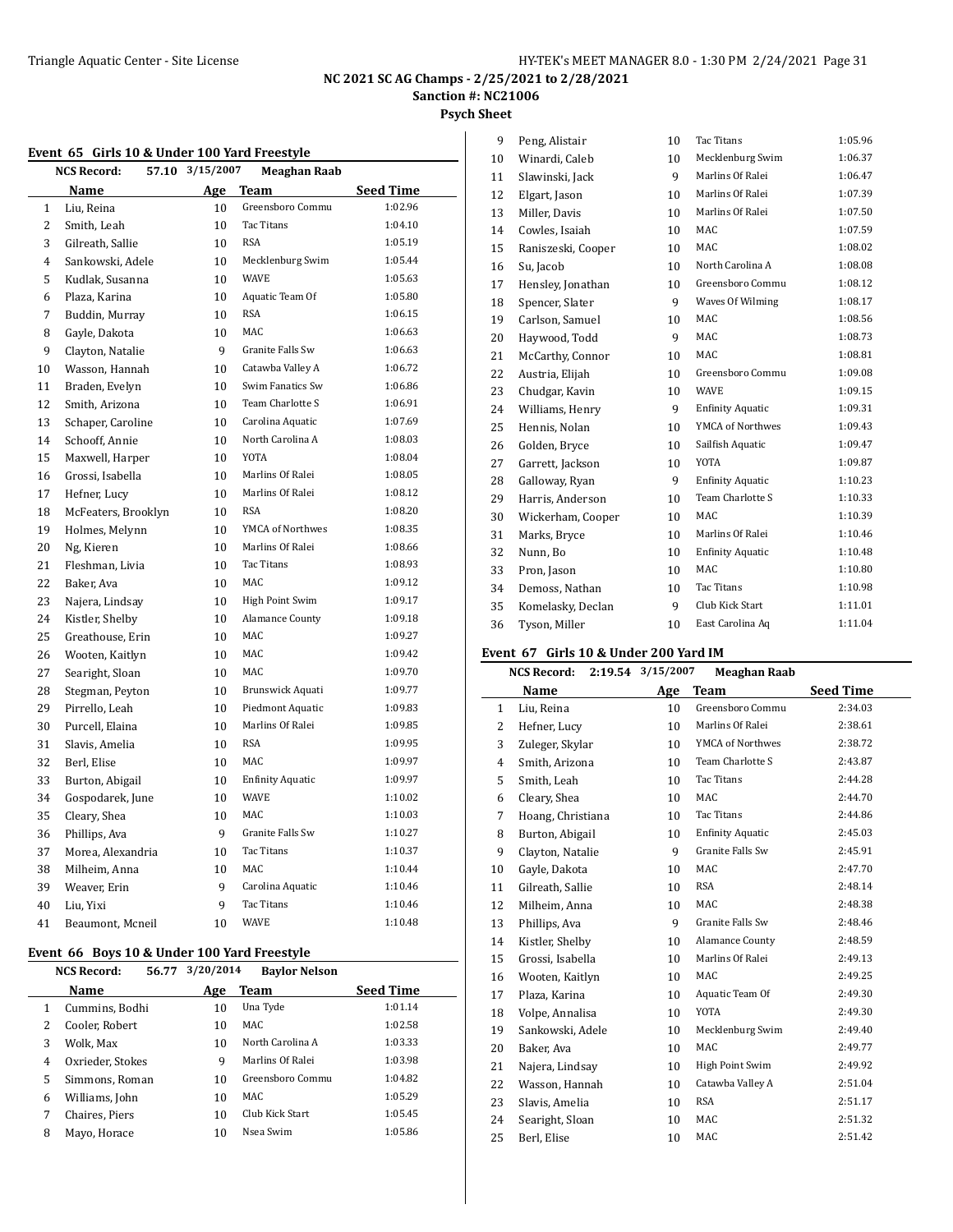#### **Psych Sheet**

#### **Event 65 Girls 10 & Under 100 Yard Freestyle**

|              | Event 65 Grills To & Onder Too raid ricestyle<br><b>NCS Record:</b> | 57.10 3/15/2007 | <b>Meaghan Raab</b>     |                  |
|--------------|---------------------------------------------------------------------|-----------------|-------------------------|------------------|
|              | Name                                                                |                 | Age Team                | <b>Seed Time</b> |
| $\mathbf{1}$ | Liu, Reina                                                          | 10              | Greensboro Commu        | 1:02.96          |
| 2            | Smith, Leah                                                         | 10              | <b>Tac Titans</b>       | 1:04.10          |
| 3            | Gilreath, Sallie                                                    | 10              | <b>RSA</b>              | 1:05.19          |
| 4            | Sankowski, Adele                                                    | 10              | Mecklenburg Swim        | 1:05.44          |
| 5            | Kudlak, Susanna                                                     | 10              | <b>WAVE</b>             | 1:05.63          |
| 6            | Plaza, Karina                                                       | 10              | Aquatic Team Of         | 1:05.80          |
| 7            | Buddin, Murray                                                      | 10              | <b>RSA</b>              | 1:06.15          |
| 8            | Gayle, Dakota                                                       | 10              | <b>MAC</b>              | 1:06.63          |
| 9            | Clayton, Natalie                                                    | 9               | Granite Falls Sw        | 1:06.63          |
| 10           | Wasson, Hannah                                                      | 10              | Catawba Valley A        | 1:06.72          |
| 11           | Braden, Evelyn                                                      | 10              | Swim Fanatics Sw        | 1:06.86          |
| 12           | Smith, Arizona                                                      | 10              | Team Charlotte S        | 1:06.91          |
| 13           | Schaper, Caroline                                                   | 10              | Carolina Aquatic        | 1:07.69          |
| 14           | Schooff, Annie                                                      | 10              | North Carolina A        | 1:08.03          |
| 15           | Maxwell, Harper                                                     | 10              | <b>YOTA</b>             | 1:08.04          |
| 16           | Grossi, Isabella                                                    | 10              | Marlins Of Ralei        | 1:08.05          |
| 17           | Hefner, Lucy                                                        | 10              | Marlins Of Ralei        | 1:08.12          |
| 18           | McFeaters, Brooklyn                                                 | 10              | RSA                     | 1:08.20          |
| 19           | Holmes, Melynn                                                      | 10              | YMCA of Northwes        | 1:08.35          |
| 20           | Ng, Kieren                                                          | 10              | Marlins Of Ralei        | 1:08.66          |
| 21           | Fleshman, Livia                                                     | 10              | Tac Titans              | 1:08.93          |
| 22           | Baker, Ava                                                          | 10              | MAC                     | 1:09.12          |
| 23           | Najera, Lindsay                                                     | 10              | High Point Swim         | 1:09.17          |
| 24           | Kistler, Shelby                                                     | 10              | <b>Alamance County</b>  | 1:09.18          |
| 25           | Greathouse, Erin                                                    | 10              | MAC                     | 1:09.27          |
| 26           | Wooten, Kaitlyn                                                     | 10              | MAC                     | 1:09.42          |
| 27           | Searight, Sloan                                                     | 10              | MAC                     | 1:09.70          |
| 28           | Stegman, Peyton                                                     | 10              | Brunswick Aquati        | 1:09.77          |
| 29           | Pirrello, Leah                                                      | 10              | Piedmont Aquatic        | 1:09.83          |
| 30           | Purcell, Elaina                                                     | 10              | Marlins Of Ralei        | 1:09.85          |
| 31           | Slavis, Amelia                                                      | 10              | <b>RSA</b>              | 1:09.95          |
| 32           | Berl, Elise                                                         | 10              | MAC                     | 1:09.97          |
| 33           | Burton, Abigail                                                     | 10              | <b>Enfinity Aquatic</b> | 1:09.97          |
| 34           | Gospodarek, June                                                    | 10              | <b>WAVE</b>             | 1:10.02          |
| 35           | Cleary, Shea                                                        | 10              | <b>MAC</b>              | 1:10.03          |
| 36           | Phillips, Ava                                                       | 9               | Granite Falls Sw        | 1:10.27          |
| 37           | Morea, Alexandria                                                   | 10              | Tac Titans              | 1:10.37          |
| 38           | Milheim, Anna                                                       | 10              | MAC                     | 1:10.44          |
| 39           | Weaver, Erin                                                        | 9               | Carolina Aquatic        | 1:10.46          |
| 40           | Liu, Yixi                                                           | 9               | Tac Titans              | 1:10.46          |
| 41           | Beaumont, Mcneil                                                    | 10              | <b>WAVE</b>             | 1:10.48          |

#### **Event 66 Boys 10 & Under 100 Yard Freestyle**

|   | <b>NCS Record:</b><br>56.77 | 3/20/2014 | <b>Baylor Nelson</b> |                  |
|---|-----------------------------|-----------|----------------------|------------------|
|   | Name                        | Age       | Team                 | <b>Seed Time</b> |
|   | Cummins, Bodhi              | 10        | Una Tyde             | 1:01.14          |
| 2 | Cooler, Robert              | 10        | MAC                  | 1:02.58          |
| 3 | Wolk, Max                   | 10        | North Carolina A     | 1:03.33          |
| 4 | Oxrieder, Stokes            | 9         | Marlins Of Ralei     | 1:03.98          |
| 5 | Simmons, Roman              | 10        | Greensboro Commu     | 1:04.82          |
| 6 | Williams, John              | 10        | MAC.                 | 1:05.29          |
|   | Chaires, Piers              | 10        | Club Kick Start      | 1:05.45          |
| 8 | Mayo, Horace                | 10        | Nsea Swim            | 1:05.86          |

| 9  | Peng, Alistair     | 10              | <b>Tac Titans</b>       | 1:05.96 |
|----|--------------------|-----------------|-------------------------|---------|
| 10 | Winardi. Caleb     | 10              | Mecklenburg Swim        | 1:06.37 |
| 11 | Slawinski, Jack    | 9               | Marlins Of Ralei        | 1:06.47 |
| 12 | Elgart, Jason      | 10              | Marlins Of Ralei        | 1:07.39 |
| 13 | Miller, Davis      | 10              | Marlins Of Ralei        | 1:07.50 |
| 14 | Cowles, Isaiah     | 10              | MAC                     | 1:07.59 |
| 15 | Raniszeski, Cooper | 10              | MAC                     | 1:08.02 |
| 16 | Su, Jacob          | 10              | North Carolina A        | 1:08.08 |
| 17 | Hensley, Jonathan  | 10 <sup>1</sup> | Greensboro Commu        | 1:08.12 |
| 18 | Spencer, Slater    | 9               | Waves Of Wilming        | 1:08.17 |
| 19 | Carlson, Samuel    | 10              | MAC                     | 1:08.56 |
| 20 | Haywood, Todd      | 9               | MAC                     | 1:08.73 |
| 21 | McCarthy, Connor   | 10              | MAC                     | 1:08.81 |
| 22 | Austria, Elijah    | 10              | Greensboro Commu        | 1:09.08 |
| 23 | Chudgar, Kavin     | 10 <sup>1</sup> | <b>WAVE</b>             | 1:09.15 |
| 24 | Williams, Henry    | 9               | <b>Enfinity Aquatic</b> | 1:09.31 |
| 25 | Hennis, Nolan      | 10              | YMCA of Northwes        | 1:09.43 |
| 26 | Golden, Bryce      | 10              | Sailfish Aquatic        | 1:09.47 |
| 27 | Garrett, Jackson   | 10              | YOTA                    | 1:09.87 |
| 28 | Galloway, Ryan     | 9               | <b>Enfinity Aquatic</b> | 1:10.23 |
| 29 | Harris, Anderson   | 10              | Team Charlotte S        | 1:10.33 |
| 30 | Wickerham, Cooper  | 10              | MAC                     | 1:10.39 |
| 31 | Marks, Bryce       | 10              | Marlins Of Ralei        | 1:10.46 |
| 32 | Nunn, Bo           | 10              | <b>Enfinity Aquatic</b> | 1:10.48 |
| 33 | Pron, Jason        | 10              | MAC                     | 1:10.80 |
| 34 | Demoss, Nathan     | 10              | Tac Titans              | 1:10.98 |
| 35 | Komelasky, Declan  | 9               | Club Kick Start         | 1:11.01 |
| 36 | Tyson, Miller      | 10              | East Carolina Aq        | 1:11.04 |
|    |                    |                 |                         |         |

#### **Event 67 Girls 10 & Under 200 Yard IM**

|              | <b>NCS Record:</b> | 2:19.54 3/15/2007 | <b>Meaghan Raab</b>     |                  |
|--------------|--------------------|-------------------|-------------------------|------------------|
|              | Name               | Age               | Team                    | <b>Seed Time</b> |
| $\mathbf{1}$ | Liu, Reina         | 10                | Greensboro Commu        | 2:34.03          |
| 2            | Hefner, Lucy       | 10                | Marlins Of Ralei        | 2:38.61          |
| 3            | Zuleger, Skylar    | 10                | YMCA of Northwes        | 2:38.72          |
| 4            | Smith, Arizona     | 10                | Team Charlotte S        | 2:43.87          |
| 5            | Smith, Leah        | 10                | <b>Tac Titans</b>       | 2:44.28          |
| 6            | Cleary, Shea       | 10                | MAC                     | 2:44.70          |
| 7            | Hoang, Christiana  | 10                | Tac Titans              | 2:44.86          |
| 8            | Burton, Abigail    | 10                | <b>Enfinity Aquatic</b> | 2:45.03          |
| 9            | Clayton, Natalie   | 9                 | Granite Falls Sw        | 2:45.91          |
| 10           | Gayle, Dakota      | 10                | MAC                     | 2:47.70          |
| 11           | Gilreath, Sallie   | 10                | <b>RSA</b>              | 2:48.14          |
| 12           | Milheim, Anna      | 10                | MAC                     | 2:48.38          |
| 13           | Phillips, Ava      | 9                 | Granite Falls Sw        | 2:48.46          |
| 14           | Kistler, Shelby    | 10                | Alamance County         | 2:48.59          |
| 15           | Grossi, Isabella   | 10                | Marlins Of Ralei        | 2:49.13          |
| 16           | Wooten, Kaitlyn    | 10                | MAC                     | 2:49.25          |
| 17           | Plaza, Karina      | 10                | Aquatic Team Of         | 2:49.30          |
| 18           | Volpe, Annalisa    | 10                | YOTA                    | 2:49.30          |
| 19           | Sankowski, Adele   | 10                | Mecklenburg Swim        | 2:49.40          |
| 20           | Baker, Ava         | 10                | MAC                     | 2:49.77          |
| 21           | Najera, Lindsay    | 10                | High Point Swim         | 2:49.92          |
| 22           | Wasson, Hannah     | 10                | Catawba Valley A        | 2:51.04          |
| 23           | Slavis, Amelia     | 10                | <b>RSA</b>              | 2:51.17          |
| 24           | Searight, Sloan    | 10                | <b>MAC</b>              | 2:51.32          |
| 25           | Berl. Elise        | 10                | MAC                     | 2:51.42          |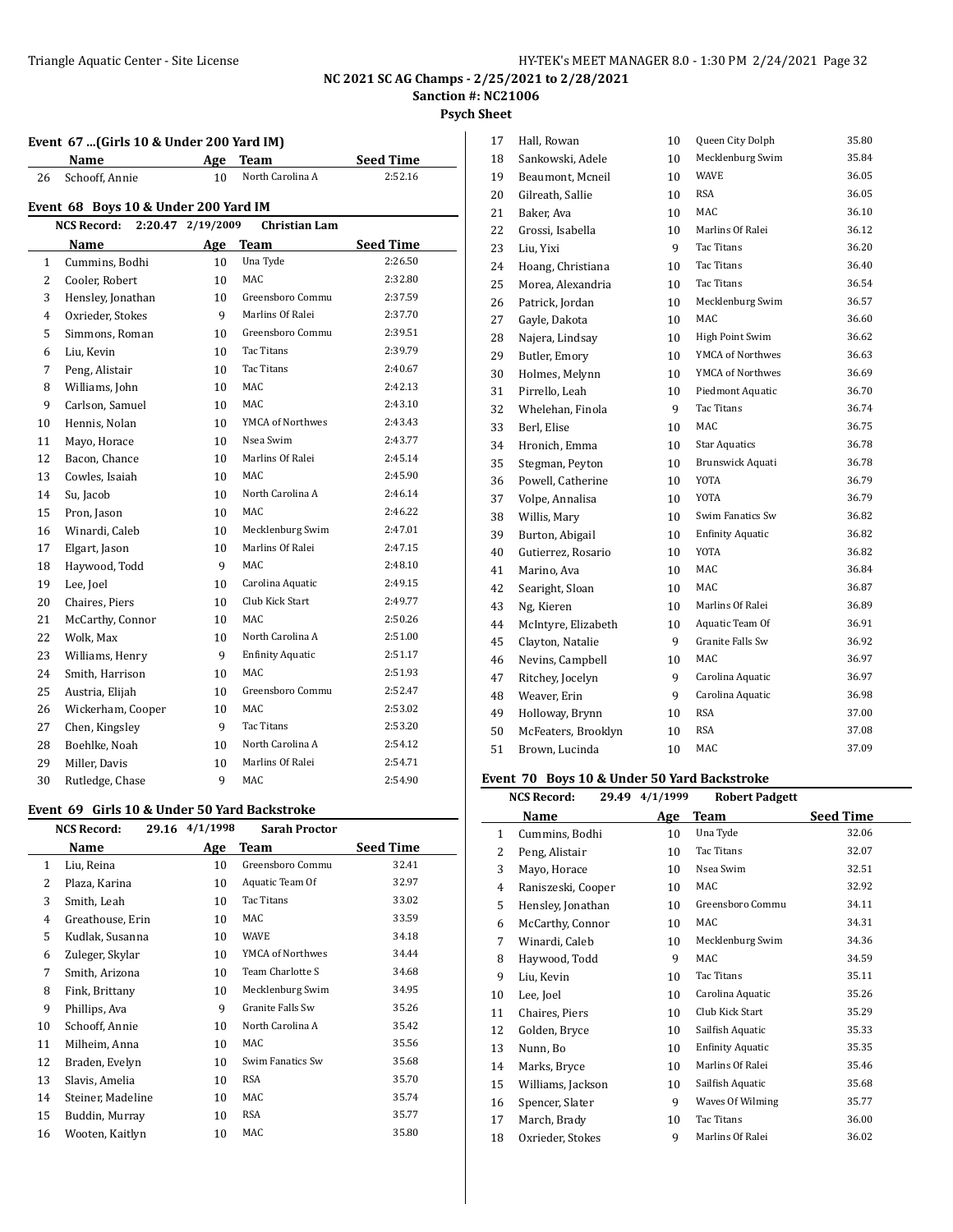**Psych Sheet**

J.

| Event 67  (Girls 10 & Under 200 Yard IM) |                                      |                 |                         |                  |  |
|------------------------------------------|--------------------------------------|-----------------|-------------------------|------------------|--|
|                                          | Name                                 | Age             | <b>Team</b>             | <b>Seed Time</b> |  |
| 26                                       | Schooff, Annie                       | 10              | North Carolina A        | 2:52.16          |  |
|                                          | Event 68 Boys 10 & Under 200 Yard IM |                 |                         |                  |  |
|                                          | NCS Record:<br>2:20.47               | 2/19/2009       | <b>Christian Lam</b>    |                  |  |
|                                          | Name                                 | Age             | <b>Team</b>             | <b>Seed Time</b> |  |
| $\mathbf{1}$                             | Cummins, Bodhi                       | 10              | Una Tyde                | 2:26.50          |  |
| 2                                        | Cooler, Robert                       | 10              | MAC                     | 2:32.80          |  |
| 3                                        | Hensley, Jonathan                    | 10              | Greensboro Commu        | 2:37.59          |  |
| 4                                        | Oxrieder, Stokes                     | 9               | Marlins Of Ralei        | 2:37.70          |  |
| 5                                        | Simmons, Roman                       | 10              | Greensboro Commu        | 2:39.51          |  |
| 6                                        | Liu, Kevin                           | 10              | Tac Titans              | 2:39.79          |  |
| 7                                        | Peng, Alistair                       | 10              | <b>Tac Titans</b>       | 2:40.67          |  |
| 8                                        | Williams, John                       | 10 <sup>1</sup> | <b>MAC</b>              | 2:42.13          |  |
| 9                                        | Carlson, Samuel                      | 10              | <b>MAC</b>              | 2:43.10          |  |
| 10                                       | Hennis, Nolan                        | 10              | YMCA of Northwes        | 2:43.43          |  |
| 11                                       | Mayo, Horace                         | 10              | Nsea Swim               | 2:43.77          |  |
| 12                                       | Bacon, Chance                        | 10              | Marlins Of Ralei        | 2:45.14          |  |
| 13                                       | Cowles, Isaiah                       | 10              | MAC                     | 2:45.90          |  |
| 14                                       | Su, Jacob                            | 10 <sup>1</sup> | North Carolina A        | 2:46.14          |  |
| 15                                       | Pron, Jason                          | 10 <sup>1</sup> | <b>MAC</b>              | 2:46.22          |  |
| 16                                       | Winardi, Caleb                       | 10              | Mecklenburg Swim        | 2:47.01          |  |
| 17                                       | Elgart, Jason                        | 10              | Marlins Of Ralei        | 2:47.15          |  |
| 18                                       | Haywood, Todd                        | 9               | MAC                     | 2:48.10          |  |
| 19                                       | Lee, Joel                            | 10              | Carolina Aquatic        | 2:49.15          |  |
| 20                                       | Chaires, Piers                       | 10              | Club Kick Start         | 2:49.77          |  |
| 21                                       | McCarthy, Connor                     | 10              | MAC                     | 2:50.26          |  |
| 22                                       | Wolk, Max                            | 10              | North Carolina A        | 2:51.00          |  |
| 23                                       | Williams, Henry                      | 9               | <b>Enfinity Aquatic</b> | 2:51.17          |  |
| 24                                       | Smith, Harrison                      | 10              | <b>MAC</b>              | 2:51.93          |  |
| 25                                       | Austria, Elijah                      | 10              | Greensboro Commu        | 2:52.47          |  |
| 26                                       | Wickerham, Cooper                    | 10              | <b>MAC</b>              | 2:53.02          |  |
| 27                                       | Chen, Kingsley                       | 9               | Tac Titans              | 2:53.20          |  |
| 28                                       | Boehlke, Noah                        | 10              | North Carolina A        | 2:54.12          |  |
| 29                                       | Miller, Davis                        | 10              | Marlins Of Ralei        | 2:54.71          |  |
| 30                                       | Rutledge, Chase                      | 9               | <b>MAC</b>              | 2:54.90          |  |

### **Event 69 Girls 10 & Under 50 Yard Backstroke**

|    | <b>NCS Record:</b><br>29.16 | 4/1/1998 | <b>Sarah Proctor</b> |                  |
|----|-----------------------------|----------|----------------------|------------------|
|    | Name                        | Age      | Team                 | <b>Seed Time</b> |
| 1  | Liu, Reina                  | 10       | Greensboro Commu     | 32.41            |
| 2  | Plaza, Karina               | 10       | Aquatic Team Of      | 32.97            |
| 3  | Smith, Leah                 | 10       | Tac Titans           | 33.02            |
| 4  | Greathouse, Erin            | 10       | MAC                  | 33.59            |
| 5  | Kudlak, Susanna             | 10       | WAVE                 | 34.18            |
| 6  | Zuleger, Skylar             | 10       | YMCA of Northwes     | 34.44            |
| 7  | Smith, Arizona              | 10       | Team Charlotte S     | 34.68            |
| 8  | Fink, Brittany              | 10       | Mecklenburg Swim     | 34.95            |
| 9  | Phillips, Ava               | 9        | Granite Falls Sw     | 35.26            |
| 10 | Schooff, Annie              | 10       | North Carolina A     | 35.42            |
| 11 | Milheim, Anna               | 10       | MAC                  | 35.56            |
| 12 | Braden, Evelyn              | 10       | Swim Fanatics Sw     | 35.68            |
| 13 | Slavis, Amelia              | 10       | <b>RSA</b>           | 35.70            |
| 14 | Steiner, Madeline           | 10       | MAC                  | 35.74            |
| 15 | Buddin, Murray              | 10       | RSA                  | 35.77            |
| 16 | Wooten, Kaitlyn             | 10       | MAC                  | 35.80            |
|    |                             |          |                      |                  |

| 17 | Hall, Rowan         | 10 | Queen City Dolph        | 35.80 |
|----|---------------------|----|-------------------------|-------|
| 18 | Sankowski, Adele    | 10 | Mecklenburg Swim        | 35.84 |
| 19 | Beaumont, Mcneil    | 10 | <b>WAVE</b>             | 36.05 |
| 20 | Gilreath, Sallie    | 10 | <b>RSA</b>              | 36.05 |
| 21 | Baker, Ava          | 10 | MAC                     | 36.10 |
| 22 | Grossi, Isabella    | 10 | Marlins Of Ralei        | 36.12 |
| 23 | Liu, Yixi           | 9  | Tac Titans              | 36.20 |
| 24 | Hoang, Christiana   | 10 | Tac Titans              | 36.40 |
| 25 | Morea, Alexandria   | 10 | Tac Titans              | 36.54 |
| 26 | Patrick, Jordan     | 10 | Mecklenburg Swim        | 36.57 |
| 27 | Gayle, Dakota       | 10 | MAC                     | 36.60 |
| 28 | Najera, Lindsay     | 10 | High Point Swim         | 36.62 |
| 29 | Butler, Emory       | 10 | YMCA of Northwes        | 36.63 |
| 30 | Holmes, Melynn      | 10 | YMCA of Northwes        | 36.69 |
| 31 | Pirrello, Leah      | 10 | Piedmont Aquatic        | 36.70 |
| 32 | Whelehan, Finola    | 9  | <b>Tac Titans</b>       | 36.74 |
| 33 | Berl, Elise         | 10 | <b>MAC</b>              | 36.75 |
| 34 | Hronich, Emma       | 10 | <b>Star Aquatics</b>    | 36.78 |
| 35 | Stegman, Peyton     | 10 | <b>Brunswick Aquati</b> | 36.78 |
| 36 | Powell, Catherine   | 10 | YOTA                    | 36.79 |
| 37 | Volpe, Annalisa     | 10 | YOTA                    | 36.79 |
| 38 | Willis, Mary        | 10 | Swim Fanatics Sw        | 36.82 |
| 39 | Burton, Abigail     | 10 | <b>Enfinity Aquatic</b> | 36.82 |
| 40 | Gutierrez, Rosario  | 10 | YOTA                    | 36.82 |
| 41 | Marino, Ava         | 10 | MAC                     | 36.84 |
| 42 | Searight, Sloan     | 10 | MAC                     | 36.87 |
| 43 | Ng, Kieren          | 10 | Marlins Of Ralei        | 36.89 |
| 44 | McIntyre, Elizabeth | 10 | Aquatic Team Of         | 36.91 |
| 45 | Clayton, Natalie    | 9  | Granite Falls Sw        | 36.92 |
| 46 | Nevins, Campbell    | 10 | MAC                     | 36.97 |
| 47 | Ritchey, Jocelyn    | 9  | Carolina Aquatic        | 36.97 |
| 48 | Weaver, Erin        | 9  | Carolina Aquatic        | 36.98 |
| 49 | Holloway, Brynn     | 10 | <b>RSA</b>              | 37.00 |
| 50 | McFeaters, Brooklyn | 10 | <b>RSA</b>              | 37.08 |
| 51 | Brown, Lucinda      | 10 | MAC                     | 37.09 |
|    |                     |    |                         |       |

## **Event 70 Boys 10 & Under 50 Yard Backstroke**

| 29.49<br><b>NCS Record:</b> |                    | 4/1/1999 | <b>Robert Padgett</b>   |                  |
|-----------------------------|--------------------|----------|-------------------------|------------------|
|                             | Name               | Age      | Team                    | <b>Seed Time</b> |
| $\mathbf{1}$                | Cummins, Bodhi     | 10       | Una Tyde                | 32.06            |
| 2                           | Peng, Alistair     | 10       | Tac Titans              | 32.07            |
| 3                           | Mayo, Horace       | 10       | Nsea Swim               | 32.51            |
| 4                           | Raniszeski, Cooper | 10       | MAC                     | 32.92            |
| 5                           | Hensley, Jonathan  | 10       | Greensboro Commu        | 34.11            |
| 6                           | McCarthy, Connor   | 10       | MAC                     | 34.31            |
| 7                           | Winardi, Caleb     | 10       | Mecklenburg Swim        | 34.36            |
| 8                           | Haywood, Todd      | 9        | MAC                     | 34.59            |
| 9                           | Liu, Kevin         | 10       | Tac Titans              | 35.11            |
| 10                          | Lee, Joel          | 10       | Carolina Aquatic        | 35.26            |
| 11                          | Chaires, Piers     | 10       | Club Kick Start         | 35.29            |
| 12                          | Golden, Bryce      | 10       | Sailfish Aquatic        | 35.33            |
| 13                          | Nunn, Bo           | 10       | <b>Enfinity Aquatic</b> | 35.35            |
| 14                          | Marks, Bryce       | 10       | Marlins Of Ralei        | 35.46            |
| 15                          | Williams, Jackson  | 10       | Sailfish Aquatic        | 35.68            |
| 16                          | Spencer, Slater    | 9        | Waves Of Wilming        | 35.77            |
| 17                          | March, Brady       | 10       | Tac Titans              | 36.00            |
| 18                          | Oxrieder, Stokes   | 9        | Marlins Of Ralei        | 36.02            |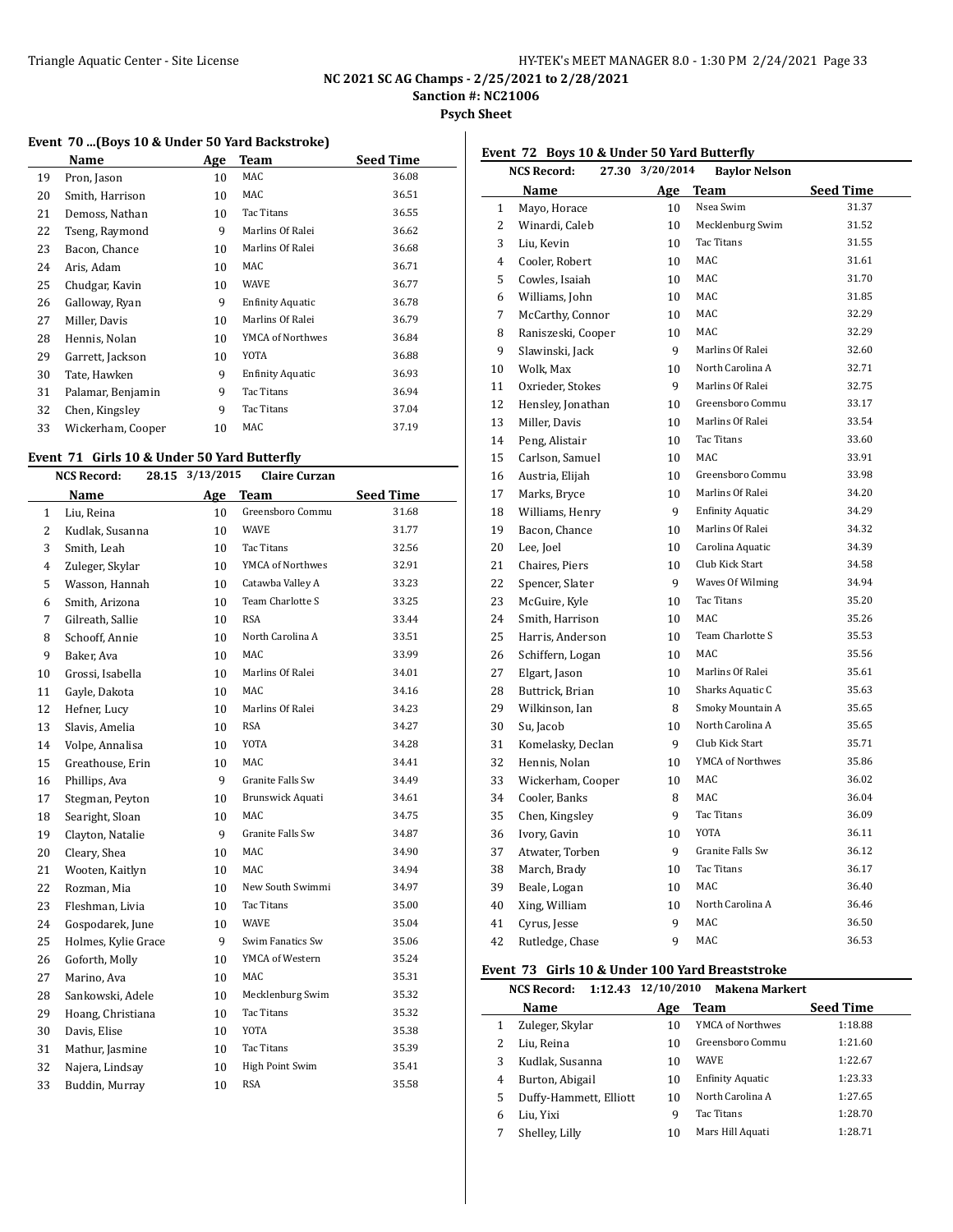**NC 2021 SC AG Champs - 2/25/2021 to 2/28/2021**

**Sanction #: NC21006**

**Psych Sheet**

# **Event 70 ...(Boys 10 & Under 50 Yard Backstroke)**

|    | Name              | Age | <b>Team</b>             | <b>Seed Time</b> |
|----|-------------------|-----|-------------------------|------------------|
| 19 | Pron, Jason       | 10  | MAC                     | 36.08            |
| 20 | Smith, Harrison   | 10  | MAC                     | 36.51            |
| 21 | Demoss, Nathan    | 10  | Tac Titans              | 36.55            |
| 22 | Tseng, Raymond    | 9   | Marlins Of Ralei        | 36.62            |
| 23 | Bacon, Chance     | 10  | Marlins Of Ralei        | 36.68            |
| 24 | Aris, Adam        | 10  | MAC                     | 36.71            |
| 25 | Chudgar, Kavin    | 10  | WAVE                    | 36.77            |
| 26 | Galloway, Ryan    | 9   | <b>Enfinity Aquatic</b> | 36.78            |
| 27 | Miller, Davis     | 10  | Marlins Of Ralei        | 36.79            |
| 28 | Hennis, Nolan     | 10  | YMCA of Northwes        | 36.84            |
| 29 | Garrett, Jackson  | 10  | YOTA                    | 36.88            |
| 30 | Tate, Hawken      | 9   | <b>Enfinity Aquatic</b> | 36.93            |
| 31 | Palamar, Benjamin | 9   | Tac Titans              | 36.94            |
| 32 | Chen, Kingsley    | 9   | Tac Titans              | 37.04            |
| 33 | Wickerham, Cooper | 10  | MAC                     | 37.19            |

#### **Event 71 Girls 10 & Under 50 Yard Butterfly**

| <b>NCS Record:</b><br>28.15 |                     | 3/13/2015 | <b>Claire Curzan</b> |                  |
|-----------------------------|---------------------|-----------|----------------------|------------------|
|                             | Name                |           | Age Team             | <b>Seed Time</b> |
| 1                           | Liu, Reina          | 10        | Greensboro Commu     | 31.68            |
| $\overline{c}$              | Kudlak, Susanna     | 10        | <b>WAVE</b>          | 31.77            |
| 3                           | Smith, Leah         | 10        | Tac Titans           | 32.56            |
| $\overline{4}$              | Zuleger, Skylar     | 10        | YMCA of Northwes     | 32.91            |
| 5                           | Wasson, Hannah      | 10        | Catawba Valley A     | 33.23            |
| 6                           | Smith, Arizona      | 10        | Team Charlotte S     | 33.25            |
| $\overline{7}$              | Gilreath, Sallie    | 10        | <b>RSA</b>           | 33.44            |
| 8                           | Schooff, Annie      | 10        | North Carolina A     | 33.51            |
| 9                           | Baker, Ava          | 10        | MAC                  | 33.99            |
| 10                          | Grossi, Isabella    | 10        | Marlins Of Ralei     | 34.01            |
| 11                          | Gayle, Dakota       | 10        | MAC                  | 34.16            |
| 12                          | Hefner, Lucy        | 10        | Marlins Of Ralei     | 34.23            |
| 13                          | Slavis, Amelia      | 10        | <b>RSA</b>           | 34.27            |
| 14                          | Volpe, Annalisa     | 10        | YOTA                 | 34.28            |
| 15                          | Greathouse, Erin    | 10        | <b>MAC</b>           | 34.41            |
| 16                          | Phillips, Ava       | 9         | Granite Falls Sw     | 34.49            |
| 17                          | Stegman, Peyton     | 10        | Brunswick Aquati     | 34.61            |
| 18                          | Searight, Sloan     | 10        | MAC                  | 34.75            |
| 19                          | Clayton, Natalie    | 9         | Granite Falls Sw     | 34.87            |
| 20                          | Cleary, Shea        | 10        | MAC                  | 34.90            |
| 21                          | Wooten, Kaitlyn     | 10        | MAC                  | 34.94            |
| 22                          | Rozman, Mia         | 10        | New South Swimmi     | 34.97            |
| 23                          | Fleshman, Livia     | 10        | Tac Titans           | 35.00            |
| 24                          | Gospodarek, June    | 10        | <b>WAVE</b>          | 35.04            |
| 25                          | Holmes, Kylie Grace | 9         | Swim Fanatics Sw     | 35.06            |
| 26                          | Goforth, Molly      | 10        | YMCA of Western      | 35.24            |
| 27                          | Marino, Ava         | 10        | MAC                  | 35.31            |
| 28                          | Sankowski, Adele    | 10        | Mecklenburg Swim     | 35.32            |
| 29                          | Hoang, Christiana   | 10        | Tac Titans           | 35.32            |
| 30                          | Davis, Elise        | 10        | YOTA                 | 35.38            |
| 31                          | Mathur, Jasmine     | 10        | Tac Titans           | 35.39            |
| 32                          | Najera, Lindsay     | 10        | High Point Swim      | 35.41            |
| 33                          | Buddin, Murray      | 10        | <b>RSA</b>           | 35.58            |
|                             |                     |           |                      |                  |

## **Event 72 Boys 10 & Under 50 Yard Butterfly**

|              | 27.30 3/20/2014<br>NCS Record: |     | <b>Baylor Nelson</b>    |           |
|--------------|--------------------------------|-----|-------------------------|-----------|
|              | Name                           | Age | Team                    | Seed Time |
| $\mathbf{1}$ | Mayo, Horace                   | 10  | Nsea Swim               | 31.37     |
| 2            | Winardi, Caleb                 | 10  | Mecklenburg Swim        | 31.52     |
| 3            | Liu, Kevin                     | 10  | <b>Tac Titans</b>       | 31.55     |
| 4            | Cooler, Robert                 | 10  | <b>MAC</b>              | 31.61     |
| 5            | Cowles, Isaiah                 | 10  | MAC                     | 31.70     |
| 6            | Williams, John                 | 10  | MAC                     | 31.85     |
| 7            | McCarthy, Connor               | 10  | MAC                     | 32.29     |
| 8            | Raniszeski, Cooper             | 10  | MAC.                    | 32.29     |
| 9            | Slawinski, Jack                | 9   | Marlins Of Ralei        | 32.60     |
| 10           | Wolk, Max                      | 10  | North Carolina A        | 32.71     |
| 11           | Oxrieder, Stokes               | 9   | Marlins Of Ralei        | 32.75     |
| 12           | Hensley, Jonathan              | 10  | Greensboro Commu        | 33.17     |
| 13           | Miller, Davis                  | 10  | Marlins Of Ralei        | 33.54     |
| 14           | Peng, Alistair                 | 10  | <b>Tac Titans</b>       | 33.60     |
| 15           | Carlson, Samuel                | 10  | <b>MAC</b>              | 33.91     |
| 16           | Austria, Elijah                | 10  | Greensboro Commu        | 33.98     |
| 17           | Marks, Bryce                   | 10  | Marlins Of Ralei        | 34.20     |
| 18           | Williams, Henry                | 9   | <b>Enfinity Aquatic</b> | 34.29     |
| 19           | Bacon, Chance                  | 10  | Marlins Of Ralei        | 34.32     |
| 20           | Lee, Joel                      | 10  | Carolina Aquatic        | 34.39     |
| 21           | Chaires, Piers                 | 10  | Club Kick Start         | 34.58     |
| 22           | Spencer, Slater                | 9   | Waves Of Wilming        | 34.94     |
| 23           | McGuire, Kyle                  | 10  | Tac Titans              | 35.20     |
| 24           | Smith, Harrison                | 10  | MAC.                    | 35.26     |
| 25           | Harris, Anderson               | 10  | Team Charlotte S        | 35.53     |
| 26           | Schiffern, Logan               | 10  | MAC                     | 35.56     |
| 27           | Elgart, Jason                  | 10  | Marlins Of Ralei        | 35.61     |
| 28           | Buttrick, Brian                | 10  | Sharks Aquatic C        | 35.63     |
| 29           | Wilkinson, Ian                 | 8   | Smoky Mountain A        | 35.65     |
| 30           | Su, Jacob                      | 10  | North Carolina A        | 35.65     |
| 31           | Komelasky, Declan              | 9   | Club Kick Start         | 35.71     |
| 32           | Hennis, Nolan                  | 10  | YMCA of Northwes        | 35.86     |
| 33           | Wickerham, Cooper              | 10  | MAC                     | 36.02     |
| 34           | Cooler, Banks                  | 8   | <b>MAC</b>              | 36.04     |
| 35           | Chen, Kingsley                 | 9   | <b>Tac Titans</b>       | 36.09     |
| 36           | Ivory, Gavin                   | 10  | <b>YOTA</b>             | 36.11     |
| 37           | Atwater, Torben                | 9   | Granite Falls Sw        | 36.12     |
| 38           | March, Brady                   | 10  | <b>Tac Titans</b>       | 36.17     |
| 39           | Beale, Logan                   | 10  | <b>MAC</b>              | 36.40     |
| 40           | Xing, William                  | 10  | North Carolina A        | 36.46     |
| 41           | Cyrus, Jesse                   | 9   | MAC                     | 36.50     |
| 42           | Rutledge, Chase                | 9   | <b>MAC</b>              | 36.53     |

#### **Event 73 Girls 10 & Under 100 Yard Breaststroke**

|   | <b>NCS Record:</b>     | 1:12.43 12/10/2010 | <b>Makena Markert</b>   |                  |
|---|------------------------|--------------------|-------------------------|------------------|
|   | Name                   | Age                | Team                    | <b>Seed Time</b> |
|   | Zuleger, Skylar        | 10                 | YMCA of Northwes        | 1:18.88          |
| 2 | Liu, Reina             | 10                 | Greensboro Commu        | 1:21.60          |
| 3 | Kudlak, Susanna        | 10                 | <b>WAVE</b>             | 1:22.67          |
| 4 | Burton, Abigail        | 10                 | <b>Enfinity Aquatic</b> | 1:23.33          |
| 5 | Duffy-Hammett, Elliott | 10                 | North Carolina A        | 1:27.65          |
| 6 | Liu, Yixi              | 9                  | Tac Titans              | 1:28.70          |
|   | Shelley, Lilly         | 10                 | Mars Hill Aquati        | 1:28.71          |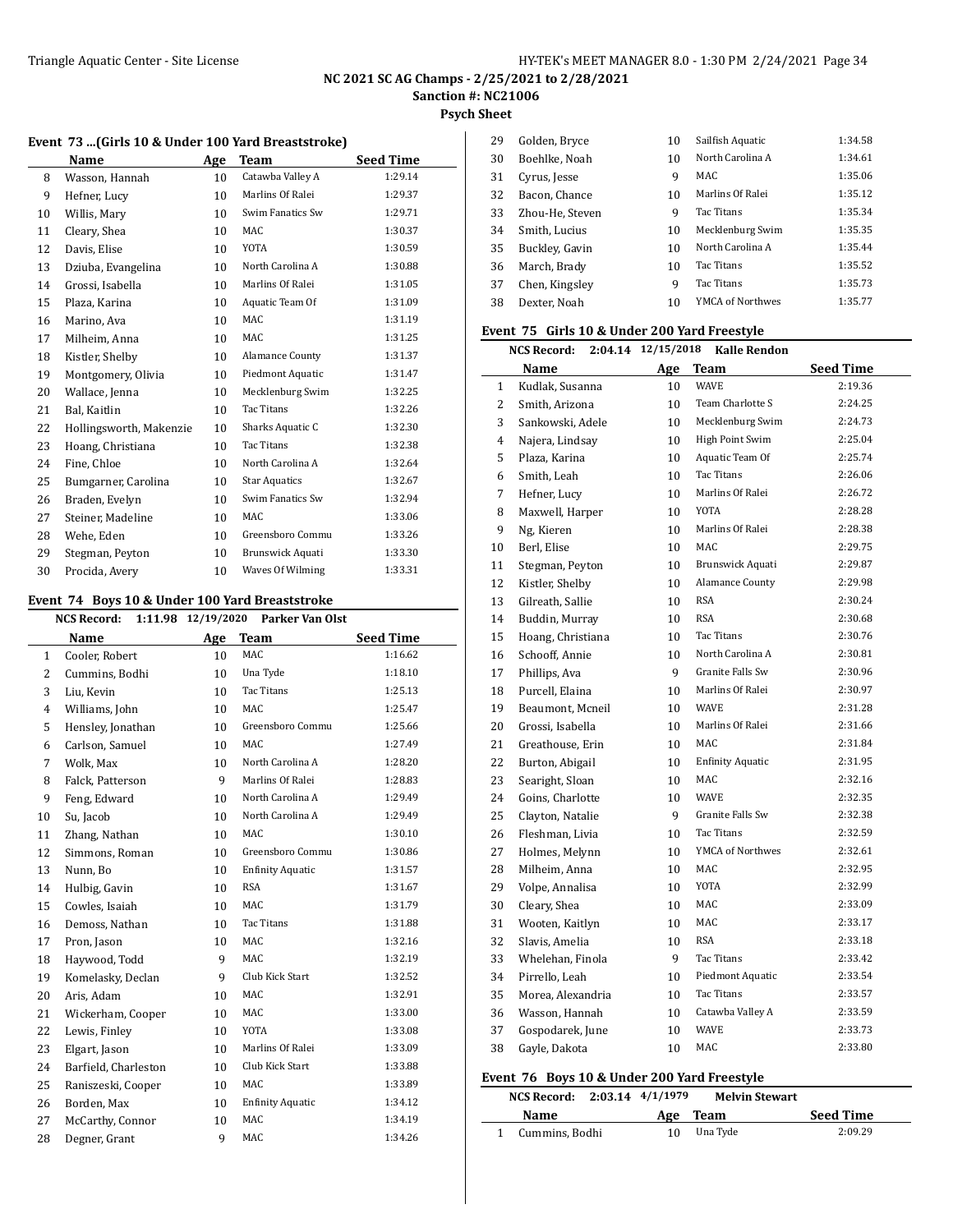**Psych Sheet**

#### **Event 73 ...(Girls 10 & Under 100 Yard Breaststroke)**

|    | Name                    | Age | Team                 | <b>Seed Time</b> |
|----|-------------------------|-----|----------------------|------------------|
| 8  | Wasson, Hannah          | 10  | Catawba Valley A     | 1:29.14          |
| 9  | Hefner, Lucy            | 10  | Marlins Of Ralei     | 1:29.37          |
| 10 | Willis, Mary            | 10  | Swim Fanatics Sw     | 1:29.71          |
| 11 | Cleary, Shea            | 10  | <b>MAC</b>           | 1:30.37          |
| 12 | Davis, Elise            | 10  | <b>YOTA</b>          | 1:30.59          |
| 13 | Dziuba, Evangelina      | 10  | North Carolina A     | 1:30.88          |
| 14 | Grossi, Isabella        | 10  | Marlins Of Ralei     | 1:31.05          |
| 15 | Plaza, Karina           | 10  | Aquatic Team Of      | 1:31.09          |
| 16 | Marino, Ava             | 10  | MAC                  | 1:31.19          |
| 17 | Milheim, Anna           | 10  | <b>MAC</b>           | 1:31.25          |
| 18 | Kistler, Shelby         | 10  | Alamance County      | 1:31.37          |
| 19 | Montgomery, Olivia      | 10  | Piedmont Aquatic     | 1:31.47          |
| 20 | Wallace, Jenna          | 10  | Mecklenburg Swim     | 1:32.25          |
| 21 | Bal, Kaitlin            | 10  | <b>Tac Titans</b>    | 1:32.26          |
| 22 | Hollingsworth, Makenzie | 10  | Sharks Aquatic C     | 1:32.30          |
| 23 | Hoang, Christiana       | 10  | <b>Tac Titans</b>    | 1:32.38          |
| 24 | Fine, Chloe             | 10  | North Carolina A     | 1:32.64          |
| 25 | Bumgarner, Carolina     | 10  | <b>Star Aquatics</b> | 1:32.67          |
| 26 | Braden, Evelyn          | 10  | Swim Fanatics Sw     | 1:32.94          |
| 27 | Steiner, Madeline       | 10  | <b>MAC</b>           | 1:33.06          |
| 28 | Wehe, Eden              | 10  | Greensboro Commu     | 1:33.26          |
| 29 | Stegman, Peyton         | 10  | Brunswick Aquati     | 1:33.30          |
| 30 | Procida, Avery          | 10  | Waves Of Wilming     | 1:33.31          |

### **Event 74 Boys 10 & Under 100 Yard Breaststroke**

|              | <b>NCS Record:</b><br>1:11.98 |     |                         |                  |
|--------------|-------------------------------|-----|-------------------------|------------------|
|              | Name                          | Age | <b>Team</b>             | <b>Seed Time</b> |
| $\mathbf{1}$ | Cooler, Robert                | 10  | <b>MAC</b>              | 1:16.62          |
| 2            | Cummins, Bodhi                | 10  | Una Tyde                | 1:18.10          |
| 3            | Liu, Kevin                    | 10  | <b>Tac Titans</b>       | 1:25.13          |
| 4            | Williams, John                | 10  | MAC                     | 1:25.47          |
| 5            | Hensley, Jonathan             | 10  | Greensboro Commu        | 1:25.66          |
| 6            | Carlson, Samuel               | 10  | MAC                     | 1:27.49          |
| 7            | Wolk, Max                     | 10  | North Carolina A        | 1:28.20          |
| 8            | Falck, Patterson              | 9   | Marlins Of Ralei        | 1:28.83          |
| 9            | Feng, Edward                  | 10  | North Carolina A        | 1:29.49          |
| 10           | Su, Jacob                     | 10  | North Carolina A        | 1:29.49          |
| 11           | Zhang, Nathan                 | 10  | <b>MAC</b>              | 1:30.10          |
| 12           | Simmons, Roman                | 10  | Greensboro Commu        | 1:30.86          |
| 13           | Nunn, Bo                      | 10  | <b>Enfinity Aquatic</b> | 1:31.57          |
| 14           | Hulbig, Gavin                 | 10  | <b>RSA</b>              | 1:31.67          |
| 15           | Cowles, Isaiah                | 10  | MAC                     | 1:31.79          |
| 16           | Demoss, Nathan                | 10  | Tac Titans              | 1:31.88          |
| 17           | Pron, Jason                   | 10  | MAC                     | 1:32.16          |
| 18           | Haywood, Todd                 | 9   | MAC                     | 1:32.19          |
| 19           | Komelasky, Declan             | 9   | Club Kick Start         | 1:32.52          |
| 20           | Aris, Adam                    | 10  | MAC                     | 1:32.91          |
| 21           | Wickerham, Cooper             | 10  | MAC                     | 1:33.00          |
| 22           | Lewis, Finley                 | 10  | <b>YOTA</b>             | 1:33.08          |
| 23           | Elgart, Jason                 | 10  | Marlins Of Ralei        | 1:33.09          |
| 24           | Barfield, Charleston          | 10  | Club Kick Start         | 1:33.88          |
| 25           | Raniszeski, Cooper            | 10  | MAC                     | 1:33.89          |
| 26           | Borden, Max                   | 10  | <b>Enfinity Aquatic</b> | 1:34.12          |
| 27           | McCarthy, Connor              | 10  | MAC                     | 1:34.19          |
| 28           | Degner, Grant                 | 9   | MAC                     | 1:34.26          |
|              |                               |     |                         |                  |

| 29 | Golden, Bryce   | 10 | Sailfish Aquatic  | 1:34.58 |
|----|-----------------|----|-------------------|---------|
| 30 | Boehlke, Noah   | 10 | North Carolina A  | 1:34.61 |
| 31 | Cyrus, Jesse    | 9  | MAC               | 1:35.06 |
| 32 | Bacon, Chance   | 10 | Marlins Of Ralei  | 1:35.12 |
| 33 | Zhou-He, Steven | 9  | <b>Tac Titans</b> | 1:35.34 |
| 34 | Smith, Lucius   | 10 | Mecklenburg Swim  | 1:35.35 |
| 35 | Buckley, Gavin  | 10 | North Carolina A  | 1:35.44 |
| 36 | March, Brady    | 10 | <b>Tac Titans</b> | 1:35.52 |
| 37 | Chen, Kingsley  | 9  | Tac Titans        | 1:35.73 |
| 38 | Dexter, Noah    | 10 | YMCA of Northwes  | 1:35.77 |
|    |                 |    |                   |         |

# **Event 75 Girls 10 & Under 200 Yard Freestyle**

|                | <b>NCS Record:</b> | 2:04.14 | 12/15/2018      | Kalle Rendon            |                  |
|----------------|--------------------|---------|-----------------|-------------------------|------------------|
|                | Name               |         | Age             | Team                    | <b>Seed Time</b> |
| $\mathbf{1}$   | Kudlak, Susanna    |         | 10              | <b>WAVE</b>             | 2:19.36          |
| 2              | Smith, Arizona     |         | 10              | Team Charlotte S        | 2:24.25          |
| 3              | Sankowski, Adele   |         | 10              | Mecklenburg Swim        | 2:24.73          |
| $\overline{4}$ | Najera, Lindsay    |         | 10              | High Point Swim         | 2:25.04          |
| 5              | Plaza, Karina      |         | 10              | Aquatic Team Of         | 2:25.74          |
| 6              | Smith, Leah        |         | 10              | <b>Tac Titans</b>       | 2:26.06          |
| 7              | Hefner, Lucy       |         | 10 <sup>1</sup> | Marlins Of Ralei        | 2:26.72          |
| 8              | Maxwell, Harper    |         | 10              | YOTA                    | 2:28.28          |
| 9              | Ng, Kieren         |         | 10              | Marlins Of Ralei        | 2:28.38          |
| 10             | Berl, Elise        |         | 10              | <b>MAC</b>              | 2:29.75          |
| 11             | Stegman, Peyton    |         | 10              | <b>Brunswick Aquati</b> | 2:29.87          |
| 12             | Kistler, Shelby    |         | 10              | Alamance County         | 2:29.98          |
| 13             | Gilreath, Sallie   |         | 10              | <b>RSA</b>              | 2:30.24          |
| 14             | Buddin, Murray     |         | 10              | <b>RSA</b>              | 2:30.68          |
| 15             | Hoang, Christiana  |         | 10              | <b>Tac Titans</b>       | 2:30.76          |
| 16             | Schooff, Annie     |         | 10              | North Carolina A        | 2:30.81          |
| 17             | Phillips, Ava      |         | 9               | Granite Falls Sw        | 2:30.96          |
| 18             | Purcell, Elaina    |         | 10              | Marlins Of Ralei        | 2:30.97          |
| 19             | Beaumont, Mcneil   |         | 10              | <b>WAVE</b>             | 2:31.28          |
| 20             | Grossi, Isabella   |         | 10              | Marlins Of Ralei        | 2:31.66          |
| 21             | Greathouse, Erin   |         | 10              | MAC                     | 2:31.84          |
| 22             | Burton, Abigail    |         | 10              | <b>Enfinity Aquatic</b> | 2:31.95          |
| 23             | Searight, Sloan    |         | 10              | MAC                     | 2:32.16          |
| 24             | Goins, Charlotte   |         | 10              | <b>WAVE</b>             | 2:32.35          |
| 25             | Clayton, Natalie   |         | 9               | Granite Falls Sw        | 2:32.38          |
| 26             | Fleshman, Livia    |         | 10              | Tac Titans              | 2:32.59          |
| 27             | Holmes, Melynn     |         | 10              | YMCA of Northwes        | 2:32.61          |
| 28             | Milheim, Anna      |         | 10              | MAC                     | 2:32.95          |
| 29             | Volpe, Annalisa    |         | 10              | <b>YOTA</b>             | 2:32.99          |
| 30             | Cleary, Shea       |         | 10              | MAC                     | 2:33.09          |
| 31             | Wooten, Kaitlyn    |         | 10              | MAC                     | 2:33.17          |
| 32             | Slavis, Amelia     |         | 10              | <b>RSA</b>              | 2:33.18          |
| 33             | Whelehan, Finola   |         | 9               | <b>Tac Titans</b>       | 2:33.42          |
| 34             | Pirrello, Leah     |         | 10              | Piedmont Aquatic        | 2:33.54          |
| 35             | Morea, Alexandria  |         | 10              | Tac Titans              | 2:33.57          |
| 36             | Wasson, Hannah     |         | 10              | Catawba Valley A        | 2:33.59          |
| 37             | Gospodarek, June   |         | 10              | <b>WAVE</b>             | 2:33.73          |
| 38             | Gayle, Dakota      |         | 10              | <b>MAC</b>              | 2:33.80          |

# **Event 76 Boys 10 & Under 200 Yard Freestyle**

| NCS Record: 2:03.14 4/1/1979 |    | <b>Melvin Stewart</b> |                  |
|------------------------------|----|-----------------------|------------------|
| <b>Name</b>                  |    | Age Team              | <b>Seed Time</b> |
| Cummins, Bodhi               | 10 | Una Tyde              | 2:09.29          |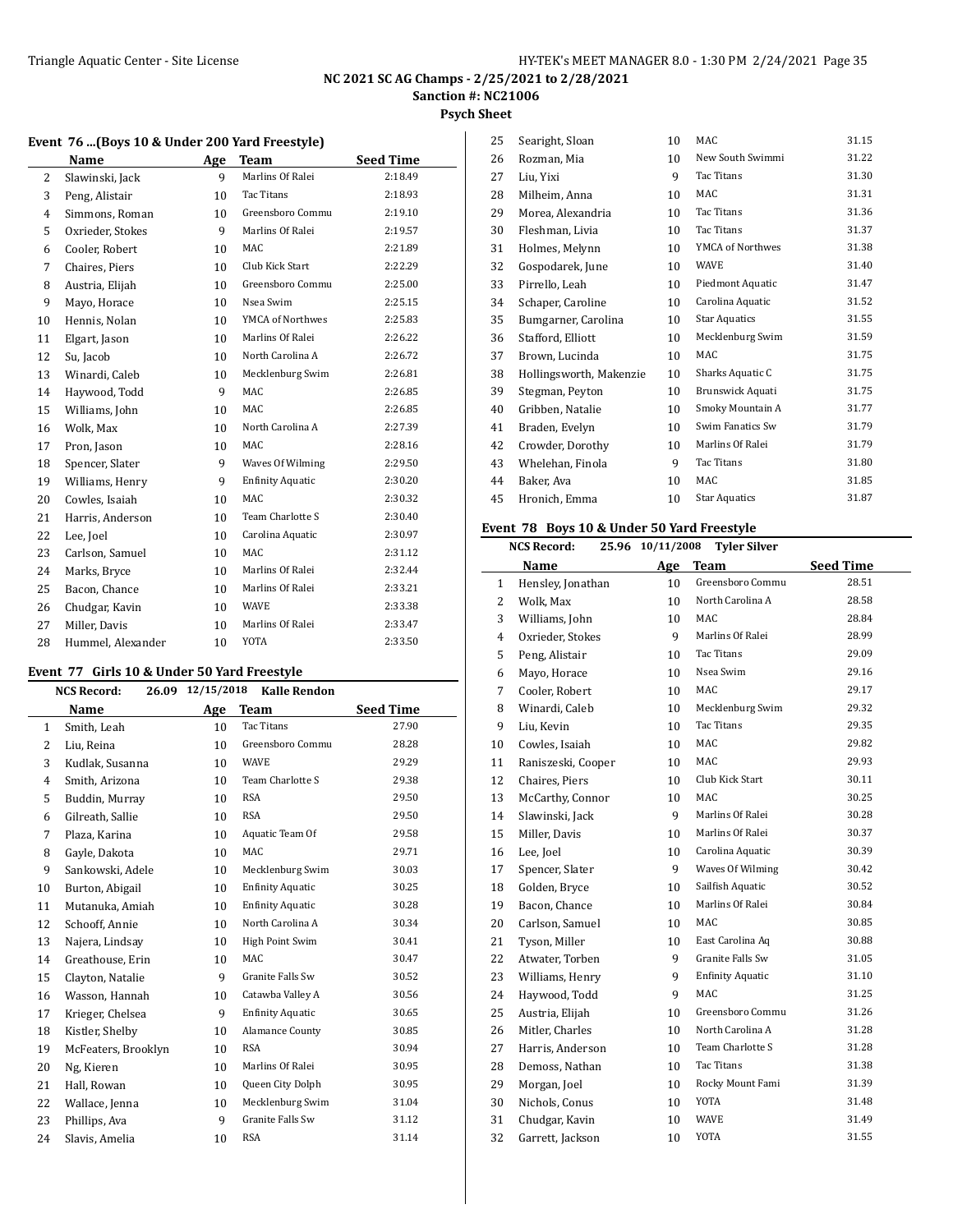L

## **NC 2021 SC AG Champs - 2/25/2021 to 2/28/2021 Sanction #: NC21006**

**Psych Sheet**

|  |  |  |  |  |  |  |  | Event 76 (Boys 10 & Under 200 Yard Freestyle) |  |  |
|--|--|--|--|--|--|--|--|-----------------------------------------------|--|--|
|--|--|--|--|--|--|--|--|-----------------------------------------------|--|--|

|                | Name              | Age             | <b>Team</b>             | <b>Seed Time</b> |
|----------------|-------------------|-----------------|-------------------------|------------------|
| $\overline{2}$ | Slawinski, Jack   | 9               | Marlins Of Ralei        | 2:18.49          |
| 3              | Peng, Alistair    | 10 <sup>1</sup> | <b>Tac Titans</b>       | 2:18.93          |
| 4              | Simmons, Roman    | 10              | Greensboro Commu        | 2:19.10          |
| 5              | Oxrieder, Stokes  | 9               | Marlins Of Ralei        | 2:19.57          |
| 6              | Cooler, Robert    | 10              | <b>MAC</b>              | 2:21.89          |
| 7              | Chaires, Piers    | 10              | Club Kick Start         | 2:22.29          |
| 8              | Austria, Elijah   | 10              | Greensboro Commu        | 2:25.00          |
| 9              | Mayo, Horace      | 10 <sup>1</sup> | Nsea Swim               | 2:25.15          |
| 10             | Hennis, Nolan     | 10              | YMCA of Northwes        | 2:25.83          |
| 11             | Elgart, Jason     | 10              | Marlins Of Ralei        | 2:26.22          |
| 12             | Su, Jacob         | 10 <sup>1</sup> | North Carolina A        | 2:26.72          |
| 13             | Winardi, Caleb    | 10              | Mecklenburg Swim        | 2:26.81          |
| 14             | Haywood, Todd     | 9               | MAC                     | 2:26.85          |
| 15             | Williams, John    | 10              | <b>MAC</b>              | 2:26.85          |
| 16             | Wolk, Max         | 10              | North Carolina A        | 2:27.39          |
| 17             | Pron, Jason       | 10 <sup>1</sup> | <b>MAC</b>              | 2:28.16          |
| 18             | Spencer, Slater   | 9               | Waves Of Wilming        | 2:29.50          |
| 19             | Williams, Henry   | 9               | <b>Enfinity Aquatic</b> | 2:30.20          |
| 20             | Cowles, Isaiah    | 10              | <b>MAC</b>              | 2:30.32          |
| 21             | Harris, Anderson  | 10              | Team Charlotte S        | 2:30.40          |
| 22             | Lee, Joel         | 10              | Carolina Aquatic        | 2:30.97          |
| 23             | Carlson, Samuel   | 10              | <b>MAC</b>              | 2:31.12          |
| 24             | Marks, Bryce      | 10 <sup>1</sup> | Marlins Of Ralei        | 2:32.44          |
| 25             | Bacon, Chance     | 10              | Marlins Of Ralei        | 2:33.21          |
| 26             | Chudgar, Kavin    | 10              | <b>WAVE</b>             | 2:33.38          |
| 27             | Miller, Davis     | 10              | Marlins Of Ralei        | 2:33.47          |
| 28             | Hummel, Alexander | 10              | <b>YOTA</b>             | 2:33.50          |

#### **Event 77 Girls 10 & Under 50 Yard Freestyle**

|                | <b>NCS Record:</b>  | 26.09 12/15/2018 | <b>Kalle Rendon</b>     |                  |
|----------------|---------------------|------------------|-------------------------|------------------|
|                | Name                | Age              | <b>Team</b>             | <b>Seed Time</b> |
| $\mathbf{1}$   | Smith, Leah         | 10               | Tac Titans              | 27.90            |
| $\overline{2}$ | Liu, Reina          | 10               | Greensboro Commu        | 28.28            |
| 3              | Kudlak, Susanna     | 10               | <b>WAVE</b>             | 29.29            |
| 4              | Smith, Arizona      | 10               | Team Charlotte S        | 29.38            |
| 5              | Buddin, Murray      | 10               | <b>RSA</b>              | 29.50            |
| 6              | Gilreath, Sallie    | 10               | <b>RSA</b>              | 29.50            |
| 7              | Plaza, Karina       | 10               | Aquatic Team Of         | 29.58            |
| 8              | Gayle, Dakota       | 10               | MAC                     | 29.71            |
| 9              | Sankowski, Adele    | 10               | Mecklenburg Swim        | 30.03            |
| 10             | Burton, Abigail     | 10               | <b>Enfinity Aquatic</b> | 30.25            |
| 11             | Mutanuka, Amiah     | 10               | <b>Enfinity Aquatic</b> | 30.28            |
| 12             | Schooff, Annie      | 10               | North Carolina A        | 30.34            |
| 13             | Najera, Lindsay     | 10               | High Point Swim         | 30.41            |
| 14             | Greathouse, Erin    | 10               | MAC                     | 30.47            |
| 15             | Clayton, Natalie    | 9                | Granite Falls Sw        | 30.52            |
| 16             | Wasson, Hannah      | 10               | Catawba Valley A        | 30.56            |
| 17             | Krieger, Chelsea    | 9                | <b>Enfinity Aquatic</b> | 30.65            |
| 18             | Kistler, Shelby     | 10               | Alamance County         | 30.85            |
| 19             | McFeaters, Brooklyn | 10               | <b>RSA</b>              | 30.94            |
| 20             | Ng, Kieren          | 10               | Marlins Of Ralei        | 30.95            |
| 21             | Hall, Rowan         | 10               | Queen City Dolph        | 30.95            |
| 22             | Wallace, Jenna      | 10               | Mecklenburg Swim        | 31.04            |
| 23             | Phillips, Ava       | 9                | Granite Falls Sw        | 31.12            |
| 24             | Slavis, Amelia      | 10               | <b>RSA</b>              | 31.14            |

| 25 | Searight, Sloan         | 10 | <b>MAC</b>           | 31.15 |
|----|-------------------------|----|----------------------|-------|
| 26 | Rozman, Mia             | 10 | New South Swimmi     | 31.22 |
| 27 | Liu, Yixi               | 9  | Tac Titans           | 31.30 |
| 28 | Milheim, Anna           | 10 | MAC                  | 31.31 |
| 29 | Morea, Alexandria       | 10 | Tac Titans           | 31.36 |
| 30 | Fleshman, Livia         | 10 | Tac Titans           | 31.37 |
| 31 | Holmes, Melynn          | 10 | YMCA of Northwes     | 31.38 |
| 32 | Gospodarek, June        | 10 | <b>WAVE</b>          | 31.40 |
| 33 | Pirrello, Leah          | 10 | Piedmont Aquatic     | 31.47 |
| 34 | Schaper, Caroline       | 10 | Carolina Aquatic     | 31.52 |
| 35 | Bumgarner, Carolina     | 10 | <b>Star Aquatics</b> | 31.55 |
| 36 | Stafford, Elliott       | 10 | Mecklenburg Swim     | 31.59 |
| 37 | Brown, Lucinda          | 10 | MAC                  | 31.75 |
| 38 | Hollingsworth, Makenzie | 10 | Sharks Aquatic C     | 31.75 |
| 39 | Stegman, Peyton         | 10 | Brunswick Aquati     | 31.75 |
| 40 | Gribben, Natalie        | 10 | Smoky Mountain A     | 31.77 |
| 41 | Braden, Evelyn          | 10 | Swim Fanatics Sw     | 31.79 |
| 42 | Crowder, Dorothy        | 10 | Marlins Of Ralei     | 31.79 |
| 43 | Whelehan, Finola        | 9  | <b>Tac Titans</b>    | 31.80 |
| 44 | Baker, Ava              | 10 | MAC                  | 31.85 |
| 45 | Hronich, Emma           | 10 | <b>Star Aquatics</b> | 31.87 |

## **Event 78 Boys 10 & Under 50 Yard Freestyle**

|    | <b>NCS Record:</b> | 25.96 10/11/2008 | <b>Tyler Silver</b>     |                  |
|----|--------------------|------------------|-------------------------|------------------|
|    | Name               | Age              | <b>Team</b>             | <b>Seed Time</b> |
| 1  | Hensley, Jonathan  | 10               | Greensboro Commu        | 28.51            |
| 2  | Wolk, Max          | 10               | North Carolina A        | 28.58            |
| 3  | Williams, John     | 10               | MAC                     | 28.84            |
| 4  | Oxrieder, Stokes   | 9                | Marlins Of Ralei        | 28.99            |
| 5  | Peng, Alistair     | 10               | Tac Titans              | 29.09            |
| 6  | Mayo, Horace       | 10               | Nsea Swim               | 29.16            |
| 7  | Cooler, Robert     | 10               | MAC                     | 29.17            |
| 8  | Winardi, Caleb     | 10               | Mecklenburg Swim        | 29.32            |
| 9  | Liu, Kevin         | 10               | Tac Titans              | 29.35            |
| 10 | Cowles, Isaiah     | 10               | MAC                     | 29.82            |
| 11 | Raniszeski, Cooper | 10               | MAC                     | 29.93            |
| 12 | Chaires, Piers     | 10               | Club Kick Start         | 30.11            |
| 13 | McCarthy, Connor   | 10               | MAC                     | 30.25            |
| 14 | Slawinski, Jack    | 9                | Marlins Of Ralei        | 30.28            |
| 15 | Miller, Davis      | 10               | Marlins Of Ralei        | 30.37            |
| 16 | Lee, Joel          | 10               | Carolina Aquatic        | 30.39            |
| 17 | Spencer, Slater    | 9                | Waves Of Wilming        | 30.42            |
| 18 | Golden, Bryce      | 10               | Sailfish Aquatic        | 30.52            |
| 19 | Bacon, Chance      | 10               | Marlins Of Ralei        | 30.84            |
| 20 | Carlson, Samuel    | 10               | MAC                     | 30.85            |
| 21 | Tyson, Miller      | 10               | East Carolina Aq        | 30.88            |
| 22 | Atwater, Torben    | 9                | Granite Falls Sw        | 31.05            |
| 23 | Williams, Henry    | 9                | <b>Enfinity Aquatic</b> | 31.10            |
| 24 | Haywood, Todd      | 9                | MAC                     | 31.25            |
| 25 | Austria, Elijah    | 10               | Greensboro Commu        | 31.26            |
| 26 | Mitler, Charles    | 10               | North Carolina A        | 31.28            |
| 27 | Harris, Anderson   | 10               | Team Charlotte S        | 31.28            |
| 28 | Demoss, Nathan     | 10               | <b>Tac Titans</b>       | 31.38            |
| 29 | Morgan, Joel       | 10               | Rocky Mount Fami        | 31.39            |
| 30 | Nichols, Conus     | 10               | YOTA                    | 31.48            |
| 31 | Chudgar, Kavin     | 10               | <b>WAVE</b>             | 31.49            |
| 32 | Garrett, Jackson   | 10               | <b>YOTA</b>             | 31.55            |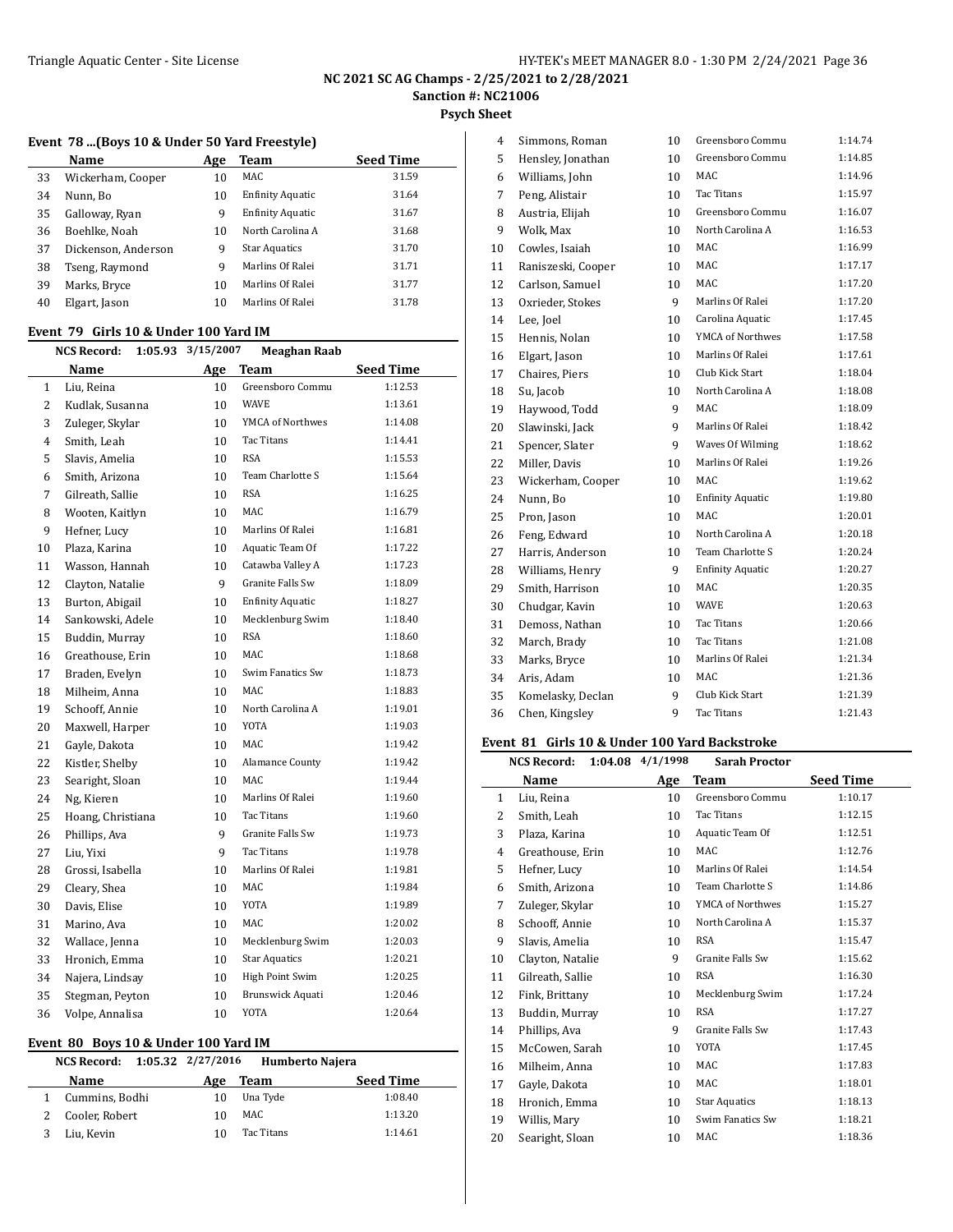Simmons, Roman 10 Greensboro Commu 1:14.74

#### **NC 2021 SC AG Champs - 2/25/2021 to 2/28/2021 Sanction #: NC21006**

**Psych Sheet**

l,

#### **Event 78 ...(Boys 10 & Under 50 Yard Freestyle)**

|    | Name                | Age | Team                    | <b>Seed Time</b> |
|----|---------------------|-----|-------------------------|------------------|
| 33 | Wickerham, Cooper   | 10  | MAC                     | 31.59            |
| 34 | Nunn, Bo            | 10  | <b>Enfinity Aquatic</b> | 31.64            |
| 35 | Galloway, Ryan      | 9   | <b>Enfinity Aquatic</b> | 31.67            |
| 36 | Boehlke, Noah       | 10  | North Carolina A        | 31.68            |
| 37 | Dickenson, Anderson | 9   | <b>Star Aquatics</b>    | 31.70            |
| 38 | Tseng, Raymond      | 9   | Marlins Of Ralei        | 31.71            |
| 39 | Marks, Bryce        | 10  | Marlins Of Ralei        | 31.77            |
| 40 | Elgart, Jason       | 10  | Marlins Of Ralei        | 31.78            |
|    |                     |     |                         |                  |

#### **Event 79 Girls 10 & Under 100 Yard IM**

|              | <b>NCS Record:</b> | 1:05.93 | 3/15/2007 | <b>Meaghan Raab</b>     |                  |  |
|--------------|--------------------|---------|-----------|-------------------------|------------------|--|
|              | Name               |         | Age       | <b>Team</b>             | <b>Seed Time</b> |  |
| $\mathbf{1}$ | Liu, Reina         |         | 10        | Greensboro Commu        | 1:12.53          |  |
| 2            | Kudlak, Susanna    |         | 10        | <b>WAVE</b>             | 1:13.61          |  |
| 3            | Zuleger, Skylar    |         | 10        | YMCA of Northwes        | 1:14.08          |  |
| 4            | Smith, Leah        |         | 10        | Tac Titans              | 1:14.41          |  |
| 5            | Slavis. Amelia     |         | 10        | <b>RSA</b>              | 1:15.53          |  |
| 6            | Smith, Arizona     |         | 10        | Team Charlotte S        | 1:15.64          |  |
| 7            | Gilreath, Sallie   |         | 10        | <b>RSA</b>              | 1:16.25          |  |
| 8            | Wooten, Kaitlyn    |         | 10        | MAC                     | 1:16.79          |  |
| 9            | Hefner, Lucy       |         | 10        | Marlins Of Ralei        | 1:16.81          |  |
| 10           | Plaza, Karina      |         | 10        | Aquatic Team Of         | 1:17.22          |  |
| 11           | Wasson, Hannah     |         | 10        | Catawba Valley A        | 1:17.23          |  |
| 12           | Clayton, Natalie   |         | 9         | Granite Falls Sw        | 1:18.09          |  |
| 13           | Burton, Abigail    |         | 10        | <b>Enfinity Aquatic</b> | 1:18.27          |  |
| 14           | Sankowski, Adele   |         | 10        | Mecklenburg Swim        | 1:18.40          |  |
| 15           | Buddin, Murray     |         | 10        | <b>RSA</b>              | 1:18.60          |  |
| 16           | Greathouse, Erin   |         | 10        | MAC                     | 1:18.68          |  |
| 17           | Braden, Evelyn     |         | 10        | Swim Fanatics Sw        | 1:18.73          |  |
| 18           | Milheim, Anna      |         | 10        | MAC                     | 1:18.83          |  |
| 19           | Schooff, Annie     |         | 10        | North Carolina A        | 1:19.01          |  |
| 20           | Maxwell, Harper    |         | 10        | <b>YOTA</b>             | 1:19.03          |  |
| 21           | Gayle, Dakota      |         | 10        | MAC                     | 1:19.42          |  |
| 22           | Kistler, Shelby    |         | 10        | Alamance County         | 1:19.42          |  |
| 23           | Searight, Sloan    |         | 10        | MAC                     | 1:19.44          |  |
| 24           | Ng, Kieren         |         | 10        | Marlins Of Ralei        | 1:19.60          |  |
| 25           | Hoang, Christiana  |         | 10        | Tac Titans              | 1:19.60          |  |
| 26           | Phillips, Ava      |         | 9         | Granite Falls Sw        | 1:19.73          |  |
| 27           | Liu, Yixi          |         | 9         | Tac Titans              | 1:19.78          |  |
| 28           | Grossi, Isabella   |         | 10        | Marlins Of Ralei        | 1:19.81          |  |
| 29           | Cleary, Shea       |         | 10        | MAC                     | 1:19.84          |  |
| 30           | Davis, Elise       |         | 10        | <b>YOTA</b>             | 1:19.89          |  |
| 31           | Marino, Ava        |         | 10        | MAC.                    | 1:20.02          |  |
| 32           | Wallace, Jenna     |         | 10        | Mecklenburg Swim        | 1:20.03          |  |
| 33           | Hronich, Emma      |         | 10        | <b>Star Aquatics</b>    | 1:20.21          |  |
| 34           | Najera, Lindsay    |         | 10        | <b>High Point Swim</b>  | 1:20.25          |  |
| 35           | Stegman, Peyton    |         | 10        | <b>Brunswick Aquati</b> | 1:20.46          |  |
| 36           | Volpe, Annalisa    |         | 10        | YOTA                    | 1:20.64          |  |

#### **Event 80 Boys 10 & Under 100 Yard IM**

| NCS Record:    | $1:05.32$ $2/27/2016$ |            | <b>Humberto Najera</b> |
|----------------|-----------------------|------------|------------------------|
| Name           | Age                   | Team       | <b>Seed Time</b>       |
| Cummins, Bodhi | 10                    | Una Tyde   | 1:08.40                |
| Cooler, Robert | 10                    | MAC        | 1:13.20                |
| Liu, Kevin     | 10                    | Tac Titans | 1:14.61                |

| 5  | Hensley, Jonathan  | 10 | Greensboro Commu        | 1:14.85 |
|----|--------------------|----|-------------------------|---------|
| 6  | Williams, John     | 10 | MAC                     | 1:14.96 |
| 7  | Peng, Alistair     | 10 | <b>Tac Titans</b>       | 1:15.97 |
| 8  | Austria, Elijah    | 10 | Greensboro Commu        | 1:16.07 |
| 9  | Wolk, Max          | 10 | North Carolina A        | 1:16.53 |
| 10 | Cowles, Isaiah     | 10 | <b>MAC</b>              | 1:16.99 |
| 11 | Raniszeski, Cooper | 10 | MAC                     | 1:17.17 |
| 12 | Carlson, Samuel    | 10 | MAC                     | 1:17.20 |
| 13 | Oxrieder, Stokes   | 9  | Marlins Of Ralei        | 1:17.20 |
| 14 | Lee, Joel          | 10 | Carolina Aquatic        | 1:17.45 |
| 15 | Hennis, Nolan      | 10 | YMCA of Northwes        | 1:17.58 |
| 16 | Elgart, Jason      | 10 | Marlins Of Ralei        | 1:17.61 |
| 17 | Chaires, Piers     | 10 | Club Kick Start         | 1:18.04 |
| 18 | Su, Jacob          | 10 | North Carolina A        | 1:18.08 |
| 19 | Haywood, Todd      | 9  | MAC                     | 1:18.09 |
| 20 | Slawinski, Jack    | 9  | Marlins Of Ralei        | 1:18.42 |
| 21 | Spencer, Slater    | 9  | Waves Of Wilming        | 1:18.62 |
| 22 | Miller, Davis      | 10 | Marlins Of Ralei        | 1:19.26 |
| 23 | Wickerham, Cooper  | 10 | MAC                     | 1:19.62 |
| 24 | Nunn, Bo           | 10 | <b>Enfinity Aquatic</b> | 1:19.80 |
| 25 | Pron, Jason        | 10 | <b>MAC</b>              | 1:20.01 |
| 26 | Feng, Edward       | 10 | North Carolina A        | 1:20.18 |
| 27 | Harris, Anderson   | 10 | Team Charlotte S        | 1:20.24 |
| 28 | Williams, Henry    | 9  | <b>Enfinity Aquatic</b> | 1:20.27 |
| 29 | Smith, Harrison    | 10 | MAC                     | 1:20.35 |
| 30 | Chudgar, Kavin     | 10 | <b>WAVE</b>             | 1:20.63 |
| 31 | Demoss, Nathan     | 10 | Tac Titans              | 1:20.66 |
| 32 | March, Brady       | 10 | <b>Tac Titans</b>       | 1:21.08 |
| 33 | Marks, Bryce       | 10 | Marlins Of Ralei        | 1:21.34 |
| 34 | Aris, Adam         | 10 | <b>MAC</b>              | 1:21.36 |
| 35 | Komelasky, Declan  | 9  | Club Kick Start         | 1:21.39 |
| 36 | Chen, Kingsley     | 9  | <b>Tac Titans</b>       | 1:21.43 |

# **Event 81 Girls 10 & Under 100 Yard Backstroke**

|    | <b>NCS Record:</b> | 1:04.08 4/1/1998 | <b>Sarah Proctor</b> |                  |
|----|--------------------|------------------|----------------------|------------------|
|    | Name               | Age              | Team                 | <b>Seed Time</b> |
| 1  | Liu, Reina         | 10               | Greensboro Commu     | 1:10.17          |
| 2  | Smith, Leah        | 10               | Tac Titans           | 1:12.15          |
| 3  | Plaza, Karina      | 10               | Aquatic Team Of      | 1:12.51          |
| 4  | Greathouse, Erin   | 10               | MAC                  | 1:12.76          |
| 5  | Hefner, Lucy       | 10               | Marlins Of Ralei     | 1:14.54          |
| 6  | Smith, Arizona     | 10               | Team Charlotte S     | 1:14.86          |
| 7  | Zuleger, Skylar    | 10               | YMCA of Northwes     | 1:15.27          |
| 8  | Schooff, Annie     | 10               | North Carolina A     | 1:15.37          |
| 9  | Slavis, Amelia     | 10               | <b>RSA</b>           | 1:15.47          |
| 10 | Clayton, Natalie   | 9                | Granite Falls Sw     | 1:15.62          |
| 11 | Gilreath, Sallie   | 10               | <b>RSA</b>           | 1:16.30          |
| 12 | Fink, Brittany     | 10               | Mecklenburg Swim     | 1:17.24          |
| 13 | Buddin, Murray     | 10               | <b>RSA</b>           | 1:17.27          |
| 14 | Phillips, Ava      | 9                | Granite Falls Sw     | 1:17.43          |
| 15 | McCowen, Sarah     | 10               | YOTA                 | 1:17.45          |
| 16 | Milheim, Anna      | 10               | MAC                  | 1:17.83          |
| 17 | Gayle, Dakota      | 10               | MAC                  | 1:18.01          |
| 18 | Hronich, Emma      | 10               | <b>Star Aquatics</b> | 1:18.13          |
| 19 | Willis, Mary       | 10               | Swim Fanatics Sw     | 1:18.21          |
| 20 | Searight, Sloan    | 10               | <b>MAC</b>           | 1:18.36          |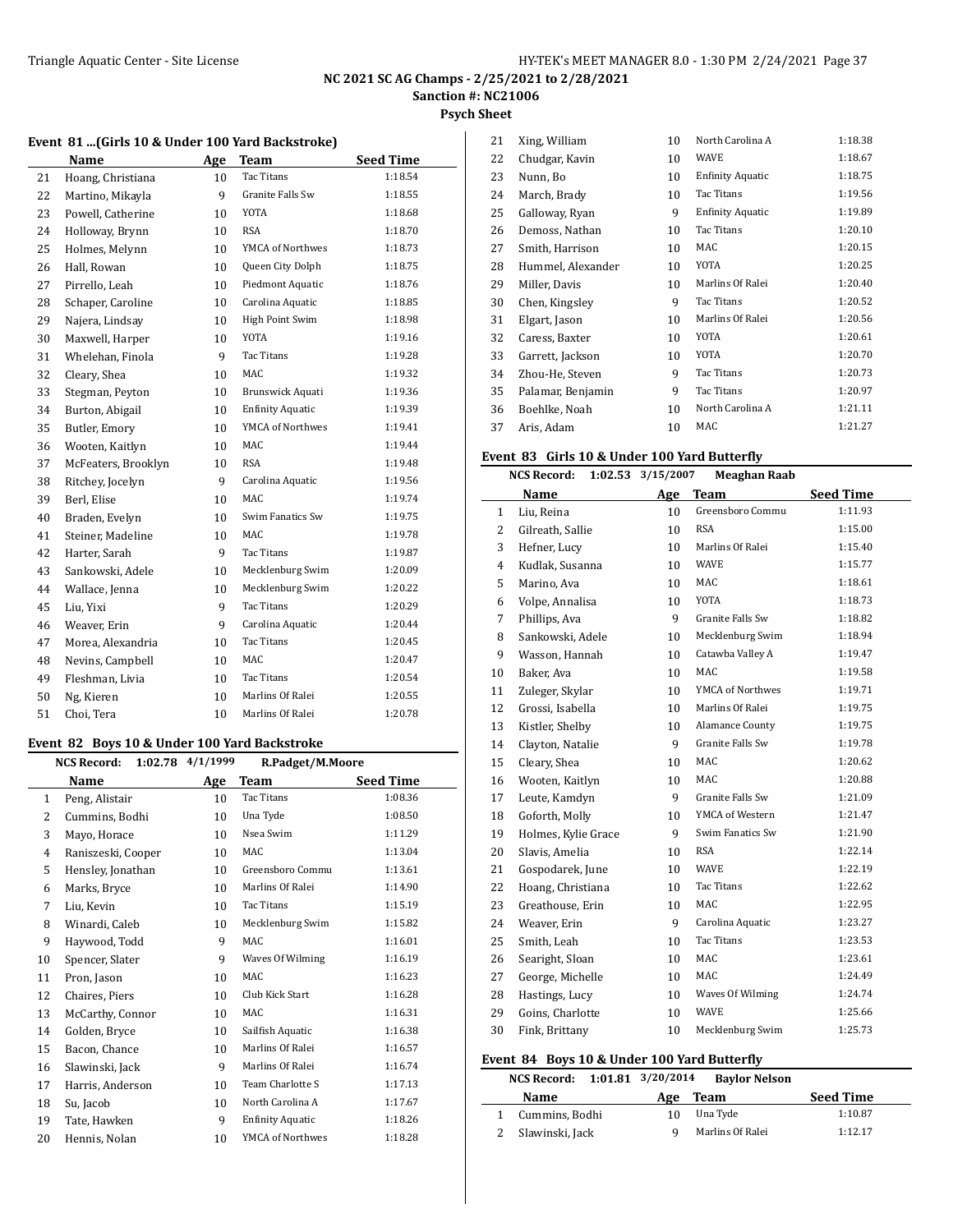**Psych Sheet**

#### **Event 81 ...(Girls 10 & Under 100 Yard Backstroke)**

|    | Name                | Age             | Team                    | <b>Seed Time</b> |
|----|---------------------|-----------------|-------------------------|------------------|
| 21 | Hoang, Christiana   | 10              | <b>Tac Titans</b>       | 1:18.54          |
| 22 | Martino, Mikayla    | 9               | <b>Granite Falls Sw</b> | 1:18.55          |
| 23 | Powell, Catherine   | 10              | YOTA                    | 1:18.68          |
| 24 | Holloway, Brynn     | 10              | <b>RSA</b>              | 1:18.70          |
| 25 | Holmes, Melynn      | 10              | YMCA of Northwes        | 1:18.73          |
| 26 | Hall, Rowan         | 10              | Queen City Dolph        | 1:18.75          |
| 27 | Pirrello, Leah      | 10              | Piedmont Aquatic        | 1:18.76          |
| 28 | Schaper, Caroline   | 10              | Carolina Aquatic        | 1:18.85          |
| 29 | Najera, Lindsay     | 10              | High Point Swim         | 1:18.98          |
| 30 | Maxwell, Harper     | 10              | <b>YOTA</b>             | 1:19.16          |
| 31 | Whelehan, Finola    | 9               | <b>Tac Titans</b>       | 1:19.28          |
| 32 | Cleary, Shea        | 10              | MAC                     | 1:19.32          |
| 33 | Stegman, Peyton     | 10              | Brunswick Aquati        | 1:19.36          |
| 34 | Burton, Abigail     | 10              | <b>Enfinity Aquatic</b> | 1:19.39          |
| 35 | Butler, Emory       | 10              | <b>YMCA of Northwes</b> | 1:19.41          |
| 36 | Wooten, Kaitlyn     | 10              | MAC                     | 1:19.44          |
| 37 | McFeaters, Brooklyn | 10              | <b>RSA</b>              | 1:19.48          |
| 38 | Ritchey, Jocelyn    | 9               | Carolina Aquatic        | 1:19.56          |
| 39 | Berl, Elise         | 10 <sup>1</sup> | MAC                     | 1:19.74          |
| 40 | Braden, Evelyn      | 10              | Swim Fanatics Sw        | 1:19.75          |
| 41 | Steiner, Madeline   | 10              | MAC                     | 1:19.78          |
| 42 | Harter, Sarah       | 9               | Tac Titans              | 1:19.87          |
| 43 | Sankowski, Adele    | 10              | Mecklenburg Swim        | 1:20.09          |
| 44 | Wallace, Jenna      | 10              | Mecklenburg Swim        | 1:20.22          |
| 45 | Liu, Yixi           | 9               | <b>Tac Titans</b>       | 1:20.29          |
| 46 | Weaver, Erin        | 9               | Carolina Aquatic        | 1:20.44          |
| 47 | Morea, Alexandria   | 10              | Tac Titans              | 1:20.45          |
| 48 | Nevins, Campbell    | 10              | MAC                     | 1:20.47          |
| 49 | Fleshman, Livia     | 10 <sup>1</sup> | <b>Tac Titans</b>       | 1:20.54          |
| 50 | Ng, Kieren          | 10              | Marlins Of Ralei        | 1:20.55          |
| 51 | Choi, Tera          | 10              | Marlins Of Ralei        | 1:20.78          |

## **Event 82 Boys 10 & Under 100 Yard Backstroke**

|                | 1:02.78<br><b>NCS Record:</b> | 4/1/1999 | R.Padget/M.Moore        |                  |
|----------------|-------------------------------|----------|-------------------------|------------------|
|                | Name                          | Age      | Team                    | <b>Seed Time</b> |
| 1              | Peng, Alistair                | 10       | <b>Tac Titans</b>       | 1:08.36          |
| 2              | Cummins, Bodhi                | 10       | Una Tyde                | 1:08.50          |
| 3              | Mayo, Horace                  | 10       | Nsea Swim               | 1:11.29          |
| $\overline{4}$ | Raniszeski, Cooper            | 10       | MAC                     | 1:13.04          |
| 5              | Hensley, Jonathan             | 10       | Greensboro Commu        | 1:13.61          |
| 6              | Marks, Bryce                  | 10       | Marlins Of Ralei        | 1:14.90          |
| 7              | Liu, Kevin                    | 10       | Tac Titans              | 1:15.19          |
| 8              | Winardi, Caleb                | 10       | Mecklenburg Swim        | 1:15.82          |
| 9              | Haywood, Todd                 | 9        | MAC                     | 1:16.01          |
| 10             | Spencer, Slater               | 9        | Waves Of Wilming        | 1:16.19          |
| 11             | Pron, Jason                   | 10       | MAC                     | 1:16.23          |
| 12             | Chaires, Piers                | 10       | Club Kick Start         | 1:16.28          |
| 13             | McCarthy, Connor              | 10       | MAC                     | 1:16.31          |
| 14             | Golden, Bryce                 | 10       | Sailfish Aquatic        | 1:16.38          |
| 15             | Bacon, Chance                 | 10       | Marlins Of Ralei        | 1:16.57          |
| 16             | Slawinski, Jack               | 9        | Marlins Of Ralei        | 1:16.74          |
| 17             | Harris, Anderson              | 10       | Team Charlotte S        | 1:17.13          |
| 18             | Su, Jacob                     | 10       | North Carolina A        | 1:17.67          |
| 19             | Tate, Hawken                  | 9        | <b>Enfinity Aquatic</b> | 1:18.26          |
| 20             | Hennis, Nolan                 | 10       | YMCA of Northwes        | 1:18.28          |
|                |                               |          |                         |                  |

| 21 | Xing, William     | 10 | North Carolina A        | 1:18.38 |
|----|-------------------|----|-------------------------|---------|
| 22 | Chudgar, Kavin    | 10 | <b>WAVE</b>             | 1:18.67 |
| 23 | Nunn, Bo          | 10 | <b>Enfinity Aquatic</b> | 1:18.75 |
| 24 | March, Brady      | 10 | Tac Titans              | 1:19.56 |
| 25 | Galloway, Ryan    | 9  | <b>Enfinity Aquatic</b> | 1:19.89 |
| 26 | Demoss, Nathan    | 10 | Tac Titans              | 1:20.10 |
| 27 | Smith, Harrison   | 10 | MAC                     | 1:20.15 |
| 28 | Hummel, Alexander | 10 | YOTA                    | 1:20.25 |
| 29 | Miller, Davis     | 10 | Marlins Of Ralei        | 1:20.40 |
| 30 | Chen, Kingsley    | 9  | Tac Titans              | 1:20.52 |
| 31 | Elgart, Jason     | 10 | Marlins Of Ralei        | 1:20.56 |
| 32 | Caress, Baxter    | 10 | YOTA                    | 1:20.61 |
| 33 | Garrett, Jackson  | 10 | YOTA                    | 1:20.70 |
| 34 | Zhou-He, Steven   | 9  | Tac Titans              | 1:20.73 |
| 35 | Palamar, Benjamin | 9  | Tac Titans              | 1:20.97 |
| 36 | Boehlke, Noah     | 10 | North Carolina A        | 1:21.11 |
| 37 | Aris, Adam        | 10 | MAC                     | 1:21.27 |

# **Event 83 Girls 10 & Under 100 Yard Butterfly**

|    | <b>NCS Record:</b>                 | 1:02.53 3/15/2007 | <b>Meaghan Raab</b> |                  |
|----|------------------------------------|-------------------|---------------------|------------------|
|    | Name                               | Age               | <b>Team</b>         | <b>Seed Time</b> |
|    | Liu, Reina<br>1                    | 10                | Greensboro Commu    | 1:11.93          |
|    | $\overline{2}$<br>Gilreath, Sallie | 10                | <b>RSA</b>          | 1:15.00          |
|    | 3<br>Hefner, Lucy                  | 10                | Marlins Of Ralei    | 1:15.40          |
|    | 4<br>Kudlak, Susanna               | 10                | <b>WAVE</b>         | 1:15.77          |
|    | 5<br>Marino, Ava                   | 10                | <b>MAC</b>          | 1:18.61          |
|    | Volpe, Annalisa<br>6               | 10                | <b>YOTA</b>         | 1:18.73          |
|    | Phillips, Ava<br>7                 | 9                 | Granite Falls Sw    | 1:18.82          |
|    | Sankowski, Adele<br>8              | 10                | Mecklenburg Swim    | 1:18.94          |
|    | Wasson, Hannah<br>9                | 10                | Catawba Valley A    | 1:19.47          |
| 10 | Baker, Ava                         | 10                | MAC                 | 1:19.58          |
| 11 | Zuleger, Skylar                    | 10                | YMCA of Northwes    | 1:19.71          |
| 12 | Grossi, Isabella                   | 10                | Marlins Of Ralei    | 1:19.75          |
| 13 | Kistler, Shelby                    | 10                | Alamance County     | 1:19.75          |
| 14 | Clayton, Natalie                   | 9                 | Granite Falls Sw    | 1:19.78          |
| 15 | Cleary, Shea                       | 10                | MAC                 | 1:20.62          |
| 16 | Wooten, Kaitlyn                    | 10                | MAC                 | 1:20.88          |
| 17 | Leute, Kamdyn                      | 9                 | Granite Falls Sw    | 1:21.09          |
| 18 | Goforth, Molly                     | 10                | YMCA of Western     | 1:21.47          |
| 19 | Holmes, Kylie Grace                | 9                 | Swim Fanatics Sw    | 1:21.90          |
| 20 | Slavis, Amelia                     | 10                | <b>RSA</b>          | 1:22.14          |
| 21 | Gospodarek, June                   | 10                | <b>WAVE</b>         | 1:22.19          |
| 22 | Hoang, Christiana                  | 10                | <b>Tac Titans</b>   | 1:22.62          |
| 23 | Greathouse, Erin                   | 10                | <b>MAC</b>          | 1:22.95          |
| 24 | Weaver, Erin                       | 9                 | Carolina Aquatic    | 1:23.27          |
| 25 | Smith, Leah                        | 10                | <b>Tac Titans</b>   | 1:23.53          |
| 26 | Searight, Sloan                    | 10                | MAC                 | 1:23.61          |
| 27 | George, Michelle                   | 10                | MAC                 | 1:24.49          |
| 28 | Hastings, Lucy                     | 10                | Waves Of Wilming    | 1:24.74          |
| 29 | Goins, Charlotte                   | 10                | <b>WAVE</b>         | 1:25.66          |
| 30 | Fink, Brittany                     | 10                | Mecklenburg Swim    | 1:25.73          |
|    |                                    |                   |                     |                  |

#### **Event 84 Boys 10 & Under 100 Yard Butterfly**

L.

| NCS Record: 1:01.81 3/20/2014 |     | <b>Baylor Nelson</b> |                  |
|-------------------------------|-----|----------------------|------------------|
| <b>Name</b>                   | Age | Team                 | <b>Seed Time</b> |
| Cummins, Bodhi                | 10  | Una Tyde             | 1:10.87          |
| Slawinski, Jack               | a   | Marlins Of Ralei     | 1.1217           |